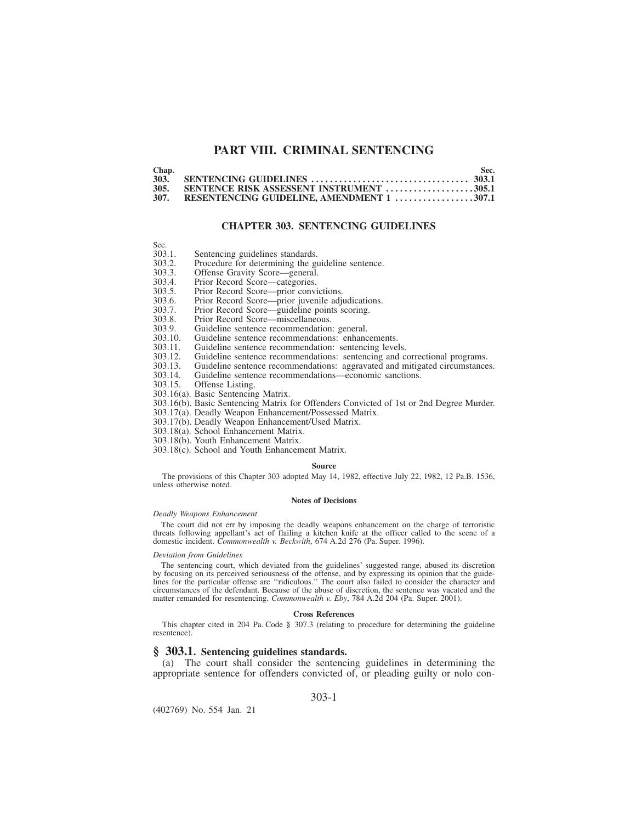# **PART VIII. CRIMINAL SENTENCING**

| Chap. |                                           | Sec. |
|-------|-------------------------------------------|------|
| 303.  |                                           |      |
| 305.  | SENTENCE RISK ASSESSENT INSTRUMENT 305.1  |      |
| 307.  | RESENTENCING GUIDELINE. AMENDMENT 1 307.1 |      |

## **CHAPTER 303. SENTENCING GUIDELINES**

| . .<br>. | ۰<br>., | . .<br>۰. |  |
|----------|---------|-----------|--|
|          |         |           |  |

- 303.1. Sentencing guidelines standards.<br>303.2. Procedure for determining the guidelines.
- 303.2. Procedure for determining the guideline sentence.<br>303.3. Offense Gravity Score—general.
- 303.3. Offense Gravity Score—general.<br>303.4. Prior Record Score—categories.
- 303.4. Prior Record Score—categories.<br>303.5. Prior Record Score—prior convi
- 303.5. Prior Record Score—prior convictions.
- 303.6. Prior Record Score—prior juvenile adjudications.
- 303.7. Prior Record Score—guideline points scoring.
- 
- 303.8. Prior Record Score—miscellaneous.<br>303.9. Guideline sentence recommendation
- 303.9. Guideline sentence recommendation: general.
- 303.10. Guideline sentence recommendations: enhancements.<br>303.11. Guideline sentence recommendation: sentencing level
- 303.11. Guideline sentence recommendation: sentencing levels.<br>303.12. Guideline sentence recommendations: sentencing and c
- 303.12. Guideline sentence recommendations: sentencing and correctional programs.
- 303.13. Guideline sentence recommendations: aggravated and mitigated circumstances.
- 303.14. Guideline sentence recommendations—economic sanctions.
- Offense Listing.
- 303.16(a). Basic Sentencing Matrix.
- 303.16(b). Basic Sentencing Matrix for Offenders Convicted of 1st or 2nd Degree Murder.
- 303.17(a). Deadly Weapon Enhancement/Possessed Matrix.
- 303.17(b). Deadly Weapon Enhancement/Used Matrix.
- 303.18(a). School Enhancement Matrix.
- 303.18(b). Youth Enhancement Matrix.
- 303.18(c). School and Youth Enhancement Matrix.

#### **Source**

The provisions of this Chapter 303 adopted May 14, 1982, effective July 22, 1982, 12 Pa.B. 1536, unless otherwise noted.

### **Notes of Decisions**

### *Deadly Weapons Enhancement*

The court did not err by imposing the deadly weapons enhancement on the charge of terroristic<br>threats following appellant's act of flailing a kitchen knife at the officer called to the scene of a<br>domestic incident. *Common* 

### *Deviation from Guidelines*

The sentencing court, which deviated from the guidelines' suggested range, abused its discretion by focusing on its perceived seriousness of the offense, and by expressing its opinion that the guide-<br>lines for the particular offense are "ridiculous." The court also failed to consider the character and<br>circumstances of matter remanded for resentencing. *Commonwealth v. Eby*, 784 A.2d 204 (Pa. Super. 2001).

### **Cross References**

This chapter cited in 204 Pa. Code § 307.3 (relating to procedure for determining the guideline resentence).

## **§ 303.1. Sentencing guidelines standards.**

(a) The court shall consider the sentencing guidelines in determining the appropriate sentence for offenders convicted of, or pleading guilty or nolo con-

303-1

(402769) No. 554 Jan. 21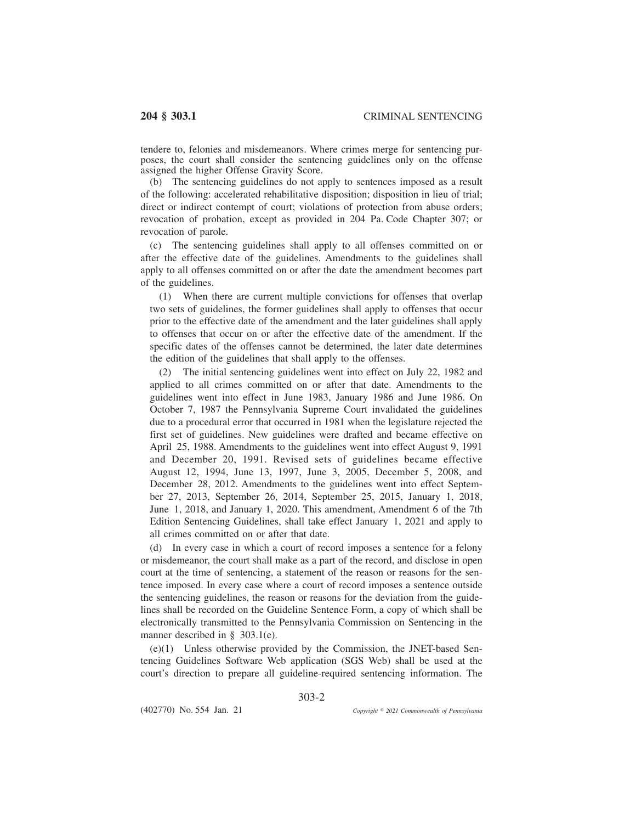tendere to, felonies and misdemeanors. Where crimes merge for sentencing purposes, the court shall consider the sentencing guidelines only on the offense assigned the higher Offense Gravity Score.

(b) The sentencing guidelines do not apply to sentences imposed as a result of the following: accelerated rehabilitative disposition; disposition in lieu of trial; direct or indirect contempt of court; violations of protection from abuse orders; revocation of probation, except as provided in 204 Pa. Code Chapter 307; or revocation of parole.

(c) The sentencing guidelines shall apply to all offenses committed on or after the effective date of the guidelines. Amendments to the guidelines shall apply to all offenses committed on or after the date the amendment becomes part of the guidelines.

(1) When there are current multiple convictions for offenses that overlap two sets of guidelines, the former guidelines shall apply to offenses that occur prior to the effective date of the amendment and the later guidelines shall apply to offenses that occur on or after the effective date of the amendment. If the specific dates of the offenses cannot be determined, the later date determines the edition of the guidelines that shall apply to the offenses.

(2) The initial sentencing guidelines went into effect on July 22, 1982 and applied to all crimes committed on or after that date. Amendments to the guidelines went into effect in June 1983, January 1986 and June 1986. On October 7, 1987 the Pennsylvania Supreme Court invalidated the guidelines due to a procedural error that occurred in 1981 when the legislature rejected the first set of guidelines. New guidelines were drafted and became effective on April 25, 1988. Amendments to the guidelines went into effect August 9, 1991 and December 20, 1991. Revised sets of guidelines became effective August 12, 1994, June 13, 1997, June 3, 2005, December 5, 2008, and December 28, 2012. Amendments to the guidelines went into effect September 27, 2013, September 26, 2014, September 25, 2015, January 1, 2018, June 1, 2018, and January 1, 2020. This amendment, Amendment 6 of the 7th Edition Sentencing Guidelines, shall take effect January 1, 2021 and apply to all crimes committed on or after that date.

(d) In every case in which a court of record imposes a sentence for a felony or misdemeanor, the court shall make as a part of the record, and disclose in open court at the time of sentencing, a statement of the reason or reasons for the sentence imposed. In every case where a court of record imposes a sentence outside the sentencing guidelines, the reason or reasons for the deviation from the guidelines shall be recorded on the Guideline Sentence Form, a copy of which shall be electronically transmitted to the Pennsylvania Commission on Sentencing in the manner described in § 303.1(e).

(e)(1) Unless otherwise provided by the Commission, the JNET-based Sentencing Guidelines Software Web application (SGS Web) shall be used at the court's direction to prepare all guideline-required sentencing information. The

303-2

(402770) No. 554 Jan. 21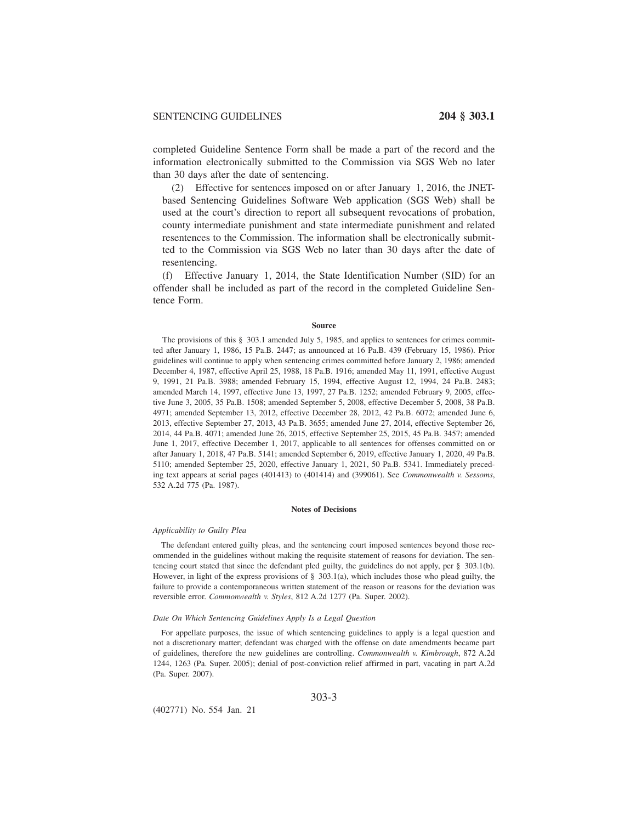completed Guideline Sentence Form shall be made a part of the record and the information electronically submitted to the Commission via SGS Web no later than 30 days after the date of sentencing.

(2) Effective for sentences imposed on or after January 1, 2016, the JNETbased Sentencing Guidelines Software Web application (SGS Web) shall be used at the court's direction to report all subsequent revocations of probation, county intermediate punishment and state intermediate punishment and related resentences to the Commission. The information shall be electronically submitted to the Commission via SGS Web no later than 30 days after the date of resentencing.

(f) Effective January 1, 2014, the State Identification Number (SID) for an offender shall be included as part of the record in the completed Guideline Sentence Form.

### **Source**

The provisions of this § 303.1 amended July 5, 1985, and applies to sentences for crimes committed after January 1, 1986, 15 Pa.B. 2447; as announced at 16 Pa.B. 439 (February 15, 1986). Prior guidelines will continue to apply when sentencing crimes committed before January 2, 1986; amended December 4, 1987, effective April 25, 1988, 18 Pa.B. 1916; amended May 11, 1991, effective August 9, 1991, 21 Pa.B. 3988; amended February 15, 1994, effective August 12, 1994, 24 Pa.B. 2483; amended March 14, 1997, effective June 13, 1997, 27 Pa.B. 1252; amended February 9, 2005, effective June 3, 2005, 35 Pa.B. 1508; amended September 5, 2008, effective December 5, 2008, 38 Pa.B. 4971; amended September 13, 2012, effective December 28, 2012, 42 Pa.B. 6072; amended June 6, 2013, effective September 27, 2013, 43 Pa.B. 3655; amended June 27, 2014, effective September 26, 2014, 44 Pa.B. 4071; amended June 26, 2015, effective September 25, 2015, 45 Pa.B. 3457; amended June 1, 2017, effective December 1, 2017, applicable to all sentences for offenses committed on or after January 1, 2018, 47 Pa.B. 5141; amended September 6, 2019, effective January 1, 2020, 49 Pa.B. 5110; amended September 25, 2020, effective January 1, 2021, 50 Pa.B. 5341. Immediately preceding text appears at serial pages (401413) to (401414) and (399061). See *Commonwealth v. Sessoms*, 532 A.2d 775 (Pa. 1987).

### **Notes of Decisions**

# *Applicability to Guilty Plea*

The defendant entered guilty pleas, and the sentencing court imposed sentences beyond those recommended in the guidelines without making the requisite statement of reasons for deviation. The sentencing court stated that since the defendant pled guilty, the guidelines do not apply, per § 303.1(b). However, in light of the express provisions of  $\S$  303.1(a), which includes those who plead guilty, the failure to provide a contemporaneous written statement of the reason or reasons for the deviation was reversible error. *Commonwealth v. Styles*, 812 A.2d 1277 (Pa. Super. 2002).

#### *Date On Which Sentencing Guidelines Apply Is a Legal Question*

For appellate purposes, the issue of which sentencing guidelines to apply is a legal question and not a discretionary matter; defendant was charged with the offense on date amendments became part of guidelines, therefore the new guidelines are controlling. *Commonwealth v. Kimbrough*, 872 A.2d 1244, 1263 (Pa. Super. 2005); denial of post-conviction relief affirmed in part, vacating in part A.2d (Pa. Super. 2007).

303-3

(402771) No. 554 Jan. 21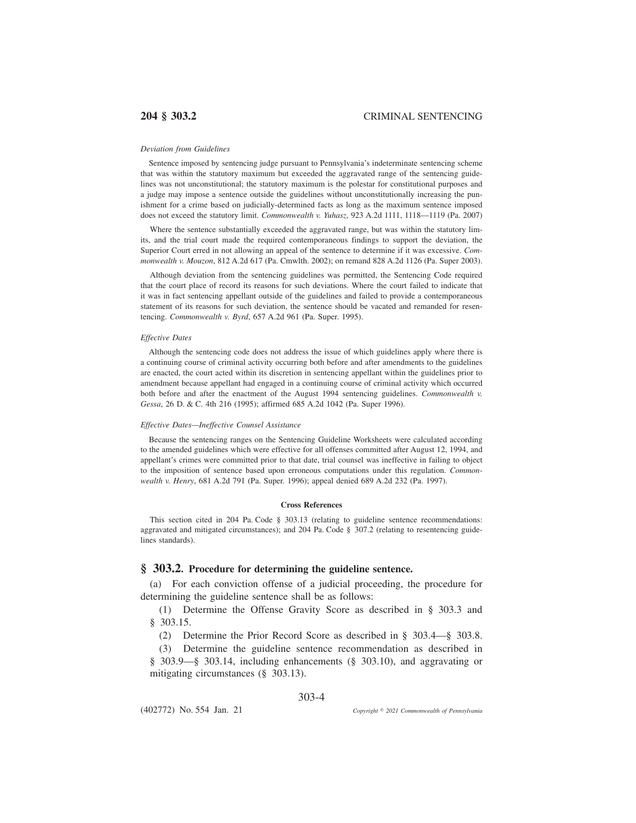### *Deviation from Guidelines*

Sentence imposed by sentencing judge pursuant to Pennsylvania's indeterminate sentencing scheme that was within the statutory maximum but exceeded the aggravated range of the sentencing guidelines was not unconstitutional; the statutory maximum is the polestar for constitutional purposes and a judge may impose a sentence outside the guidelines without unconstitutionally increasing the punishment for a crime based on judicially-determined facts as long as the maximum sentence imposed does not exceed the statutory limit. *Commonwealth v. Yuhasz*, 923 A.2d 1111, 1118—1119 (Pa. 2007)

Where the sentence substantially exceeded the aggravated range, but was within the statutory limits, and the trial court made the required contemporaneous findings to support the deviation, the Superior Court erred in not allowing an appeal of the sentence to determine if it was excessive. *Commonwealth v. Mouzon*, 812 A.2d 617 (Pa. Cmwlth. 2002); on remand 828 A.2d 1126 (Pa. Super 2003).

Although deviation from the sentencing guidelines was permitted, the Sentencing Code required that the court place of record its reasons for such deviations. Where the court failed to indicate that it was in fact sentencing appellant outside of the guidelines and failed to provide a contemporaneous statement of its reasons for such deviation, the sentence should be vacated and remanded for resentencing. *Commonwealth v. Byrd*, 657 A.2d 961 (Pa. Super. 1995).

## *Effective Dates*

Although the sentencing code does not address the issue of which guidelines apply where there is a continuing course of criminal activity occurring both before and after amendments to the guidelines are enacted, the court acted within its discretion in sentencing appellant within the guidelines prior to amendment because appellant had engaged in a continuing course of criminal activity which occurred both before and after the enactment of the August 1994 sentencing guidelines. *Commonwealth v. Gessa*, 26 D. & C. 4th 216 (1995); affirmed 685 A.2d 1042 (Pa. Super 1996).

## *Effective Dates—Ineffective Counsel Assistance*

Because the sentencing ranges on the Sentencing Guideline Worksheets were calculated according to the amended guidelines which were effective for all offenses committed after August 12, 1994, and appellant's crimes were committed prior to that date, trial counsel was ineffective in failing to object to the imposition of sentence based upon erroneous computations under this regulation. *Commonwealth v. Henry*, 681 A.2d 791 (Pa. Super. 1996); appeal denied 689 A.2d 232 (Pa. 1997).

## **Cross References**

This section cited in 204 Pa. Code § 303.13 (relating to guideline sentence recommendations: aggravated and mitigated circumstances); and 204 Pa. Code § 307.2 (relating to resentencing guidelines standards).

# **§ 303.2. Procedure for determining the guideline sentence.**

(a) For each conviction offense of a judicial proceeding, the procedure for determining the guideline sentence shall be as follows:

(1) Determine the Offense Gravity Score as described in § 303.3 and § 303.15.

(2) Determine the Prior Record Score as described in § 303.4—§ 303.8.

(3) Determine the guideline sentence recommendation as described in § 303.9—§ 303.14, including enhancements (§ 303.10), and aggravating or mitigating circumstances (§ 303.13).

## 303-4

(402772) No. 554 Jan. 21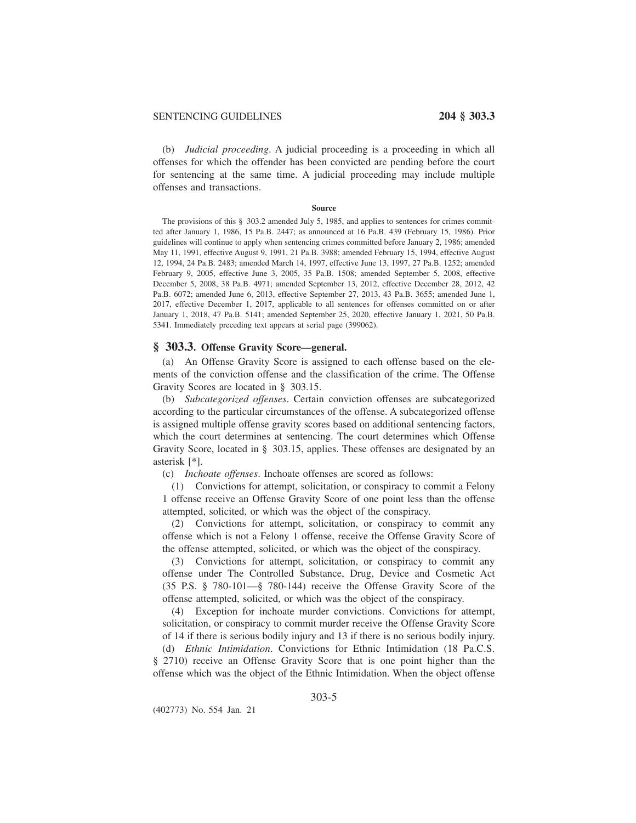(b) *Judicial proceeding*. A judicial proceeding is a proceeding in which all offenses for which the offender has been convicted are pending before the court for sentencing at the same time. A judicial proceeding may include multiple offenses and transactions.

### **Source**

The provisions of this § 303.2 amended July 5, 1985, and applies to sentences for crimes committed after January 1, 1986, 15 Pa.B. 2447; as announced at 16 Pa.B. 439 (February 15, 1986). Prior guidelines will continue to apply when sentencing crimes committed before January 2, 1986; amended May 11, 1991, effective August 9, 1991, 21 Pa.B. 3988; amended February 15, 1994, effective August 12, 1994, 24 Pa.B. 2483; amended March 14, 1997, effective June 13, 1997, 27 Pa.B. 1252; amended February 9, 2005, effective June 3, 2005, 35 Pa.B. 1508; amended September 5, 2008, effective December 5, 2008, 38 Pa.B. 4971; amended September 13, 2012, effective December 28, 2012, 42 Pa.B. 6072; amended June 6, 2013, effective September 27, 2013, 43 Pa.B. 3655; amended June 1, 2017, effective December 1, 2017, applicable to all sentences for offenses committed on or after January 1, 2018, 47 Pa.B. 5141; amended September 25, 2020, effective January 1, 2021, 50 Pa.B. 5341. Immediately preceding text appears at serial page (399062).

## **§ 303.3. Offense Gravity Score—general.**

(a) An Offense Gravity Score is assigned to each offense based on the elements of the conviction offense and the classification of the crime. The Offense Gravity Scores are located in § 303.15.

(b) *Subcategorized offenses*. Certain conviction offenses are subcategorized according to the particular circumstances of the offense. A subcategorized offense is assigned multiple offense gravity scores based on additional sentencing factors, which the court determines at sentencing. The court determines which Offense Gravity Score, located in § 303.15, applies. These offenses are designated by an asterisk [\*].

(c) *Inchoate offenses*. Inchoate offenses are scored as follows:

(1) Convictions for attempt, solicitation, or conspiracy to commit a Felony 1 offense receive an Offense Gravity Score of one point less than the offense attempted, solicited, or which was the object of the conspiracy.

(2) Convictions for attempt, solicitation, or conspiracy to commit any offense which is not a Felony 1 offense, receive the Offense Gravity Score of the offense attempted, solicited, or which was the object of the conspiracy.

(3) Convictions for attempt, solicitation, or conspiracy to commit any offense under The Controlled Substance, Drug, Device and Cosmetic Act (35 P.S. § 780-101—§ 780-144) receive the Offense Gravity Score of the offense attempted, solicited, or which was the object of the conspiracy.

(4) Exception for inchoate murder convictions. Convictions for attempt, solicitation, or conspiracy to commit murder receive the Offense Gravity Score of 14 if there is serious bodily injury and 13 if there is no serious bodily injury.

(d) *Ethnic Intimidation*. Convictions for Ethnic Intimidation (18 Pa.C.S.

§ 2710) receive an Offense Gravity Score that is one point higher than the offense which was the object of the Ethnic Intimidation. When the object offense

303-5

(402773) No. 554 Jan. 21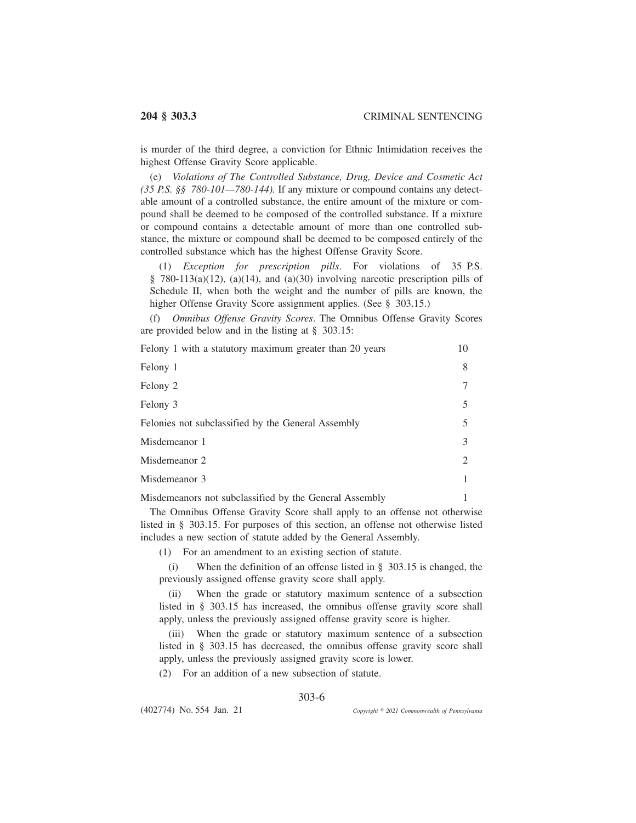is murder of the third degree, a conviction for Ethnic Intimidation receives the highest Offense Gravity Score applicable.

(e) *Violations of The Controlled Substance, Drug, Device and Cosmetic Act (35 P.S. §§ 780-101—780-144).* If any mixture or compound contains any detectable amount of a controlled substance, the entire amount of the mixture or compound shall be deemed to be composed of the controlled substance. If a mixture or compound contains a detectable amount of more than one controlled substance, the mixture or compound shall be deemed to be composed entirely of the controlled substance which has the highest Offense Gravity Score.

(1) *Exception for prescription pills*. For violations of 35 P.S. § 780-113(a)(12), (a)(14), and (a)(30) involving narcotic prescription pills of Schedule II, when both the weight and the number of pills are known, the higher Offense Gravity Score assignment applies. (See § 303.15.)

(f) *Omnibus Offense Gravity Scores*. The Omnibus Offense Gravity Scores are provided below and in the listing at § 303.15:

| Felony 1 with a statutory maximum greater than 20 years | 10 |
|---------------------------------------------------------|----|
| Felony 1                                                | 8  |
| Felony 2                                                |    |
| Felony 3                                                |    |
| Felonies not subclassified by the General Assembly      |    |
| Misdemeanor 1                                           |    |
| Misdemeanor 2                                           |    |
| Misdemeanor 3                                           |    |
| Misdemeanors not subclassified by the General Assembly  |    |

The Omnibus Offense Gravity Score shall apply to an offense not otherwise listed in § 303.15. For purposes of this section, an offense not otherwise listed includes a new section of statute added by the General Assembly.

(1) For an amendment to an existing section of statute.

(i) When the definition of an offense listed in § 303.15 is changed, the previously assigned offense gravity score shall apply.

(ii) When the grade or statutory maximum sentence of a subsection listed in § 303.15 has increased, the omnibus offense gravity score shall apply, unless the previously assigned offense gravity score is higher.

(iii) When the grade or statutory maximum sentence of a subsection listed in § 303.15 has decreased, the omnibus offense gravity score shall apply, unless the previously assigned gravity score is lower.

(2) For an addition of a new subsection of statute.

# 303-6

(402774) No. 554 Jan. 21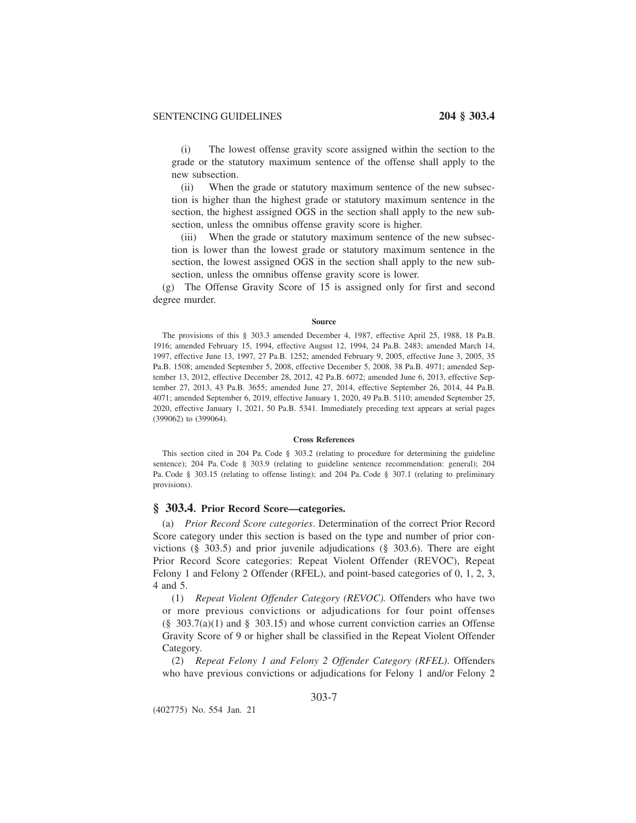(i) The lowest offense gravity score assigned within the section to the grade or the statutory maximum sentence of the offense shall apply to the new subsection.

(ii) When the grade or statutory maximum sentence of the new subsection is higher than the highest grade or statutory maximum sentence in the section, the highest assigned OGS in the section shall apply to the new subsection, unless the omnibus offense gravity score is higher.

(iii) When the grade or statutory maximum sentence of the new subsection is lower than the lowest grade or statutory maximum sentence in the section, the lowest assigned OGS in the section shall apply to the new subsection, unless the omnibus offense gravity score is lower.

(g) The Offense Gravity Score of 15 is assigned only for first and second degree murder.

#### **Source**

The provisions of this § 303.3 amended December 4, 1987, effective April 25, 1988, 18 Pa.B. 1916; amended February 15, 1994, effective August 12, 1994, 24 Pa.B. 2483; amended March 14, 1997, effective June 13, 1997, 27 Pa.B. 1252; amended February 9, 2005, effective June 3, 2005, 35 Pa.B. 1508; amended September 5, 2008, effective December 5, 2008, 38 Pa.B. 4971; amended September 13, 2012, effective December 28, 2012, 42 Pa.B. 6072; amended June 6, 2013, effective September 27, 2013, 43 Pa.B. 3655; amended June 27, 2014, effective September 26, 2014, 44 Pa.B. 4071; amended September 6, 2019, effective January 1, 2020, 49 Pa.B. 5110; amended September 25, 2020, effective January 1, 2021, 50 Pa.B. 5341. Immediately preceding text appears at serial pages (399062) to (399064).

### **Cross References**

This section cited in 204 Pa. Code § 303.2 (relating to procedure for determining the guideline sentence); 204 Pa. Code § 303.9 (relating to guideline sentence recommendation: general); 204 Pa. Code § 303.15 (relating to offense listing); and 204 Pa. Code § 307.1 (relating to preliminary provisions).

## **§ 303.4. Prior Record Score—categories.**

(a) *Prior Record Score categories*. Determination of the correct Prior Record Score category under this section is based on the type and number of prior convictions (§ 303.5) and prior juvenile adjudications (§ 303.6). There are eight Prior Record Score categories: Repeat Violent Offender (REVOC), Repeat Felony 1 and Felony 2 Offender (RFEL), and point-based categories of 0, 1, 2, 3, 4 and 5.

(1) *Repeat Violent Offender Category (REVOC).* Offenders who have two or more previous convictions or adjudications for four point offenses (§ 303.7(a)(1) and § 303.15) and whose current conviction carries an Offense Gravity Score of 9 or higher shall be classified in the Repeat Violent Offender Category.

(2) *Repeat Felony 1 and Felony 2 Offender Category (RFEL)*. Offenders who have previous convictions or adjudications for Felony 1 and/or Felony 2

303-7

(402775) No. 554 Jan. 21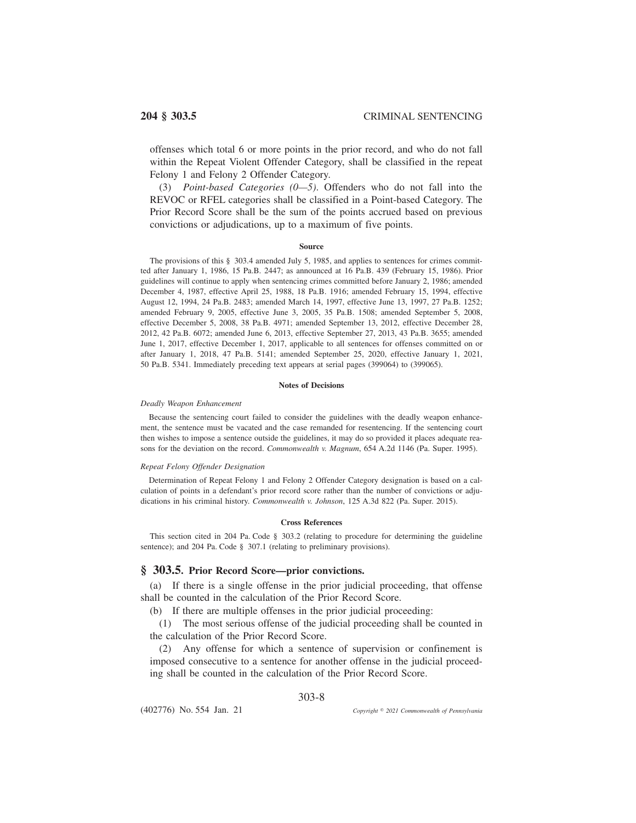offenses which total 6 or more points in the prior record, and who do not fall within the Repeat Violent Offender Category, shall be classified in the repeat Felony 1 and Felony 2 Offender Category.

(3) *Point-based Categories (0—5)*. Offenders who do not fall into the REVOC or RFEL categories shall be classified in a Point-based Category. The Prior Record Score shall be the sum of the points accrued based on previous convictions or adjudications, up to a maximum of five points.

### **Source**

The provisions of this § 303.4 amended July 5, 1985, and applies to sentences for crimes committed after January 1, 1986, 15 Pa.B. 2447; as announced at 16 Pa.B. 439 (February 15, 1986). Prior guidelines will continue to apply when sentencing crimes committed before January 2, 1986; amended December 4, 1987, effective April 25, 1988, 18 Pa.B. 1916; amended February 15, 1994, effective August 12, 1994, 24 Pa.B. 2483; amended March 14, 1997, effective June 13, 1997, 27 Pa.B. 1252; amended February 9, 2005, effective June 3, 2005, 35 Pa.B. 1508; amended September 5, 2008, effective December 5, 2008, 38 Pa.B. 4971; amended September 13, 2012, effective December 28, 2012, 42 Pa.B. 6072; amended June 6, 2013, effective September 27, 2013, 43 Pa.B. 3655; amended June 1, 2017, effective December 1, 2017, applicable to all sentences for offenses committed on or after January 1, 2018, 47 Pa.B. 5141; amended September 25, 2020, effective January 1, 2021, 50 Pa.B. 5341. Immediately preceding text appears at serial pages (399064) to (399065).

### **Notes of Decisions**

### *Deadly Weapon Enhancement*

Because the sentencing court failed to consider the guidelines with the deadly weapon enhancement, the sentence must be vacated and the case remanded for resentencing. If the sentencing court then wishes to impose a sentence outside the guidelines, it may do so provided it places adequate reasons for the deviation on the record. *Commonwealth v. Magnum*, 654 A.2d 1146 (Pa. Super. 1995).

#### *Repeat Felony Offender Designation*

Determination of Repeat Felony 1 and Felony 2 Offender Category designation is based on a calculation of points in a defendant's prior record score rather than the number of convictions or adjudications in his criminal history. *Commonwealth v. Johnson*, 125 A.3d 822 (Pa. Super. 2015).

#### **Cross References**

This section cited in 204 Pa. Code § 303.2 (relating to procedure for determining the guideline sentence); and 204 Pa. Code § 307.1 (relating to preliminary provisions).

# **§ 303.5. Prior Record Score—prior convictions.**

(a) If there is a single offense in the prior judicial proceeding, that offense shall be counted in the calculation of the Prior Record Score.

(b) If there are multiple offenses in the prior judicial proceeding:

(1) The most serious offense of the judicial proceeding shall be counted in the calculation of the Prior Record Score.

(2) Any offense for which a sentence of supervision or confinement is imposed consecutive to a sentence for another offense in the judicial proceeding shall be counted in the calculation of the Prior Record Score.

# 303-8

(402776) No. 554 Jan. 21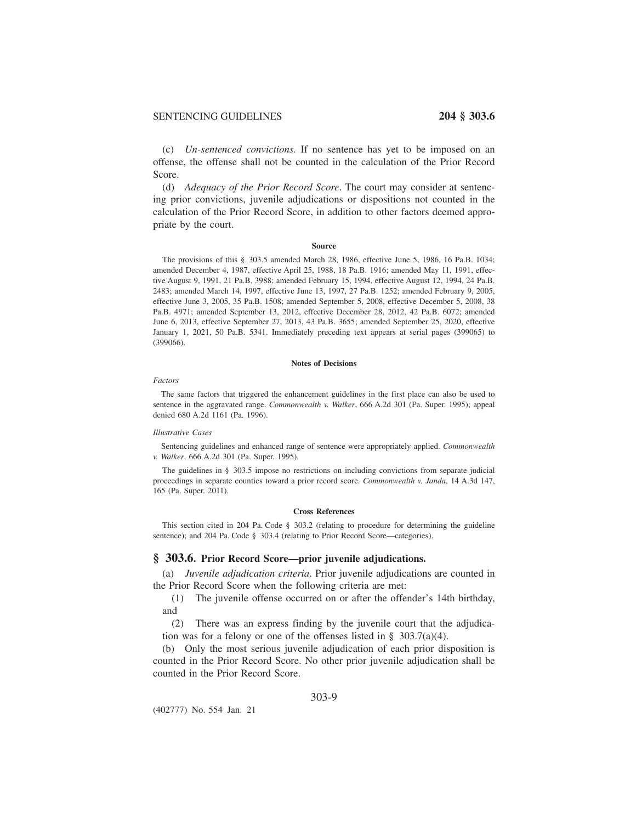# SENTENCING GUIDELINES **204 § 303.6**

(c) *Un-sentenced convictions.* If no sentence has yet to be imposed on an offense, the offense shall not be counted in the calculation of the Prior Record Score.

(d) *Adequacy of the Prior Record Score*. The court may consider at sentencing prior convictions, juvenile adjudications or dispositions not counted in the calculation of the Prior Record Score, in addition to other factors deemed appropriate by the court.

### **Source**

The provisions of this § 303.5 amended March 28, 1986, effective June 5, 1986, 16 Pa.B. 1034; amended December 4, 1987, effective April 25, 1988, 18 Pa.B. 1916; amended May 11, 1991, effective August 9, 1991, 21 Pa.B. 3988; amended February 15, 1994, effective August 12, 1994, 24 Pa.B. 2483; amended March 14, 1997, effective June 13, 1997, 27 Pa.B. 1252; amended February 9, 2005, effective June 3, 2005, 35 Pa.B. 1508; amended September 5, 2008, effective December 5, 2008, 38 Pa.B. 4971; amended September 13, 2012, effective December 28, 2012, 42 Pa.B. 6072; amended June 6, 2013, effective September 27, 2013, 43 Pa.B. 3655; amended September 25, 2020, effective January 1, 2021, 50 Pa.B. 5341. Immediately preceding text appears at serial pages (399065) to (399066).

#### **Notes of Decisions**

### *Factors*

The same factors that triggered the enhancement guidelines in the first place can also be used to sentence in the aggravated range. *Commonwealth v. Walker*, 666 A.2d 301 (Pa. Super. 1995); appeal denied 680 A.2d 1161 (Pa. 1996).

### *Illustrative Cases*

Sentencing guidelines and enhanced range of sentence were appropriately applied. *Commonwealth v. Walker*, 666 A.2d 301 (Pa. Super. 1995).

The guidelines in § 303.5 impose no restrictions on including convictions from separate judicial proceedings in separate counties toward a prior record score. *Commonwealth v. Janda*, 14 A.3d 147, 165 (Pa. Super. 2011).

### **Cross References**

This section cited in 204 Pa. Code § 303.2 (relating to procedure for determining the guideline sentence); and 204 Pa. Code § 303.4 (relating to Prior Record Score—categories).

## **§ 303.6. Prior Record Score—prior juvenile adjudications.**

(a) *Juvenile adjudication criteria*. Prior juvenile adjudications are counted in the Prior Record Score when the following criteria are met:

(1) The juvenile offense occurred on or after the offender's 14th birthday, and

(2) There was an express finding by the juvenile court that the adjudication was for a felony or one of the offenses listed in § 303.7(a)(4).

(b) Only the most serious juvenile adjudication of each prior disposition is counted in the Prior Record Score. No other prior juvenile adjudication shall be counted in the Prior Record Score.

## 303-9

(402777) No. 554 Jan. 21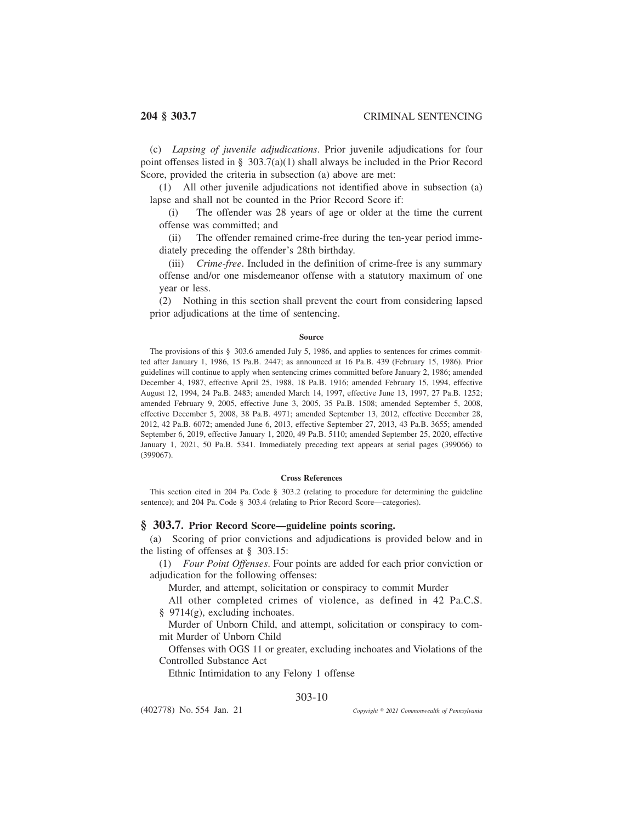(c) *Lapsing of juvenile adjudications*. Prior juvenile adjudications for four point offenses listed in § 303.7(a)(1) shall always be included in the Prior Record Score, provided the criteria in subsection (a) above are met:

(1) All other juvenile adjudications not identified above in subsection (a) lapse and shall not be counted in the Prior Record Score if:

(i) The offender was 28 years of age or older at the time the current offense was committed; and

(ii) The offender remained crime-free during the ten-year period immediately preceding the offender's 28th birthday.

(iii) *Crime-free*. Included in the definition of crime-free is any summary offense and/or one misdemeanor offense with a statutory maximum of one year or less.

(2) Nothing in this section shall prevent the court from considering lapsed prior adjudications at the time of sentencing.

### **Source**

The provisions of this § 303.6 amended July 5, 1986, and applies to sentences for crimes committed after January 1, 1986, 15 Pa.B. 2447; as announced at 16 Pa.B. 439 (February 15, 1986). Prior guidelines will continue to apply when sentencing crimes committed before January 2, 1986; amended December 4, 1987, effective April 25, 1988, 18 Pa.B. 1916; amended February 15, 1994, effective August 12, 1994, 24 Pa.B. 2483; amended March 14, 1997, effective June 13, 1997, 27 Pa.B. 1252; amended February 9, 2005, effective June 3, 2005, 35 Pa.B. 1508; amended September 5, 2008, effective December 5, 2008, 38 Pa.B. 4971; amended September 13, 2012, effective December 28, 2012, 42 Pa.B. 6072; amended June 6, 2013, effective September 27, 2013, 43 Pa.B. 3655; amended September 6, 2019, effective January 1, 2020, 49 Pa.B. 5110; amended September 25, 2020, effective January 1, 2021, 50 Pa.B. 5341. Immediately preceding text appears at serial pages (399066) to (399067).

## **Cross References**

This section cited in 204 Pa. Code § 303.2 (relating to procedure for determining the guideline sentence); and 204 Pa. Code § 303.4 (relating to Prior Record Score—categories).

## **§ 303.7. Prior Record Score—guideline points scoring.**

(a) Scoring of prior convictions and adjudications is provided below and in the listing of offenses at § 303.15:

(1) *Four Point Offenses*. Four points are added for each prior conviction or adjudication for the following offenses:

Murder, and attempt, solicitation or conspiracy to commit Murder

All other completed crimes of violence, as defined in 42 Pa.C.S. § 9714(g), excluding inchoates.

Murder of Unborn Child, and attempt, solicitation or conspiracy to commit Murder of Unborn Child

Offenses with OGS 11 or greater, excluding inchoates and Violations of the Controlled Substance Act

Ethnic Intimidation to any Felony 1 offense

# 303-10

(402778) No. 554 Jan. 21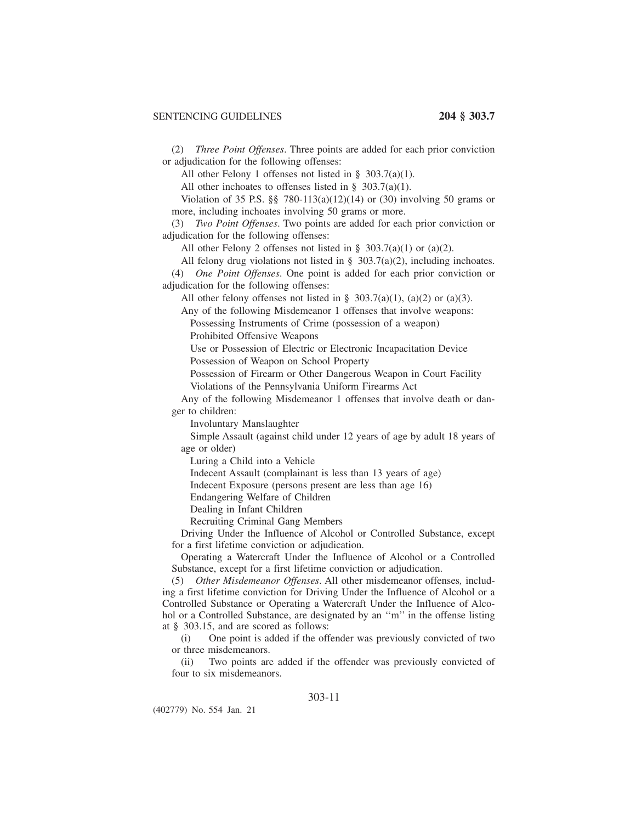(2) *Three Point Offenses*. Three points are added for each prior conviction or adjudication for the following offenses:

All other Felony 1 offenses not listed in § 303.7(a)(1).

All other inchoates to offenses listed in § 303.7(a)(1).

Violation of 35 P.S. §§ 780-113(a)(12)(14) or (30) involving 50 grams or more, including inchoates involving 50 grams or more.

(3) *Two Point Offenses*. Two points are added for each prior conviction or adjudication for the following offenses:

All other Felony 2 offenses not listed in  $\S$  303.7(a)(1) or (a)(2).

All felony drug violations not listed in § 303.7(a)(2), including inchoates.

(4) *One Point Offenses*. One point is added for each prior conviction or adjudication for the following offenses:

All other felony offenses not listed in § 303.7(a)(1), (a)(2) or (a)(3).

Any of the following Misdemeanor 1 offenses that involve weapons:

Possessing Instruments of Crime (possession of a weapon)

Prohibited Offensive Weapons

Use or Possession of Electric or Electronic Incapacitation Device

Possession of Weapon on School Property

Possession of Firearm or Other Dangerous Weapon in Court Facility Violations of the Pennsylvania Uniform Firearms Act

Any of the following Misdemeanor 1 offenses that involve death or danger to children:

Involuntary Manslaughter

Simple Assault (against child under 12 years of age by adult 18 years of age or older)

Luring a Child into a Vehicle

Indecent Assault (complainant is less than 13 years of age)

Indecent Exposure (persons present are less than age 16)

Endangering Welfare of Children

Dealing in Infant Children

Recruiting Criminal Gang Members

Driving Under the Influence of Alcohol or Controlled Substance, except for a first lifetime conviction or adjudication.

Operating a Watercraft Under the Influence of Alcohol or a Controlled Substance, except for a first lifetime conviction or adjudication.

(5) *Other Misdemeanor Offenses*. All other misdemeanor offenses*,* including a first lifetime conviction for Driving Under the Influence of Alcohol or a Controlled Substance or Operating a Watercraft Under the Influence of Alcohol or a Controlled Substance, are designated by an ''m'' in the offense listing at § 303.15, and are scored as follows:

(i) One point is added if the offender was previously convicted of two or three misdemeanors.

(ii) Two points are added if the offender was previously convicted of four to six misdemeanors.

# 303-11

(402779) No. 554 Jan. 21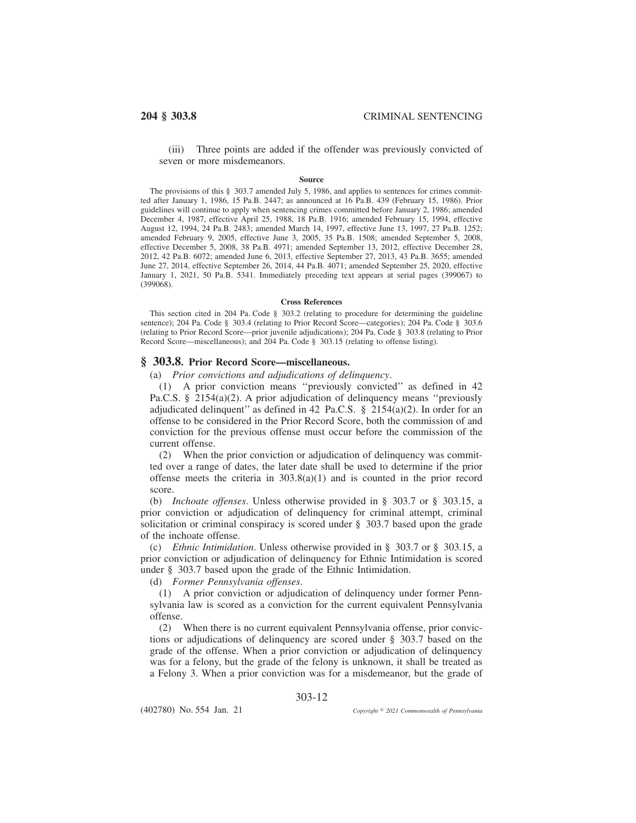(iii) Three points are added if the offender was previously convicted of seven or more misdemeanors.

#### **Source**

The provisions of this § 303.7 amended July 5, 1986, and applies to sentences for crimes committed after January 1, 1986, 15 Pa.B. 2447; as announced at 16 Pa.B. 439 (February 15, 1986). Prior guidelines will continue to apply when sentencing crimes committed before January 2, 1986; amended December 4, 1987, effective April 25, 1988, 18 Pa.B. 1916; amended February 15, 1994, effective August 12, 1994, 24 Pa.B. 2483; amended March 14, 1997, effective June 13, 1997, 27 Pa.B. 1252; amended February 9, 2005, effective June 3, 2005, 35 Pa.B. 1508; amended September 5, 2008, effective December 5, 2008, 38 Pa.B. 4971; amended September 13, 2012, effective December 28, 2012, 42 Pa.B. 6072; amended June 6, 2013, effective September 27, 2013, 43 Pa.B. 3655; amended June 27, 2014, effective September 26, 2014, 44 Pa.B. 4071; amended September 25, 2020, effective January 1, 2021, 50 Pa.B. 5341. Immediately preceding text appears at serial pages (399067) to (399068).

#### **Cross References**

This section cited in 204 Pa. Code § 303.2 (relating to procedure for determining the guideline sentence); 204 Pa. Code § 303.4 (relating to Prior Record Score—categories); 204 Pa. Code § 303.6 (relating to Prior Record Score—prior juvenile adjudications); 204 Pa. Code § 303.8 (relating to Prior Record Score—miscellaneous); and 204 Pa. Code § 303.15 (relating to offense listing).

## **§ 303.8. Prior Record Score—miscellaneous.**

(a) *Prior convictions and adjudications of delinquency*.

(1) A prior conviction means ''previously convicted'' as defined in 42 Pa.C.S. § 2154(a)(2). A prior adjudication of delinquency means ''previously adjudicated delinquent" as defined in 42 Pa.C.S.  $\S$  2154(a)(2). In order for an offense to be considered in the Prior Record Score, both the commission of and conviction for the previous offense must occur before the commission of the current offense.

(2) When the prior conviction or adjudication of delinquency was committed over a range of dates, the later date shall be used to determine if the prior offense meets the criteria in  $303.8(a)(1)$  and is counted in the prior record score.

(b) *Inchoate offenses*. Unless otherwise provided in § 303.7 or § 303.15, a prior conviction or adjudication of delinquency for criminal attempt, criminal solicitation or criminal conspiracy is scored under § 303.7 based upon the grade of the inchoate offense.

(c) *Ethnic Intimidation*. Unless otherwise provided in § 303.7 or § 303.15, a prior conviction or adjudication of delinquency for Ethnic Intimidation is scored under § 303.7 based upon the grade of the Ethnic Intimidation.

(d) *Former Pennsylvania offenses*.

(1) A prior conviction or adjudication of delinquency under former Pennsylvania law is scored as a conviction for the current equivalent Pennsylvania offense.

(2) When there is no current equivalent Pennsylvania offense, prior convictions or adjudications of delinquency are scored under § 303.7 based on the grade of the offense. When a prior conviction or adjudication of delinquency was for a felony, but the grade of the felony is unknown, it shall be treated as a Felony 3. When a prior conviction was for a misdemeanor, but the grade of

303-12

(402780) No. 554 Jan. 21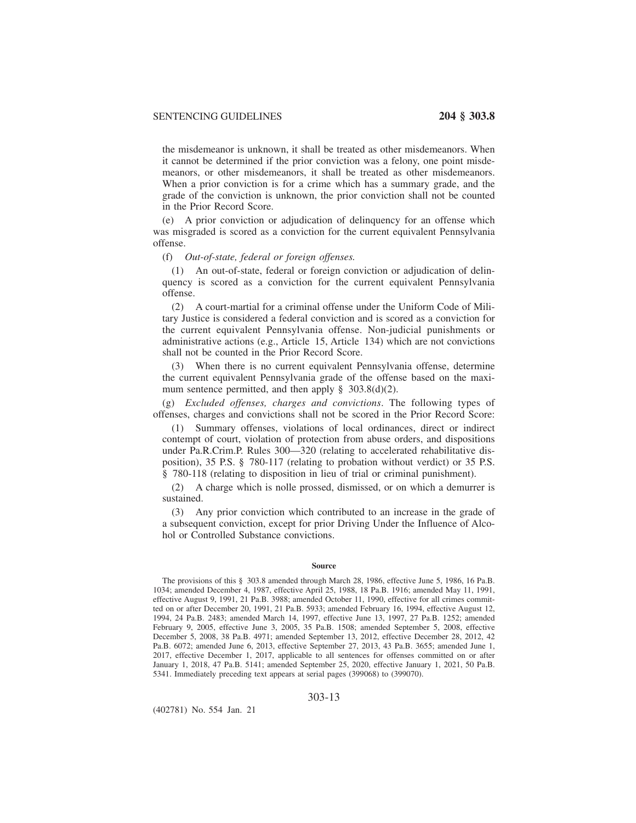the misdemeanor is unknown, it shall be treated as other misdemeanors. When it cannot be determined if the prior conviction was a felony, one point misdemeanors, or other misdemeanors, it shall be treated as other misdemeanors. When a prior conviction is for a crime which has a summary grade, and the grade of the conviction is unknown, the prior conviction shall not be counted in the Prior Record Score.

(e) A prior conviction or adjudication of delinquency for an offense which was misgraded is scored as a conviction for the current equivalent Pennsylvania offense.

## (f) *Out-of-state, federal or foreign offenses.*

(1) An out-of-state, federal or foreign conviction or adjudication of delinquency is scored as a conviction for the current equivalent Pennsylvania offense.

(2) A court-martial for a criminal offense under the Uniform Code of Military Justice is considered a federal conviction and is scored as a conviction for the current equivalent Pennsylvania offense. Non-judicial punishments or administrative actions (e.g., Article 15, Article 134) which are not convictions shall not be counted in the Prior Record Score.

(3) When there is no current equivalent Pennsylvania offense, determine the current equivalent Pennsylvania grade of the offense based on the maximum sentence permitted, and then apply  $\S$  303.8(d)(2).

(g) *Excluded offenses, charges and convictions*. The following types of offenses, charges and convictions shall not be scored in the Prior Record Score:

(1) Summary offenses, violations of local ordinances, direct or indirect contempt of court, violation of protection from abuse orders, and dispositions under Pa.R.Crim.P. Rules 300—320 (relating to accelerated rehabilitative disposition), 35 P.S. § 780-117 (relating to probation without verdict) or 35 P.S. § 780-118 (relating to disposition in lieu of trial or criminal punishment).

(2) A charge which is nolle prossed, dismissed, or on which a demurrer is sustained.

(3) Any prior conviction which contributed to an increase in the grade of a subsequent conviction, except for prior Driving Under the Influence of Alcohol or Controlled Substance convictions.

## **Source**

The provisions of this § 303.8 amended through March 28, 1986, effective June 5, 1986, 16 Pa.B. 1034; amended December 4, 1987, effective April 25, 1988, 18 Pa.B. 1916; amended May 11, 1991, effective August 9, 1991, 21 Pa.B. 3988; amended October 11, 1990, effective for all crimes committed on or after December 20, 1991, 21 Pa.B. 5933; amended February 16, 1994, effective August 12, 1994, 24 Pa.B. 2483; amended March 14, 1997, effective June 13, 1997, 27 Pa.B. 1252; amended February 9, 2005, effective June 3, 2005, 35 Pa.B. 1508; amended September 5, 2008, effective December 5, 2008, 38 Pa.B. 4971; amended September 13, 2012, effective December 28, 2012, 42 Pa.B. 6072; amended June 6, 2013, effective September 27, 2013, 43 Pa.B. 3655; amended June 1, 2017, effective December 1, 2017, applicable to all sentences for offenses committed on or after January 1, 2018, 47 Pa.B. 5141; amended September 25, 2020, effective January 1, 2021, 50 Pa.B. 5341. Immediately preceding text appears at serial pages (399068) to (399070).

## 303-13

(402781) No. 554 Jan. 21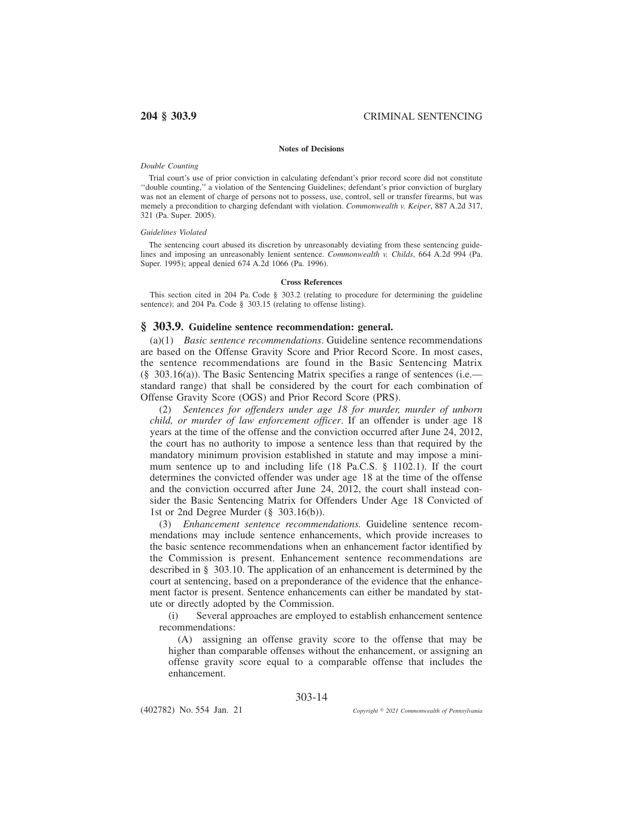### **Notes of Decisions**

### *Double Counting*

Trial court's use of prior conviction in calculating defendant's prior record score did not constitute ''double counting,'' a violation of the Sentencing Guidelines; defendant's prior conviction of burglary was not an element of charge of persons not to possess, use, control, sell or transfer firearms, but was memely a precondition to charging defendant with violation. *Commonwealth v. Keiper*, 887 A.2d 317, 321 (Pa. Super. 2005).

## *Guidelines Violated*

The sentencing court abused its discretion by unreasonably deviating from these sentencing guidelines and imposing an unreasonably lenient sentence. *Commonwealth v. Childs*, 664 A.2d 994 (Pa. Super. 1995); appeal denied 674 A.2d 1066 (Pa. 1996).

### **Cross References**

This section cited in 204 Pa. Code § 303.2 (relating to procedure for determining the guideline sentence); and 204 Pa. Code § 303.15 (relating to offense listing).

## **§ 303.9. Guideline sentence recommendation: general.**

(a)(1) *Basic sentence recommendations*. Guideline sentence recommendations are based on the Offense Gravity Score and Prior Record Score. In most cases, the sentence recommendations are found in the Basic Sentencing Matrix (§ 303.16(a)). The Basic Sentencing Matrix specifies a range of sentences (i.e. standard range) that shall be considered by the court for each combination of Offense Gravity Score (OGS) and Prior Record Score (PRS).

(2) *Sentences for offenders under age 18 for murder, murder of unborn child, or murder of law enforcement officer*. If an offender is under age 18 years at the time of the offense and the conviction occurred after June 24, 2012, the court has no authority to impose a sentence less than that required by the mandatory minimum provision established in statute and may impose a minimum sentence up to and including life (18 Pa.C.S. § 1102.1). If the court determines the convicted offender was under age 18 at the time of the offense and the conviction occurred after June 24, 2012, the court shall instead consider the Basic Sentencing Matrix for Offenders Under Age 18 Convicted of 1st or 2nd Degree Murder (§ 303.16(b)).

(3) *Enhancement sentence recommendations.* Guideline sentence recommendations may include sentence enhancements, which provide increases to the basic sentence recommendations when an enhancement factor identified by the Commission is present. Enhancement sentence recommendations are described in § 303.10. The application of an enhancement is determined by the court at sentencing, based on a preponderance of the evidence that the enhancement factor is present. Sentence enhancements can either be mandated by statute or directly adopted by the Commission.

(i) Several approaches are employed to establish enhancement sentence recommendations:

(A) assigning an offense gravity score to the offense that may be higher than comparable offenses without the enhancement, or assigning an offense gravity score equal to a comparable offense that includes the enhancement.

303-14

(402782) No. 554 Jan. 21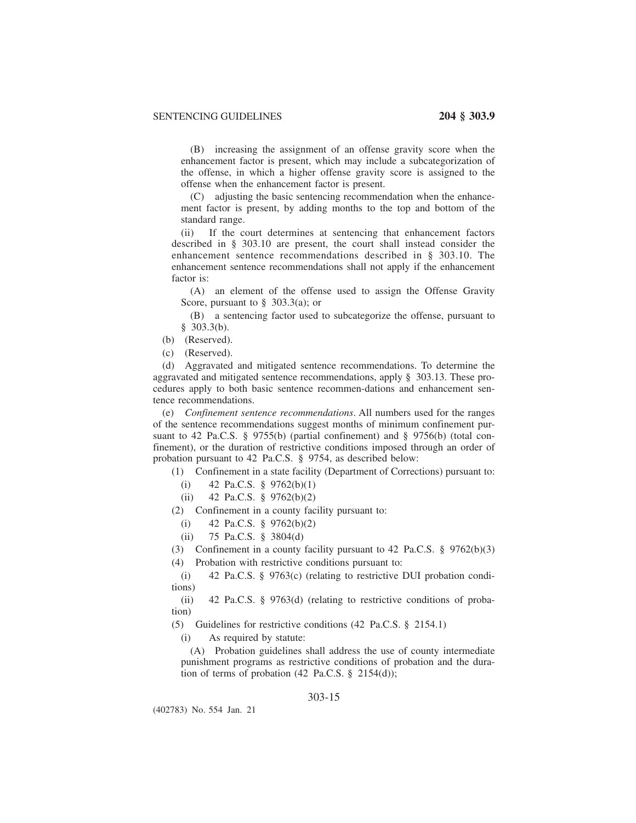(B) increasing the assignment of an offense gravity score when the enhancement factor is present, which may include a subcategorization of the offense, in which a higher offense gravity score is assigned to the offense when the enhancement factor is present.

(C) adjusting the basic sentencing recommendation when the enhancement factor is present, by adding months to the top and bottom of the standard range.

(ii) If the court determines at sentencing that enhancement factors described in § 303.10 are present, the court shall instead consider the enhancement sentence recommendations described in § 303.10. The enhancement sentence recommendations shall not apply if the enhancement factor is:

(A) an element of the offense used to assign the Offense Gravity Score, pursuant to  $\S$  303.3(a); or

(B) a sentencing factor used to subcategorize the offense, pursuant to § 303.3(b).

(b) (Reserved).

(c) (Reserved).

(d) Aggravated and mitigated sentence recommendations. To determine the aggravated and mitigated sentence recommendations, apply § 303.13. These procedures apply to both basic sentence recommen-dations and enhancement sentence recommendations.

(e) *Confinement sentence recommendations*. All numbers used for the ranges of the sentence recommendations suggest months of minimum confinement pursuant to 42 Pa.C.S. § 9755(b) (partial confinement) and § 9756(b) (total confinement), or the duration of restrictive conditions imposed through an order of probation pursuant to 42 Pa.C.S. § 9754, as described below:

(1) Confinement in a state facility (Department of Corrections) pursuant to:

- (i) 42 Pa.C.S. § 9762(b)(1)
- (ii) 42 Pa.C.S. § 9762(b)(2)

(2) Confinement in a county facility pursuant to:

- (i) 42 Pa.C.S.  $\S$  9762(b)(2)
- (ii) 75 Pa.C.S. § 3804(d)

(3) Confinement in a county facility pursuant to 42 Pa.C.S. § 9762(b)(3)

(4) Probation with restrictive conditions pursuant to:

(i) 42 Pa.C.S. § 9763(c) (relating to restrictive DUI probation conditions)

(ii) 42 Pa.C.S. § 9763(d) (relating to restrictive conditions of probation)

(5) Guidelines for restrictive conditions (42 Pa.C.S. § 2154.1)

(i) As required by statute:

(A) Probation guidelines shall address the use of county intermediate punishment programs as restrictive conditions of probation and the duration of terms of probation  $(42 \text{ Pa.C.S. } § 2154(d));$ 

## 303-15

(402783) No. 554 Jan. 21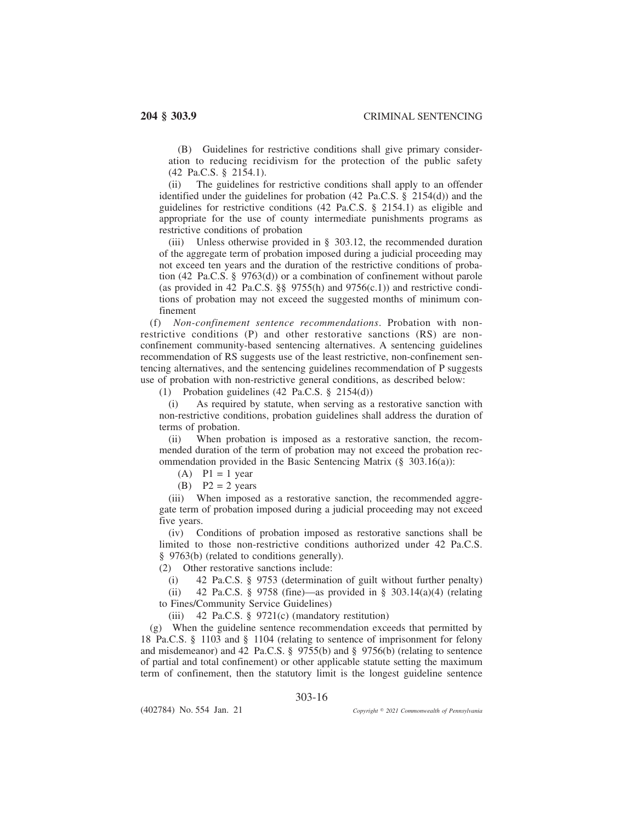(B) Guidelines for restrictive conditions shall give primary consideration to reducing recidivism for the protection of the public safety (42 Pa.C.S. § 2154.1).

(ii) The guidelines for restrictive conditions shall apply to an offender identified under the guidelines for probation (42 Pa.C.S. § 2154(d)) and the guidelines for restrictive conditions (42 Pa.C.S. § 2154.1) as eligible and appropriate for the use of county intermediate punishments programs as restrictive conditions of probation

(iii) Unless otherwise provided in § 303.12, the recommended duration of the aggregate term of probation imposed during a judicial proceeding may not exceed ten years and the duration of the restrictive conditions of probation (42 Pa.C.S. § 9763(d)) or a combination of confinement without parole (as provided in 42 Pa.C.S.  $\S$  9755(h) and 9756(c.1)) and restrictive conditions of probation may not exceed the suggested months of minimum confinement

(f) *Non-confinement sentence recommendations*. Probation with nonrestrictive conditions (P) and other restorative sanctions (RS) are nonconfinement community-based sentencing alternatives. A sentencing guidelines recommendation of RS suggests use of the least restrictive, non-confinement sentencing alternatives, and the sentencing guidelines recommendation of P suggests use of probation with non-restrictive general conditions, as described below:

(1) Probation guidelines (42 Pa.C.S. § 2154(d))

(i) As required by statute, when serving as a restorative sanction with non-restrictive conditions, probation guidelines shall address the duration of terms of probation.

(ii) When probation is imposed as a restorative sanction, the recommended duration of the term of probation may not exceed the probation recommendation provided in the Basic Sentencing Matrix (§ 303.16(a)):

 $(A)$  P1 = 1 year

(B)  $P2 = 2 \text{ years}$ 

(iii) When imposed as a restorative sanction, the recommended aggregate term of probation imposed during a judicial proceeding may not exceed five years.

(iv) Conditions of probation imposed as restorative sanctions shall be limited to those non-restrictive conditions authorized under 42 Pa.C.S. § 9763(b) (related to conditions generally).

(2) Other restorative sanctions include:

(i) 42 Pa.C.S. § 9753 (determination of guilt without further penalty)

(ii) 42 Pa.C.S. § 9758 (fine)—as provided in § 303.14(a)(4) (relating to Fines/Community Service Guidelines)

(iii) 42 Pa.C.S. § 9721(c) (mandatory restitution)

(g) When the guideline sentence recommendation exceeds that permitted by 18 Pa.C.S. § 1103 and § 1104 (relating to sentence of imprisonment for felony and misdemeanor) and 42 Pa.C.S. § 9755(b) and § 9756(b) (relating to sentence of partial and total confinement) or other applicable statute setting the maximum term of confinement, then the statutory limit is the longest guideline sentence

303-16

(402784) No. 554 Jan. 21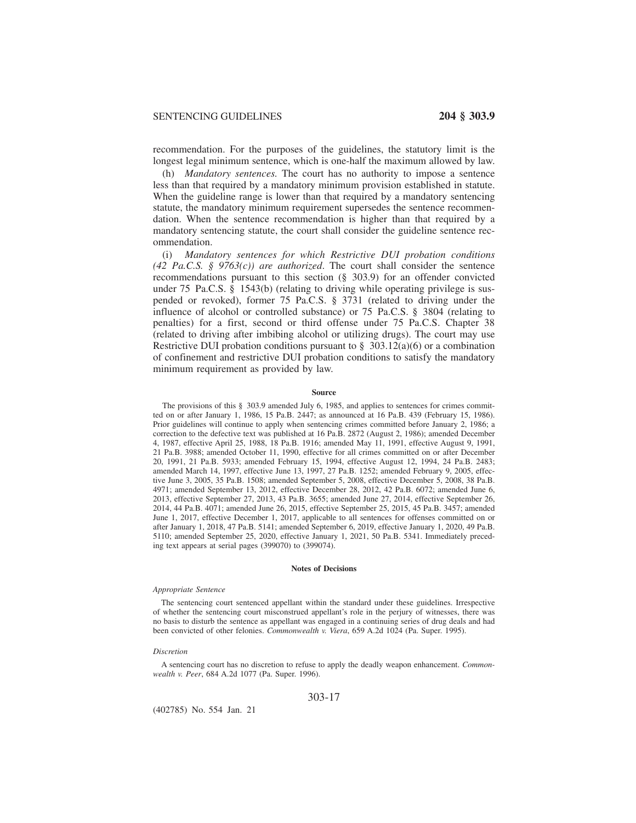recommendation. For the purposes of the guidelines, the statutory limit is the longest legal minimum sentence, which is one-half the maximum allowed by law.

(h) *Mandatory sentences.* The court has no authority to impose a sentence less than that required by a mandatory minimum provision established in statute. When the guideline range is lower than that required by a mandatory sentencing statute, the mandatory minimum requirement supersedes the sentence recommendation. When the sentence recommendation is higher than that required by a mandatory sentencing statute, the court shall consider the guideline sentence recommendation.

(i) *Mandatory sentences for which Restrictive DUI probation conditions (42 Pa.C.S. § 9763(c)) are authorized*. The court shall consider the sentence recommendations pursuant to this section (§ 303.9) for an offender convicted under 75 Pa.C.S. § 1543(b) (relating to driving while operating privilege is suspended or revoked), former 75 Pa.C.S. § 3731 (related to driving under the influence of alcohol or controlled substance) or 75 Pa.C.S. § 3804 (relating to penalties) for a first, second or third offense under 75 Pa.C.S. Chapter 38 (related to driving after imbibing alcohol or utilizing drugs). The court may use Restrictive DUI probation conditions pursuant to  $\S$  303.12(a)(6) or a combination of confinement and restrictive DUI probation conditions to satisfy the mandatory minimum requirement as provided by law.

## **Source**

The provisions of this § 303.9 amended July 6, 1985, and applies to sentences for crimes committed on or after January 1, 1986, 15 Pa.B. 2447; as announced at 16 Pa.B. 439 (February 15, 1986). Prior guidelines will continue to apply when sentencing crimes committed before January 2, 1986; a correction to the defective text was published at 16 Pa.B. 2872 (August 2, 1986); amended December 4, 1987, effective April 25, 1988, 18 Pa.B. 1916; amended May 11, 1991, effective August 9, 1991, 21 Pa.B. 3988; amended October 11, 1990, effective for all crimes committed on or after December 20, 1991, 21 Pa.B. 5933; amended February 15, 1994, effective August 12, 1994, 24 Pa.B. 2483; amended March 14, 1997, effective June 13, 1997, 27 Pa.B. 1252; amended February 9, 2005, effective June 3, 2005, 35 Pa.B. 1508; amended September 5, 2008, effective December 5, 2008, 38 Pa.B. 4971; amended September 13, 2012, effective December 28, 2012, 42 Pa.B. 6072; amended June 6, 2013, effective September 27, 2013, 43 Pa.B. 3655; amended June 27, 2014, effective September 26, 2014, 44 Pa.B. 4071; amended June 26, 2015, effective September 25, 2015, 45 Pa.B. 3457; amended June 1, 2017, effective December 1, 2017, applicable to all sentences for offenses committed on or after January 1, 2018, 47 Pa.B. 5141; amended September 6, 2019, effective January 1, 2020, 49 Pa.B. 5110; amended September 25, 2020, effective January 1, 2021, 50 Pa.B. 5341. Immediately preceding text appears at serial pages (399070) to (399074).

### **Notes of Decisions**

### *Appropriate Sentence*

The sentencing court sentenced appellant within the standard under these guidelines. Irrespective of whether the sentencing court misconstrued appellant's role in the perjury of witnesses, there was no basis to disturb the sentence as appellant was engaged in a continuing series of drug deals and had been convicted of other felonies. *Commonwealth v. Viera*, 659 A.2d 1024 (Pa. Super. 1995).

#### *Discretion*

A sentencing court has no discretion to refuse to apply the deadly weapon enhancement. *Commonwealth v. Peer*, 684 A.2d 1077 (Pa. Super. 1996).

## 303-17

(402785) No. 554 Jan. 21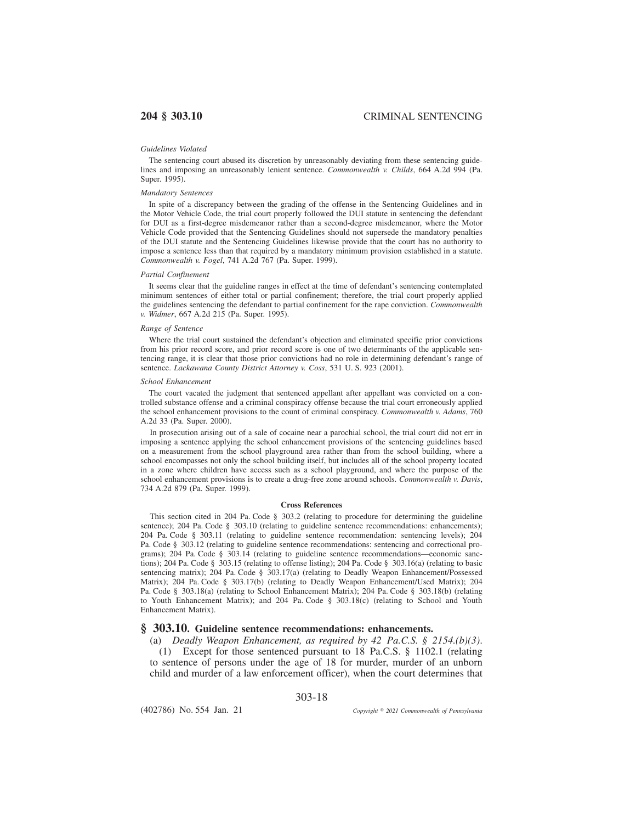### *Guidelines Violated*

The sentencing court abused its discretion by unreasonably deviating from these sentencing guidelines and imposing an unreasonably lenient sentence. *Commonwealth v. Childs*, 664 A.2d 994 (Pa. Super. 1995).

## *Mandatory Sentences*

In spite of a discrepancy between the grading of the offense in the Sentencing Guidelines and in the Motor Vehicle Code, the trial court properly followed the DUI statute in sentencing the defendant for DUI as a first-degree misdemeanor rather than a second-degree misdemeanor, where the Motor Vehicle Code provided that the Sentencing Guidelines should not supersede the mandatory penalties of the DUI statute and the Sentencing Guidelines likewise provide that the court has no authority to impose a sentence less than that required by a mandatory minimum provision established in a statute. *Commonwealth v. Fogel*, 741 A.2d 767 (Pa. Super. 1999).

### *Partial Confinement*

It seems clear that the guideline ranges in effect at the time of defendant's sentencing contemplated minimum sentences of either total or partial confinement; therefore, the trial court properly applied the guidelines sentencing the defendant to partial confinement for the rape conviction. *Commonwealth v. Widmer*, 667 A.2d 215 (Pa. Super. 1995).

#### *Range of Sentence*

Where the trial court sustained the defendant's objection and eliminated specific prior convictions from his prior record score, and prior record score is one of two determinants of the applicable sentencing range, it is clear that those prior convictions had no role in determining defendant's range of sentence. *Lackawana County District Attorney v. Coss*, 531 U. S. 923 (2001).

### *School Enhancement*

The court vacated the judgment that sentenced appellant after appellant was convicted on a controlled substance offense and a criminal conspiracy offense because the trial court erroneously applied the school enhancement provisions to the count of criminal conspiracy. *Commonwealth v. Adams*, 760 A.2d 33 (Pa. Super. 2000).

In prosecution arising out of a sale of cocaine near a parochial school, the trial court did not err in imposing a sentence applying the school enhancement provisions of the sentencing guidelines based on a measurement from the school playground area rather than from the school building, where a school encompasses not only the school building itself, but includes all of the school property located in a zone where children have access such as a school playground, and where the purpose of the school enhancement provisions is to create a drug-free zone around schools. *Commonwealth v. Davis*, 734 A.2d 879 (Pa. Super. 1999).

#### **Cross References**

This section cited in 204 Pa. Code § 303.2 (relating to procedure for determining the guideline sentence); 204 Pa. Code § 303.10 (relating to guideline sentence recommendations: enhancements); 204 Pa. Code § 303.11 (relating to guideline sentence recommendation: sentencing levels); 204 Pa. Code § 303.12 (relating to guideline sentence recommendations: sentencing and correctional programs); 204 Pa. Code § 303.14 (relating to guideline sentence recommendations—economic sanctions); 204 Pa. Code § 303.15 (relating to offense listing); 204 Pa. Code § 303.16(a) (relating to basic sentencing matrix); 204 Pa. Code § 303.17(a) (relating to Deadly Weapon Enhancement/Possessed Matrix); 204 Pa. Code § 303.17(b) (relating to Deadly Weapon Enhancement/Used Matrix); 204 Pa. Code § 303.18(a) (relating to School Enhancement Matrix); 204 Pa. Code § 303.18(b) (relating to Youth Enhancement Matrix); and 204 Pa. Code § 303.18(c) (relating to School and Youth Enhancement Matrix).

## **§ 303.10. Guideline sentence recommendations: enhancements.**

(a) *Deadly Weapon Enhancement, as required by 42 Pa.C.S. § 2154.(b)(3)*.

(1) Except for those sentenced pursuant to 18 Pa.C.S. § 1102.1 (relating to sentence of persons under the age of 18 for murder, murder of an unborn child and murder of a law enforcement officer), when the court determines that

303-18

(402786) No. 554 Jan. 21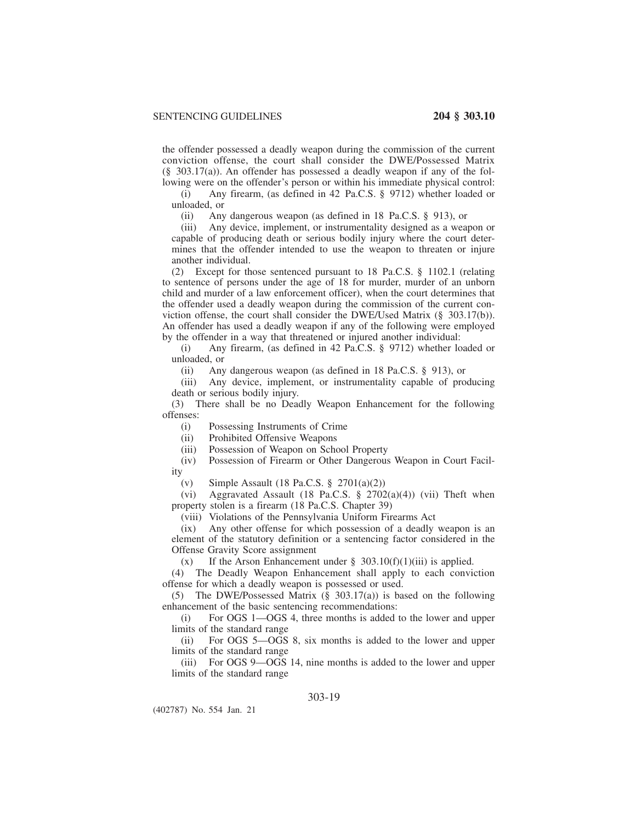the offender possessed a deadly weapon during the commission of the current conviction offense, the court shall consider the DWE/Possessed Matrix (§ 303.17(a)). An offender has possessed a deadly weapon if any of the following were on the offender's person or within his immediate physical control:

(i) Any firearm, (as defined in 42 Pa.C.S. § 9712) whether loaded or unloaded, or

(ii) Any dangerous weapon (as defined in 18 Pa.C.S. § 913), or

(iii) Any device, implement, or instrumentality designed as a weapon or capable of producing death or serious bodily injury where the court determines that the offender intended to use the weapon to threaten or injure another individual.

(2) Except for those sentenced pursuant to 18 Pa.C.S. § 1102.1 (relating to sentence of persons under the age of 18 for murder, murder of an unborn child and murder of a law enforcement officer), when the court determines that the offender used a deadly weapon during the commission of the current conviction offense, the court shall consider the DWE/Used Matrix (§ 303.17(b)). An offender has used a deadly weapon if any of the following were employed by the offender in a way that threatened or injured another individual:

(i) Any firearm, (as defined in 42 Pa.C.S. § 9712) whether loaded or unloaded, or

(ii) Any dangerous weapon (as defined in 18 Pa.C.S. § 913), or

(iii) Any device, implement, or instrumentality capable of producing death or serious bodily injury.

(3) There shall be no Deadly Weapon Enhancement for the following offenses:

(i) Possessing Instruments of Crime

(ii) Prohibited Offensive Weapons

(iii) Possession of Weapon on School Property

(iv) Possession of Firearm or Other Dangerous Weapon in Court Facility

(v) Simple Assault (18 Pa.C.S.  $\S$  2701(a)(2))

(vi) Aggravated Assault (18 Pa.C.S. § 2702(a)(4)) (vii) Theft when property stolen is a firearm (18 Pa.C.S. Chapter 39)

(viii) Violations of the Pennsylvania Uniform Firearms Act

(ix) Any other offense for which possession of a deadly weapon is an element of the statutory definition or a sentencing factor considered in the Offense Gravity Score assignment

(x) If the Arson Enhancement under  $\S$  303.10(f)(1)(iii) is applied.

(4) The Deadly Weapon Enhancement shall apply to each conviction offense for which a deadly weapon is possessed or used.

(5) The DWE/Possessed Matrix (§ 303.17(a)) is based on the following enhancement of the basic sentencing recommendations:

(i) For OGS 1—OGS 4, three months is added to the lower and upper limits of the standard range

(ii) For OGS 5—OGS 8, six months is added to the lower and upper limits of the standard range

(iii) For OGS 9—OGS 14, nine months is added to the lower and upper limits of the standard range

# 303-19

(402787) No. 554 Jan. 21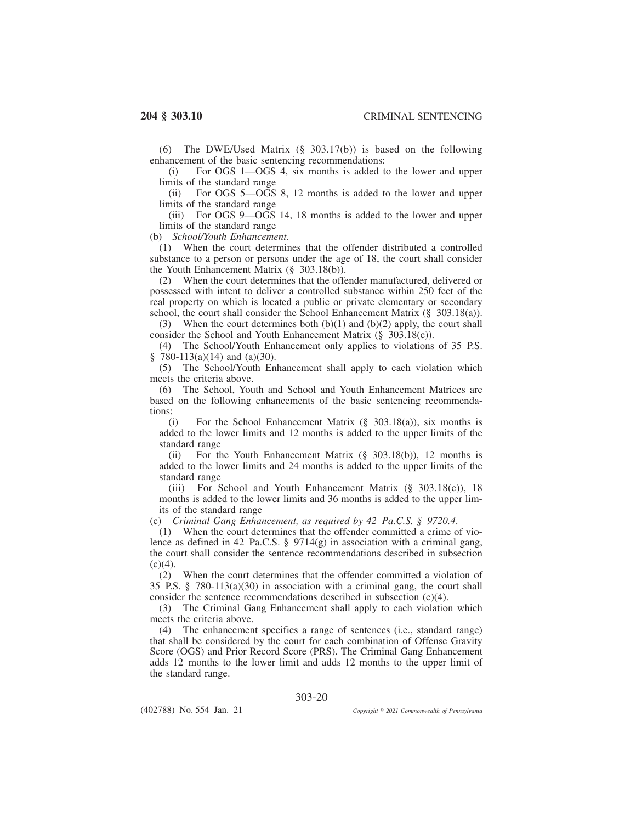(6) The DWE/Used Matrix (§ 303.17(b)) is based on the following enhancement of the basic sentencing recommendations:

(i) For OGS 1—OGS 4, six months is added to the lower and upper limits of the standard range

(ii) For OGS 5—OGS 8, 12 months is added to the lower and upper limits of the standard range

(iii) For OGS 9—OGS 14, 18 months is added to the lower and upper limits of the standard range

(b) *School/Youth Enhancement.*

(1) When the court determines that the offender distributed a controlled substance to a person or persons under the age of 18, the court shall consider the Youth Enhancement Matrix (§ 303.18(b)).

(2) When the court determines that the offender manufactured, delivered or possessed with intent to deliver a controlled substance within 250 feet of the real property on which is located a public or private elementary or secondary school, the court shall consider the School Enhancement Matrix (§ 303.18(a)).

(3) When the court determines both  $(b)(1)$  and  $(b)(2)$  apply, the court shall consider the School and Youth Enhancement Matrix (§ 303.18(c)).

(4) The School/Youth Enhancement only applies to violations of 35 P.S.  $\frac{8}{9}$  780-113(a)(14) and (a)(30).

(5) The School/Youth Enhancement shall apply to each violation which meets the criteria above.

(6) The School, Youth and School and Youth Enhancement Matrices are based on the following enhancements of the basic sentencing recommendations:

(i) For the School Enhancement Matrix (§ 303.18(a)), six months is added to the lower limits and 12 months is added to the upper limits of the standard range

(ii) For the Youth Enhancement Matrix (§ 303.18(b)), 12 months is added to the lower limits and 24 months is added to the upper limits of the standard range

(iii) For School and Youth Enhancement Matrix (§ 303.18(c)), 18 months is added to the lower limits and 36 months is added to the upper limits of the standard range

(c) *Criminal Gang Enhancement, as required by 42 Pa.C.S. § 9720.4*.

(1) When the court determines that the offender committed a crime of violence as defined in 42 Pa.C.S.  $\S$  9714(g) in association with a criminal gang, the court shall consider the sentence recommendations described in subsection  $(c)(4)$ .

(2) When the court determines that the offender committed a violation of 35 P.S. § 780-113(a)(30) in association with a criminal gang, the court shall consider the sentence recommendations described in subsection  $(c)(4)$ .

(3) The Criminal Gang Enhancement shall apply to each violation which meets the criteria above.

(4) The enhancement specifies a range of sentences (i.e., standard range) that shall be considered by the court for each combination of Offense Gravity Score (OGS) and Prior Record Score (PRS). The Criminal Gang Enhancement adds 12 months to the lower limit and adds 12 months to the upper limit of the standard range.

303-20

(402788) No. 554 Jan. 21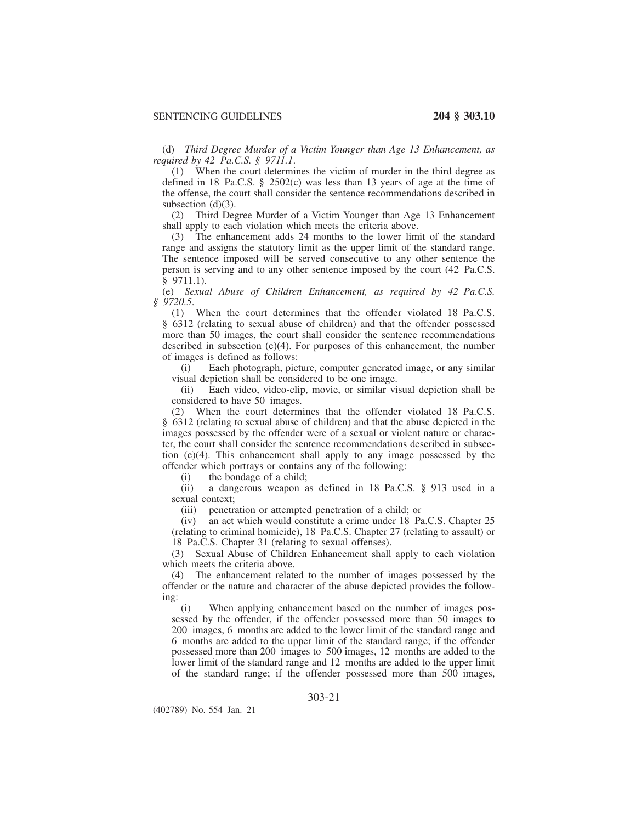(d) *Third Degree Murder of a Victim Younger than Age 13 Enhancement, as required by 42 Pa.C.S. § 9711.1*.

(1) When the court determines the victim of murder in the third degree as defined in 18 Pa.C.S. § 2502(c) was less than 13 years of age at the time of the offense, the court shall consider the sentence recommendations described in subsection  $(d)(3)$ .

(2) Third Degree Murder of a Victim Younger than Age 13 Enhancement shall apply to each violation which meets the criteria above.

(3) The enhancement adds 24 months to the lower limit of the standard range and assigns the statutory limit as the upper limit of the standard range. The sentence imposed will be served consecutive to any other sentence the person is serving and to any other sentence imposed by the court (42 Pa.C.S. § 9711.1).

(e) *Sexual Abuse of Children Enhancement, as required by 42 Pa.C.S. § 9720.5*.

(1) When the court determines that the offender violated 18 Pa.C.S. § 6312 (relating to sexual abuse of children) and that the offender possessed more than 50 images, the court shall consider the sentence recommendations described in subsection (e)(4). For purposes of this enhancement, the number of images is defined as follows:

(i) Each photograph, picture, computer generated image, or any similar visual depiction shall be considered to be one image.

(ii) Each video, video-clip, movie, or similar visual depiction shall be considered to have 50 images.

(2) When the court determines that the offender violated 18 Pa.C.S. § 6312 (relating to sexual abuse of children) and that the abuse depicted in the images possessed by the offender were of a sexual or violent nature or character, the court shall consider the sentence recommendations described in subsection (e)(4). This enhancement shall apply to any image possessed by the offender which portrays or contains any of the following:

(i) the bondage of a child;

(ii) a dangerous weapon as defined in 18 Pa.C.S. § 913 used in a sexual context;

(iii) penetration or attempted penetration of a child; or

(iv) an act which would constitute a crime under 18 Pa.C.S. Chapter 25 (relating to criminal homicide), 18 Pa.C.S. Chapter 27 (relating to assault) or 18 Pa.C.S. Chapter 31 (relating to sexual offenses).

(3) Sexual Abuse of Children Enhancement shall apply to each violation which meets the criteria above.

(4) The enhancement related to the number of images possessed by the offender or the nature and character of the abuse depicted provides the following:

(i) When applying enhancement based on the number of images possessed by the offender, if the offender possessed more than 50 images to 200 images, 6 months are added to the lower limit of the standard range and 6 months are added to the upper limit of the standard range; if the offender possessed more than 200 images to 500 images, 12 months are added to the lower limit of the standard range and 12 months are added to the upper limit of the standard range; if the offender possessed more than 500 images,

# 303-21

(402789) No. 554 Jan. 21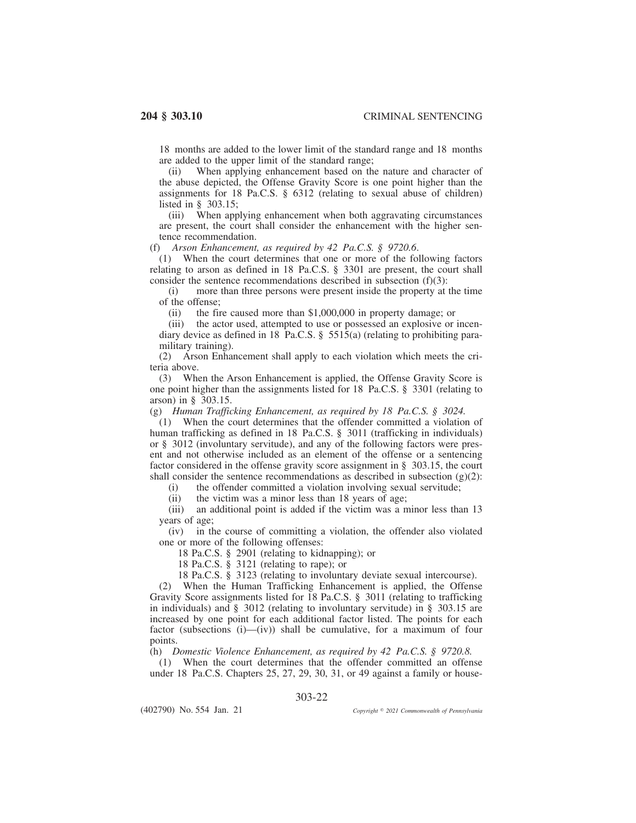18 months are added to the lower limit of the standard range and 18 months are added to the upper limit of the standard range;<br>(ii) When applying enhancement based on the

When applying enhancement based on the nature and character of the abuse depicted, the Offense Gravity Score is one point higher than the assignments for 18 Pa.C.S. § 6312 (relating to sexual abuse of children) listed in § 303.15;

(iii) When applying enhancement when both aggravating circumstances are present, the court shall consider the enhancement with the higher sentence recommendation.

(f) *Arson Enhancement, as required by 42 Pa.C.S. § 9720.6*.

(1) When the court determines that one or more of the following factors relating to arson as defined in 18 Pa.C.S. § 3301 are present, the court shall consider the sentence recommendations described in subsection (f)(3):

(i) more than three persons were present inside the property at the time of the offense;

the fire caused more than  $$1,000,000$  in property damage; or

(iii) the actor used, attempted to use or possessed an explosive or incendiary device as defined in 18 Pa.C.S. § 5515(a) (relating to prohibiting paramilitary training).

(2) Arson Enhancement shall apply to each violation which meets the criteria above.

(3) When the Arson Enhancement is applied, the Offense Gravity Score is one point higher than the assignments listed for 18 Pa.C.S. § 3301 (relating to arson) in § 303.15.

(g) *Human Trafficking Enhancement, as required by 18 Pa.C.S. § 3024.*

(1) When the court determines that the offender committed a violation of human trafficking as defined in 18 Pa.C.S. § 3011 (trafficking in individuals) or § 3012 (involuntary servitude), and any of the following factors were present and not otherwise included as an element of the offense or a sentencing factor considered in the offense gravity score assignment in § 303.15, the court shall consider the sentence recommendations as described in subsection  $(g)(2)$ :

(i) the offender committed a violation involving sexual servitude;

(ii) the victim was a minor less than 18 years of age;

(iii) an additional point is added if the victim was a minor less than 13 years of age;

(iv) in the course of committing a violation, the offender also violated one or more of the following offenses:

18 Pa.C.S. § 2901 (relating to kidnapping); or

18 Pa.C.S. § 3121 (relating to rape); or

18 Pa.C.S. § 3123 (relating to involuntary deviate sexual intercourse).

(2) When the Human Trafficking Enhancement is applied, the Offense Gravity Score assignments listed for 18 Pa.C.S. § 3011 (relating to trafficking in individuals) and § 3012 (relating to involuntary servitude) in § 303.15 are increased by one point for each additional factor listed. The points for each factor (subsections  $(i)$ — $(iv)$ ) shall be cumulative, for a maximum of four points.

(h) *Domestic Violence Enhancement, as required by 42 Pa.C.S. § 9720.8.*

(1) When the court determines that the offender committed an offense under 18 Pa.C.S. Chapters 25, 27, 29, 30, 31, or 49 against a family or house-

303-22

(402790) No. 554 Jan. 21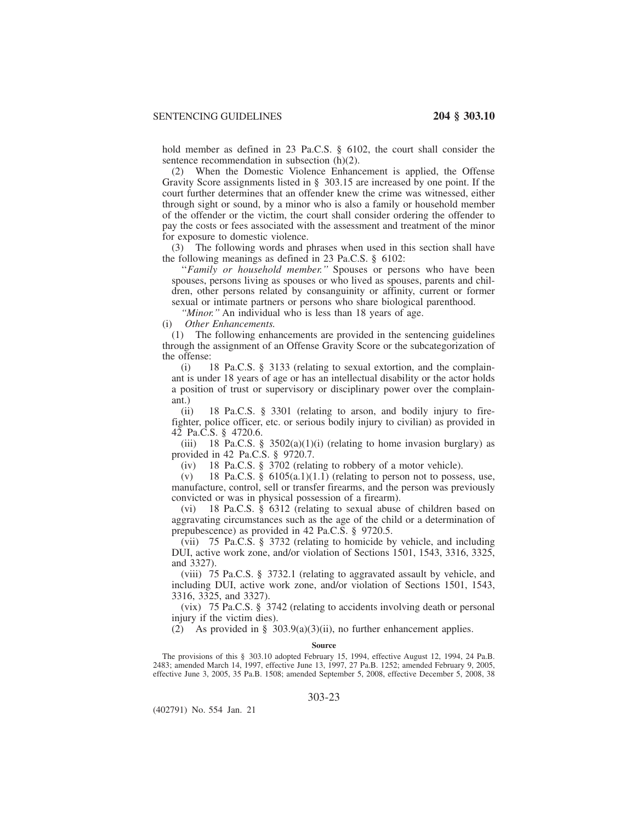hold member as defined in 23 Pa.C.S. § 6102, the court shall consider the sentence recommendation in subsection (h)(2).

(2) When the Domestic Violence Enhancement is applied, the Offense Gravity Score assignments listed in § 303.15 are increased by one point. If the court further determines that an offender knew the crime was witnessed, either through sight or sound, by a minor who is also a family or household member of the offender or the victim, the court shall consider ordering the offender to pay the costs or fees associated with the assessment and treatment of the minor for exposure to domestic violence.

(3) The following words and phrases when used in this section shall have the following meanings as defined in 23 Pa.C.S. § 6102:

''*Family or household member.''* Spouses or persons who have been spouses, persons living as spouses or who lived as spouses, parents and children, other persons related by consanguinity or affinity, current or former sexual or intimate partners or persons who share biological parenthood.

*''Minor.''* An individual who is less than 18 years of age.

(i) *Other Enhancements.*

(1) The following enhancements are provided in the sentencing guidelines through the assignment of an Offense Gravity Score or the subcategorization of the offense:

(i) 18 Pa.C.S. § 3133 (relating to sexual extortion, and the complainant is under 18 years of age or has an intellectual disability or the actor holds a position of trust or supervisory or disciplinary power over the complainant.)

(ii) 18 Pa.C.S. § 3301 (relating to arson, and bodily injury to firefighter, police officer, etc. or serious bodily injury to civilian) as provided in 42 Pa.C.S. § 4720.6.

(iii) 18 Pa.C.S. § 3502(a)(1)(i) (relating to home invasion burglary) as provided in 42 Pa.C.S. § 9720.7.

(iv) 18 Pa.C.S. § 3702 (relating to robbery of a motor vehicle).

 $(v)$  18 Pa.C.S. § 6105(a.1)(1.1) (relating to person not to possess, use, manufacture, control, sell or transfer firearms, and the person was previously convicted or was in physical possession of a firearm).

(vi) 18 Pa.C.S. § 6312 (relating to sexual abuse of children based on aggravating circumstances such as the age of the child or a determination of prepubescence) as provided in 42 Pa.C.S. § 9720.5.

(vii) 75 Pa.C.S. § 3732 (relating to homicide by vehicle, and including DUI, active work zone, and/or violation of Sections 1501, 1543, 3316, 3325, and 3327).

(viii) 75 Pa.C.S. § 3732.1 (relating to aggravated assault by vehicle, and including DUI, active work zone, and/or violation of Sections 1501, 1543, 3316, 3325, and 3327).

(vix) 75 Pa.C.S. § 3742 (relating to accidents involving death or personal injury if the victim dies).

(2) As provided in § 303.9(a)(3)(ii), no further enhancement applies.

#### **Source**

The provisions of this § 303.10 adopted February 15, 1994, effective August 12, 1994, 24 Pa.B. 2483; amended March 14, 1997, effective June 13, 1997, 27 Pa.B. 1252; amended February 9, 2005, effective June 3, 2005, 35 Pa.B. 1508; amended September 5, 2008, effective December 5, 2008, 38

(402791) No. 554 Jan. 21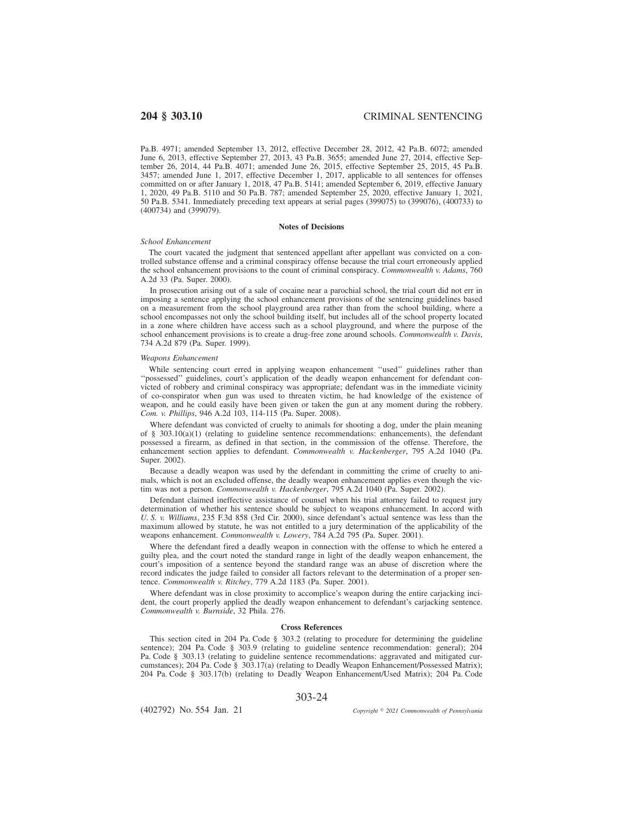Pa.B. 4971; amended September 13, 2012, effective December 28, 2012, 42 Pa.B. 6072; amended June 6, 2013, effective September 27, 2013, 43 Pa.B. 3655; amended June 27, 2014, effective September 26, 2014, 44 Pa.B. 4071; amended June 26, 2015, effective September 25, 2015, 45 Pa.B. 3457; amended June 1, 2017, effective December 1, 2017, applicable to all sentences for offenses committed on or after January 1, 2018, 47 Pa.B. 5141; amended September 6, 2019, effective January 1, 2020, 49 Pa.B. 5110 and 50 Pa.B. 787; amended September 25, 2020, effective January 1, 2021, 50 Pa.B. 5341. Immediately preceding text appears at serial pages (399075) to (399076), (400733) to (400734) and (399079).

### **Notes of Decisions**

### *School Enhancement*

The court vacated the judgment that sentenced appellant after appellant was convicted on a controlled substance offense and a criminal conspiracy offense because the trial court erroneously applied the school enhancement provisions to the count of criminal conspiracy. *Commonwealth v. Adams*, 760 A.2d 33 (Pa. Super. 2000).

In prosecution arising out of a sale of cocaine near a parochial school, the trial court did not err in imposing a sentence applying the school enhancement provisions of the sentencing guidelines based on a measurement from the school playground area rather than from the school building, where a school encompasses not only the school building itself, but includes all of the school property located in a zone where children have access such as a school playground, and where the purpose of the school enhancement provisions is to create a drug-free zone around schools. *Commonwealth v. Davis*, 734 A.2d 879 (Pa. Super. 1999).

#### *Weapons Enhancement*

While sentencing court erred in applying weapon enhancement "used" guidelines rather than ''possessed'' guidelines, court's application of the deadly weapon enhancement for defendant convicted of robbery and criminal conspiracy was appropriate; defendant was in the immediate vicinity of co-conspirator when gun was used to threaten victim, he had knowledge of the existence of weapon, and he could easily have been given or taken the gun at any moment during the robbery. *Com. v. Phillips*, 946 A.2d 103, 114-115 (Pa. Super. 2008).

Where defendant was convicted of cruelty to animals for shooting a dog, under the plain meaning of § 303.10(a)(1) (relating to guideline sentence recommendations: enhancements), the defendant possessed a firearm, as defined in that section, in the commission of the offense. Therefore, the enhancement section applies to defendant. *Commonwealth v. Hackenberger*, 795 A.2d 1040 (Pa. Super. 2002).

Because a deadly weapon was used by the defendant in committing the crime of cruelty to animals, which is not an excluded offense, the deadly weapon enhancement applies even though the victim was not a person. *Commonwealth v. Hackenberger*, 795 A.2d 1040 (Pa. Super. 2002).

Defendant claimed ineffective assistance of counsel when his trial attorney failed to request jury determination of whether his sentence should be subject to weapons enhancement. In accord with *U. S. v. Williams*, 235 F.3d 858 (3rd Cir. 2000), since defendant's actual sentence was less than the maximum allowed by statute, he was not entitled to a jury determination of the applicability of the weapons enhancement. *Commonwealth v. Lowery*, 784 A.2d 795 (Pa. Super. 2001).

Where the defendant fired a deadly weapon in connection with the offense to which he entered a guilty plea, and the court noted the standard range in light of the deadly weapon enhancement, the court's imposition of a sentence beyond the standard range was an abuse of discretion where the record indicates the judge failed to consider all factors relevant to the determination of a proper sentence. *Commonwealth v. Ritchey*, 779 A.2d 1183 (Pa. Super. 2001).

Where defendant was in close proximity to accomplice's weapon during the entire carjacking incident, the court properly applied the deadly weapon enhancement to defendant's carjacking sentence. *Commonwealth v. Burnside*, 32 Phila. 276.

## **Cross References**

This section cited in 204 Pa. Code § 303.2 (relating to procedure for determining the guideline sentence); 204 Pa. Code § 303.9 (relating to guideline sentence recommendation: general); 204 Pa. Code § 303.13 (relating to guideline sentence recommendations: aggravated and mitigated curcumstances); 204 Pa. Code § 303.17(a) (relating to Deadly Weapon Enhancement/Possessed Matrix); 204 Pa. Code § 303.17(b) (relating to Deadly Weapon Enhancement/Used Matrix); 204 Pa. Code

303-24

(402792) No. 554 Jan. 21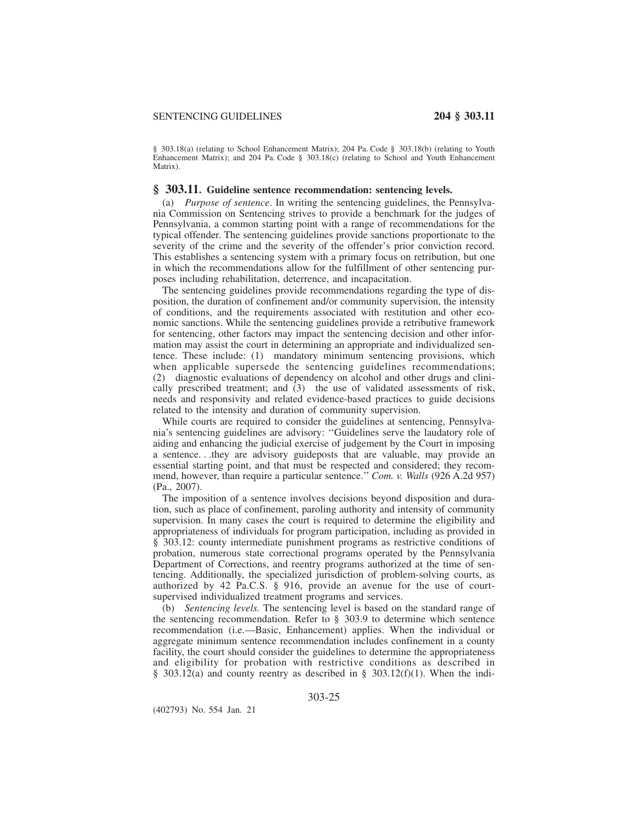§ 303.18(a) (relating to School Enhancement Matrix); 204 Pa. Code § 303.18(b) (relating to Youth Enhancement Matrix); and 204 Pa. Code § 303.18(c) (relating to School and Youth Enhancement Matrix).

## **§ 303.11. Guideline sentence recommendation: sentencing levels.**

(a) *Purpose of sentence*. In writing the sentencing guidelines, the Pennsylvania Commission on Sentencing strives to provide a benchmark for the judges of Pennsylvania, a common starting point with a range of recommendations for the typical offender. The sentencing guidelines provide sanctions proportionate to the severity of the crime and the severity of the offender's prior conviction record. This establishes a sentencing system with a primary focus on retribution, but one in which the recommendations allow for the fulfillment of other sentencing purposes including rehabilitation, deterrence, and incapacitation.

The sentencing guidelines provide recommendations regarding the type of disposition, the duration of confinement and/or community supervision, the intensity of conditions, and the requirements associated with restitution and other economic sanctions. While the sentencing guidelines provide a retributive framework for sentencing, other factors may impact the sentencing decision and other information may assist the court in determining an appropriate and individualized sentence. These include: (1) mandatory minimum sentencing provisions, which when applicable supersede the sentencing guidelines recommendations; (2) diagnostic evaluations of dependency on alcohol and other drugs and clinically prescribed treatment; and (3) the use of validated assessments of risk, needs and responsivity and related evidence-based practices to guide decisions related to the intensity and duration of community supervision.

While courts are required to consider the guidelines at sentencing, Pennsylvania's sentencing guidelines are advisory: ''Guidelines serve the laudatory role of aiding and enhancing the judicial exercise of judgement by the Court in imposing a sentence. . .they are advisory guideposts that are valuable, may provide an essential starting point, and that must be respected and considered; they recommend, however, than require a particular sentence.'' *Com. v. Walls* (926 A.2d 957) (Pa., 2007).

The imposition of a sentence involves decisions beyond disposition and duration, such as place of confinement, paroling authority and intensity of community supervision. In many cases the court is required to determine the eligibility and appropriateness of individuals for program participation, including as provided in § 303.12: county intermediate punishment programs as restrictive conditions of probation, numerous state correctional programs operated by the Pennsylvania Department of Corrections, and reentry programs authorized at the time of sentencing. Additionally, the specialized jurisdiction of problem-solving courts, as authorized by 42 Pa.C.S. § 916, provide an avenue for the use of courtsupervised individualized treatment programs and services.

(b) *Sentencing levels.* The sentencing level is based on the standard range of the sentencing recommendation. Refer to § 303.9 to determine which sentence recommendation (i.e.—Basic, Enhancement) applies. When the individual or aggregate minimum sentence recommendation includes confinement in a county facility, the court should consider the guidelines to determine the appropriateness and eligibility for probation with restrictive conditions as described in § 303.12(a) and county reentry as described in § 303.12(f)(1). When the indi-

303-25

(402793) No. 554 Jan. 21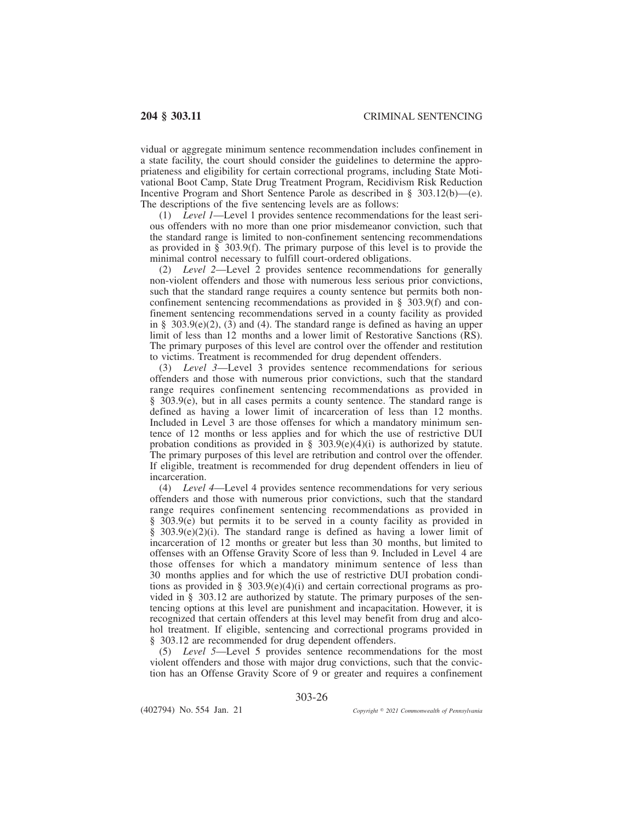vidual or aggregate minimum sentence recommendation includes confinement in a state facility, the court should consider the guidelines to determine the appropriateness and eligibility for certain correctional programs, including State Motivational Boot Camp, State Drug Treatment Program, Recidivism Risk Reduction Incentive Program and Short Sentence Parole as described in § 303.12(b)—(e). The descriptions of the five sentencing levels are as follows:<br>(1) Level  $1$ —Level 1 provides sentence recommendation

Level 1—Level 1 provides sentence recommendations for the least serious offenders with no more than one prior misdemeanor conviction, such that the standard range is limited to non-confinement sentencing recommendations as provided in § 303.9(f). The primary purpose of this level is to provide the minimal control necessary to fulfill court-ordered obligations.

(2) *Level 2*—Level 2 provides sentence recommendations for generally non-violent offenders and those with numerous less serious prior convictions, such that the standard range requires a county sentence but permits both nonconfinement sentencing recommendations as provided in § 303.9(f) and confinement sentencing recommendations served in a county facility as provided in §  $303.9(e)(2)$ ,  $(3)$  and  $(4)$ . The standard range is defined as having an upper limit of less than 12 months and a lower limit of Restorative Sanctions (RS). The primary purposes of this level are control over the offender and restitution to victims. Treatment is recommended for drug dependent offenders.

(3) *Level 3*—Level 3 provides sentence recommendations for serious offenders and those with numerous prior convictions, such that the standard range requires confinement sentencing recommendations as provided in § 303.9(e), but in all cases permits a county sentence. The standard range is defined as having a lower limit of incarceration of less than 12 months. Included in Level 3 are those offenses for which a mandatory minimum sentence of 12 months or less applies and for which the use of restrictive DUI probation conditions as provided in §  $303.9(e)(4)(i)$  is authorized by statute. The primary purposes of this level are retribution and control over the offender. If eligible, treatment is recommended for drug dependent offenders in lieu of incarceration.

(4) *Level 4*—Level 4 provides sentence recommendations for very serious offenders and those with numerous prior convictions, such that the standard range requires confinement sentencing recommendations as provided in § 303.9(e) but permits it to be served in a county facility as provided in  $§$  303.9(e)(2)(i). The standard range is defined as having a lower limit of incarceration of 12 months or greater but less than 30 months, but limited to offenses with an Offense Gravity Score of less than 9. Included in Level 4 are those offenses for which a mandatory minimum sentence of less than 30 months applies and for which the use of restrictive DUI probation conditions as provided in § 303.9(e)(4)(i) and certain correctional programs as provided in § 303.12 are authorized by statute. The primary purposes of the sentencing options at this level are punishment and incapacitation. However, it is recognized that certain offenders at this level may benefit from drug and alcohol treatment. If eligible, sentencing and correctional programs provided in § 303.12 are recommended for drug dependent offenders.

(5) *Level 5*—Level 5 provides sentence recommendations for the most violent offenders and those with major drug convictions, such that the conviction has an Offense Gravity Score of 9 or greater and requires a confinement

303-26

(402794) No. 554 Jan. 21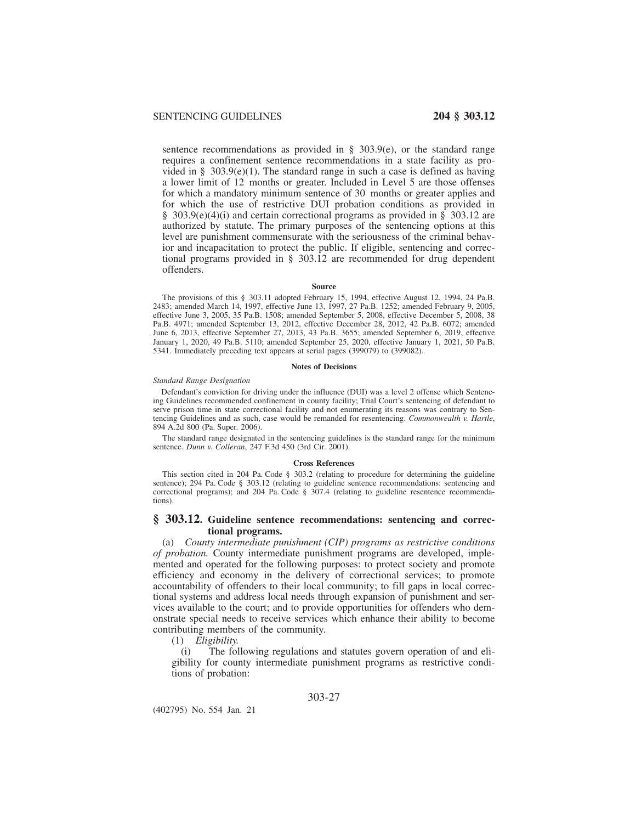sentence recommendations as provided in  $\S$  303.9(e), or the standard range requires a confinement sentence recommendations in a state facility as provided in § 303.9(e)(1). The standard range in such a case is defined as having a lower limit of 12 months or greater. Included in Level 5 are those offenses for which a mandatory minimum sentence of 30 months or greater applies and for which the use of restrictive DUI probation conditions as provided in § 303.9(e)(4)(i) and certain correctional programs as provided in § 303.12 are authorized by statute. The primary purposes of the sentencing options at this level are punishment commensurate with the seriousness of the criminal behavior and incapacitation to protect the public. If eligible, sentencing and correctional programs provided in § 303.12 are recommended for drug dependent offenders.

#### **Source**

The provisions of this § 303.11 adopted February 15, 1994, effective August 12, 1994, 24 Pa.B. 2483; amended March 14, 1997, effective June 13, 1997, 27 Pa.B. 1252; amended February 9, 2005, effective June 3, 2005, 35 Pa.B. 1508; amended September 5, 2008, effective December 5, 2008, 38 Pa.B. 4971; amended September 13, 2012, effective December 28, 2012, 42 Pa.B. 6072; amended June 6, 2013, effective September 27, 2013, 43 Pa.B. 3655; amended September 6, 2019, effective January 1, 2020, 49 Pa.B. 5110; amended September 25, 2020, effective January 1, 2021, 50 Pa.B. 5341. Immediately preceding text appears at serial pages (399079) to (399082).

### **Notes of Decisions**

### *Standard Range Designation*

Defendant's conviction for driving under the influence (DUI) was a level 2 offense which Sentencing Guidelines recommended confinement in county facility; Trial Court's sentencing of defendant to serve prison time in state correctional facility and not enumerating its reasons was contrary to Sentencing Guidelines and as such, case would be remanded for resentencing. *Commonwealth v. Hartle*, 894 A.2d 800 (Pa. Super. 2006).

The standard range designated in the sentencing guidelines is the standard range for the minimum sentence. *Dunn v. Colleran*, 247 F.3d 450 (3rd Cir. 2001).

#### **Cross References**

This section cited in 204 Pa. Code § 303.2 (relating to procedure for determining the guideline sentence); 294 Pa. Code § 303.12 (relating to guideline sentence recommendations: sentencing and correctional programs); and 204 Pa. Code § 307.4 (relating to guideline resentence recommendations).

# **§ 303.12. Guideline sentence recommendations: sentencing and correctional programs.**

(a) *County intermediate punishment (CIP) programs as restrictive conditions of probation.* County intermediate punishment programs are developed, implemented and operated for the following purposes: to protect society and promote efficiency and economy in the delivery of correctional services; to promote accountability of offenders to their local community; to fill gaps in local correctional systems and address local needs through expansion of punishment and services available to the court; and to provide opportunities for offenders who demonstrate special needs to receive services which enhance their ability to become contributing members of the community.

(1) *Eligibility.*

The following regulations and statutes govern operation of and eligibility for county intermediate punishment programs as restrictive conditions of probation:

(402795) No. 554 Jan. 21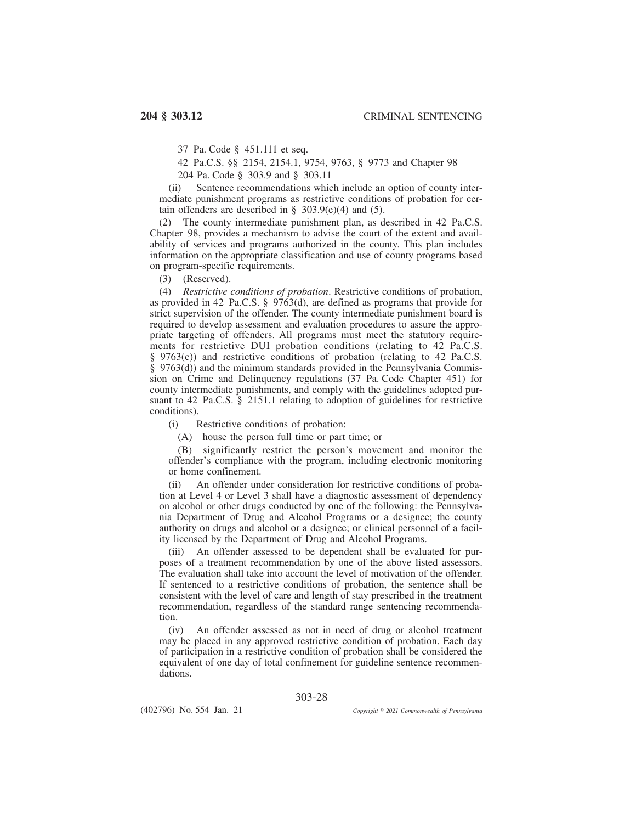37 Pa. Code § 451.111 et seq.

42 Pa.C.S. §§ 2154, 2154.1, 9754, 9763, § 9773 and Chapter 98

204 Pa. Code § 303.9 and § 303.11

(ii) Sentence recommendations which include an option of county intermediate punishment programs as restrictive conditions of probation for certain offenders are described in  $\S$  303.9(e)(4) and (5).

(2) The county intermediate punishment plan, as described in 42 Pa.C.S. Chapter 98, provides a mechanism to advise the court of the extent and availability of services and programs authorized in the county. This plan includes information on the appropriate classification and use of county programs based on program-specific requirements.

(3) (Reserved).

(4) *Restrictive conditions of probation*. Restrictive conditions of probation, as provided in 42 Pa.C.S. § 9763(d), are defined as programs that provide for strict supervision of the offender. The county intermediate punishment board is required to develop assessment and evaluation procedures to assure the appropriate targeting of offenders. All programs must meet the statutory requirements for restrictive DUI probation conditions (relating to 42 Pa.C.S. § 9763(c)) and restrictive conditions of probation (relating to 42 Pa.C.S. § 9763(d)) and the minimum standards provided in the Pennsylvania Commission on Crime and Delinquency regulations (37 Pa. Code Chapter 451) for county intermediate punishments, and comply with the guidelines adopted pursuant to 42 Pa.C.S. § 2151.1 relating to adoption of guidelines for restrictive conditions).

(i) Restrictive conditions of probation:

(A) house the person full time or part time; or

(B) significantly restrict the person's movement and monitor the offender's compliance with the program, including electronic monitoring or home confinement.

(ii) An offender under consideration for restrictive conditions of probation at Level 4 or Level 3 shall have a diagnostic assessment of dependency on alcohol or other drugs conducted by one of the following: the Pennsylvania Department of Drug and Alcohol Programs or a designee; the county authority on drugs and alcohol or a designee; or clinical personnel of a facility licensed by the Department of Drug and Alcohol Programs.

(iii) An offender assessed to be dependent shall be evaluated for purposes of a treatment recommendation by one of the above listed assessors. The evaluation shall take into account the level of motivation of the offender. If sentenced to a restrictive conditions of probation, the sentence shall be consistent with the level of care and length of stay prescribed in the treatment recommendation, regardless of the standard range sentencing recommendation.

(iv) An offender assessed as not in need of drug or alcohol treatment may be placed in any approved restrictive condition of probation. Each day of participation in a restrictive condition of probation shall be considered the equivalent of one day of total confinement for guideline sentence recommendations.

303-28

(402796) No. 554 Jan. 21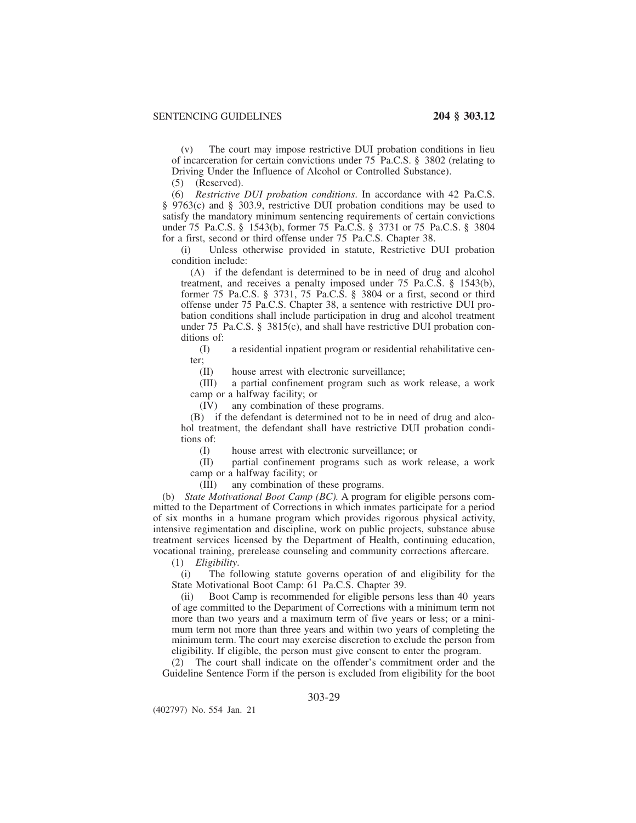(v) The court may impose restrictive DUI probation conditions in lieu of incarceration for certain convictions under 75 Pa.C.S. § 3802 (relating to Driving Under the Influence of Alcohol or Controlled Substance).

(5) (Reserved).

(6) *Restrictive DUI probation conditions*. In accordance with 42 Pa.C.S. § 9763(c) and § 303.9, restrictive DUI probation conditions may be used to satisfy the mandatory minimum sentencing requirements of certain convictions under 75 Pa.C.S. § 1543(b), former 75 Pa.C.S. § 3731 or 75 Pa.C.S. § 3804 for a first, second or third offense under 75 Pa.C.S. Chapter 38.

(i) Unless otherwise provided in statute, Restrictive DUI probation condition include:

(A) if the defendant is determined to be in need of drug and alcohol treatment, and receives a penalty imposed under 75 Pa.C.S. § 1543(b), former 75 Pa.C.S. § 3731, 75 Pa.C.S. § 3804 or a first, second or third offense under 75 Pa.C.S. Chapter 38, a sentence with restrictive DUI probation conditions shall include participation in drug and alcohol treatment under 75 Pa.C.S. § 3815(c), and shall have restrictive DUI probation conditions of:

(I) a residential inpatient program or residential rehabilitative center;

(II) house arrest with electronic surveillance;

(III) a partial confinement program such as work release, a work camp or a halfway facility; or

(IV) any combination of these programs.

(B) if the defendant is determined not to be in need of drug and alcohol treatment, the defendant shall have restrictive DUI probation conditions of:

(I) house arrest with electronic surveillance; or

(II) partial confinement programs such as work release, a work camp or a halfway facility; or

(III) any combination of these programs.

(b) *State Motivational Boot Camp (BC).* A program for eligible persons committed to the Department of Corrections in which inmates participate for a period of six months in a humane program which provides rigorous physical activity, intensive regimentation and discipline, work on public projects, substance abuse treatment services licensed by the Department of Health, continuing education, vocational training, prerelease counseling and community corrections aftercare.

(1) *Eligibility*.

(i) The following statute governs operation of and eligibility for the State Motivational Boot Camp: 61 Pa.C.S. Chapter 39.

(ii) Boot Camp is recommended for eligible persons less than 40 years of age committed to the Department of Corrections with a minimum term not more than two years and a maximum term of five years or less; or a minimum term not more than three years and within two years of completing the minimum term. The court may exercise discretion to exclude the person from eligibility. If eligible, the person must give consent to enter the program.

The court shall indicate on the offender's commitment order and the Guideline Sentence Form if the person is excluded from eligibility for the boot

# 303-29

(402797) No. 554 Jan. 21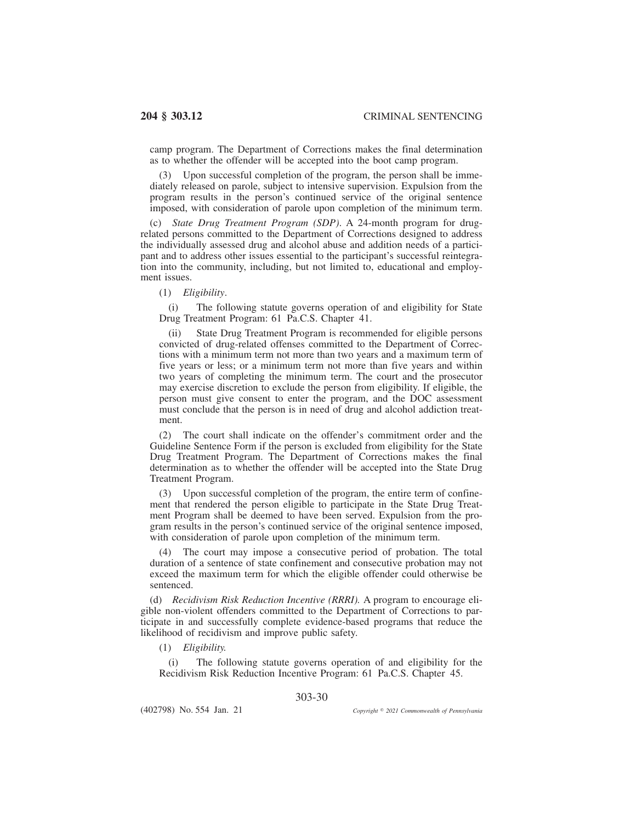camp program. The Department of Corrections makes the final determination as to whether the offender will be accepted into the boot camp program.

Upon successful completion of the program, the person shall be immediately released on parole, subject to intensive supervision. Expulsion from the program results in the person's continued service of the original sentence imposed, with consideration of parole upon completion of the minimum term.

(c) *State Drug Treatment Program (SDP)*. A 24-month program for drugrelated persons committed to the Department of Corrections designed to address the individually assessed drug and alcohol abuse and addition needs of a participant and to address other issues essential to the participant's successful reintegration into the community, including, but not limited to, educational and employment issues.

(1) *Eligibility*.

(i) The following statute governs operation of and eligibility for State Drug Treatment Program: 61 Pa.C.S. Chapter 41.

(ii) State Drug Treatment Program is recommended for eligible persons convicted of drug-related offenses committed to the Department of Corrections with a minimum term not more than two years and a maximum term of five years or less; or a minimum term not more than five years and within two years of completing the minimum term. The court and the prosecutor may exercise discretion to exclude the person from eligibility. If eligible, the person must give consent to enter the program, and the DOC assessment must conclude that the person is in need of drug and alcohol addiction treatment.

(2) The court shall indicate on the offender's commitment order and the Guideline Sentence Form if the person is excluded from eligibility for the State Drug Treatment Program. The Department of Corrections makes the final determination as to whether the offender will be accepted into the State Drug Treatment Program.

(3) Upon successful completion of the program, the entire term of confinement that rendered the person eligible to participate in the State Drug Treatment Program shall be deemed to have been served. Expulsion from the program results in the person's continued service of the original sentence imposed, with consideration of parole upon completion of the minimum term.

(4) The court may impose a consecutive period of probation. The total duration of a sentence of state confinement and consecutive probation may not exceed the maximum term for which the eligible offender could otherwise be sentenced.

(d) *Recidivism Risk Reduction Incentive (RRRI).* A program to encourage eligible non-violent offenders committed to the Department of Corrections to participate in and successfully complete evidence-based programs that reduce the likelihood of recidivism and improve public safety.

(1) *Eligibility.*

(i) The following statute governs operation of and eligibility for the Recidivism Risk Reduction Incentive Program: 61 Pa.C.S. Chapter 45.

303-30

(402798) No. 554 Jan. 21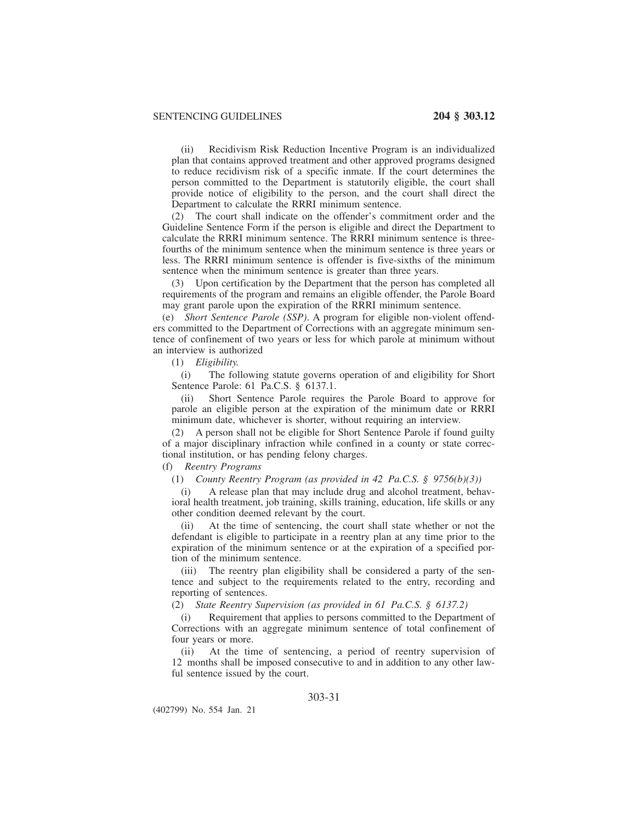(ii) Recidivism Risk Reduction Incentive Program is an individualized plan that contains approved treatment and other approved programs designed to reduce recidivism risk of a specific inmate. If the court determines the person committed to the Department is statutorily eligible, the court shall provide notice of eligibility to the person, and the court shall direct the Department to calculate the RRRI minimum sentence.

(2) The court shall indicate on the offender's commitment order and the Guideline Sentence Form if the person is eligible and direct the Department to calculate the RRRI minimum sentence. The RRRI minimum sentence is threefourths of the minimum sentence when the minimum sentence is three years or less. The RRRI minimum sentence is offender is five-sixths of the minimum sentence when the minimum sentence is greater than three years.

Upon certification by the Department that the person has completed all requirements of the program and remains an eligible offender, the Parole Board may grant parole upon the expiration of the RRRI minimum sentence.

(e) *Short Sentence Parole (SSP)*. A program for eligible non-violent offenders committed to the Department of Corrections with an aggregate minimum sentence of confinement of two years or less for which parole at minimum without an interview is authorized

(1) *Eligibility.*

(i) The following statute governs operation of and eligibility for Short Sentence Parole: 61 Pa.C.S. § 6137.1.

(ii) Short Sentence Parole requires the Parole Board to approve for parole an eligible person at the expiration of the minimum date or RRRI minimum date, whichever is shorter, without requiring an interview.

(2) A person shall not be eligible for Short Sentence Parole if found guilty of a major disciplinary infraction while confined in a county or state correctional institution, or has pending felony charges.

(f) *Reentry Programs*

(1) *County Reentry Program (as provided in 42 Pa.C.S. § 9756(b)(3))*

(i) A release plan that may include drug and alcohol treatment, behavioral health treatment, job training, skills training, education, life skills or any other condition deemed relevant by the court.

(ii) At the time of sentencing, the court shall state whether or not the defendant is eligible to participate in a reentry plan at any time prior to the expiration of the minimum sentence or at the expiration of a specified portion of the minimum sentence.

(iii) The reentry plan eligibility shall be considered a party of the sentence and subject to the requirements related to the entry, recording and reporting of sentences.

(2) *State Reentry Supervision (as provided in 61 Pa.C.S. § 6137.2)*

(i) Requirement that applies to persons committed to the Department of Corrections with an aggregate minimum sentence of total confinement of four years or more.

(ii) At the time of sentencing, a period of reentry supervision of 12 months shall be imposed consecutive to and in addition to any other lawful sentence issued by the court.

# 303-31

(402799) No. 554 Jan. 21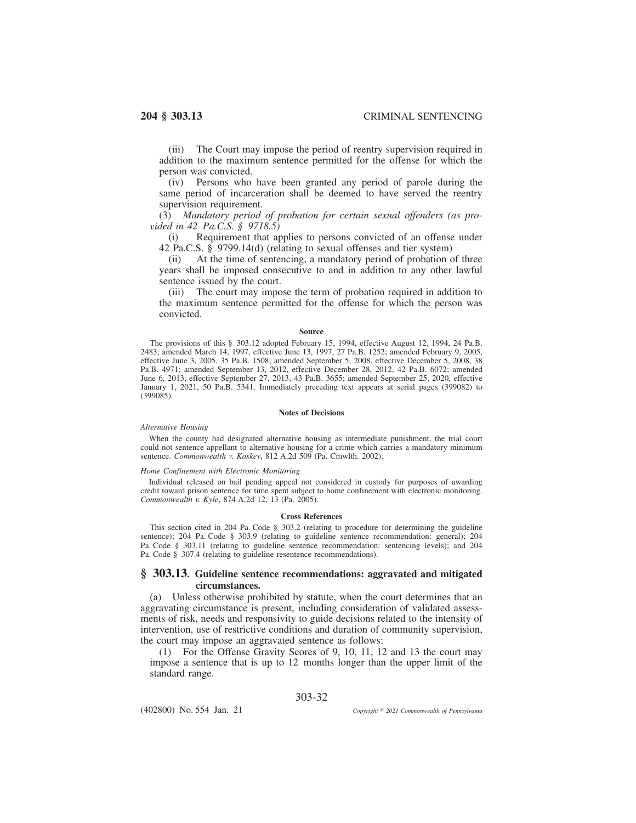(iii) The Court may impose the period of reentry supervision required in addition to the maximum sentence permitted for the offense for which the person was convicted.

(iv) Persons who have been granted any period of parole during the same period of incarceration shall be deemed to have served the reentry supervision requirement.

(3) *Mandatory period of probation for certain sexual offenders (as provided in 42 Pa.C.S. § 9718.5)*

(i) Requirement that applies to persons convicted of an offense under 42 Pa.C.S. § 9799.14(d) (relating to sexual offenses and tier system)

(ii) At the time of sentencing, a mandatory period of probation of three years shall be imposed consecutive to and in addition to any other lawful sentence issued by the court.

(iii) The court may impose the term of probation required in addition to the maximum sentence permitted for the offense for which the person was convicted.

### **Source**

The provisions of this § 303.12 adopted February 15, 1994, effective August 12, 1994, 24 Pa.B. 2483; amended March 14, 1997, effective June 13, 1997, 27 Pa.B. 1252; amended February 9, 2005, effective June 3, 2005, 35 Pa.B. 1508; amended September 5, 2008, effective December 5, 2008, 38 Pa.B. 4971; amended September 13, 2012, effective December 28, 2012, 42 Pa.B. 6072; amended June 6, 2013, effective September 27, 2013, 43 Pa.B. 3655; amended September 25, 2020, effective January 1, 2021, 50 Pa.B. 5341. Immediately preceding text appears at serial pages (399082) to (399085).

### **Notes of Decisions**

## *Alternative Housing*

When the county had designated alternative housing as intermediate punishment, the trial court could not sentence appellant to alternative housing for a crime which carries a mandatory minimum sentence. *Commonwealth v. Koskey*, 812 A.2d 509 (Pa. Cmwlth. 2002).

### *Home Confinement with Electronic Monitoring*

Individual released on bail pending appeal not considered in custody for purposes of awarding credit toward prison sentence for time spent subject to home confinement with electronic monitoring. *Commonwealth v. Kyle*, 874 A.2d 12, 13 (Pa. 2005).

### **Cross References**

This section cited in 204 Pa. Code § 303.2 (relating to procedure for determining the guideline sentence); 204 Pa. Code § 303.9 (relating to guideline sentence recommendation: general); 204 Pa. Code § 303.11 (relating to guideline sentence recommendation: sentencing levels); and 204 Pa. Code § 307.4 (relating to guideline resentence recommendations).

# **§ 303.13. Guideline sentence recommendations: aggravated and mitigated circumstances.**

(a) Unless otherwise prohibited by statute, when the court determines that an aggravating circumstance is present, including consideration of validated assessments of risk, needs and responsivity to guide decisions related to the intensity of intervention, use of restrictive conditions and duration of community supervision, the court may impose an aggravated sentence as follows:

(1) For the Offense Gravity Scores of 9, 10, 11, 12 and 13 the court may impose a sentence that is up to 12 months longer than the upper limit of the standard range.

# 303-32

(402800) No. 554 Jan. 21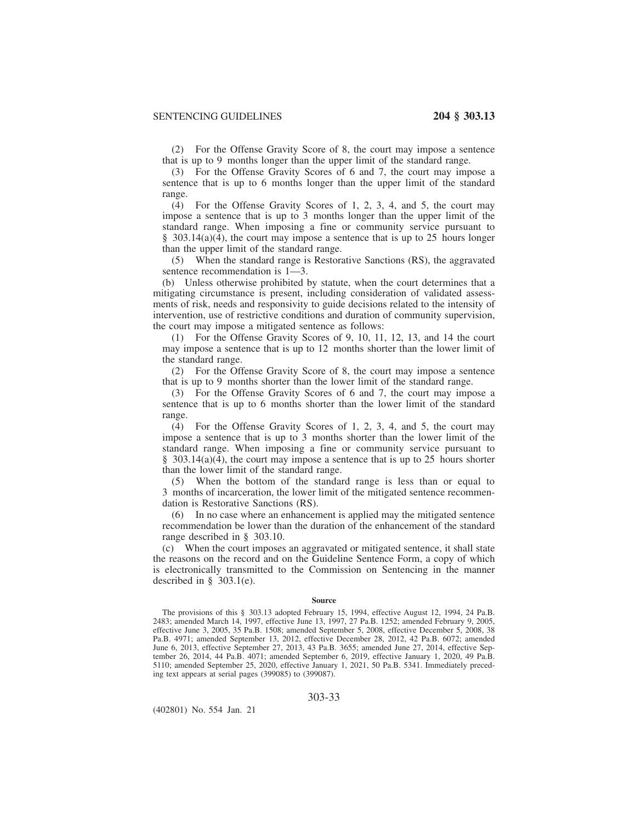(2) For the Offense Gravity Score of 8, the court may impose a sentence that is up to 9 months longer than the upper limit of the standard range.

(3) For the Offense Gravity Scores of 6 and 7, the court may impose a sentence that is up to 6 months longer than the upper limit of the standard range.

(4) For the Offense Gravity Scores of 1, 2, 3, 4, and 5, the court may impose a sentence that is up to 3 months longer than the upper limit of the standard range. When imposing a fine or community service pursuant to  $§$  303.14(a)(4), the court may impose a sentence that is up to 25 hours longer than the upper limit of the standard range.

(5) When the standard range is Restorative Sanctions (RS), the aggravated sentence recommendation is 1—3.

(b) Unless otherwise prohibited by statute, when the court determines that a mitigating circumstance is present, including consideration of validated assessments of risk, needs and responsivity to guide decisions related to the intensity of intervention, use of restrictive conditions and duration of community supervision, the court may impose a mitigated sentence as follows:

(1) For the Offense Gravity Scores of 9, 10, 11, 12, 13, and 14 the court may impose a sentence that is up to 12 months shorter than the lower limit of the standard range.

(2) For the Offense Gravity Score of 8, the court may impose a sentence that is up to 9 months shorter than the lower limit of the standard range.

(3) For the Offense Gravity Scores of 6 and 7, the court may impose a sentence that is up to 6 months shorter than the lower limit of the standard range.

(4) For the Offense Gravity Scores of 1, 2, 3, 4, and 5, the court may impose a sentence that is up to 3 months shorter than the lower limit of the standard range. When imposing a fine or community service pursuant to  $§$  303.14(a)(4), the court may impose a sentence that is up to 25 hours shorter than the lower limit of the standard range.

(5) When the bottom of the standard range is less than or equal to 3 months of incarceration, the lower limit of the mitigated sentence recommendation is Restorative Sanctions (RS).

(6) In no case where an enhancement is applied may the mitigated sentence recommendation be lower than the duration of the enhancement of the standard range described in § 303.10.

(c) When the court imposes an aggravated or mitigated sentence, it shall state the reasons on the record and on the Guideline Sentence Form, a copy of which is electronically transmitted to the Commission on Sentencing in the manner described in  $\S$  303.1(e).

### **Source**

The provisions of this § 303.13 adopted February 15, 1994, effective August 12, 1994, 24 Pa.B. 2483; amended March 14, 1997, effective June 13, 1997, 27 Pa.B. 1252; amended February 9, 2005, effective June 3, 2005, 35 Pa.B. 1508; amended September 5, 2008, effective December 5, 2008, 38 Pa.B. 4971; amended September 13, 2012, effective December 28, 2012, 42 Pa.B. 6072; amended June 6, 2013, effective September 27, 2013, 43 Pa.B. 3655; amended June 27, 2014, effective September 26, 2014, 44 Pa.B. 4071; amended September 6, 2019, effective January 1, 2020, 49 Pa.B. 5110; amended September 25, 2020, effective January 1, 2021, 50 Pa.B. 5341. Immediately preceding text appears at serial pages (399085) to (399087).

303-33

(402801) No. 554 Jan. 21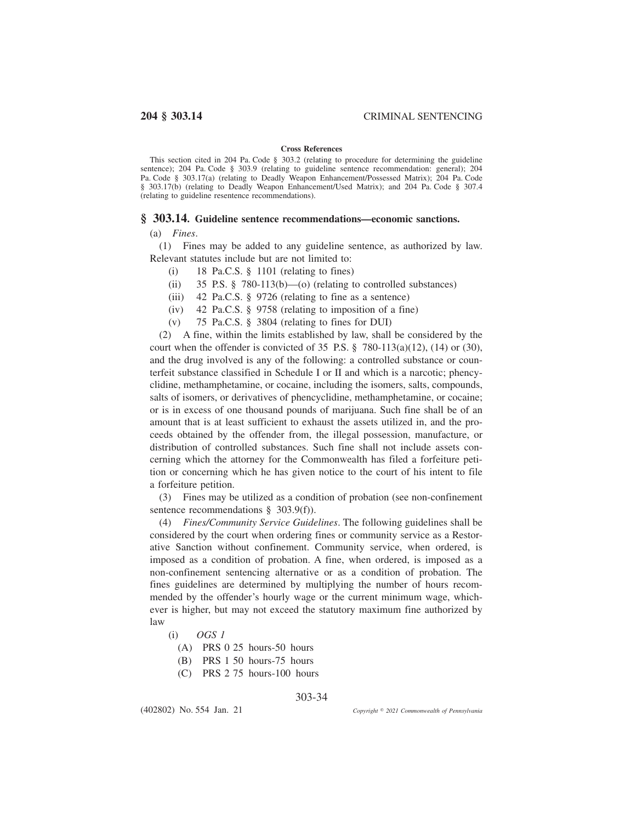## **Cross References**

This section cited in 204 Pa. Code § 303.2 (relating to procedure for determining the guideline sentence); 204 Pa. Code § 303.9 (relating to guideline sentence recommendation: general); 204 Pa. Code § 303.17(a) (relating to Deadly Weapon Enhancement/Possessed Matrix); 204 Pa. Code § 303.17(b) (relating to Deadly Weapon Enhancement/Used Matrix); and 204 Pa. Code § 307.4 (relating to guideline resentence recommendations).

## **§ 303.14. Guideline sentence recommendations—economic sanctions.**

(a) *Fines*.

(1) Fines may be added to any guideline sentence, as authorized by law. Relevant statutes include but are not limited to:

- (i) 18 Pa.C.S.  $\S$  1101 (relating to fines)
- (ii) 35 P.S.  $\S$  780-113(b)—(o) (relating to controlled substances)
- (iii) 42 Pa.C.S. § 9726 (relating to fine as a sentence)
- (iv) 42 Pa.C.S. § 9758 (relating to imposition of a fine)
- (v) 75 Pa.C.S. § 3804 (relating to fines for DUI)

(2) A fine, within the limits established by law, shall be considered by the court when the offender is convicted of 35 P.S.  $\S$  780-113(a)(12), (14) or (30), and the drug involved is any of the following: a controlled substance or counterfeit substance classified in Schedule I or II and which is a narcotic; phencyclidine, methamphetamine, or cocaine, including the isomers, salts, compounds, salts of isomers, or derivatives of phencyclidine, methamphetamine, or cocaine; or is in excess of one thousand pounds of marijuana. Such fine shall be of an amount that is at least sufficient to exhaust the assets utilized in, and the proceeds obtained by the offender from, the illegal possession, manufacture, or distribution of controlled substances. Such fine shall not include assets concerning which the attorney for the Commonwealth has filed a forfeiture petition or concerning which he has given notice to the court of his intent to file a forfeiture petition.

(3) Fines may be utilized as a condition of probation (see non-confinement sentence recommendations § 303.9(f)).

(4) *Fines/Community Service Guidelines*. The following guidelines shall be considered by the court when ordering fines or community service as a Restorative Sanction without confinement. Community service, when ordered, is imposed as a condition of probation. A fine, when ordered, is imposed as a non-confinement sentencing alternative or as a condition of probation. The fines guidelines are determined by multiplying the number of hours recommended by the offender's hourly wage or the current minimum wage, whichever is higher, but may not exceed the statutory maximum fine authorized by law

- (i) *OGS 1*
	- (A) PRS 0 25 hours-50 hours
	- (B) PRS 1 50 hours-75 hours
	- (C) PRS 2 75 hours-100 hours

## 303-34

(402802) No. 554 Jan. 21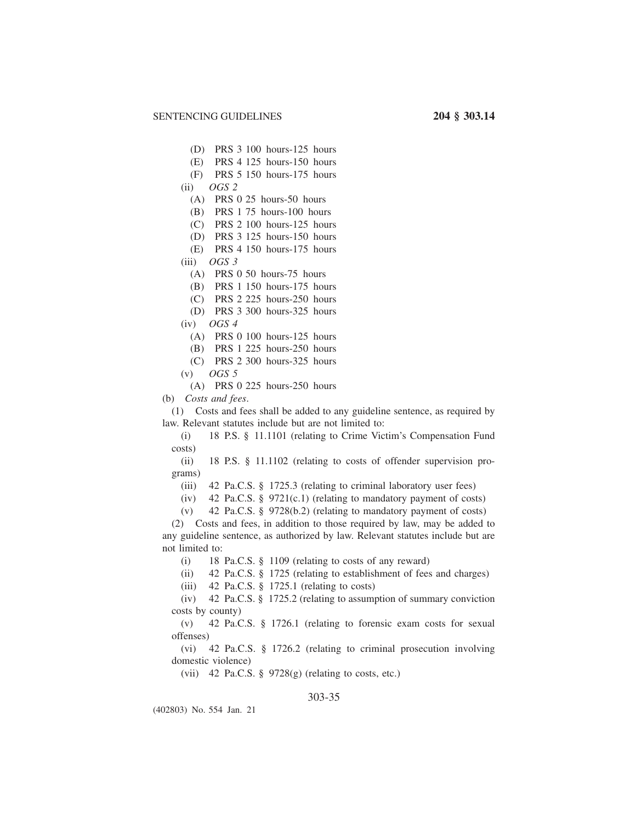- (D) PRS 3 100 hours-125 hours
- (E) PRS 4 125 hours-150 hours
- (F) PRS 5 150 hours-175 hours
- (ii) *OGS 2*
	- (A) PRS 0 25 hours-50 hours
	- (B) PRS 1 75 hours-100 hours
	- (C) PRS 2 100 hours-125 hours
	- (D) PRS 3 125 hours-150 hours
	- (E) PRS 4 150 hours-175 hours
- (iii) *OGS 3*
	- (A) PRS 0 50 hours-75 hours
	- (B) PRS 1 150 hours-175 hours
	- (C) PRS 2 225 hours-250 hours
	- (D) PRS 3 300 hours-325 hours
- (iv) *OGS 4*
	- (A) PRS 0 100 hours-125 hours
	- (B) PRS 1 225 hours-250 hours
	- (C) PRS 2 300 hours-325 hours
- (v) *OGS 5*
- (A) PRS 0 225 hours-250 hours
- (b) *Costs and fees*.

(1) Costs and fees shall be added to any guideline sentence, as required by law. Relevant statutes include but are not limited to:

(i) 18 P.S. § 11.1101 (relating to Crime Victim's Compensation Fund costs)

(ii) 18 P.S. § 11.1102 (relating to costs of offender supervision programs)

(iii) 42 Pa.C.S. § 1725.3 (relating to criminal laboratory user fees)

(iv) 42 Pa.C.S. § 9721(c.1) (relating to mandatory payment of costs)

(v) 42 Pa.C.S. § 9728(b.2) (relating to mandatory payment of costs)

(2) Costs and fees, in addition to those required by law, may be added to any guideline sentence, as authorized by law. Relevant statutes include but are not limited to:

(i) 18 Pa.C.S. § 1109 (relating to costs of any reward)

(ii) 42 Pa.C.S. § 1725 (relating to establishment of fees and charges)

(iii) 42 Pa.C.S.  $\S$  1725.1 (relating to costs)

(iv) 42 Pa.C.S. § 1725.2 (relating to assumption of summary conviction costs by county)

(v) 42 Pa.C.S. § 1726.1 (relating to forensic exam costs for sexual offenses)

(vi) 42 Pa.C.S. § 1726.2 (relating to criminal prosecution involving domestic violence)

(vii) 42 Pa.C.S. § 9728(g) (relating to costs, etc.)

## 303-35

(402803) No. 554 Jan. 21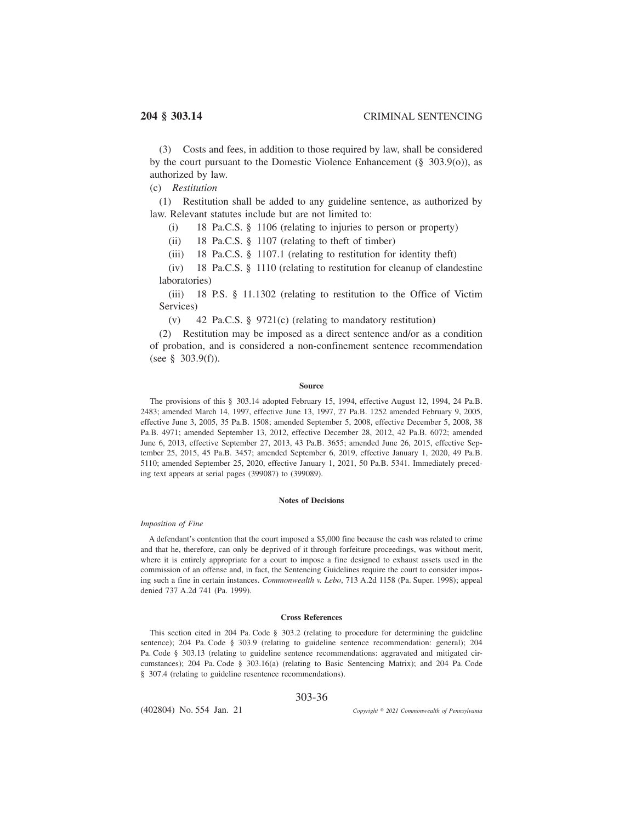(3) Costs and fees, in addition to those required by law, shall be considered by the court pursuant to the Domestic Violence Enhancement  $(\S 303.9(0))$ , as authorized by law.

(c) *Restitution*

(1) Restitution shall be added to any guideline sentence, as authorized by law. Relevant statutes include but are not limited to:

(i) 18 Pa.C.S. § 1106 (relating to injuries to person or property)

(ii) 18 Pa.C.S. § 1107 (relating to theft of timber)

(iii) 18 Pa.C.S. § 1107.1 (relating to restitution for identity theft)

(iv) 18 Pa.C.S. § 1110 (relating to restitution for cleanup of clandestine laboratories)

(iii) 18 P.S. § 11.1302 (relating to restitution to the Office of Victim Services)

(v) 42 Pa.C.S. § 9721(c) (relating to mandatory restitution)

(2) Restitution may be imposed as a direct sentence and/or as a condition of probation, and is considered a non-confinement sentence recommendation (see § 303.9(f)).

### **Source**

The provisions of this § 303.14 adopted February 15, 1994, effective August 12, 1994, 24 Pa.B. 2483; amended March 14, 1997, effective June 13, 1997, 27 Pa.B. 1252 amended February 9, 2005, effective June 3, 2005, 35 Pa.B. 1508; amended September 5, 2008, effective December 5, 2008, 38 Pa.B. 4971; amended September 13, 2012, effective December 28, 2012, 42 Pa.B. 6072; amended June 6, 2013, effective September 27, 2013, 43 Pa.B. 3655; amended June 26, 2015, effective September 25, 2015, 45 Pa.B. 3457; amended September 6, 2019, effective January 1, 2020, 49 Pa.B. 5110; amended September 25, 2020, effective January 1, 2021, 50 Pa.B. 5341. Immediately preceding text appears at serial pages (399087) to (399089).

#### **Notes of Decisions**

## *Imposition of Fine*

A defendant's contention that the court imposed a \$5,000 fine because the cash was related to crime and that he, therefore, can only be deprived of it through forfeiture proceedings, was without merit, where it is entirely appropriate for a court to impose a fine designed to exhaust assets used in the commission of an offense and, in fact, the Sentencing Guidelines require the court to consider imposing such a fine in certain instances. *Commonwealth v. Lebo*, 713 A.2d 1158 (Pa. Super. 1998); appeal denied 737 A.2d 741 (Pa. 1999).

## **Cross References**

This section cited in 204 Pa. Code § 303.2 (relating to procedure for determining the guideline sentence); 204 Pa. Code § 303.9 (relating to guideline sentence recommendation: general); 204 Pa. Code § 303.13 (relating to guideline sentence recommendations: aggravated and mitigated circumstances); 204 Pa. Code § 303.16(a) (relating to Basic Sentencing Matrix); and 204 Pa. Code § 307.4 (relating to guideline resentence recommendations).

## 303-36

(402804) No. 554 Jan. 21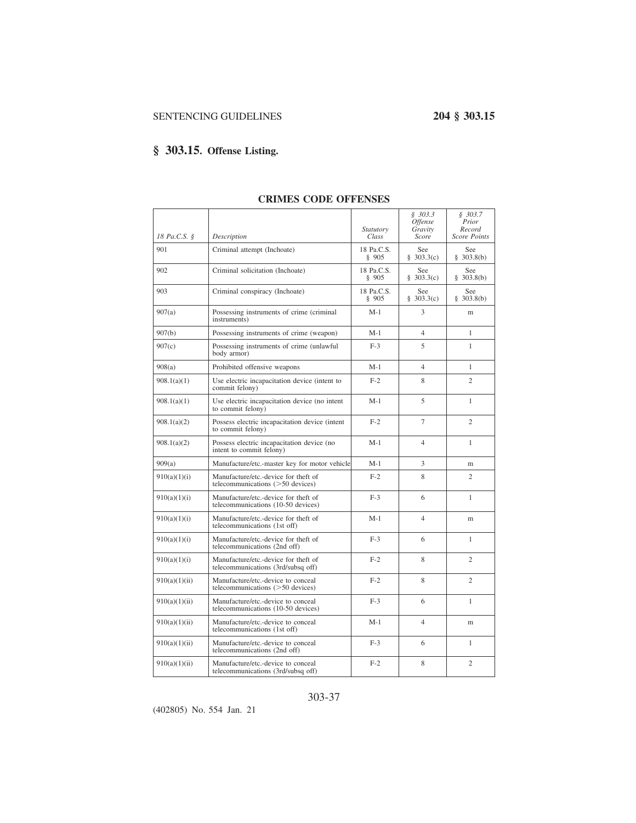# **§ 303.15. Offense Listing.**

|               |                                                                            | Statutory           | \$303.3\$<br><i>Offense</i><br>Gravity | \$303.7<br>Prior<br>Record |
|---------------|----------------------------------------------------------------------------|---------------------|----------------------------------------|----------------------------|
| 18 Pa.C.S. §  | Description                                                                | Class               | Score                                  | <b>Score Points</b>        |
| 901           | Criminal attempt (Inchoate)                                                | 18 Pa.C.S.<br>§ 905 | See<br>\$303.3(c)                      | See<br>\$303.8(b)          |
| 902           | Criminal solicitation (Inchoate)                                           | 18 Pa.C.S.<br>\$905 | See<br>\$303.3(c)                      | See<br>\$303.8(b)          |
| 903           | Criminal conspiracy (Inchoate)                                             | 18 Pa.C.S.<br>\$905 | See<br>\$303.3(c)                      | See<br>\$303.8(b)          |
| 907(a)        | Possessing instruments of crime (criminal<br>instruments)                  | $M-1$               | 3                                      | m                          |
| 907(b)        | Possessing instruments of crime (weapon)                                   | $M-1$               | $\overline{4}$                         | $\mathbf{1}$               |
| 907(c)        | Possessing instruments of crime (unlawful<br>body armor)                   | $F-3$               | 5                                      | 1                          |
| 908(a)        | Prohibited offensive weapons                                               | $M-1$               | $\overline{4}$                         | $\mathbf{1}$               |
| 908.1(a)(1)   | Use electric incapacitation device (intent to<br>commit felony)            | $F-2$               | 8                                      | $\overline{c}$             |
| 908.1(a)(1)   | Use electric incapacitation device (no intent<br>to commit felony)         | $M-1$               | 5                                      | $\mathbf{1}$               |
| 908.1(a)(2)   | Possess electric incapacitation device (intent<br>to commit felony)        | $F-2$               | $\tau$                                 | 2                          |
| 908.1(a)(2)   | Possess electric incapacitation device (no<br>intent to commit felony)     | $M-1$               | $\overline{4}$                         | $\mathbf{1}$               |
| 909(a)        | Manufacture/etc.-master key for motor vehicle                              | $M-1$               | 3                                      | m                          |
| 910(a)(1)(i)  | Manufacture/etc.-device for theft of<br>telecommunications (>50 devices)   | $F-2$               | 8                                      | $\mathfrak{2}$             |
| 910(a)(1)(i)  | Manufacture/etc.-device for theft of<br>telecommunications (10-50 devices) | $F-3$               | 6                                      | 1                          |
| 910(a)(1)(i)  | Manufacture/etc.-device for theft of<br>telecommunications (1st off)       | $M-1$               | $\overline{4}$                         | m                          |
| 910(a)(1)(i)  | Manufacture/etc.-device for theft of<br>telecommunications (2nd off)       | $F-3$               | 6                                      | $\mathbf{1}$               |
| 910(a)(1)(i)  | Manufacture/etc.-device for theft of<br>telecommunications (3rd/subsq off) | $F-2$               | 8                                      | $\overline{c}$             |
| 910(a)(1)(ii) | Manufacture/etc.-device to conceal<br>telecommunications $($ >50 devices)  | $F-2$               | 8                                      | $\overline{c}$             |
| 910(a)(1)(ii) | Manufacture/etc.-device to conceal<br>telecommunications (10-50 devices)   | $F-3$               | 6                                      | $\mathbf{1}$               |
| 910(a)(1)(ii) | Manufacture/etc.-device to conceal<br>telecommunications (1st off)         | $M-1$               | $\overline{4}$                         | m                          |
| 910(a)(1)(ii) | Manufacture/etc.-device to conceal<br>telecommunications (2nd off)         | $F-3$               | 6                                      | $\mathbf{1}$               |
| 910(a)(1)(ii) | Manufacture/etc.-device to conceal<br>telecommunications (3rd/subsq off)   | $F-2$               | 8                                      | $\mathfrak{2}$             |

### **CRIMES CODE OFFENSES**

303-37

(402805) No. 554 Jan. 21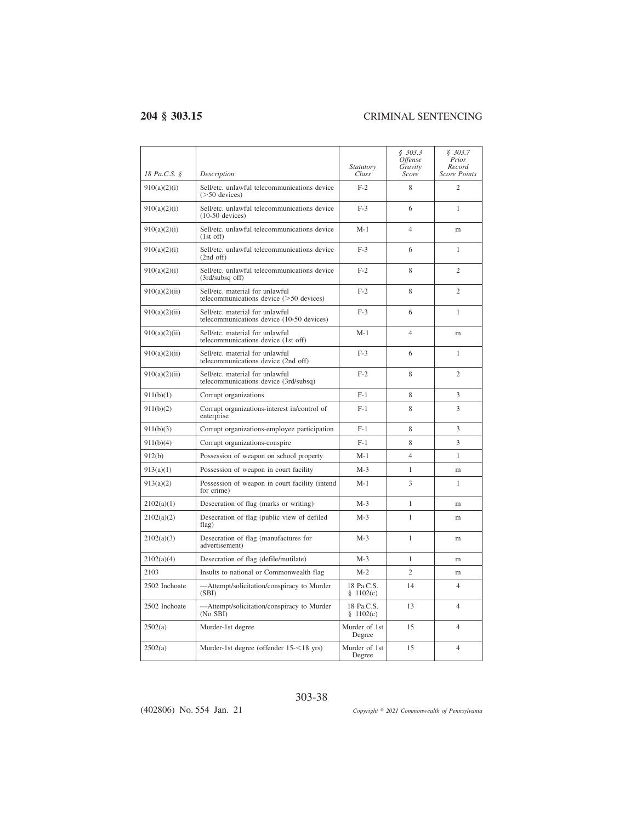| 18 Pa.C.S. §  | Description                                                                  | Statutory<br>Class      | \$303.3<br>Offense<br>Gravity<br>Score | \$303.7<br>Prior<br>Record<br><b>Score Points</b> |
|---------------|------------------------------------------------------------------------------|-------------------------|----------------------------------------|---------------------------------------------------|
| 910(a)(2)(i)  | Sell/etc. unlawful telecommunications device<br>$($ >50 devices $)$          | $F-2$                   | 8                                      | $\overline{c}$                                    |
| 910(a)(2)(i)  | Sell/etc. unlawful telecommunications device<br>$(10-50$ devices)            | $F-3$                   | 6                                      | 1                                                 |
| 910(a)(2)(i)  | Sell/etc. unlawful telecommunications device<br>$(1st$ off)                  | $M-1$                   | $\overline{4}$                         | m                                                 |
| 910(a)(2)(i)  | Sell/etc. unlawful telecommunications device<br>$(2nd$ off)                  | $F-3$                   | 6                                      | $\mathbf{1}$                                      |
| 910(a)(2)(i)  | Sell/etc. unlawful telecommunications device<br>$(3rd/subsq$ off)            | $F-2$                   | 8                                      | $\overline{c}$                                    |
| 910(a)(2)(ii) | Sell/etc. material for unlawful<br>telecommunications device (>50 devices)   | $F-2$                   | 8                                      | $\overline{c}$                                    |
| 910(a)(2)(ii) | Sell/etc. material for unlawful<br>telecommunications device (10-50 devices) | $F-3$                   | 6                                      | 1                                                 |
| 910(a)(2)(ii) | Sell/etc. material for unlawful<br>telecommunications device (1st off)       | $M-1$                   | $\overline{4}$                         | m                                                 |
| 910(a)(2)(ii) | Sell/etc. material for unlawful<br>telecommunications device (2nd off)       | $F-3$                   | 6                                      | 1                                                 |
| 910(a)(2)(ii) | Sell/etc. material for unlawful<br>telecommunications device (3rd/subsq)     | $F-2$                   | 8                                      | $\overline{c}$                                    |
| 911(b)(1)     | Corrupt organizations                                                        | $F-1$                   | 8                                      | 3                                                 |
| 911(b)(2)     | Corrupt organizations-interest in/control of<br>enterprise                   | $F-1$                   | 8                                      | 3                                                 |
| 911(b)(3)     | Corrupt organizations-employee participation                                 | $F-1$                   | 8                                      | 3                                                 |
| 911(b)(4)     | Corrupt organizations-conspire                                               | $F-1$                   | 8                                      | 3                                                 |
| 912(b)        | Possession of weapon on school property                                      | $M-1$                   | $\overline{4}$                         | $\mathbf{1}$                                      |
| 913(a)(1)     | Possession of weapon in court facility                                       | $M-3$                   | 1                                      | m                                                 |
| 913(a)(2)     | Possession of weapon in court facility (intend<br>for crime)                 | $M-1$                   | 3                                      | $\mathbf{1}$                                      |
| 2102(a)(1)    | Desecration of flag (marks or writing)                                       | $M-3$                   | $\mathbf{1}$                           | m                                                 |
| 2102(a)(2)    | Desecration of flag (public view of defiled<br>flag)                         | $M-3$                   | 1                                      | m                                                 |
| 2102(a)(3)    | Desecration of flag (manufactures for<br>advertisement)                      | $M-3$                   | 1                                      | m                                                 |
| 2102(a)(4)    | Desecration of flag (defile/mutilate)                                        | $M-3$                   | 1                                      | m                                                 |
| 2103          | Insults to national or Commonwealth flag                                     | $M-2$                   | $\overline{2}$                         | m                                                 |
| 2502 Inchoate | -Attempt/solicitation/conspiracy to Murder<br>(SBI)                          | 18 Pa.C.S.<br>\$1102(c) | 14                                     | $\overline{4}$                                    |
| 2502 Inchoate | -Attempt/solicitation/conspiracy to Murder<br>$(No$ SBI $\overline{O}$       | 18 Pa.C.S.<br>\$1102(c) | 13                                     | $\overline{4}$                                    |
| 2502(a)       | Murder-1st degree                                                            | Murder of 1st<br>Degree | 15                                     | $\overline{4}$                                    |
| 2502(a)       | Murder-1st degree (offender 15-<18 yrs)                                      | Murder of 1st<br>Degree | 15                                     | $\overline{4}$                                    |

(402806) No. 554 Jan. 21

*2021 Commonwealth of Pennsylvania*

303-38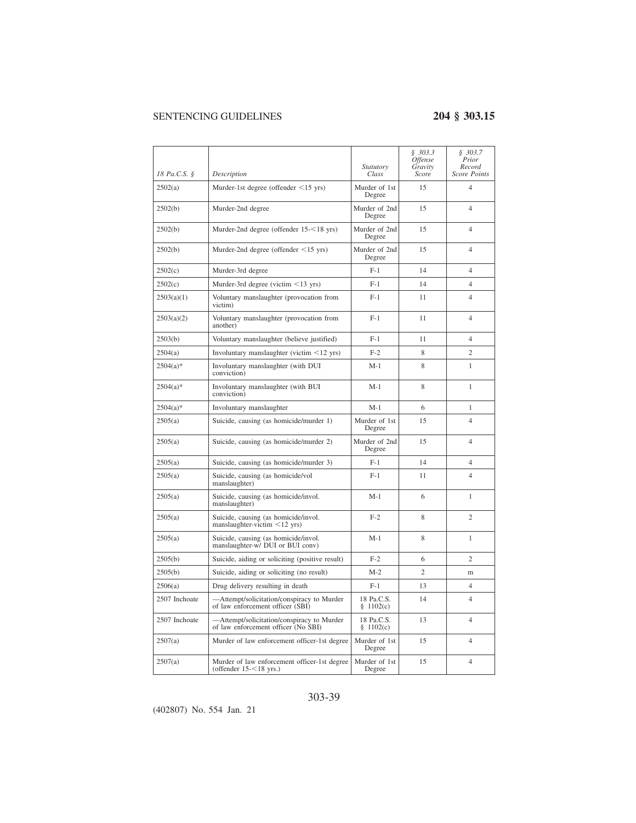| 18 Pa.C.S. §  | Description                                                                       | Statutory<br>Class      | \$303.3<br><i><b>Offense</b></i><br>Gravity<br>Score | \$303.7<br>Prior<br>Record<br><b>Score Points</b> |
|---------------|-----------------------------------------------------------------------------------|-------------------------|------------------------------------------------------|---------------------------------------------------|
| 2502(a)       | Murder-1st degree (offender $\leq$ 15 yrs)                                        | Murder of 1st<br>Degree | 15                                                   | 4                                                 |
| 2502(b)       | Murder-2nd degree                                                                 | Murder of 2nd<br>Degree | 15                                                   | $\overline{4}$                                    |
| 2502(b)       | Murder-2nd degree (offender 15-<18 yrs)                                           | Murder of 2nd<br>Degree | 15                                                   | $\overline{4}$                                    |
| 2502(b)       | Murder-2nd degree (offender <15 yrs)                                              | Murder of 2nd<br>Degree | 15                                                   | 4                                                 |
| 2502(c)       | Murder-3rd degree                                                                 | $F-1$                   | 14                                                   | $\overline{4}$                                    |
| 2502(c)       | Murder-3rd degree (victim $\leq$ 13 yrs)                                          | $F-1$                   | 14                                                   | $\overline{4}$                                    |
| 2503(a)(1)    | Voluntary manslaughter (provocation from<br>victim)                               | $F-1$                   | 11                                                   | 4                                                 |
| 2503(a)(2)    | Voluntary manslaughter (provocation from<br>another)                              | $F-1$                   | 11                                                   | $\overline{4}$                                    |
| 2503(b)       | Voluntary manslaughter (believe justified)                                        | $F-1$                   | 11                                                   | $\overline{4}$                                    |
| 2504(a)       | Involuntary manslaughter (victim $\leq$ 12 yrs)                                   | $F-2$                   | 8                                                    | $\overline{c}$                                    |
| $2504(a)*$    | Involuntary manslaughter (with DUI<br>conviction)                                 | M-1                     | 8                                                    | 1                                                 |
| $2504(a)$ *   | Involuntary manslaughter (with BUI<br>conviction)                                 | $M-1$                   | 8                                                    | 1                                                 |
| $2504(a)$ *   | Involuntary manslaughter                                                          | $M-1$                   | 6                                                    | 1                                                 |
| 2505(a)       | Suicide, causing (as homicide/murder 1)                                           | Murder of 1st<br>Degree | 15                                                   | $\overline{4}$                                    |
| 2505(a)       | Suicide, causing (as homicide/murder 2)                                           | Murder of 2nd<br>Degree | 15                                                   | $\overline{4}$                                    |
| 2505(a)       | Suicide, causing (as homicide/murder 3)                                           | $F-1$                   | 14                                                   | 4                                                 |
| 2505(a)       | Suicide, causing (as homicide/vol<br>manslaughter)                                | $F-1$                   | 11                                                   | $\overline{4}$                                    |
| 2505(a)       | Suicide, causing (as homicide/invol.<br>manslaughter)                             | $M-1$                   | 6                                                    | $\mathbf{1}$                                      |
| 2505(a)       | Suicide, causing (as homicide/invol.<br>manslaughter-victim $\leq$ 12 yrs)        | $F-2$                   | 8                                                    | $\overline{c}$                                    |
| 2505(a)       | Suicide, causing (as homicide/invol.<br>manslaughter-w/ DUI or BUI conv)          | $M-1$                   | 8                                                    | $\mathbf{1}$                                      |
| 2505(b)       | Suicide, aiding or soliciting (positive result)                                   | $F-2$                   | 6                                                    | $\overline{c}$                                    |
| 2505(b)       | Suicide, aiding or soliciting (no result)                                         | $M-2$                   | $\overline{c}$                                       | m                                                 |
| 2506(a)       | Drug delivery resulting in death                                                  | $F-1$                   | 13                                                   | 4                                                 |
| 2507 Inchoate | -Attempt/solicitation/conspiracy to Murder<br>of law enforcement officer (SBI)    | 18 Pa.C.S.<br>\$1102(c) | 14                                                   | $\overline{4}$                                    |
| 2507 Inchoate | -Attempt/solicitation/conspiracy to Murder<br>of law enforcement officer (No SBI) | 18 Pa.C.S.<br>\$1102(c) | 13                                                   | 4                                                 |
| 2507(a)       | Murder of law enforcement officer-1st degree                                      | Murder of 1st<br>Degree | 15                                                   | $\overline{4}$                                    |
| 2507(a)       | Murder of law enforcement officer-1st degree<br>(offender $15 - 18$ yrs.)         | Murder of 1st<br>Degree | 15                                                   | $\overline{\mathcal{L}}$                          |

### 303-39

(402807) No. 554 Jan. 21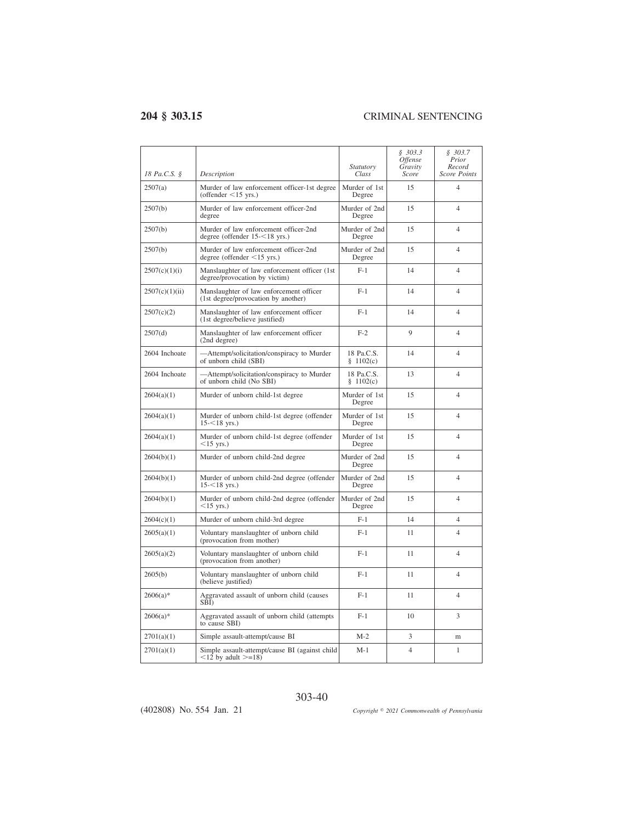| 18 Pa.C.S. §   | Description                                                                      | Statutory<br>Class        | \$303.3<br><i><b>Offense</b></i><br>Gravity<br>Score | \$303.7<br>Prior<br>Record<br><b>Score Points</b> |
|----------------|----------------------------------------------------------------------------------|---------------------------|------------------------------------------------------|---------------------------------------------------|
| 2507(a)        | Murder of law enforcement officer-1st degree<br>(offender $\leq$ 15 yrs.)        | Murder of 1st<br>Degree   | 15                                                   | $\overline{4}$                                    |
| 2507(b)        | Murder of law enforcement officer-2nd<br>degree                                  | Murder of 2nd<br>Degree   | 15                                                   | $\overline{4}$                                    |
| 2507(b)        | Murder of law enforcement officer-2nd<br>degree (offender $15 - 18$ yrs.)        | Murder of 2nd<br>Degree   | 15                                                   | $\overline{4}$                                    |
| 2507(b)        | Murder of law enforcement officer-2nd<br>degree (offender $\leq$ 15 yrs.)        | Murder of 2nd<br>Degree   | 15                                                   | $\overline{4}$                                    |
| 2507(c)(1)(i)  | Manslaughter of law enforcement officer (1st<br>degree/provocation by victim)    | $F-1$                     | 14                                                   | $\overline{4}$                                    |
| 2507(c)(1)(ii) | Manslaughter of law enforcement officer<br>(1st degree/provocation by another)   | $F-1$                     | 14                                                   | $\overline{4}$                                    |
| 2507(c)(2)     | Manslaughter of law enforcement officer<br>(1st degree/believe justified)        | $F-1$                     | 14                                                   | 4                                                 |
| 2507(d)        | Manslaughter of law enforcement officer<br>(2nd degree)                          | $F-2$                     | 9                                                    | $\overline{4}$                                    |
| 2604 Inchoate  | -Attempt/solicitation/conspiracy to Murder<br>of unborn child (SBI)              | 18 Pa.C.S.<br>§ 1102(c)   | 14                                                   | $\overline{\mathcal{L}}$                          |
| 2604 Inchoate  | -Attempt/solicitation/conspiracy to Murder<br>of unborn child (No SBI)           | 18 Pa.C.S.<br>§ $1102(c)$ | 13                                                   | $\overline{4}$                                    |
| 2604(a)(1)     | Murder of unborn child-1st degree                                                | Murder of 1st<br>Degree   | 15                                                   | 4                                                 |
| 2604(a)(1)     | Murder of unborn child-1st degree (offender<br>$15 - 18$ yrs.)                   | Murder of 1st<br>Degree   | 15                                                   | 4                                                 |
| 2604(a)(1)     | Murder of unborn child-1st degree (offender<br>$<15$ yrs.)                       | Murder of 1st<br>Degree   | 15                                                   | $\overline{4}$                                    |
| 2604(b)(1)     | Murder of unborn child-2nd degree                                                | Murder of 2nd<br>Degree   | 15                                                   | 4                                                 |
| 2604(b)(1)     | Murder of unborn child-2nd degree (offender<br>$15 - 18$ yrs.)                   | Murder of 2nd<br>Degree   | 15                                                   | $\overline{4}$                                    |
| 2604(b)(1)     | Murder of unborn child-2nd degree (offender<br>$<15$ yrs.)                       | Murder of 2nd<br>Degree   | 15                                                   | $\overline{4}$                                    |
| 2604(c)(1)     | Murder of unborn child-3rd degree                                                | $F-1$                     | 14                                                   | $\overline{4}$                                    |
| 2605(a)(1)     | Voluntary manslaughter of unborn child<br>(provocation from mother)              | $F-1$                     | 11                                                   | $\overline{4}$                                    |
| 2605(a)(2)     | Voluntary manslaughter of unborn child<br>(provocation from another)             | $F-1$                     | 11                                                   | $\overline{4}$                                    |
| 2605(b)        | Voluntary manslaughter of unborn child<br>(believe justified)                    | $F-1$                     | 11                                                   | $\overline{4}$                                    |
| $2606(a)*$     | Aggravated assault of unborn child (causes<br>SĒĪ)                               | $F-1$                     | 11                                                   | $\overline{4}$                                    |
| $2606(a)*$     | Aggravated assault of unborn child (attempts<br>to cause SBI)                    | $F-1$                     | 10                                                   | 3                                                 |
| 2701(a)(1)     | Simple assault-attempt/cause BI                                                  | $M-2$                     | 3                                                    | m                                                 |
| 2701(a)(1)     | Simple assault-attempt/cause BI (against child<br>$\leq$ 12 by adult $\geq$ =18) | $M-1$                     | $\overline{4}$                                       | $\mathbf{1}$                                      |

(402808) No. 554 Jan. 21

*2021 Commonwealth of Pennsylvania*

303-40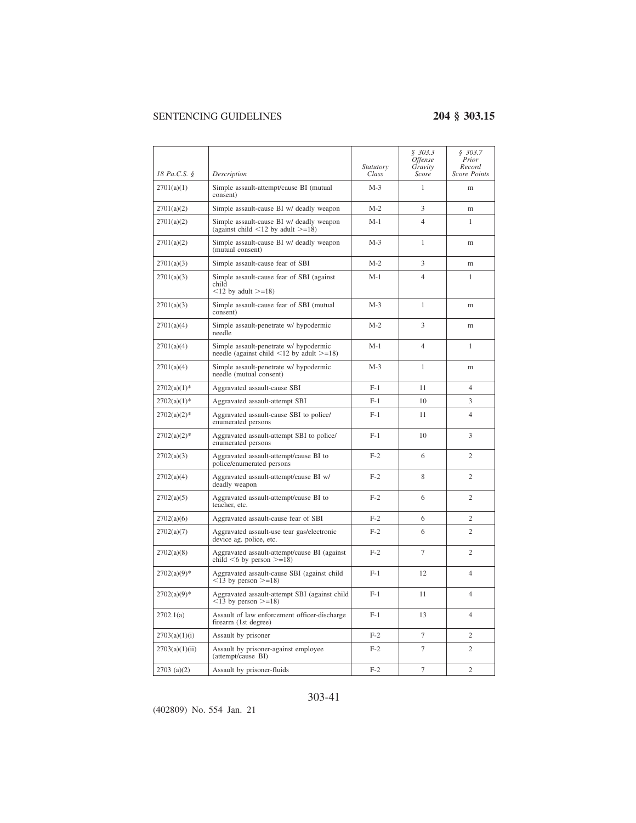|                |                                                                                                | <i>Statutory</i> | \$303.3<br><i><b>Offense</b></i><br>Gravity | \$303.7<br>Prior<br>Record |
|----------------|------------------------------------------------------------------------------------------------|------------------|---------------------------------------------|----------------------------|
| 18 Pa.C.S. §   | Description                                                                                    | Class            | Score                                       | Score Points               |
| 2701(a)(1)     | Simple assault-attempt/cause BI (mutual<br>consent)                                            | $M-3$            | 1                                           | m                          |
| 2701(a)(2)     | Simple assault-cause BI w/ deadly weapon                                                       | $M-2$            | 3                                           | m                          |
| 2701(a)(2)     | Simple assault-cause BI w/ deadly weapon<br>(against child $\leq$ 12 by adult $\geq$ =18)      | M-1              | $\overline{4}$                              | 1                          |
| 2701(a)(2)     | Simple assault-cause BI w/ deadly weapon<br>(mutual consent)                                   | $M-3$            | 1                                           | m                          |
| 2701(a)(3)     | Simple assault-cause fear of SBI                                                               | $M-2$            | 3                                           | m                          |
| 2701(a)(3)     | Simple assault-cause fear of SBI (against<br>child<br>$\leq$ 12 by adult $\geq$ =18)           | $M-1$            | $\overline{4}$                              | 1                          |
| 2701(a)(3)     | Simple assault-cause fear of SBI (mutual<br>consent)                                           | $M-3$            | 1                                           | m                          |
| 2701(a)(4)     | Simple assault-penetrate w/ hypodermic<br>needle                                               | $M-2$            | 3                                           | m                          |
| 2701(a)(4)     | Simple assault-penetrate w/ hypodermic<br>needle (against child $\leq$ 12 by adult $\geq$ =18) | $M-1$            | $\overline{4}$                              | 1                          |
| 2701(a)(4)     | Simple assault-penetrate w/ hypodermic<br>needle (mutual consent)                              | $M-3$            | 1                                           | m                          |
| $2702(a)(1)$ * | Aggravated assault-cause SBI                                                                   | $F-1$            | 11                                          | $\overline{4}$             |
| $2702(a)(1)$ * | Aggravated assault-attempt SBI                                                                 | $F-1$            | 10                                          | 3                          |
| $2702(a)(2)^*$ | Aggravated assault-cause SBI to police/<br>enumerated persons                                  | $F-1$            | 11                                          | $\overline{4}$             |
| $2702(a)(2)*$  | Aggravated assault-attempt SBI to police/<br>enumerated persons                                | $F-1$            | 10                                          | 3                          |
| 2702(a)(3)     | Aggravated assault-attempt/cause BI to<br>police/enumerated persons                            | $F-2$            | 6                                           | 2                          |
| 2702(a)(4)     | Aggravated assault-attempt/cause BI w/<br>deadly weapon                                        | $F-2$            | 8                                           | $\overline{2}$             |
| 2702(a)(5)     | Aggravated assault-attempt/cause BI to<br>teacher, etc.                                        | $F-2$            | 6                                           | $\overline{c}$             |
| 2702(a)(6)     | Aggravated assault-cause fear of SBI                                                           | $F-2$            | 6                                           | $\overline{2}$             |
| 2702(a)(7)     | Aggravated assault-use tear gas/electronic<br>device ag. police, etc.                          | $F-2$            | 6                                           | $\overline{c}$             |
| 2702(a)(8)     | Aggravated assault-attempt/cause BI (against<br>child $\leq 6$ by person $\geq = 18$ )         | $F-2$            | $\overline{7}$                              | $\overline{c}$             |
| $2702(a)(9)*$  | Aggravated assault-cause SBI (against child<br>$\leq$ 13 by person $\geq$ =18)                 | $F-1$            | 12                                          | $\overline{4}$             |
| $2702(a)(9)*$  | Aggravated assault-attempt SBI (against child<br>$<$ 13 by person $>=$ 18)                     | $F-1$            | 11                                          | $\overline{4}$             |
| 2702.1(a)      | Assault of law enforcement officer-discharge<br>firearm (1st degree)                           | $F-1$            | 13                                          | $\overline{4}$             |
| 2703(a)(1)(i)  | Assault by prisoner                                                                            | $F-2$            | $\overline{7}$                              | $\mathfrak{2}$             |
| 2703(a)(1)(ii) | Assault by prisoner-against employee<br>(attempt/cause BI)                                     | $F-2$            | $\overline{7}$                              | $\overline{c}$             |
| $2703$ (a)(2)  | Assault by prisoner-fluids                                                                     | $F-2$            | 7                                           | $\overline{2}$             |

### 303-41

(402809) No. 554 Jan. 21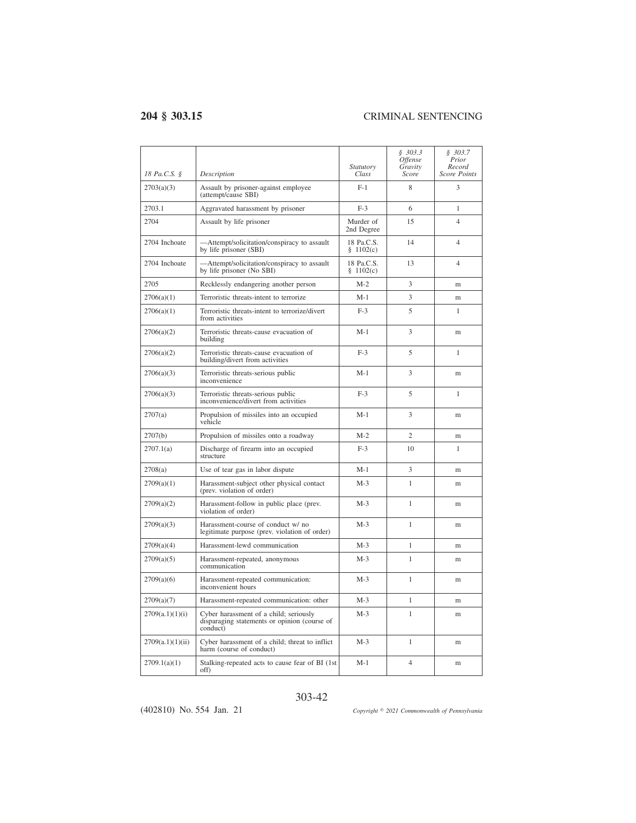| 18 Pa.C.S. §     | Description                                                                                        | <i>Statutory</i><br>Class | \$303.3<br><i><b>Offense</b></i><br>Gravity<br>Score | \$303.7<br>Prior<br>Record<br><b>Score Points</b> |
|------------------|----------------------------------------------------------------------------------------------------|---------------------------|------------------------------------------------------|---------------------------------------------------|
| 2703(a)(3)       | Assault by prisoner-against employee<br>(attempt/cause SBI)                                        | $F-1$                     | 8                                                    | 3                                                 |
| 2703.1           | Aggravated harassment by prisoner                                                                  | $F-3$                     | 6                                                    | 1                                                 |
| 2704             | Assault by life prisoner                                                                           | Murder of<br>2nd Degree   | 15                                                   | $\overline{4}$                                    |
| 2704 Inchoate    | -Attempt/solicitation/conspiracy to assault<br>by life prisoner (SBI)                              | 18 Pa.C.S.<br>\$1102(c)   | 14                                                   | $\overline{4}$                                    |
| 2704 Inchoate    | -Attempt/solicitation/conspiracy to assault<br>by life prisoner (No SBI)                           | 18 Pa.C.S.<br>\$1102(c)   | 13                                                   | $\overline{4}$                                    |
| 2705             | Recklessly endangering another person                                                              | $M-2$                     | 3                                                    | m                                                 |
| 2706(a)(1)       | Terroristic threats-intent to terrorize                                                            | $M-1$                     | 3                                                    | m                                                 |
| 2706(a)(1)       | Terroristic threats-intent to terrorize/divert<br>from activities                                  | $F-3$                     | 5                                                    | 1                                                 |
| 2706(a)(2)       | Terroristic threats-cause evacuation of<br>building                                                | $M-1$                     | 3                                                    | m                                                 |
| 2706(a)(2)       | Terroristic threats-cause evacuation of<br>building/divert from activities                         | $F-3$                     | 5                                                    | 1                                                 |
| 2706(a)(3)       | Terroristic threats-serious public<br>inconvenience                                                | $M-1$                     | 3                                                    | m                                                 |
| 2706(a)(3)       | Terroristic threats-serious public<br>inconvenience/divert from activities                         | $F-3$                     | 5                                                    | 1                                                 |
| 2707(a)          | Propulsion of missiles into an occupied<br>vehicle                                                 | $M-1$                     | 3                                                    | m                                                 |
| 2707(b)          | Propulsion of missiles onto a roadway                                                              | $M-2$                     | $\overline{2}$                                       | m                                                 |
| 2707.1(a)        | Discharge of firearm into an occupied<br>structure                                                 | $F-3$                     | 10                                                   | 1                                                 |
| 2708(a)          | Use of tear gas in labor dispute                                                                   | $M-1$                     | 3                                                    | m                                                 |
| 2709(a)(1)       | Harassment-subject other physical contact<br>(prev. violation of order)                            | $M-3$                     | 1                                                    | m                                                 |
| 2709(a)(2)       | Harassment-follow in public place (prev.<br>violation of order)                                    | $M-3$                     | 1                                                    | m                                                 |
| 2709(a)(3)       | Harassment-course of conduct w/ no<br>legitimate purpose (prev. violation of order)                | $M-3$                     | 1                                                    | m                                                 |
| 2709(a)(4)       | Harassment-lewd communication                                                                      | $M-3$                     | $\mathbf{1}$                                         | m                                                 |
| 2709(a)(5)       | Harassment-repeated, anonymous<br>communication                                                    | $M-3$                     | 1                                                    | m                                                 |
| 2709(a)(6)       | Harassment-repeated communication:<br>inconvenient hours                                           | $M-3$                     | $\mathbf{1}$                                         | m                                                 |
| 2709(a)(7)       | Harassment-repeated communication: other                                                           | $M-3$                     | $\mathbf{1}$                                         | m                                                 |
| 2709(a.1)(1)(i)  | Cyber harassment of a child; seriously<br>disparaging statements or opinion (course of<br>conduct) | $M-3$                     | 1                                                    | m                                                 |
| 2709(a.1)(1)(ii) | Cyber harassment of a child; threat to inflict<br>harm (course of conduct)                         | $M-3$                     | $\mathbf{1}$                                         | m                                                 |
| 2709.1(a)(1)     | Stalking-repeated acts to cause fear of BI (1st)<br>off)                                           | $M-1$                     | $\overline{4}$                                       | m                                                 |

### 303-42

(402810) No. 554 Jan. 21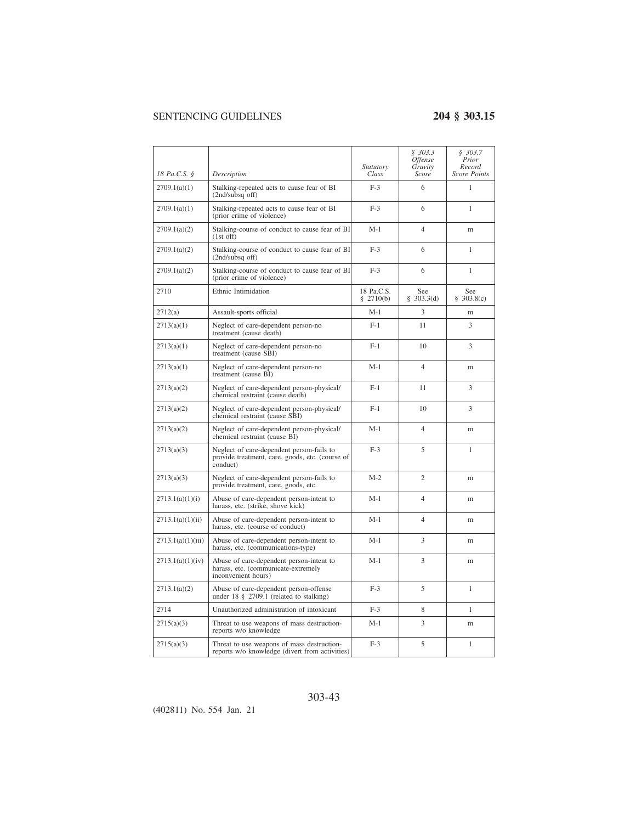|                   |                                                                                                          | Statutory                 | \$303.3<br>Offense<br>Gravity | \$303.7<br>Prior<br>Record |
|-------------------|----------------------------------------------------------------------------------------------------------|---------------------------|-------------------------------|----------------------------|
| 18 Pa.C.S. §      | Description                                                                                              | Class                     | Score                         | Score Points               |
| 2709.1(a)(1)      | Stalking-repeated acts to cause fear of BI<br>(2nd/subsq off)                                            | $F-3$                     | 6                             | 1                          |
| 2709.1(a)(1)      | Stalking-repeated acts to cause fear of BI<br>(prior crime of violence)                                  | $F-3$                     | 6                             | 1                          |
| 2709.1(a)(2)      | Stalking-course of conduct to cause fear of BI<br>$(1st$ off)                                            | $M-1$                     | $\overline{4}$                | m                          |
| 2709.1(a)(2)      | Stalking-course of conduct to cause fear of BI<br>(2nd/subsq off)                                        | $F-3$                     | 6                             | 1                          |
| 2709.1(a)(2)      | Stalking-course of conduct to cause fear of BI<br>(prior crime of violence)                              | $F-3$                     | 6                             | 1                          |
| 2710              | Ethnic Intimidation                                                                                      | 18 Pa.C.S.<br>§ $2710(b)$ | See<br>§ 303.3(d)             | See<br>§ 303.8(c)          |
| 2712(a)           | Assault-sports official                                                                                  | $M-1$                     | 3                             | m                          |
| 2713(a)(1)        | Neglect of care-dependent person-no<br>treatment (cause death)                                           | $F-1$                     | 11                            | 3                          |
| 2713(a)(1)        | Neglect of care-dependent person-no<br>treatment (cause SBI)                                             | $F-1$                     | 10                            | 3                          |
| 2713(a)(1)        | Neglect of care-dependent person-no<br>treatment (cause BI)                                              | $M-1$                     | $\overline{4}$                | m                          |
| 2713(a)(2)        | Neglect of care-dependent person-physical/<br>chemical restraint (cause death)                           | $F-1$                     | 11                            | 3                          |
| 2713(a)(2)        | Neglect of care-dependent person-physical/<br>chemical restraint (cause SBI)                             | $F-1$                     | 10                            | 3                          |
| 2713(a)(2)        | Neglect of care-dependent person-physical/<br>chemical restraint (cause BI)                              | $M-1$                     | $\overline{4}$                | m                          |
| 2713(a)(3)        | Neglect of care-dependent person-fails to<br>provide treatment, care, goods, etc. (course of<br>conduct) | $F-3$                     | 5                             | 1                          |
| 2713(a)(3)        | Neglect of care-dependent person-fails to<br>provide treatment, care, goods, etc.                        | $M-2$                     | $\overline{2}$                | m                          |
| 2713.1(a)(1)(i)   | Abuse of care-dependent person-intent to<br>harass, etc. (strike, shove kick)                            | $M-1$                     | $\overline{4}$                | m                          |
| 2713.1(a)(1)(ii)  | Abuse of care-dependent person-intent to<br>harass, etc. (course of conduct)                             | $M-1$                     | $\overline{4}$                | m                          |
| 2713.1(a)(1)(iii) | Abuse of care-dependent person-intent to<br>harass, etc. (communications-type)                           | $M-1$                     | 3                             | m                          |
| 2713.1(a)(1)(iv)  | Abuse of care-dependent person-intent to<br>harass, etc. (communicate-extremely<br>inconvenient hours)   | $M-1$                     | 3                             | m                          |
| 2713.1(a)(2)      | Abuse of care-dependent person-offense<br>under $18 \t{S}$ 2709.1 (related to stalking)                  | $F-3$                     | 5                             | $\mathbf{1}$               |
| 2714              | Unauthorized administration of intoxicant                                                                | $F-3$                     | 8                             | $\mathbf{1}$               |
| 2715(a)(3)        | Threat to use weapons of mass destruction-<br>reports w/o knowledge                                      | $M-1$                     | 3                             | m                          |
| 2715(a)(3)        | Threat to use weapons of mass destruction-<br>reports w/o knowledge (divert from activities)             | $F-3$                     | 5                             | $\mathbf{1}$               |

### 303-43

(402811) No. 554 Jan. 21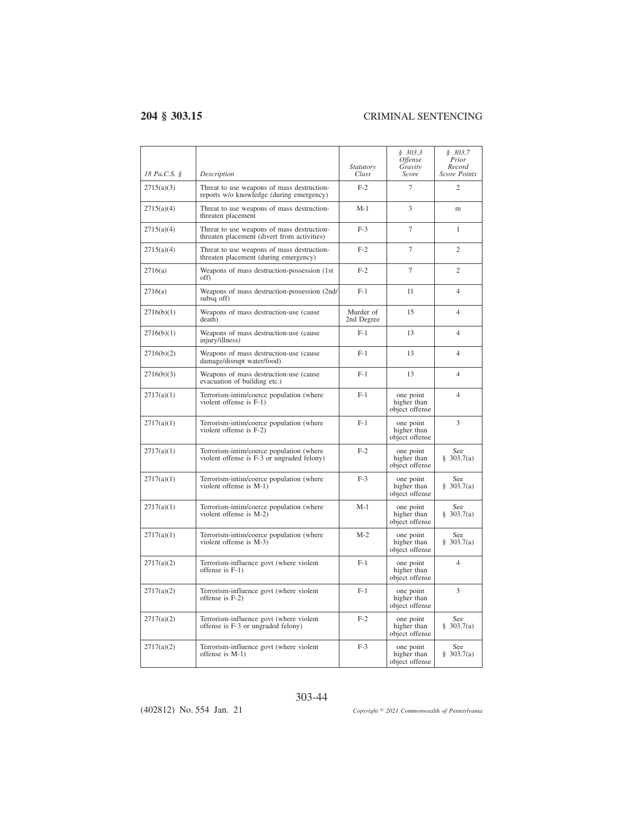| 18 Pa.C.S. § | Description                                                                               | <i>Statutory</i><br>Class | § 303.3<br><i><b>Offense</b></i><br>Gravity<br>Score | \$303.7<br>Prior<br>Record<br><b>Score Points</b> |
|--------------|-------------------------------------------------------------------------------------------|---------------------------|------------------------------------------------------|---------------------------------------------------|
| 2715(a)(3)   | Threat to use weapons of mass destruction-<br>reports w/o knowledge (during emergency)    | $F-2$                     | $\overline{7}$                                       | $\overline{c}$                                    |
| 2715(a)(4)   | Threat to use weapons of mass destruction-<br>threaten placement                          | $M-1$                     | 3                                                    | m                                                 |
| 2715(a)(4)   | Threat to use weapons of mass destruction-<br>threaten placement (divert from activities) | $F-3$                     | $\tau$                                               | 1                                                 |
| 2715(a)(4)   | Threat to use weapons of mass destruction-<br>threaten placement (during emergency)       | $F-2$                     | $\overline{7}$                                       | $\overline{c}$                                    |
| 2716(a)      | Weapons of mass destruction-possession (1st<br>off)                                       | $F-2$                     | $\overline{7}$                                       | $\overline{c}$                                    |
| 2716(a)      | Weapons of mass destruction-possession (2nd/<br>subsq off)                                | $F-1$                     | 11                                                   | $\overline{\mathcal{L}}$                          |
| 2716(b)(1)   | Weapons of mass destruction-use (cause<br>death)                                          | Murder of<br>2nd Degree   | 15                                                   | 4                                                 |
| 2716(b)(1)   | Weapons of mass destruction-use (cause<br>injury/illness)                                 | $F-1$                     | 13                                                   | $\overline{4}$                                    |
| 2716(b)(2)   | Weapons of mass destruction-use (cause<br>damage/disrupt water/food)                      | $F-1$                     | 13                                                   | $\overline{4}$                                    |
| 2716(b)(3)   | Weapons of mass destruction-use (cause<br>evacuation of building etc.)                    | $F-1$                     | 13                                                   | $\overline{4}$                                    |
| 2717(a)(1)   | Terrorism-intim/coerce population (where<br>violent offense is F-1)                       | $F-1$                     | one point<br>higher than<br>object offense           | $\overline{4}$                                    |
| 2717(a)(1)   | Terrorism-intim/coerce population (where<br>violent offense is F-2)                       | $F-1$                     | one point<br>higher than<br>object offense           | 3                                                 |
| 2717(a)(1)   | Terrorism-intim/coerce population (where<br>violent offense is F-3 or ungraded felony)    | $F-2$                     | one point<br>higher than<br>object offense           | See<br>\$303.7(a)                                 |
| 2717(a)(1)   | Terrorism-intim/coerce population (where<br>violent offense is M-1)                       | $F-3$                     | one point<br>higher than<br>object offense           | See<br>\$303.7(a)                                 |
| 2717(a)(1)   | Terrorism-intim/coerce population (where<br>violent offense is M-2)                       | $M-1$                     | one point<br>higher than<br>object offense           | See<br>\$303.7(a)                                 |
| 2717(a)(1)   | Terrorism-intim/coerce population (where<br>violent offense is M-3)                       | $M-2$                     | one point<br>higher than<br>object offense           | See<br>\$303.7(a)                                 |
| 2717(a)(2)   | Terrorism-influence govt (where violent<br>offense is $F-1$ )                             | $F-1$                     | one point<br>higher than<br>object offense           | 4                                                 |
| 2717(a)(2)   | Terrorism-influence govt (where violent<br>offense is $F-2$ )                             | $F-1$                     | one point<br>higher than<br>object offense           | 3                                                 |
| 2717(a)(2)   | Terrorism-influence govt (where violent<br>offense is F-3 or ungraded felony)             | $F-2$                     | one point<br>higher than<br>object offense           | See<br>\$303.7(a)                                 |
| 2717(a)(2)   | Terrorism-influence govt (where violent<br>offense is M-1)                                | $F-3$                     | one point<br>higher than<br>object offense           | See<br>§ 303.7(a)                                 |

(402812) No. 554 Jan. 21

303-44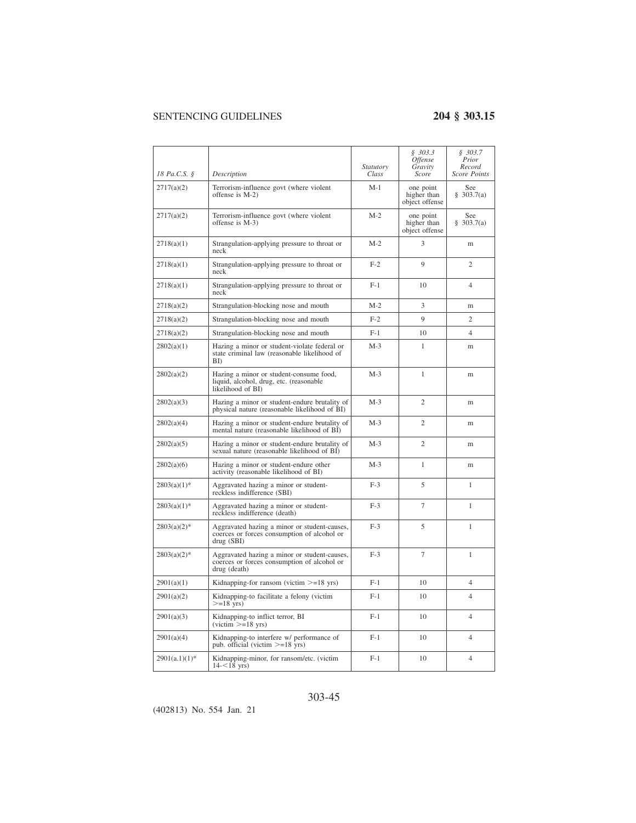| 18 Pa.C.S. §     | Description                                                                                                 | <i>Statutory</i><br>Class | \$303.3<br><i><b>Offense</b></i><br>Gravity<br><b>Score</b> | \$303.7<br>Prior<br>Record<br><b>Score Points</b> |
|------------------|-------------------------------------------------------------------------------------------------------------|---------------------------|-------------------------------------------------------------|---------------------------------------------------|
| 2717(a)(2)       | Terrorism-influence govt (where violent<br>offense is M-2)                                                  | $M-1$                     | one point<br>higher than<br>object offense                  | See<br>\$303.7(a)                                 |
| 2717(a)(2)       | Terrorism-influence govt (where violent<br>offense is M-3)                                                  | $M-2$                     | one point<br>higher than<br>object offense                  | See<br>\$303.7(a)                                 |
| 2718(a)(1)       | Strangulation-applying pressure to throat or<br>neck                                                        | $M-2$                     | 3                                                           | m                                                 |
| 2718(a)(1)       | Strangulation-applying pressure to throat or<br>neck                                                        | $F-2$                     | 9                                                           | $\overline{c}$                                    |
| 2718(a)(1)       | Strangulation-applying pressure to throat or<br>neck                                                        | $F-1$                     | 10                                                          | $\overline{4}$                                    |
| 2718(a)(2)       | Strangulation-blocking nose and mouth                                                                       | $M-2$                     | 3                                                           | m                                                 |
| 2718(a)(2)       | Strangulation-blocking nose and mouth                                                                       | $F-2$                     | 9                                                           | $\overline{c}$                                    |
| 2718(a)(2)       | Strangulation-blocking nose and mouth                                                                       | $F-1$                     | 10                                                          | $\overline{4}$                                    |
| 2802(a)(1)       | Hazing a minor or student-violate federal or<br>state criminal law (reasonable likelihood of<br>BD          | $M-3$                     | 1                                                           | m                                                 |
| 2802(a)(2)       | Hazing a minor or student-consume food,<br>liquid, alcohol, drug, etc. (reasonable<br>likelihood of BI)     | $M-3$                     | 1                                                           | m                                                 |
| 2802(a)(3)       | Hazing a minor or student-endure brutality of<br>physical nature (reasonable likelihood of BI)              | $M-3$                     | $\overline{c}$                                              | m                                                 |
| 2802(a)(4)       | Hazing a minor or student-endure brutality of<br>mental nature (reasonable likelihood of BI)                | $M-3$                     | $\overline{c}$                                              | m                                                 |
| 2802(a)(5)       | Hazing a minor or student-endure brutality of<br>sexual nature (reasonable likelihood of BI)                | $M-3$                     | $\overline{c}$                                              | m                                                 |
| 2802(a)(6)       | Hazing a minor or student-endure other<br>activity (reasonable likelihood of BI)                            | $M-3$                     | $\mathbf{1}$                                                | m                                                 |
| $2803(a)(1)$ *   | Aggravated hazing a minor or student-<br>reckless indifference (SBI)                                        | $F-3$                     | 5                                                           | 1                                                 |
| $2803(a)(1)$ *   | Aggravated hazing a minor or student-<br>reckless indifference (death)                                      | $F-3$                     | 7                                                           | 1                                                 |
| $2803(a)(2)$ *   | Aggravated hazing a minor or student-causes,<br>coerces or forces consumption of alcohol or<br>drug (SBI)   | $F-3$                     | 5                                                           | 1                                                 |
| $2803(a)(2)$ *   | Aggravated hazing a minor or student-causes,<br>coerces or forces consumption of alcohol or<br>drug (death) | $F-3$                     | 7                                                           | $\mathbf{1}$                                      |
| 2901(a)(1)       | Kidnapping-for ransom (victim $>=18$ yrs)                                                                   | $F-1$                     | 10                                                          | 4                                                 |
| 2901(a)(2)       | Kidnapping-to facilitate a felony (victim<br>$>=18$ yrs)                                                    | $F-1$                     | 10                                                          | $\overline{4}$                                    |
| 2901(a)(3)       | Kidnapping-to inflict terror, BI<br>$(victim \ge = 18 \text{ yrs})$                                         | $F-1$                     | 10                                                          | $\overline{4}$                                    |
| 2901(a)(4)       | Kidnapping-to interfere w/ performance of<br>pub. official (victim $>=18$ yrs)                              | $F-1$                     | 10                                                          | 4                                                 |
| $2901(a.1)(1)$ * | Kidnapping-minor, for ransom/etc. (victim<br>$14 - 18$ yrs)                                                 | $F-1$                     | 10                                                          | $\overline{4}$                                    |

### 303-45

(402813) No. 554 Jan. 21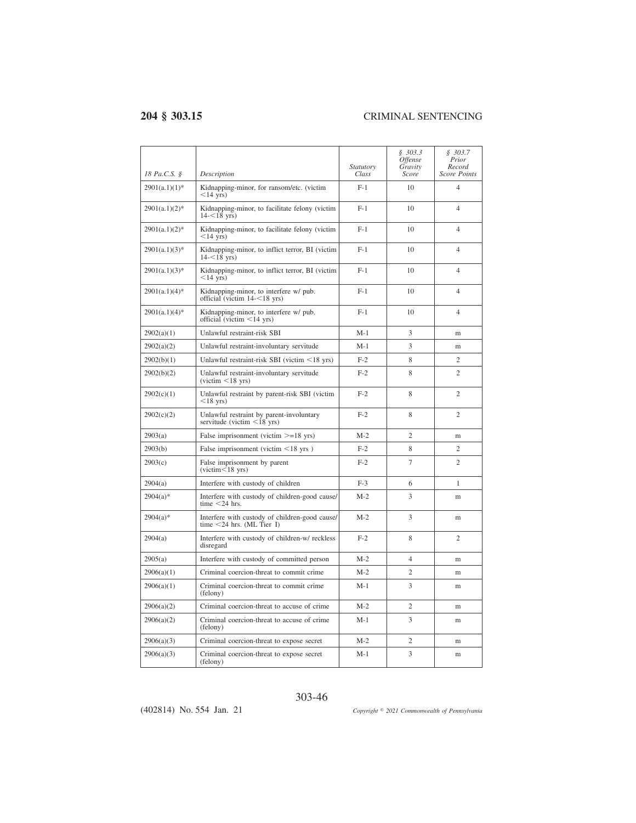$\overline{a}$ 

| 18 Pa.C.S. §     | Description                                                                                         | <i>Statutory</i><br>Class | \$303.3<br>Offense<br>Gravity<br>Score | \$303.7<br>Prior<br>Record<br>Score Points |
|------------------|-----------------------------------------------------------------------------------------------------|---------------------------|----------------------------------------|--------------------------------------------|
| $2901(a.1)(1)$ * | Kidnapping-minor, for ransom/etc. (victim<br>$<$ 14 yrs)                                            | $F-1$                     | 10                                     | $\overline{\mathcal{L}}$                   |
| $2901(a.1)(2)$ * | Kidnapping-minor, to facilitate felony (victim<br>$14 - 18$ yrs)                                    | $F-1$                     | 10                                     | 4                                          |
| $2901(a.1)(2)*$  | Kidnapping-minor, to facilitate felony (victim<br>$<$ 14 yrs)                                       | $F-1$                     | 10                                     | $\overline{4}$                             |
| $2901(a.1)(3)*$  | Kidnapping-minor, to inflict terror, BI (victim<br>$14 - 18$ yrs)                                   | $F-1$                     | 10                                     | $\overline{4}$                             |
| $2901(a.1)(3)$ * | Kidnapping-minor, to inflict terror, BI (victim<br>$<$ 14 vrs)                                      | $F-1$                     | 10                                     | 4                                          |
| 2901(a.1)(4)*    | Kidnapping-minor, to interfere w/ pub.<br>official (victim $14 - 18$ yrs)                           | $F-1$                     | 10                                     | $\overline{4}$                             |
| $2901(a.1)(4)$ * | Kidnapping-minor, to interfere w/ pub.<br>official (victim $\leq$ 14 yrs)                           | $F-1$                     | 10                                     | $\overline{4}$                             |
| 2902(a)(1)       | Unlawful restraint-risk SBI                                                                         | $M-1$                     | 3                                      | m                                          |
| 2902(a)(2)       | Unlawful restraint-involuntary servitude                                                            | $M-1$                     | 3                                      | m                                          |
| 2902(b)(1)       | Unlawful restraint-risk SBI (victim $\leq$ 18 yrs)                                                  | $F-2$                     | 8                                      | $\overline{c}$                             |
| 2902(b)(2)       | Unlawful restraint-involuntary servitude<br>$(victim < 18$ yrs)                                     | $F-2$                     | 8                                      | $\overline{c}$                             |
| 2902(c)(1)       | Unlawful restraint by parent-risk SBI (victim<br>$<$ 18 yrs)                                        | $F-2$                     | 8                                      | $\overline{c}$                             |
| 2902(c)(2)       | Unlawful restraint by parent-involuntary<br>servitude (victim $\langle 18^\circ \text{yrs} \rangle$ | $F-2$                     | 8                                      | $\overline{c}$                             |
| 2903(a)          | False imprisonment (victim $>=18$ yrs)                                                              | $M-2$                     | $\overline{c}$                         | m                                          |
| 2903(b)          | False imprisonment (victim $\leq 18$ yrs)                                                           | $F-2$                     | 8                                      | $\overline{c}$                             |
| 2903(c)          | False imprisonment by parent<br>$(victim<18$ yrs)                                                   | $F-2$                     | 7                                      | $\overline{c}$                             |
| 2904(a)          | Interfere with custody of children                                                                  | $F-3$                     | 6                                      | 1                                          |
| $2904(a)*$       | Interfere with custody of children-good cause/<br>time $<$ 24 hrs.                                  | $M-2$                     | 3                                      | m                                          |
| $2904(a)*$       | Interfere with custody of children-good cause/<br>time $<$ 24 hrs. (ML Tier I)                      | $M-2$                     | 3                                      | m                                          |
| 2904(a)          | Interfere with custody of children-w/ reckless<br>disregard                                         | $F-2$                     | 8                                      | $\overline{c}$                             |
| 2905(a)          | Interfere with custody of committed person                                                          | $M-2$                     | $\overline{4}$                         | m                                          |
| 2906(a)(1)       | Criminal coercion-threat to commit crime                                                            | $M-2$                     | $\overline{c}$                         | m                                          |
| 2906(a)(1)       | Criminal coercion-threat to commit crime<br>(felony)                                                | $M-1$                     | 3                                      | m                                          |
| 2906(a)(2)       | Criminal coercion-threat to accuse of crime                                                         | $M-2$                     | $\overline{c}$                         | m                                          |
| 2906(a)(2)       | Criminal coercion-threat to accuse of crime<br>(felony)                                             | $M-1$                     | 3                                      | m                                          |
| 2906(a)(3)       | Criminal coercion-threat to expose secret                                                           | $M-2$                     | $\overline{c}$                         | m                                          |
| 2906(a)(3)       | Criminal coercion-threat to expose secret<br>(felony)                                               | $M-1$                     | 3                                      | m                                          |

### 303-46

(402814) No. 554 Jan. 21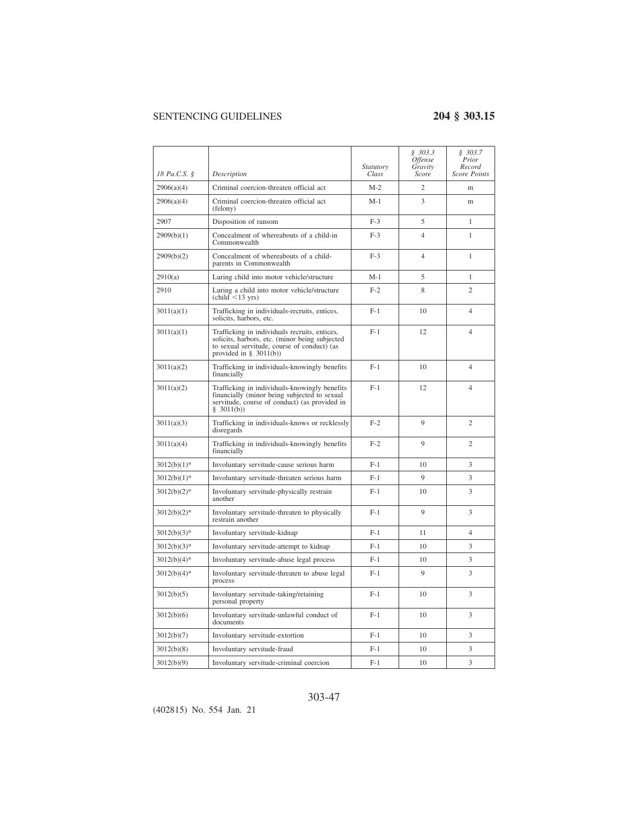|                |                                                                                                                                                                             | <b>Statutory</b> | \$303.3\$<br>Offense<br>Gravity | \$303.7<br>Prior<br>Record |
|----------------|-----------------------------------------------------------------------------------------------------------------------------------------------------------------------------|------------------|---------------------------------|----------------------------|
| 18 Pa.C.S. §   | Description                                                                                                                                                                 | Class            | Score                           | <b>Score Points</b>        |
| 2906(a)(4)     | Criminal coercion-threaten official act                                                                                                                                     | $M-2$            | $\overline{2}$                  | m                          |
| 2906(a)(4)     | Criminal coercion-threaten official act<br>(felony)                                                                                                                         | M-1              | 3                               | m                          |
| 2907           | Disposition of ransom                                                                                                                                                       | $F-3$            | 5                               | $\mathbf{1}$               |
| 2909(b)(1)     | Concealment of whereabouts of a child-in<br>Commonwealth                                                                                                                    | $F-3$            | 4                               | 1                          |
| 2909(b)(2)     | Concealment of whereabouts of a child-<br>parents in Commonwealth                                                                                                           | $F-3$            | $\overline{4}$                  | $\mathbf{1}$               |
| 2910(a)        | Luring child into motor vehicle/structure                                                                                                                                   | $M-1$            | 5                               | $\mathbf{1}$               |
| 2910           | Luring a child into motor vehicle/structure<br>$\left(\text{child} < 13 \text{ yrs}\right)$                                                                                 | $F-2$            | 8                               | $\mathfrak{D}$             |
| 3011(a)(1)     | Trafficking in individuals-recruits, entices,<br>solicits, harbors, etc.                                                                                                    | $F-1$            | 10                              | $\overline{4}$             |
| 3011(a)(1)     | Trafficking in individuals recruits, entices,<br>solicits, harbors, etc. (minor being subjected<br>to sexual servitude, course of conduct) (as<br>provided in § $3011(b)$ ) | $F-1$            | 12                              | $\overline{4}$             |
| 3011(a)(2)     | Trafficking in individuals-knowingly benefits<br>financially                                                                                                                | $F-1$            | 10                              | $\overline{4}$             |
| 3011(a)(2)     | Trafficking in individuals-knowingly benefits<br>financially (minor being subjected to sexual<br>servitude, course of conduct) (as provided in<br>\$3011(b))                | $F-1$            | 12                              | $\overline{4}$             |
| 3011(a)(3)     | Trafficking in individuals-knows or recklessly<br>disregards                                                                                                                | $F-2$            | 9                               | $\overline{c}$             |
| 3011(a)(4)     | Trafficking in individuals-knowingly benefits<br>financially                                                                                                                | $F-2$            | 9                               | $\overline{c}$             |
| $3012(b)(1)^*$ | Involuntary servitude-cause serious harm                                                                                                                                    | $F-1$            | 10                              | 3                          |
| $3012(b)(1)$ * | Involuntary servitude-threaten serious harm                                                                                                                                 | $F-1$            | 9                               | 3                          |
| $3012(b)(2)^*$ | Involuntary servitude-physically restrain<br>another                                                                                                                        | $F-1$            | 10                              | 3                          |
| $3012(b)(2)^*$ | Involuntary servitude-threaten to physically<br>restrain another                                                                                                            | $F-1$            | 9                               | 3                          |
| $3012(b)(3)*$  | Involuntary servitude-kidnap                                                                                                                                                | $F-1$            | 11                              | $\overline{4}$             |
| $3012(b)(3)*$  | Involuntary servitude-attempt to kidnap                                                                                                                                     | $F-1$            | 10                              | 3                          |
| $3012(b)(4)*$  | Involuntary servitude-abuse legal process                                                                                                                                   | $F-1$            | 10                              | 3                          |
| $3012(b)(4)$ * | Involuntary servitude-threaten to abuse legal<br>process                                                                                                                    | $F-1$            | 9                               | 3                          |
| 3012(b)(5)     | Involuntary servitude-taking/retaining<br>personal property                                                                                                                 | $F-1$            | 10                              | 3                          |
| 3012(b)(6)     | Involuntary servitude-unlawful conduct of<br>documents                                                                                                                      | $F-1$            | 10                              | 3                          |
| 3012(b)(7)     | Involuntary servitude-extortion                                                                                                                                             | $F-1$            | 10                              | 3                          |
| 3012(b)(8)     | Involuntary servitude-fraud                                                                                                                                                 | $F-1$            | 10                              | 3                          |
| 3012(b)(9)     | Involuntary servitude-criminal coercion                                                                                                                                     | $F-1$            | 10                              | 3                          |

### 303-47

(402815) No. 554 Jan. 21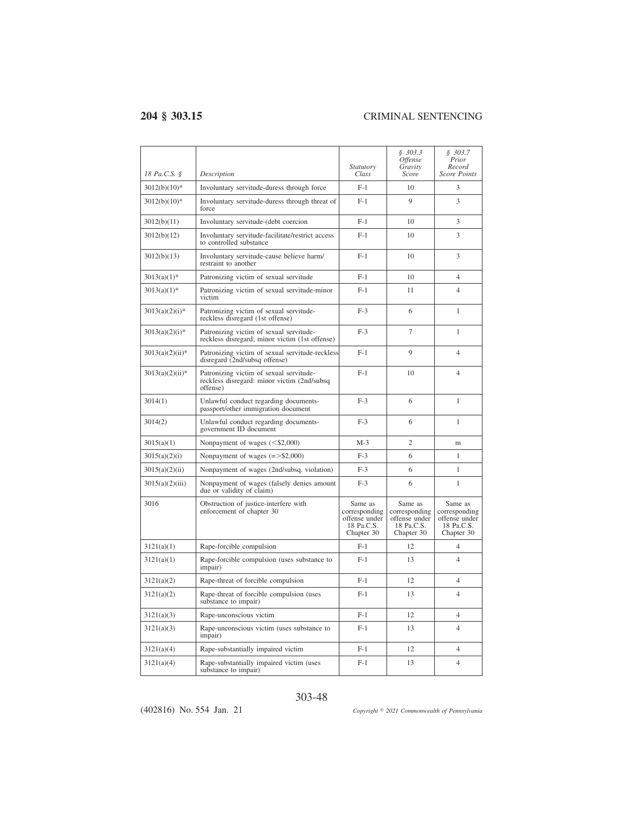| 18 Pa.C.S. §      | Description                                                                                        | <i>Statutory</i><br>Class                                             | \$303.3<br><i><b>Offense</b></i><br>Gravity<br>Score                  | \$303.7<br>Prior<br>Record<br>Score Points                            |
|-------------------|----------------------------------------------------------------------------------------------------|-----------------------------------------------------------------------|-----------------------------------------------------------------------|-----------------------------------------------------------------------|
| $3012(b)(10)*$    | Involuntary servitude-duress through force                                                         | $F-1$                                                                 | 10                                                                    | 3                                                                     |
| $3012(b)(10)*$    | Involuntary servitude-duress through threat of<br>force                                            | $F-1$                                                                 | 9                                                                     | 3                                                                     |
| 3012(b)(11)       | Involuntary servitude-(debt coercion                                                               | $F-1$                                                                 | 10                                                                    | 3                                                                     |
| 3012(b)(12)       | Involuntary servitude-facilitate/restrict access<br>to controlled substance                        | $F-1$                                                                 | 10                                                                    | 3                                                                     |
| 3012(b)(13)       | Involuntary servitude-cause believe harm/<br>restraint to another                                  | $F-1$                                                                 | 10                                                                    | 3                                                                     |
| $3013(a)(1)$ *    | Patronizing victim of sexual servitude                                                             | $F-1$                                                                 | 10                                                                    | $\overline{4}$                                                        |
| $3013(a)(1)$ *    | Patronizing victim of sexual servitude-minor<br>victim                                             | $F-1$                                                                 | 11                                                                    | $\overline{4}$                                                        |
| $3013(a)(2)(i)$ * | Patronizing victim of sexual servitude-<br>reckless disregard (1st offense)                        | $F-3$                                                                 | 6                                                                     | $\mathbf{1}$                                                          |
| $3013(a)(2)(i)*$  | Patronizing victim of sexual servitude-<br>reckless disregard; minor victim (1st offense)          | $F-3$                                                                 | 7                                                                     | 1                                                                     |
| $3013(a)(2)(ii)*$ | Patronizing victim of sexual servitude-reckless<br>disregard (2nd/subsq offense)                   | $F-1$                                                                 | 9                                                                     | $\overline{4}$                                                        |
| $3013(a)(2)(ii)*$ | Patronizing victim of sexual servitude-<br>reckless disregard: minor victim (2nd/subsq<br>offense) | $F-1$                                                                 | 10                                                                    | $\overline{4}$                                                        |
| 3014(1)           | Unlawful conduct regarding documents-<br>passport/other immigration document                       | $F-3$                                                                 | 6                                                                     | $\mathbf{1}$                                                          |
| 3014(2)           | Unlawful conduct regarding documents-<br>government ID document                                    | $F-3$                                                                 | 6                                                                     | $\mathbf{1}$                                                          |
| 3015(a)(1)        | Nonpayment of wages $(<\frac{6}{2,000})$                                                           | $M-3$                                                                 | $\overline{c}$                                                        | m                                                                     |
| 3015(a)(2)(i)     | Nonpayment of wages $(=>$ \$2,000)                                                                 | $F-3$                                                                 | 6                                                                     | 1                                                                     |
| 3015(a)(2)(ii)    | Nonpayment of wages (2nd/subsq. violation)                                                         | $F-3$                                                                 | 6                                                                     | $\mathbf{1}$                                                          |
| 3015(a)(2)(iii)   | Nonpayment of wages (falsely denies amount<br>due or validity of claim)                            | $F-3$                                                                 | 6                                                                     | $\mathbf{1}$                                                          |
| 3016              | Obstruction of justice-interfere with<br>enforcement of chapter 30                                 | Same as<br>corresponding<br>offense under<br>18 Pa.C.S.<br>Chapter 30 | Same as<br>corresponding<br>offense under<br>18 Pa.C.S.<br>Chapter 30 | Same as<br>corresponding<br>offense under<br>18 Pa.C.S.<br>Chapter 30 |
| 3121(a)(1)        | Rape-forcible compulsion                                                                           | $F-1$                                                                 | 12                                                                    | $\overline{4}$                                                        |
| 3121(a)(1)        | Rape-forcible compulsion (uses substance to<br><i>impair</i> )                                     | $F-1$                                                                 | 13                                                                    | $\overline{4}$                                                        |
| 3121(a)(2)        | Rape-threat of forcible compulsion                                                                 | $F-1$                                                                 | 12                                                                    | $\overline{4}$                                                        |
| 3121(a)(2)        | Rape-threat of forcible compulsion (uses<br>substance to impair)                                   | $F-1$                                                                 | 13                                                                    | $\overline{\mathcal{L}}$                                              |
| 3121(a)(3)        | Rape-unconscious victim                                                                            | $F-1$                                                                 | 12                                                                    | 4                                                                     |
| 3121(a)(3)        | Rape-unconscious victim (uses substance to<br><i>impair</i> )                                      | $F-1$                                                                 | 13                                                                    | $\overline{4}$                                                        |
| 3121(a)(4)        | Rape-substantially impaired victim                                                                 | $F-1$                                                                 | 12                                                                    | $\overline{4}$                                                        |
| 3121(a)(4)        | Rape-substantially impaired victim (uses<br>substance to impair)                                   | $F-1$                                                                 | 13                                                                    | $\overline{4}$                                                        |

### 303-48

(402816) No. 554 Jan. 21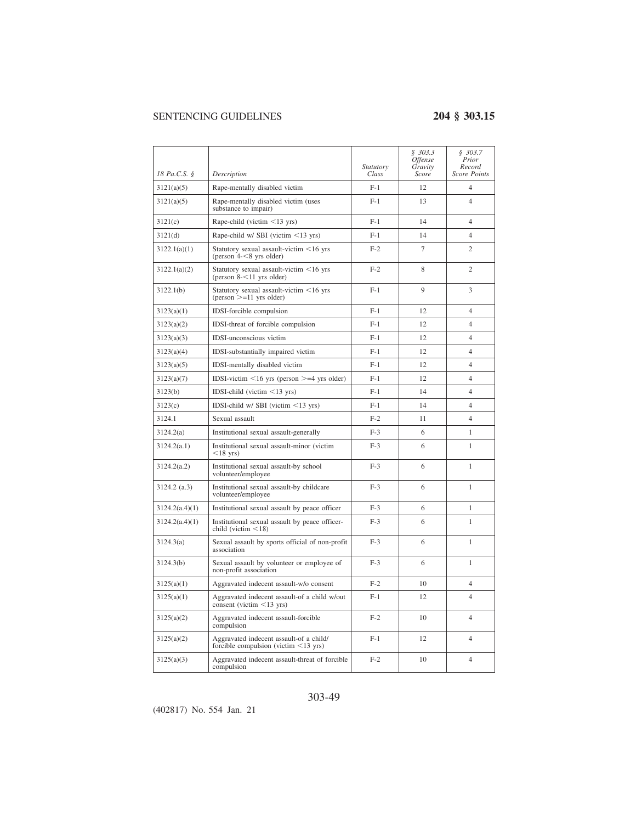|                |                                                                                       | Statutory | \$303.3<br>Offense<br>Gravity | \$303.7<br>Prior<br>Record |
|----------------|---------------------------------------------------------------------------------------|-----------|-------------------------------|----------------------------|
| 18 Pa.C.S. §   | Description                                                                           | Class     | Score                         | <b>Score Points</b>        |
| 3121(a)(5)     | Rape-mentally disabled victim                                                         | $F-1$     | 12                            | $\overline{4}$             |
| 3121(a)(5)     | Rape-mentally disabled victim (uses<br>substance to impair)                           | $F-1$     | 13                            | $\overline{4}$             |
| 3121(c)        | Rape-child (victim $\leq$ 13 yrs)                                                     | $F-1$     | 14                            | $\overline{4}$             |
| 3121(d)        | Rape-child w/ SBI (victim $\leq$ 13 yrs)                                              | $F-1$     | 14                            | $\overline{4}$             |
| 3122.1(a)(1)   | Statutory sexual assault-victim <16 yrs<br>(person $4 - 8$ yrs older)                 | $F-2$     | 7                             | $\overline{c}$             |
| 3122.1(a)(2)   | Statutory sexual assault-victim <16 yrs<br>(person $8 - 11$ yrs older)                | $F-2$     | 8                             | $\overline{c}$             |
| 3122.1(b)      | Statutory sexual assault-victim <16 yrs<br>$(person \geq 11$ yrs older)               | $F-1$     | 9                             | 3                          |
| 3123(a)(1)     | IDSI-forcible compulsion                                                              | $F-1$     | 12                            | $\overline{4}$             |
| 3123(a)(2)     | IDSI-threat of forcible compulsion                                                    | $F-1$     | 12.                           | $\overline{4}$             |
| 3123(a)(3)     | IDSI-unconscious victim                                                               | $F-1$     | 12                            | $\overline{4}$             |
| 3123(a)(4)     | IDSI-substantially impaired victim                                                    | $F-1$     | 12                            | $\overline{4}$             |
| 3123(a)(5)     | IDSI-mentally disabled victim                                                         | $F-1$     | 12                            | $\overline{4}$             |
| 3123(a)(7)     | IDSI-victim $\leq 16$ yrs (person $\geq = 4$ yrs older)                               | $F-1$     | 12                            | $\overline{4}$             |
| 3123(b)        | IDSI-child (victim $\leq$ 13 yrs)                                                     | $F-1$     | 14                            | $\overline{4}$             |
| 3123(c)        | IDSI-child w/ SBI (victim $\leq$ 13 yrs)                                              | $F-1$     | 14                            | $\overline{4}$             |
| 3124.1         | Sexual assault                                                                        | $F-2$     | 11                            | $\overline{4}$             |
| 3124.2(a)      | Institutional sexual assault-generally                                                | $F-3$     | 6                             | $\mathbf{1}$               |
| 3124.2(a.1)    | Institutional sexual assault-minor (victim<br>$<$ 18 yrs)                             | $F-3$     | 6                             | 1                          |
| 3124.2(a.2)    | Institutional sexual assault-by school<br>volunteer/employee                          | $F-3$     | 6                             | 1                          |
| 3124.2 (a.3)   | Institutional sexual assault-by childcare<br>volunteer/employee                       | $F-3$     | 6                             | $\mathbf{1}$               |
| 3124.2(a.4)(1) | Institutional sexual assault by peace officer                                         | $F-3$     | 6                             | 1                          |
| 3124.2(a.4)(1) | Institutional sexual assault by peace officer-<br>child (victim $\leq$ 18)            | $F-3$     | 6                             | 1                          |
| 3124.3(a)      | Sexual assault by sports official of non-profit<br>association                        | $F-3$     | 6                             | $\mathbf{1}$               |
| 3124.3(b)      | Sexual assault by volunteer or employee of<br>non-profit association                  | $F-3$     | 6                             | $\mathbf{1}$               |
| 3125(a)(1)     | Aggravated indecent assault-w/o consent                                               | $F-2$     | 10                            | $\overline{4}$             |
| 3125(a)(1)     | Aggravated indecent assault-of a child w/out<br>consent (victim $\leq$ 13 yrs)        | $F-1$     | 12                            | $\overline{4}$             |
| 3125(a)(2)     | Aggravated indecent assault-forcible<br>compulsion                                    | $F-2$     | 10                            | $\overline{4}$             |
| 3125(a)(2)     | Aggravated indecent assault-of a child/<br>forcible compulsion (victim $\leq$ 13 yrs) | $F-1$     | 12                            | $\overline{4}$             |
| 3125(a)(3)     | Aggravated indecent assault-threat of forcible<br>compulsion                          | $F-2$     | 10                            | $\overline{4}$             |

### 303-49

(402817) No. 554 Jan. 21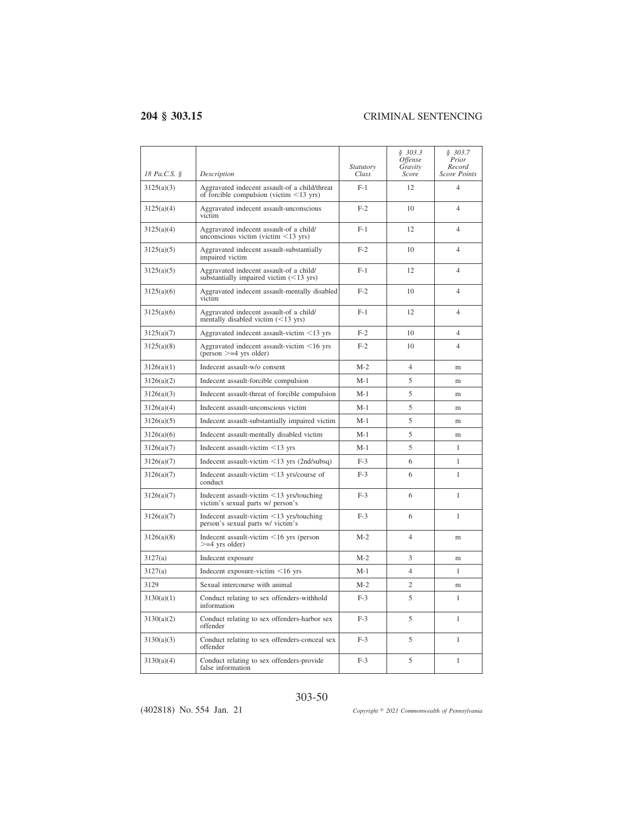| 18 Pa.C.S. § | Description                                                                                    | Statutory<br>Class | \$303.3<br><i><b>Offense</b></i><br>Gravity<br>Score | \$303.7<br>Prior<br>Record<br><b>Score Points</b> |
|--------------|------------------------------------------------------------------------------------------------|--------------------|------------------------------------------------------|---------------------------------------------------|
| 3125(a)(3)   | Aggravated indecent assault-of a child/threat<br>of forcible compulsion (victim $\leq$ 13 yrs) | $F-1$              | 12                                                   | $\overline{4}$                                    |
| 3125(a)(4)   | Aggravated indecent assault-unconscious<br>victim                                              | $F-2$              | 10                                                   | $\overline{\mathcal{L}}$                          |
| 3125(a)(4)   | Aggravated indecent assault-of a child/<br>unconscious victim (victim $\leq$ 13 yrs)           | $F-1$              | 12                                                   | $\overline{4}$                                    |
| 3125(a)(5)   | Aggravated indecent assault-substantially<br>impaired victim                                   | $F-2$              | 10                                                   | $\overline{4}$                                    |
| 3125(a)(5)   | Aggravated indecent assault-of a child/<br>substantially impaired victim $(<13$ yrs)           | $F-1$              | 12                                                   | $\overline{4}$                                    |
| 3125(a)(6)   | Aggravated indecent assault-mentally disabled<br>victim                                        | $F-2$              | 10                                                   | 4                                                 |
| 3125(a)(6)   | Aggravated indecent assault-of a child/<br>mentally disabled victim $(<13$ yrs)                | $F-1$              | 12                                                   | $\overline{\mathcal{L}}$                          |
| 3125(a)(7)   | Aggravated indecent assault-victim <13 yrs                                                     | $F-2$              | 10                                                   | $\overline{4}$                                    |
| 3125(a)(8)   | Aggravated indecent assault-victim $\leq 16$ yrs<br>(person $>=$ 4 yrs older)                  | $F-2$              | 10                                                   | $\overline{4}$                                    |
| 3126(a)(1)   | Indecent assault-w/o consent                                                                   | $M-2$              | $\overline{4}$                                       | m                                                 |
| 3126(a)(2)   | Indecent assault-forcible compulsion                                                           | $M-1$              | 5                                                    | m                                                 |
| 3126(a)(3)   | Indecent assault-threat of forcible compulsion                                                 | $M-1$              | 5                                                    | m                                                 |
| 3126(a)(4)   | Indecent assault-unconscious victim                                                            | $M-1$              | 5                                                    | m                                                 |
| 3126(a)(5)   | Indecent assault-substantially impaired victim                                                 | $M-1$              | 5                                                    | m                                                 |
| 3126(a)(6)   | Indecent assault-mentally disabled victim                                                      | $M-1$              | 5                                                    | m                                                 |
| 3126(a)(7)   | Indecent assault-victim $\leq$ 13 yrs                                                          | $M-1$              | 5                                                    | 1                                                 |
| 3126(a)(7)   | Indecent assault-victim $\leq$ 13 yrs (2nd/subsq)                                              | $F-3$              | 6                                                    | 1                                                 |
| 3126(a)(7)   | Indecent assault-victim $\leq$ 13 yrs/course of<br>conduct                                     | $F-3$              | 6                                                    | $\mathbf{1}$                                      |
| 3126(a)(7)   | Indecent assault-victim $\leq$ 13 yrs/touching<br>victim's sexual parts w/ person's            | $F-3$              | 6                                                    | 1                                                 |
| 3126(a)(7)   | Indecent assault-victim <13 yrs/touching<br>person's sexual parts w/ victim's                  | $F-3$              | 6                                                    | 1                                                 |
| 3126(a)(8)   | Indecent assault-victim $\leq 16$ yrs (person<br>$>=$ 4 yrs older)                             | $M-2$              | $\overline{4}$                                       | m                                                 |
| 3127(a)      | Indecent exposure                                                                              | $M-2$              | 3                                                    | m                                                 |
| 3127(a)      | Indecent exposure-victim $\leq 16$ yrs                                                         | $M-1$              | $\overline{4}$                                       | 1                                                 |
| 3129         | Sexual intercourse with animal                                                                 | $M-2$              | $\mathfrak{2}$                                       | m                                                 |
| 3130(a)(1)   | Conduct relating to sex offenders-withhold<br>information                                      | $F-3$              | 5                                                    | $\mathbf{1}$                                      |
| 3130(a)(2)   | Conduct relating to sex offenders-harbor sex<br>offender                                       | $F-3$              | 5                                                    | 1                                                 |
| 3130(a)(3)   | Conduct relating to sex offenders-conceal sex<br>offender                                      | $F-3$              | 5                                                    | $\mathbf{1}$                                      |
| 3130(a)(4)   | Conduct relating to sex offenders-provide<br>false information                                 | $F-3$              | 5                                                    | $\mathbf{1}$                                      |

303-50

(402818) No. 554 Jan. 21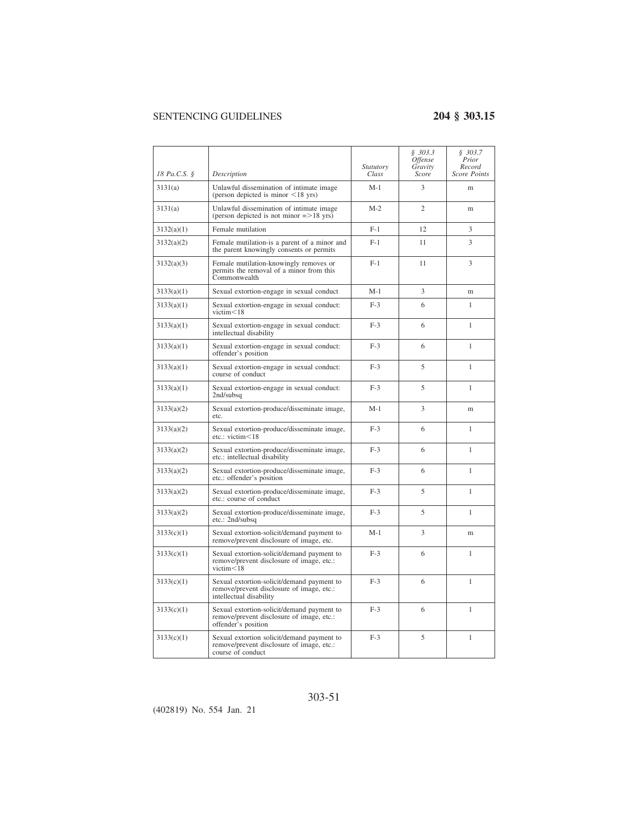| 18 Pa.C.S. § | Description                                                                                                        | <i>Statutory</i><br>Class | \$303.3<br><i><b>Offense</b></i><br>Gravity<br><b>Score</b> | \$303.7<br>Prior<br>Record<br><b>Score Points</b> |
|--------------|--------------------------------------------------------------------------------------------------------------------|---------------------------|-------------------------------------------------------------|---------------------------------------------------|
| 3131(a)      | Unlawful dissemination of intimate image<br>(person depicted is minor $\leq 18$ yrs)                               | M-1                       | 3                                                           | m                                                 |
| 3131(a)      | Unlawful dissemination of intimate image<br>(person depicted is not minor $=$ >18 yrs)                             | $M-2$                     | $\overline{2}$                                              | m                                                 |
| 3132(a)(1)   | Female mutilation                                                                                                  | $F-1$                     | 12                                                          | 3                                                 |
| 3132(a)(2)   | Female mutilation-is a parent of a minor and<br>the parent knowingly consents or permits                           | $F-1$                     | 11                                                          | 3                                                 |
| 3132(a)(3)   | Female mutilation-knowingly removes or<br>permits the removal of a minor from this<br>Commonwealth                 | $F-1$                     | 11                                                          | 3                                                 |
| 3133(a)(1)   | Sexual extortion-engage in sexual conduct                                                                          | $M-1$                     | 3                                                           | m                                                 |
| 3133(a)(1)   | Sexual extortion-engage in sexual conduct:<br>victim<18                                                            | $F-3$                     | 6                                                           | 1                                                 |
| 3133(a)(1)   | Sexual extortion-engage in sexual conduct:<br>intellectual disability                                              | $F-3$                     | 6                                                           | 1                                                 |
| 3133(a)(1)   | Sexual extortion-engage in sexual conduct:<br>offender's position                                                  | $F-3$                     | 6                                                           | 1                                                 |
| 3133(a)(1)   | Sexual extortion-engage in sexual conduct:<br>course of conduct                                                    | $F-3$                     | 5                                                           | 1                                                 |
| 3133(a)(1)   | Sexual extortion-engage in sexual conduct:<br>2nd/subsq                                                            | $F-3$                     | 5                                                           | 1                                                 |
| 3133(a)(2)   | Sexual extortion-produce/disseminate image,<br>etc.                                                                | M-1                       | 3                                                           | m                                                 |
| 3133(a)(2)   | Sexual extortion-produce/disseminate image,<br>etc.: victim<18                                                     | $F-3$                     | 6                                                           | 1                                                 |
| 3133(a)(2)   | Sexual extortion-produce/disseminate image,<br>etc.: intellectual disability                                       | $F-3$                     | 6                                                           | 1                                                 |
| 3133(a)(2)   | Sexual extortion-produce/disseminate image,<br>etc.: offender's position                                           | $F-3$                     | 6                                                           | 1                                                 |
| 3133(a)(2)   | Sexual extortion-produce/disseminate image,<br>etc.: course of conduct                                             | $F-3$                     | 5                                                           | 1                                                 |
| 3133(a)(2)   | Sexual extortion-produce/disseminate image,<br>etc.: 2nd/subsq                                                     | $F-3$                     | 5                                                           | 1                                                 |
| 3133(c)(1)   | Sexual extortion-solicit/demand payment to<br>remove/prevent disclosure of image, etc.                             | M-1                       | 3                                                           | m                                                 |
| 3133(c)(1)   | Sexual extortion-solicit/demand payment to<br>remove/prevent disclosure of image, etc.:<br>victim<18               | $F-3$                     | 6                                                           | 1                                                 |
| 3133(c)(1)   | Sexual extortion-solicit/demand payment to<br>remove/prevent disclosure of image, etc.:<br>intellectual disability | $F-3$                     | 6                                                           | 1                                                 |
| 3133(c)(1)   | Sexual extortion-solicit/demand payment to<br>remove/prevent disclosure of image, etc.:<br>offender's position     | $F-3$                     | 6                                                           | 1                                                 |
| 3133(c)(1)   | Sexual extortion solicit/demand payment to<br>remove/prevent disclosure of image, etc.:<br>course of conduct       | $F-3$                     | 5                                                           | $\mathbf{1}$                                      |

(402819) No. 554 Jan. 21

303-51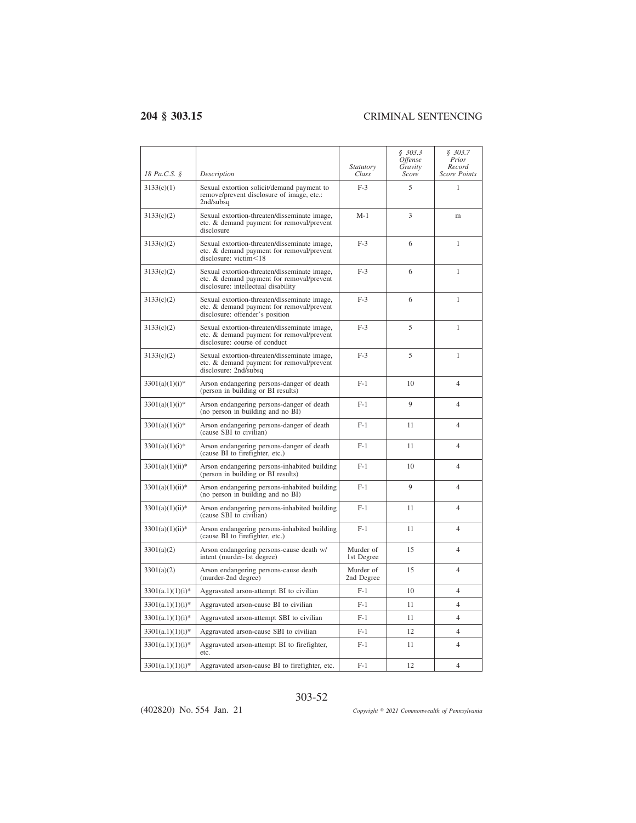$\overline{a}$ 

| 18 Pa.C.S. §       | Description                                                                                                                      | <i>Statutory</i><br>Class | \$303.3<br><i><b>Offense</b></i><br>Gravity<br>Score | \$303.7<br>Prior<br>Record<br><b>Score Points</b> |
|--------------------|----------------------------------------------------------------------------------------------------------------------------------|---------------------------|------------------------------------------------------|---------------------------------------------------|
| 3133(c)(1)         | Sexual extortion solicit/demand payment to<br>remove/prevent disclosure of image, etc.:<br>2nd/subsq                             | $F-3$                     | 5                                                    | 1                                                 |
| 3133(c)(2)         | Sexual extortion-threaten/disseminate image,<br>etc. & demand payment for removal/prevent<br>disclosure                          | $M-1$                     | 3                                                    | m                                                 |
| 3133(c)(2)         | Sexual extortion-threaten/disseminate image,<br>etc. & demand payment for removal/prevent<br>disclosure: victim<18               | $F-3$                     | 6                                                    | 1                                                 |
| 3133(c)(2)         | Sexual extortion-threaten/disseminate image,<br>etc. & demand payment for removal/prevent<br>disclosure: intellectual disability | $F-3$                     | 6                                                    | 1                                                 |
| 3133(c)(2)         | Sexual extortion-threaten/disseminate image,<br>etc. & demand payment for removal/prevent<br>disclosure: offender's position     | $F-3$                     | 6                                                    | $\mathbf{1}$                                      |
| 3133(c)(2)         | Sexual extortion-threaten/disseminate image,<br>etc. & demand payment for removal/prevent<br>disclosure: course of conduct       | $F-3$                     | 5                                                    | $\mathbf{1}$                                      |
| 3133(c)(2)         | Sexual extortion-threaten/disseminate image,<br>etc. & demand payment for removal/prevent<br>disclosure: 2nd/subsq               | $F-3$                     | 5                                                    | 1                                                 |
| $3301(a)(1)(i)$ *  | Arson endangering persons-danger of death<br>(person in building or BI results)                                                  | $F-1$                     | 10                                                   | $\overline{\mathcal{L}}$                          |
| $3301(a)(1)(i)$ *  | Arson endangering persons-danger of death<br>(no person in building and no BI)                                                   | $F-1$                     | 9                                                    | $\overline{4}$                                    |
| $3301(a)(1)(i)$ *  | Arson endangering persons-danger of death<br>(cause SBI to civilian)                                                             | $F-1$                     | 11                                                   | $\overline{4}$                                    |
| $3301(a)(1)(i)*$   | Arson endangering persons-danger of death<br>(cause BI to firefighter, etc.)                                                     | $F-1$                     | 11                                                   | $\overline{4}$                                    |
| $3301(a)(1)(ii)*$  | Arson endangering persons-inhabited building<br>(person in building or BI results)                                               | $F-1$                     | 10                                                   | $\overline{4}$                                    |
| $3301(a)(1)(ii)*$  | Arson endangering persons-inhabited building<br>(no person in building and no BI)                                                | $F-1$                     | 9                                                    | $\overline{4}$                                    |
| $3301(a)(1)(ii)*$  | Arson endangering persons-inhabited building<br>(cause SBI to civilian)                                                          | $F-1$                     | 11                                                   | 4                                                 |
| $3301(a)(1)(ii)*$  | Arson endangering persons-inhabited building<br>(cause BI to firefighter, etc.)                                                  | $F-1$                     | 11                                                   | $\overline{\mathcal{L}}$                          |
| 3301(a)(2)         | Arson endangering persons-cause death w/<br>intent (murder-1st degree)                                                           | Murder of<br>1st Degree   | 15                                                   | $\overline{4}$                                    |
| 3301(a)(2)         | Arson endangering persons-cause death<br>(murder-2nd degree)                                                                     | Murder of<br>2nd Degree   | 15                                                   | $\overline{4}$                                    |
| $3301(a.1)(1)(i)*$ | Aggravated arson-attempt BI to civilian                                                                                          | F-1                       | 10                                                   | 4                                                 |
| $3301(a.1)(1)(i)*$ | Aggravated arson-cause BI to civilian                                                                                            | $F-1$                     | 11                                                   | $\overline{4}$                                    |
| $3301(a.1)(1)(i)*$ | Aggravated arson-attempt SBI to civilian                                                                                         | $F-1$                     | 11                                                   | $\overline{4}$                                    |
| $3301(a.1)(1)(i)*$ | Aggravated arson-cause SBI to civilian                                                                                           | $F-1$                     | 12                                                   | 4                                                 |
| $3301(a.1)(1)(i)*$ | Aggravated arson-attempt BI to firefighter,<br>etc.                                                                              | $F-1$                     | 11                                                   | $\overline{4}$                                    |
| $3301(a.1)(1)(i)*$ | Aggravated arson-cause BI to firefighter, etc.                                                                                   | $F-1$                     | 12                                                   | $\overline{4}$                                    |

303-52

(402820) No. 554 Jan. 21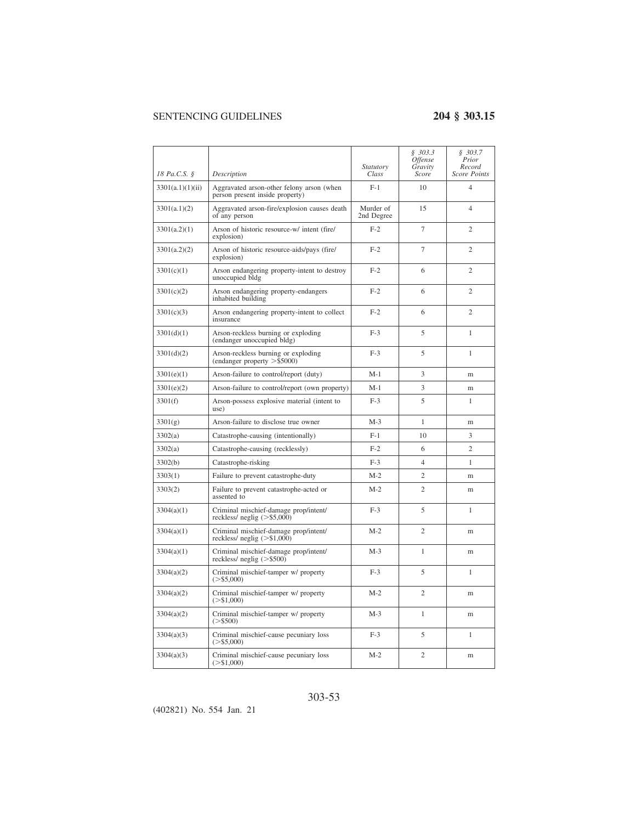| 18 Pa.C.S. §     | Description                                                                  | Statutory<br>Class      | \$303.3<br><i><b>Offense</b></i><br>Gravity<br>Score | \$303.7<br>Prior<br>Record<br><b>Score Points</b> |
|------------------|------------------------------------------------------------------------------|-------------------------|------------------------------------------------------|---------------------------------------------------|
| 3301(a.1)(1)(ii) | Aggravated arson-other felony arson (when<br>person present inside property) | $F-1$                   | 10                                                   | $\overline{4}$                                    |
| 3301(a.1)(2)     | Aggravated arson-fire/explosion causes death<br>of any person                | Murder of<br>2nd Degree | 15                                                   | $\overline{4}$                                    |
| 3301(a.2)(1)     | Arson of historic resource-w/ intent (fire/<br>explosion)                    | $F-2$                   | $\tau$                                               | $\overline{c}$                                    |
| 3301(a.2)(2)     | Arson of historic resource-aids/pays (fire/<br>explosion)                    | $F-2$                   | 7                                                    | $\overline{c}$                                    |
| 3301(c)(1)       | Arson endangering property-intent to destroy<br>unoccupied bldg              | $F-2$                   | 6                                                    | $\overline{c}$                                    |
| 3301(c)(2)       | Arson endangering property-endangers<br>inhabited building                   | $F-2$                   | 6                                                    | $\overline{c}$                                    |
| 3301(c)(3)       | Arson endangering property-intent to collect<br>insurance                    | $F-2$                   | 6                                                    | $\overline{c}$                                    |
| 3301(d)(1)       | Arson-reckless burning or exploding<br>(endanger unoccupied bldg)            | $F-3$                   | 5                                                    | 1                                                 |
| 3301(d)(2)       | Arson-reckless burning or exploding<br>(endanger property $>$ \$5000)        | $F-3$                   | 5                                                    | $\mathbf{1}$                                      |
| 3301(e)(1)       | Arson-failure to control/report (duty)                                       | $M-1$                   | 3                                                    | m                                                 |
| 3301(e)(2)       | Arson-failure to control/report (own property)                               | $M-1$                   | 3                                                    | m                                                 |
| 3301(f)          | Arson-possess explosive material (intent to<br>use)                          | $F-3$                   | 5                                                    | 1                                                 |
| 3301(g)          | Arson-failure to disclose true owner                                         | $M-3$                   | $\mathbf{1}$                                         | m                                                 |
| 3302(a)          | Catastrophe-causing (intentionally)                                          | $F-1$                   | 10                                                   | 3                                                 |
| 3302(a)          | Catastrophe-causing (recklessly)                                             | $F-2$                   | 6                                                    | $\overline{c}$                                    |
| 3302(b)          | Catastrophe-risking                                                          | $F-3$                   | $\overline{4}$                                       | 1                                                 |
| 3303(1)          | Failure to prevent catastrophe-duty                                          | $M-2$                   | $\overline{c}$                                       | m                                                 |
| 3303(2)          | Failure to prevent catastrophe-acted or<br>assented to                       | $M-2$                   | $\overline{c}$                                       | m                                                 |
| 3304(a)(1)       | Criminal mischief-damage prop/intent/<br>reckless/ neglig $(>\,$ \$5,000)    | $F-3$                   | 5                                                    | 1                                                 |
| 3304(a)(1)       | Criminal mischief-damage prop/intent/<br>reckless/ neglig $(>\$1,000)$       | $M-2$                   | $\overline{c}$                                       | m                                                 |
| 3304(a)(1)       | Criminal mischief-damage prop/intent/<br>reckless/ neglig $(>\$500)$         | $M-3$                   | $\mathbf{1}$                                         | m                                                 |
| 3304(a)(2)       | Criminal mischief-tamper w/ property<br>$(>\$5,000)$                         | $F-3$                   | 5                                                    | $\mathbf{1}$                                      |
| 3304(a)(2)       | Criminal mischief-tamper w/ property<br>$(>\$1,000)$                         | $M-2$                   | $\overline{c}$                                       | m                                                 |
| 3304(a)(2)       | Criminal mischief-tamper w/ property<br>$(>\,$ \$500)                        | $M-3$                   | $\mathbf{1}$                                         | m                                                 |
| 3304(a)(3)       | Criminal mischief-cause pecuniary loss<br>$(>\,$ \$5,000)                    | $F-3$                   | 5                                                    | 1                                                 |
| 3304(a)(3)       | Criminal mischief-cause pecuniary loss<br>$(>\!\!51,000)$                    | $M-2$                   | $\overline{c}$                                       | m                                                 |

### 303-53

(402821) No. 554 Jan. 21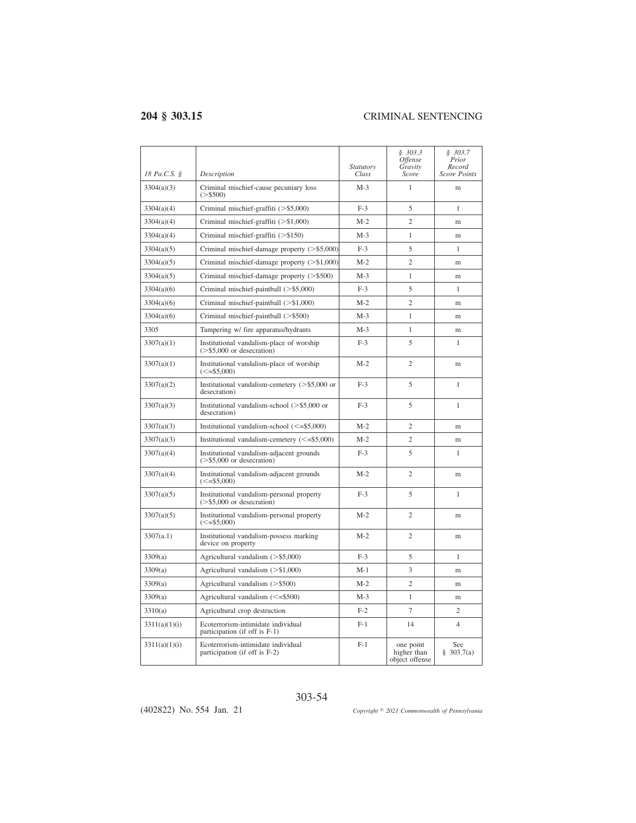| 18 Pa.C.S. §  | Description                                                               | Statutory<br>Class | \$303.3<br><i><b>Offense</b></i><br>Gravity<br>Score | \$303.7<br>Prior<br>Record<br><b>Score Points</b> |
|---------------|---------------------------------------------------------------------------|--------------------|------------------------------------------------------|---------------------------------------------------|
| 3304(a)(3)    | Criminal mischief-cause pecuniary loss<br>$(>\,$ \$500)                   | $M-3$              | $\mathbf{1}$                                         | m                                                 |
| 3304(a)(4)    | Criminal mischief-graffiti $(>\$ \$5,000)                                 | $F-3$              | 5                                                    | $\mathbf{1}$                                      |
| 3304(a)(4)    | Criminal mischief-graffiti $(>\$1,000)$                                   | $M-2$              | $\overline{c}$                                       | m                                                 |
| 3304(a)(4)    | Criminal mischief-graffiti $(>\$150)$                                     | $M-3$              | $\mathbf{1}$                                         | m                                                 |
| 3304(a)(5)    | Criminal mischief-damage property $(>\$ \$5,000)                          | $F-3$              | 5                                                    | 1                                                 |
| 3304(a)(5)    | Criminal mischief-damage property $(>\$1,000)$                            | $M-2$              | $\overline{2}$                                       | m                                                 |
| 3304(a)(5)    | Criminal mischief-damage property (>\$500)                                | $M-3$              | 1                                                    | m                                                 |
| 3304(a)(6)    | Criminal mischief-paintball (>\$5,000)                                    | $F-3$              | 5                                                    | 1                                                 |
| 3304(a)(6)    | Criminal mischief-paintball (>\$1,000)                                    | $M-2$              | $\overline{2}$                                       | m                                                 |
| 3304(a)(6)    | Criminal mischief-paintball $(>\,$ \$500)                                 | $M-3$              | 1                                                    | m                                                 |
| 3305          | Tampering w/ fire apparatus/hydrants                                      | $M-3$              | 1                                                    | m                                                 |
| 3307(a)(1)    | Institutional vandalism-place of worship<br>$($ >\$5,000 or desecration)  | $F-3$              | 5                                                    | 1                                                 |
| 3307(a)(1)    | Institutional vandalism-place of worship<br>$(<=$ \$5,000)                | $M-2$              | $\overline{2}$                                       | m                                                 |
| 3307(a)(2)    | Institutional vandalism-cemetery $(>\$ \$5,000 or<br>desecration)         | $F-3$              | 5                                                    | 1                                                 |
| 3307(a)(3)    | Institutional vandalism-school $(>\$ \$5,000 or<br>desecration)           | $F-3$              | 5                                                    | $\mathbf{1}$                                      |
| 3307(a)(3)    | Institutional vandalism-school $(\leq=$ \$5,000)                          | $M-2$              | $\mathfrak{2}$                                       | m                                                 |
| 3307(a)(3)    | Institutional vandalism-cemetery $(\leq=$ \$5,000)                        | $M-2$              | $\overline{c}$                                       | m                                                 |
| 3307(a)(4)    | Institutional vandalism-adjacent grounds<br>$($ >\$5,000 or desecration)  | $F-3$              | 5                                                    | 1                                                 |
| 3307(a)(4)    | Institutional vandalism-adjacent grounds<br>$(<= $5,000)$                 | $M-2$              | $\overline{2}$                                       | m                                                 |
| 3307(a)(5)    | Institutional vandalism-personal property<br>$($ >\$5,000 or desecration) | $F-3$              | 5                                                    | 1                                                 |
| 3307(a)(5)    | Institutional vandalism-personal property<br>$(<=$ \$5,000)               | $M-2$              | $\overline{2}$                                       | m                                                 |
| 3307(a.1)     | Institutional vandalism-possess marking<br>device on property             | $M-2$              | $\overline{2}$                                       | m                                                 |
| 3309(a)       | Agricultural vandalism (>\$5,000)                                         | $F-3$              | 5                                                    | $\mathbf{1}$                                      |
| 3309(a)       | Agricultural vandalism (>\$1,000)                                         | $M-1$              | 3                                                    | m                                                 |
| 3309(a)       | Agricultural vandalism (>\$500)                                           | $M-2$              | $\overline{c}$                                       | m                                                 |
| 3309(a)       | Agricultural vandalism (<= \$500)                                         | $M-3$              | $\mathbf{1}$                                         | m                                                 |
| 3310(a)       | Agricultural crop destruction                                             | $F-2$              | 7                                                    | $\overline{c}$                                    |
| 3311(a)(1)(i) | Ecoterrorism-intimidate individual<br>participation (if off is F-1)       | $F-1$              | 14                                                   | $\overline{4}$                                    |
| 3311(a)(1)(i) | Ecoterrorism-intimidate individual<br>participation (if off is F-2)       | $F-1$              | one point<br>higher than<br>object offense           | See<br>\$303.7(a)                                 |

303-54 (402822) No. 554 Jan. 21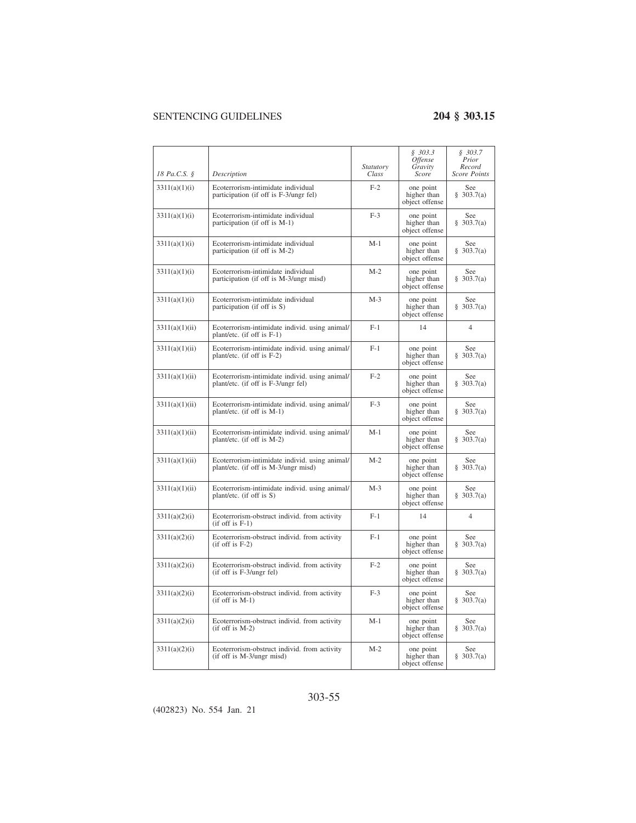$\overline{\phantom{a}}$ 

| 18 Pa.C.S. §   | Description                                                                            | Statutory<br>Class | \$303.3<br>Offense<br>Gravity<br>Score     | \$303.7<br>Prior<br>Record<br><b>Score Points</b> |
|----------------|----------------------------------------------------------------------------------------|--------------------|--------------------------------------------|---------------------------------------------------|
| 3311(a)(1)(i)  | Ecoterrorism-intimidate individual<br>participation (if off is F-3/ungr fel)           | $F-2$              | one point<br>higher than<br>object offense | See<br>\$303.7(a)                                 |
| 3311(a)(1)(i)  | Ecoterrorism-intimidate individual<br>participation (if off is M-1)                    | $F-3$              | one point<br>higher than<br>object offense | See<br>\$303.7(a)                                 |
| 3311(a)(1)(i)  | Ecoterrorism-intimidate individual<br>participation (if off is M-2)                    | $M-1$              | one point<br>higher than<br>object offense | See<br>\$303.7(a)                                 |
| 3311(a)(1)(i)  | Ecoterrorism-intimidate individual<br>participation (if off is M-3/ungr misd)          | $M-2$              | one point<br>higher than<br>object offense | See<br>\$303.7(a)                                 |
| 3311(a)(1)(i)  | Ecoterrorism-intimidate individual<br>participation (if off is S)                      | $M-3$              | one point<br>higher than<br>object offense | See<br>\$303.7(a)                                 |
| 3311(a)(1)(ii) | Ecoterrorism-intimidate individ. using animal/<br>plant/etc. (if off is F-1)           | $F-1$              | 14                                         | $\overline{4}$                                    |
| 3311(a)(1)(ii) | Ecoterrorism-intimidate individ. using animal/<br>plant/etc. (if off is F-2)           | $F-1$              | one point<br>higher than<br>object offense | See<br>\$303.7(a)                                 |
| 3311(a)(1)(ii) | Ecoterrorism-intimidate individ. using animal/<br>plant/etc. (if off is F-3/ungr fel)  | $F-2$              | one point<br>higher than<br>object offense | See<br>§ 303.7(a)                                 |
| 3311(a)(1)(ii) | Ecoterrorism-intimidate individ. using animal/<br>plant/etc. (if off is M-1)           | $F-3$              | one point<br>higher than<br>object offense | See<br>§ 303.7(a)                                 |
| 3311(a)(1)(ii) | Ecoterrorism-intimidate individ. using animal/<br>plant/etc. (if off is M-2)           | $M-1$              | one point<br>higher than<br>object offense | See<br>\$303.7(a)                                 |
| 3311(a)(1)(ii) | Ecoterrorism-intimidate individ. using animal/<br>plant/etc. (if off is M-3/ungr misd) | $M-2$              | one point<br>higher than<br>object offense | See<br>\$303.7(a)                                 |
| 3311(a)(1)(ii) | Ecoterrorism-intimidate individ. using animal/<br>plant/etc. (if off is S)             | $M-3$              | one point<br>higher than<br>object offense | See<br>\$303.7(a)                                 |
| 3311(a)(2)(i)  | Ecoterrorism-obstruct individ. from activity<br>$(if$ off is $F-1)$                    | $F-1$              | 14                                         | $\overline{4}$                                    |
| 3311(a)(2)(i)  | Ecoterrorism-obstruct individ. from activity<br>$(if off is F-2)$                      | $F-1$              | one point<br>higher than<br>object offense | See<br>\$303.7(a)                                 |
| 3311(a)(2)(i)  | Ecoterrorism-obstruct individ. from activity<br>(if off is F-3/ungr fel)               | $F-2$              | one point<br>higher than<br>object offense | See<br>\$303.7(a)                                 |
| 3311(a)(2)(i)  | Ecoterrorism-obstruct individ. from activity<br>$(if off is M-1)$                      | $F-3$              | one point<br>higher than<br>object offense | See<br>\$303.7(a)                                 |
| 3311(a)(2)(i)  | Ecoterrorism-obstruct individ. from activity<br>$(if off is M-2)$                      | $M-1$              | one point<br>higher than<br>object offense | See<br>\$303.7(a)                                 |
| 3311(a)(2)(i)  | Ecoterrorism-obstruct individ. from activity<br>(if off is M-3/ungr misd)              | $M-2$              | one point<br>higher than<br>object offense | See<br>\$303.7(a)                                 |

### 303-55

(402823) No. 554 Jan. 21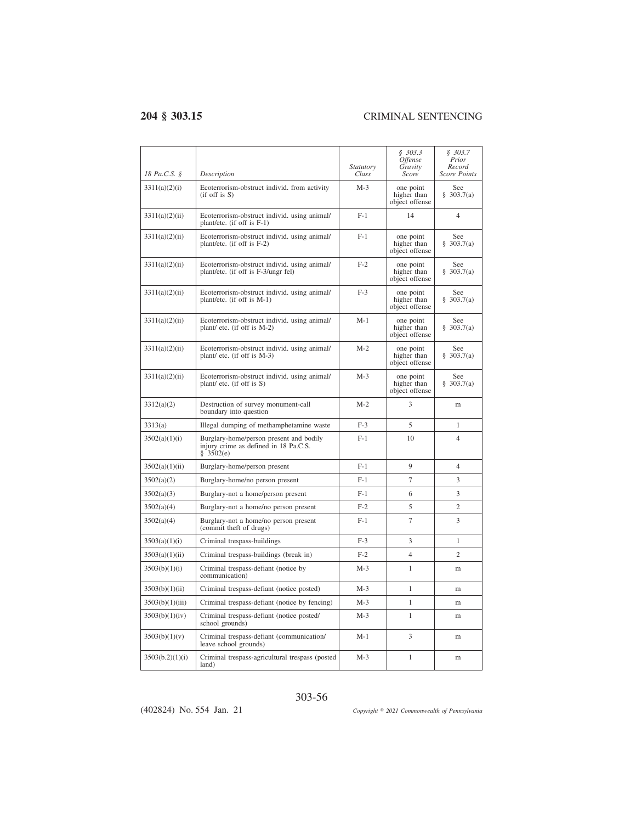| 18 Pa.C.S. §    | Description                                                                                   | <i>Statutory</i><br>Class | \$303.3<br><i><b>Offense</b></i><br>Gravity<br>Score | \$303.7<br>Prior<br>Record<br><b>Score Points</b> |
|-----------------|-----------------------------------------------------------------------------------------------|---------------------------|------------------------------------------------------|---------------------------------------------------|
| 3311(a)(2)(i)   | Ecoterrorism-obstruct individ. from activity<br>$(if$ off is $S)$                             | $M-3$                     | one point<br>higher than<br>object offense           | See<br>\$303.7(a)                                 |
| 3311(a)(2)(ii)  | Ecoterrorism-obstruct individ. using animal/<br>plant/etc. (if off is F-1)                    | $F-1$                     | 14                                                   | 4                                                 |
| 3311(a)(2)(ii)  | Ecoterrorism-obstruct individ. using animal/<br>plant/etc. (if off is F-2)                    | $F-1$                     | one point<br>higher than<br>object offense           | <b>See</b><br>\$303.7(a)                          |
| 3311(a)(2)(ii)  | Ecoterrorism-obstruct individ, using animal/<br>plant/etc. (if off is F-3/ungr fel)           | $F-2$                     | one point<br>higher than<br>object offense           | See<br>\$303.7(a)                                 |
| 3311(a)(2)(ii)  | Ecoterrorism-obstruct individ. using animal/<br>plant/etc. (if off is M-1)                    | $F-3$                     | one point<br>higher than<br>object offense           | See<br>\$303.7(a)                                 |
| 3311(a)(2)(ii)  | Ecoterrorism-obstruct individ. using animal/<br>plant/ etc. (if off is M-2)                   | M-1                       | one point<br>higher than<br>object offense           | See<br>\$303.7(a)                                 |
| 3311(a)(2)(ii)  | Ecoterrorism-obstruct individ. using animal/<br>plant/ etc. (if off is M-3)                   | $M-2$                     | one point<br>higher than<br>object offense           | See<br>\$303.7(a)                                 |
| 3311(a)(2)(ii)  | Ecoterrorism-obstruct individ. using animal/<br>plant/ etc. (if off is S)                     | $M-3$                     | one point<br>higher than<br>object offense           | See<br>\$303.7(a)                                 |
| 3312(a)(2)      | Destruction of survey monument-call<br>boundary into question                                 | $M-2$                     | 3                                                    | m                                                 |
| 3313(a)         | Illegal dumping of methamphetamine waste                                                      | $F-3$                     | 5                                                    | $\mathbf{1}$                                      |
| 3502(a)(1)(i)   | Burglary-home/person present and bodily<br>injury crime as defined in 18 Pa.C.S.<br>\$3502(e) | $F-1$                     | 10                                                   | $\overline{\mathcal{L}}$                          |
| 3502(a)(1)(ii)  | Burglary-home/person present                                                                  | $F-1$                     | $\mathbf Q$                                          | $\overline{4}$                                    |
| 3502(a)(2)      | Burglary-home/no person present                                                               | $F-1$                     | $\overline{7}$                                       | 3                                                 |
| 3502(a)(3)      | Burglary-not a home/person present                                                            | $F-1$                     | 6                                                    | 3                                                 |
| 3502(a)(4)      | Burglary-not a home/no person present                                                         | $F-2$                     | 5                                                    | $\overline{c}$                                    |
| 3502(a)(4)      | Burglary-not a home/no person present<br>(commit theft of drugs)                              | $F-1$                     | $\overline{7}$                                       | 3                                                 |
| 3503(a)(1)(i)   | Criminal trespass-buildings                                                                   | $F-3$                     | 3                                                    | $\mathbf{1}$                                      |
| 3503(a)(1)(ii)  | Criminal trespass-buildings (break in)                                                        | $F-2$                     | $\overline{4}$                                       | $\overline{c}$                                    |
| 3503(b)(1)(i)   | Criminal trespass-defiant (notice by<br>communication)                                        | $M-3$                     | 1                                                    | m                                                 |
| 3503(b)(1)(ii)  | Criminal trespass-defiant (notice posted)                                                     | $M-3$                     | 1                                                    | m                                                 |
| 3503(b)(1)(iii) | Criminal trespass-defiant (notice by fencing)                                                 | $M-3$                     | $\mathbf{1}$                                         | m                                                 |
| 3503(b)(1)(iv)  | Criminal trespass-defiant (notice posted/<br>school grounds)                                  | $M-3$                     | 1                                                    | m                                                 |
| 3503(b)(1)(v)   | Criminal trespass-defiant (communication/<br>leave school grounds)                            | $M-1$                     | 3                                                    | m                                                 |
| 3503(b.2)(1)(i) | Criminal trespass-agricultural trespass (posted<br>land)                                      | $M-3$                     | $\mathbf{1}$                                         | m                                                 |

303-56

(402824) No. 554 Jan. 21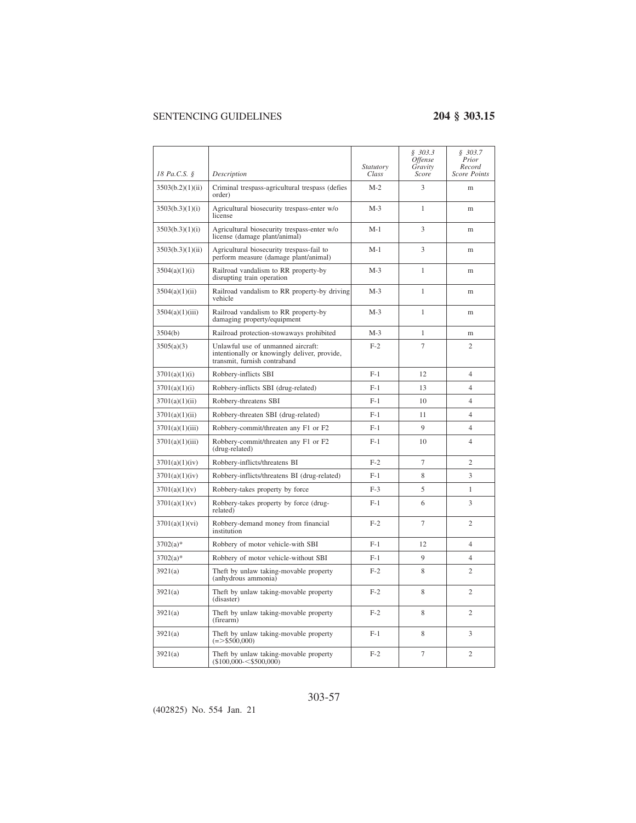|                  |                                                                                                                    | <i>Statutory</i> | \$303.3<br>Offense<br>Gravity | \$303.7<br>Prior<br>Record |
|------------------|--------------------------------------------------------------------------------------------------------------------|------------------|-------------------------------|----------------------------|
| 18 Pa.C.S. §     | Description                                                                                                        | Class            | Score                         | Score Points               |
| 3503(b.2)(1)(ii) | Criminal trespass-agricultural trespass (defies<br>order)                                                          | $M-2$            | 3                             | m                          |
| 3503(b.3)(1)(i)  | Agricultural biosecurity trespass-enter w/o<br>license                                                             | $M-3$            | 1                             | m                          |
| 3503(b.3)(1)(i)  | Agricultural biosecurity trespass-enter w/o<br>license (damage plant/animal)                                       | M-1              | 3                             | m                          |
| 3503(b.3)(1)(ii) | Agricultural biosecurity trespass-fail to<br>perform measure (damage plant/animal)                                 | M-1              | 3                             | m                          |
| 3504(a)(1)(i)    | Railroad vandalism to RR property-by<br>disrupting train operation                                                 | $M-3$            | 1                             | m                          |
| 3504(a)(1)(ii)   | Railroad vandalism to RR property-by driving<br>vehicle                                                            | $M-3$            | $\mathbf{1}$                  | m                          |
| 3504(a)(1)(iii)  | Railroad vandalism to RR property-by<br>damaging property/equipment                                                | $M-3$            | 1                             | m                          |
| 3504(b)          | Railroad protection-stowaways prohibited                                                                           | $M-3$            | 1                             | m                          |
| 3505(a)(3)       | Unlawful use of unmanned aircraft:<br>intentionally or knowingly deliver, provide,<br>transmit, furnish contraband | $F-2$            | $\overline{7}$                | $\overline{2}$             |
| 3701(a)(1)(i)    | Robbery-inflicts SBI                                                                                               | $F-1$            | 12                            | $\overline{4}$             |
| 3701(a)(1)(i)    | Robbery-inflicts SBI (drug-related)                                                                                | $F-1$            | 13                            | $\overline{4}$             |
| 3701(a)(1)(ii)   | Robbery-threatens SBI                                                                                              | $F-1$            | 10                            | $\overline{4}$             |
| 3701(a)(1)(ii)   | Robbery-threaten SBI (drug-related)                                                                                | $F-1$            | 11                            | $\overline{4}$             |
| 3701(a)(1)(iii)  | Robbery-commit/threaten any F1 or F2                                                                               | $F-1$            | 9                             | $\overline{4}$             |
| 3701(a)(1)(iii)  | Robbery-commit/threaten any F1 or F2<br>(drug-related)                                                             | $F-1$            | 10                            | $\overline{4}$             |
| 3701(a)(1)(iv)   | Robbery-inflicts/threatens BI                                                                                      | $F-2$            | $\overline{7}$                | $\overline{2}$             |
| 3701(a)(1)(iv)   | Robbery-inflicts/threatens BI (drug-related)                                                                       | $F-1$            | 8                             | 3                          |
| 3701(a)(1)(v)    | Robbery-takes property by force                                                                                    | $F-3$            | 5                             | 1                          |
| 3701(a)(1)(v)    | Robbery-takes property by force (drug-<br>related)                                                                 | $F-1$            | 6                             | 3                          |
| 3701(a)(1)(vi)   | Robbery-demand money from financial<br>institution                                                                 | $F-2$            | 7                             | $\overline{c}$             |
| $3702(a)$ *      | Robbery of motor vehicle-with SBI                                                                                  | $F-1$            | 12                            | $\overline{4}$             |
| $3702(a)$ *      | Robbery of motor vehicle-without SBI                                                                               | $F-1$            | 9                             | $\overline{4}$             |
| 3921(a)          | Theft by unlaw taking-movable property<br>(anhydrous ammonia)                                                      | $F-2$            | 8                             | $\overline{c}$             |
| 3921(a)          | Theft by unlaw taking-movable property<br>(disaster)                                                               | $F-2$            | 8                             | $\overline{c}$             |
| 3921(a)          | Theft by unlaw taking-movable property<br>(firearm)                                                                | $F-2$            | 8                             | $\overline{c}$             |
| 3921(a)          | Theft by unlaw taking-movable property<br>$(=>$ \$500,000)                                                         | $F-1$            | 8                             | 3                          |
| 3921(a)          | Theft by unlaw taking-movable property<br>$(\$100,000 - \$500,000)$                                                | $F-2$            | $\tau$                        | $\overline{c}$             |

### 303-57

(402825) No. 554 Jan. 21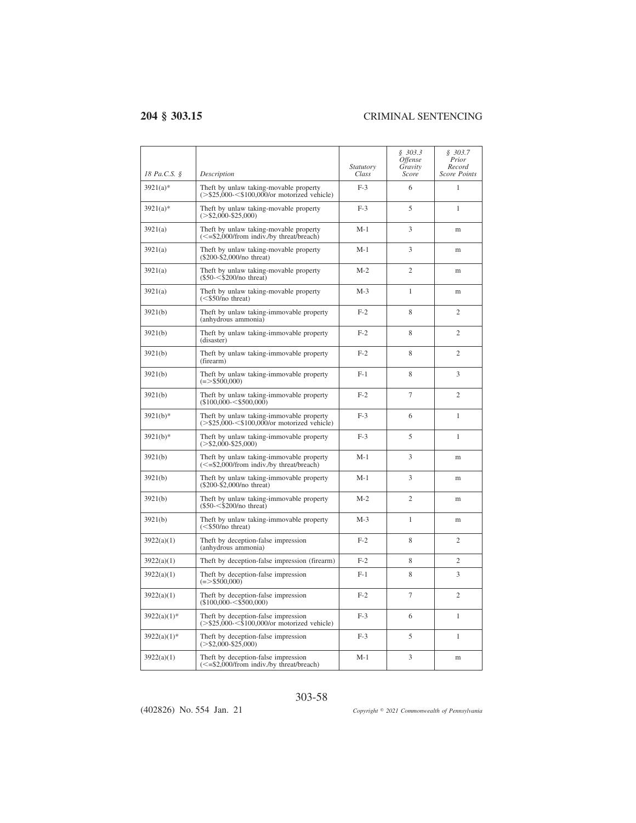$\overline{a}$ 

| 18 Pa.C.S. §   | Description                                                                                                       | <i>Statutory</i><br>Class | \$303.3<br>Offense<br>Gravity<br>Score | \$303.7<br>Prior<br>Record<br>Score Points |
|----------------|-------------------------------------------------------------------------------------------------------------------|---------------------------|----------------------------------------|--------------------------------------------|
| $3921(a)*$     | Theft by unlaw taking-movable property<br>$(>\$25,000<\$100,000$ /or motorized vehicle)                           | $F-3$                     | 6                                      | 1                                          |
| $3921(a)*$     | Theft by unlaw taking-movable property<br>$(>\$2,000-\$25,000)$                                                   | $F-3$                     | 5                                      | 1                                          |
| 3921(a)        | Theft by unlaw taking-movable property<br>$\le$ =\$2,000/from indiv./by threat/breach)                            | $M-1$                     | 3                                      | m                                          |
| 3921(a)        | Theft by unlaw taking-movable property<br>$(\$200-\$2,000/no$ threat)                                             | $M-1$                     | 3                                      | m                                          |
| 3921(a)        | Theft by unlaw taking-movable property<br>$(\$50 - < \$200/no$ threat)                                            | $M-2$                     | $\mathfrak{D}$                         | m                                          |
| 3921(a)        | Theft by unlaw taking-movable property<br>$(<$ \$50/no threat)                                                    | $M-3$                     | 1                                      | m                                          |
| 3921(b)        | Theft by unlaw taking-immovable property<br>(anhydrous ammonia)                                                   | $F-2$                     | 8                                      | $\overline{c}$                             |
| 3921(b)        | Theft by unlaw taking-immovable property<br>(disaster)                                                            | $F-2$                     | 8                                      | $\overline{c}$                             |
| 3921(b)        | Theft by unlaw taking-immovable property<br>(firearm)                                                             | $F-2$                     | 8                                      | $\overline{c}$                             |
| 3921(b)        | Theft by unlaw taking-immovable property<br>$(=>$ \$500,000)                                                      | $F-1$                     | 8                                      | 3                                          |
| 3921(b)        | Theft by unlaw taking-immovable property<br>$($100.000 - $500.000)$                                               | $F-2$                     | $\overline{7}$                         | 2                                          |
| $3921(b)*$     | Theft by unlaw taking-immovable property<br>$(>\$25,000<\$100,000$ /or motorized vehicle)                         | $F-3$                     | 6                                      | $\mathbf{1}$                               |
| $3921(b)*$     | Theft by unlaw taking-immovable property<br>$(>\$2.000-S25.000)$                                                  | $F-3$                     | 5                                      | 1                                          |
| 3921(b)        | Theft by unlaw taking-immovable property<br>$\left(\leq = \frac{52,000}{\text{from indiv}}\right)$ threat/breach) | $M-1$                     | 3                                      | m                                          |
| 3921(b)        | Theft by unlaw taking-immovable property<br>(\$200-\$2,000/no threat)                                             | $M-1$                     | 3                                      | m                                          |
| 3921(b)        | Theft by unlaw taking-immovable property<br>$(\$50 - < \$200/no$ threat)                                          | $M-2$                     | $\overline{c}$                         | m                                          |
| 3921(b)        | Theft by unlaw taking-immovable property<br>$(<$ \$50/no threat)                                                  | $M-3$                     | $\mathbf{1}$                           | m                                          |
| 3922(a)(1)     | Theft by deception-false impression<br>(anhydrous ammonia)                                                        | $F-2$                     | 8                                      | $\overline{c}$                             |
| 3922(a)(1)     | Theft by deception-false impression (firearm)                                                                     | $F-2$                     | 8                                      | $\overline{c}$                             |
| 3922(a)(1)     | Theft by deception-false impression<br>$(=>$ \$500,000)                                                           | $F-1$                     | 8                                      | 3                                          |
| 3922(a)(1)     | Theft by deception-false impression<br>$($100,000 - $500,000)$                                                    | $F-2$                     | $\overline{7}$                         | $\overline{c}$                             |
| $3922(a)(1)$ * | Theft by deception-false impression<br>$(>\frac{$25,000}{\$}$ < \$100,000/or motorized vehicle)                   | $F-3$                     | 6                                      | $\mathbf{1}$                               |
| $3922(a)(1)$ * | Theft by deception-false impression<br>$(>\$2,000-\$25,000)$                                                      | $F-3$                     | 5                                      | 1                                          |
| 3922(a)(1)     | Theft by deception-false impression<br>(<= \$2,000/from indiv./by threat/breach)                                  | $M-1$                     | 3                                      | m                                          |

303-58

(402826) No. 554 Jan. 21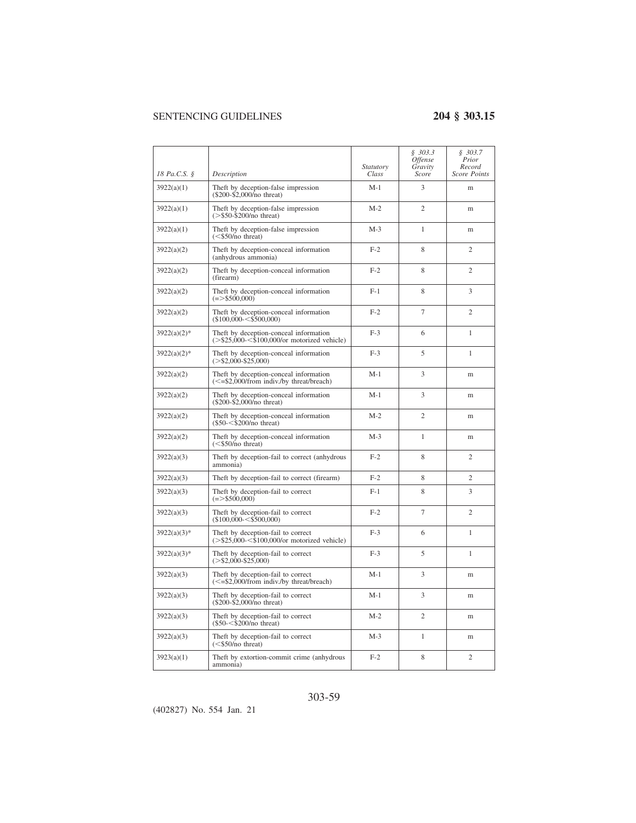|                |                                                                                                         | Statutory | \$303.3<br><i><b>Offense</b></i><br>Gravity | \$303.7<br>Prior<br>Record |
|----------------|---------------------------------------------------------------------------------------------------------|-----------|---------------------------------------------|----------------------------|
| 18 Pa.C.S. §   | Description                                                                                             | Class     | Score                                       | <b>Score Points</b>        |
| 3922(a)(1)     | Theft by deception-false impression<br>(\$200-\$2,000/no threat)                                        | $M-1$     | 3                                           | m                          |
| 3922(a)(1)     | Theft by deception-false impression<br>$(>\$50-\$200/no$ threat)                                        | $M-2$     | $\overline{c}$                              | m                          |
| 3922(a)(1)     | Theft by deception-false impression<br>$(<$ \$50/no threat)                                             | $M-3$     | $\mathbf{1}$                                | m                          |
| 3922(a)(2)     | Theft by deception-conceal information<br>(anhydrous ammonia)                                           | $F-2$     | 8                                           | $\overline{c}$             |
| 3922(a)(2)     | Theft by deception-conceal information<br>(firearm)                                                     | $F-2$     | 8                                           | $\mathcal{D}_{\alpha}$     |
| 3922(a)(2)     | Theft by deception-conceal information<br>$(= > $500,000)$                                              | $F-1$     | 8                                           | 3                          |
| 3922(a)(2)     | Theft by deception-conceal information<br>$($100,000 - $500,000)$                                       | $F-2$     | 7                                           | $\overline{c}$             |
| $3922(a)(2)$ * | Theft by deception-conceal information<br>$(>\frac{$25,000}{\$}$ < \$100,000/or motorized vehicle)      | $F-3$     | 6                                           | 1                          |
| $3922(a)(2)$ * | Theft by deception-conceal information<br>$(>\$2,000-\$25,000)$                                         | $F-3$     | 5                                           | $\mathbf{1}$               |
| 3922(a)(2)     | Theft by deception-conceal information<br>$\left( \leq =\frac{6}{2,000}$ /from indiv./by threat/breach) | $M-1$     | 3                                           | m                          |
| 3922(a)(2)     | Theft by deception-conceal information<br>$(\$200-\$2,000/no$ threat)                                   | $M-1$     | 3                                           | m                          |
| 3922(a)(2)     | Theft by deception-conceal information<br>$(\$50 - < $200/no$ threat)                                   | $M-2$     | $\overline{c}$                              | m                          |
| 3922(a)(2)     | Theft by deception-conceal information<br>$(<$ \$50/no threat)                                          | $M-3$     | $\mathbf{1}$                                | m                          |
| 3922(a)(3)     | Theft by deception-fail to correct (anhydrous<br>ammonia)                                               | $F-2$     | 8                                           | $\overline{c}$             |
| 3922(a)(3)     | Theft by deception-fail to correct (firearm)                                                            | $F-2$     | 8                                           | $\overline{c}$             |
| 3922(a)(3)     | Theft by deception-fail to correct<br>$(= > $500,000)$                                                  | $F-1$     | 8                                           | 3                          |
| 3922(a)(3)     | Theft by deception-fail to correct<br>$(\$100,000-<\$500,000)$                                          | $F-2$     | 7                                           | $\overline{c}$             |
| $3922(a)(3)*$  | Theft by deception-fail to correct<br>$(>\frac{$25,000}{\$}$ < \$100,000/or motorized vehicle)          | $F-3$     | 6                                           | $\mathbf{1}$               |
| $3922(a)(3)*$  | Theft by deception-fail to correct<br>$(>\frac{$2,000}{$2,000}$ -\$25,000)                              | $F-3$     | 5                                           | 1                          |
| 3922(a)(3)     | Theft by deception-fail to correct<br>$\epsilon$ = \$2,000/from indiv./by threat/breach)                | $M-1$     | 3                                           | m                          |
| 3922(a)(3)     | Theft by deception-fail to correct<br>$(\$200-\$2,000/no$ threat)                                       | $M-1$     | 3                                           | m                          |
| 3922(a)(3)     | Theft by deception-fail to correct<br>$($50<\$200/no$$ threat)                                          | $M-2$     | $\overline{c}$                              | m                          |
| 3922(a)(3)     | Theft by deception-fail to correct<br>$(<$ \$50/no threat)                                              | $M-3$     | $\mathbf{1}$                                | m                          |
| 3923(a)(1)     | Theft by extortion-commit crime (anhydrous<br>ammonia)                                                  | $F-2$     | 8                                           | $\overline{c}$             |

# 303-59

(402827) No. 554 Jan. 21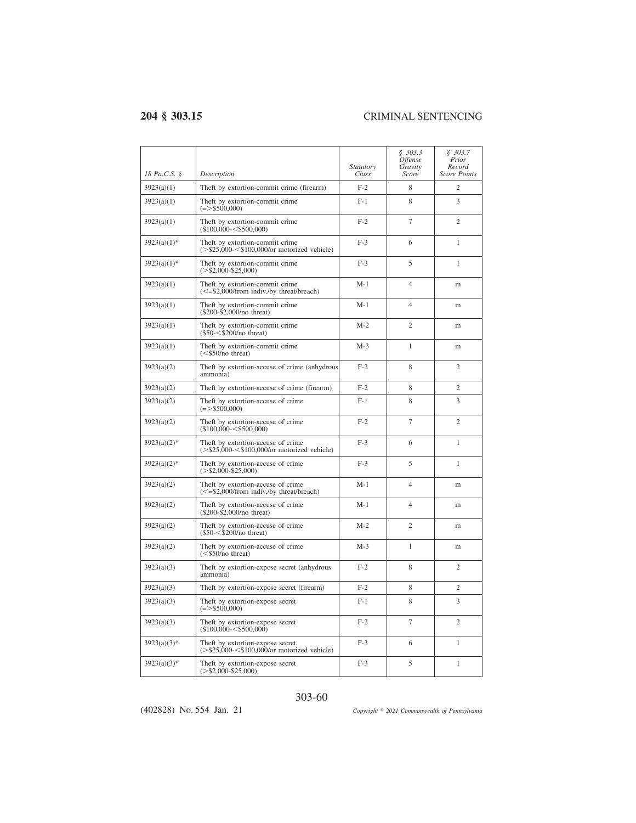| 18 Pa.C.S. §   | Description                                                                         | Statutory<br>Class | \$303.3<br><i><b>Offense</b></i><br>Gravity<br>Score | \$303.7<br>Prior<br>Record<br><b>Score Points</b> |
|----------------|-------------------------------------------------------------------------------------|--------------------|------------------------------------------------------|---------------------------------------------------|
| 3923(a)(1)     | Theft by extortion-commit crime (firearm)                                           | $F-2$              | 8                                                    | $\overline{c}$                                    |
| 3923(a)(1)     | Theft by extortion-commit crime<br>$(=>$ \$500,000)                                 | $F-1$              | 8                                                    | 3                                                 |
| 3923(a)(1)     | Theft by extortion-commit crime<br>$($100,000 - $500,000)$                          | $F-2$              | 7                                                    | $\mathfrak{2}$                                    |
| $3923(a)(1)$ * | Theft by extortion-commit crime<br>$(>\$25,000<\$100,000/$ or motorized vehicle)    | $F-3$              | 6                                                    | $\mathbf{1}$                                      |
| $3923(a)(1)$ * | Theft by extortion-commit crime<br>$(>\$2,000-\$25,000)$                            | $F-3$              | 5                                                    | 1                                                 |
| 3923(a)(1)     | Theft by extortion-commit crime<br>$\leq$ =\$2,000/from indiv./by threat/breach)    | $M-1$              | $\overline{4}$                                       | m                                                 |
| 3923(a)(1)     | Theft by extortion-commit crime<br>$(\$200-\$2,000/no$ threat)                      | $M-1$              | $\overline{4}$                                       | m                                                 |
| 3923(a)(1)     | Theft by extortion-commit crime<br>$(S50 - < $200/no$ threat)                       | $M-2$              | $\overline{2}$                                       | m                                                 |
| 3923(a)(1)     | Theft by extortion-commit crime<br>$(<$ \$50/no threat)                             | $M-3$              | $\mathbf{1}$                                         | m                                                 |
| 3923(a)(2)     | Theft by extortion-accuse of crime (anhydrous<br>ammonia)                           | $F-2$              | 8                                                    | $\overline{c}$                                    |
| 3923(a)(2)     | Theft by extortion-accuse of crime (firearm)                                        | $F-2$              | 8                                                    | $\overline{c}$                                    |
| 3923(a)(2)     | Theft by extortion-accuse of crime<br>$(=>$ \$500,000)                              | $F-1$              | 8                                                    | 3                                                 |
| 3923(a)(2)     | Theft by extortion-accuse of crime<br>$($100,000 - $500,000)$                       | $F-2$              | $\overline{7}$                                       | 2                                                 |
| $3923(a)(2)$ * | Theft by extortion-accuse of crime<br>$(>\$25,000<\$100,000$ /or motorized vehicle) | $F-3$              | 6                                                    | $\mathbf{1}$                                      |
| $3923(a)(2)*$  | Theft by extortion-accuse of crime<br>$(>\$2,000-\$25,000)$                         | $F-3$              | 5                                                    | 1                                                 |
| 3923(a)(2)     | Theft by extortion-accuse of crime<br>$\leq$ =\$2,000/from indiv./by threat/breach) | $M-1$              | 4                                                    | m                                                 |
| 3923(a)(2)     | Theft by extortion-accuse of crime<br>$(\$200-\$2,000/no$ threat)                   | $M-1$              | $\overline{4}$                                       | m                                                 |
| 3923(a)(2)     | Theft by extortion-accuse of crime<br>$(\$50 - < \$200/no$ threat)                  | $M-2$              | $\overline{2}$                                       | m                                                 |
| 3923(a)(2)     | Theft by extortion-accuse of crime<br>$(<$ \$50/no threat)                          | $M-3$              | 1                                                    | m                                                 |
| 3923(a)(3)     | Theft by extortion-expose secret (anhydrous<br>ammonia)                             | $F-2$              | 8                                                    | $\overline{c}$                                    |
| 3923(a)(3)     | Theft by extortion-expose secret (firearm)                                          | $F-2$              | 8                                                    | $\overline{c}$                                    |
| 3923(a)(3)     | Theft by extortion-expose secret<br>$(=>$ \$500,000)                                | $F-1$              | 8                                                    | 3                                                 |
| 3923(a)(3)     | Theft by extortion-expose secret<br>$($100,000 - $500,000)$                         | $F-2$              | $\overline{7}$                                       | $\overline{c}$                                    |
| $3923(a)(3)*$  | Theft by extortion-expose secret<br>$(>\$25,000<\$100,000/$ or motorized vehicle)   | $F-3$              | 6                                                    | $\mathbf{1}$                                      |
| $3923(a)(3)*$  | Theft by extortion-expose secret<br>$(>\$2,000-\$25,000)$                           | $F-3$              | 5                                                    | $\mathbf{1}$                                      |

### 303-60

(402828) No. 554 Jan. 21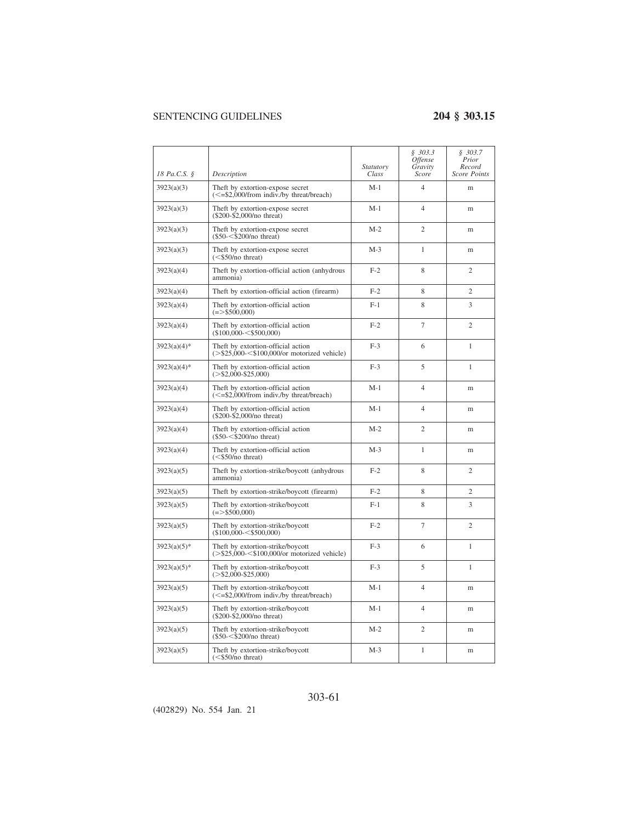|                |                                                                                     | Statutory | \$303.3<br><i><b>Offense</b></i><br>Gravity | \$303.7<br>Prior<br>Record |
|----------------|-------------------------------------------------------------------------------------|-----------|---------------------------------------------|----------------------------|
| 18 Pa.C.S. §   | Description                                                                         | Class     | Score                                       | Score Points               |
| 3923(a)(3)     | Theft by extortion-expose secret<br>$\leq$ =\$2,000/from indiv./by threat/breach)   | $M-1$     | $\overline{4}$                              | m                          |
| 3923(a)(3)     | Theft by extortion-expose secret<br>$($200-$2,000/no$ threat)                       | $M-1$     | $\overline{4}$                              | m                          |
| 3923(a)(3)     | Theft by extortion-expose secret<br>$(\$50 - < \$200/no$ threat)                    | $M-2$     | $\overline{c}$                              | m                          |
| 3923(a)(3)     | Theft by extortion-expose secret<br>$(<$ \$50/no threat)                            | $M-3$     | 1                                           | m                          |
| 3923(a)(4)     | Theft by extortion-official action (anhydrous<br>ammonia)                           | $F-2$     | 8                                           | $\overline{2}$             |
| 3923(a)(4)     | Theft by extortion-official action (firearm)                                        | $F-2$     | 8                                           | $\mathfrak{2}$             |
| 3923(a)(4)     | Theft by extortion-official action<br>$(= > $500,000)$                              | $F-1$     | 8                                           | 3                          |
| 3923(a)(4)     | Theft by extortion-official action<br>$($100,000 - $500,000)$                       | $F-2$     | 7                                           | 2                          |
| $3923(a)(4)*$  | Theft by extortion-official action<br>$(>\$25,000<\$100,000$ /or motorized vehicle) | $F-3$     | 6                                           | $\mathbf{1}$               |
| $3923(a)(4)$ * | Theft by extortion-official action<br>$(>\$2,000-\$25,000)$                         | $F-3$     | 5                                           | 1                          |
| 3923(a)(4)     | Theft by extortion-official action<br>$\leq$ =\$2,000/from indiv./by threat/breach) | $M-1$     | $\overline{4}$                              | m                          |
| 3923(a)(4)     | Theft by extortion-official action<br>$($200-$2,000/no$ threat)                     | M-1       | $\overline{4}$                              | m                          |
| 3923(a)(4)     | Theft by extortion-official action<br>$(\$50 - < \$200/no$ threat)                  | $M-2$     | $\overline{2}$                              | m                          |
| 3923(a)(4)     | Theft by extortion-official action<br>$(<$ \$50/no threat)                          | $M-3$     | 1                                           | m                          |
| 3923(a)(5)     | Theft by extortion-strike/boycott (anhydrous<br>ammonia)                            | $F-2$     | 8                                           | $\overline{c}$             |
| 3923(a)(5)     | Theft by extortion-strike/boycott (firearm)                                         | $F-2$     | 8                                           | 2                          |
| 3923(a)(5)     | Theft by extortion-strike/boycott<br>$(= > $500,000)$                               | $F-1$     | 8                                           | 3                          |
| 3923(a)(5)     | Theft by extortion-strike/boycott<br>$($100,000 - $500,000)$                        | $F-2$     | 7                                           | 2                          |
| $3923(a)(5)*$  | Theft by extortion-strike/boycott<br>$(>\$25,000<\$100,000$ /or motorized vehicle)  | $F-3$     | 6                                           | 1                          |
| $3923(a)(5)*$  | Theft by extortion-strike/boycott<br>$(>\frac{$2,000}{$2,000}$ -\$25,000)           | $F-3$     | 5                                           | 1                          |
| 3923(a)(5)     | Theft by extortion-strike/boycott<br>$\leq$ =\$2,000/from indiv./by threat/breach)  | $M-1$     | $\overline{4}$                              | m                          |
| 3923(a)(5)     | Theft by extortion-strike/boycott<br>$(\$200-\$2,000/no$ threat)                    | M-1       | 4                                           | m                          |
| 3923(a)(5)     | Theft by extortion-strike/boycott<br>$($50-<$200/no$ threat)                        | $M-2$     | $\mathfrak{2}$                              | m                          |
| 3923(a)(5)     | Theft by extortion-strike/boycott<br>$(<\frac{$50}{no}$ threat)                     | $M-3$     | 1                                           | m                          |

### 303-61

(402829) No. 554 Jan. 21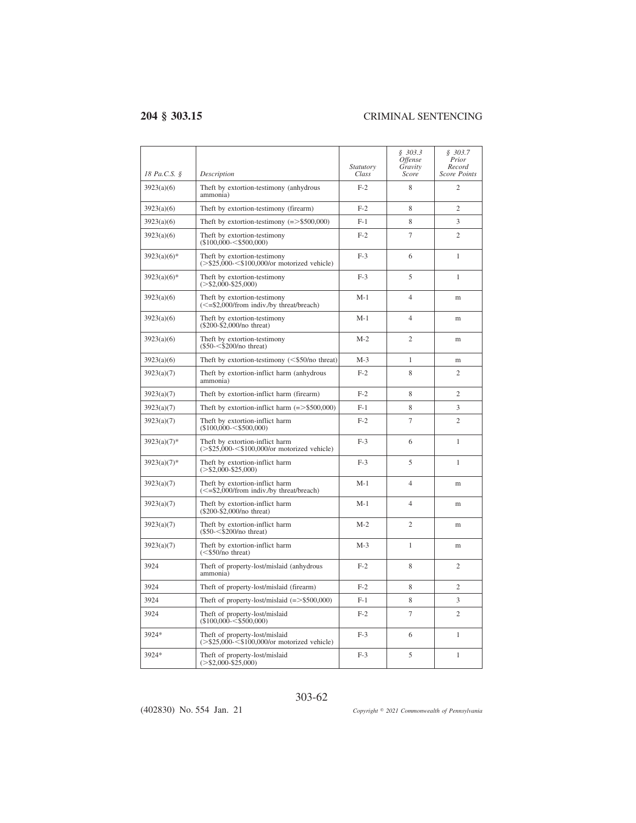| 18 Pa.C.S. §   | Description                                                                      | Statutory<br>Class | \$303.3<br>Offense<br>Gravity<br>Score | \$303.7<br>Prior<br>Record<br>Score Points |
|----------------|----------------------------------------------------------------------------------|--------------------|----------------------------------------|--------------------------------------------|
| 3923(a)(6)     | Theft by extortion-testimony (anhydrous<br>ammonia)                              | $F-2$              | 8                                      | $\overline{c}$                             |
| 3923(a)(6)     | Theft by extortion-testimony (firearm)                                           | $F-2$              | 8                                      | $\overline{c}$                             |
| 3923(a)(6)     | Theft by extortion-testimony $(= > $500,000)$                                    | $F-1$              | 8                                      | 3                                          |
| 3923(a)(6)     | Theft by extortion-testimony<br>$($100.000 - $500.000)$                          | $F-2$              | 7                                      | $\overline{c}$                             |
| $3923(a)(6)$ * | Theft by extortion-testimony<br>$(>\$25,000<\$100,000$ /or motorized vehicle)    | $F-3$              | 6                                      | $\mathbf{1}$                               |
| $3923(a)(6)$ * | Theft by extortion-testimony<br>$(>\$2,000-\$25,000)$                            | $F-3$              | 5                                      | $\mathbf{1}$                               |
| 3923(a)(6)     | Theft by extortion-testimony<br>$\leq$ =\$2,000/from indiv./by threat/breach)    | $M-1$              | $\overline{4}$                         | m                                          |
| 3923(a)(6)     | Theft by extortion-testimony<br>$(\$200-\$2,000/no$ threat)                      | $M-1$              | $\overline{4}$                         | m                                          |
| 3923(a)(6)     | Theft by extortion-testimony<br>$(\$50 - < \$200/no$ threat)                     | $M-2$              | $\overline{c}$                         | m                                          |
| 3923(a)(6)     | Theft by extortion-testimony $(<\frac{550}{no}$ threat)                          | $M-3$              | 1                                      | m                                          |
| 3923(a)(7)     | Theft by extortion-inflict harm (anhydrous<br>ammonia)                           | $F-2$              | 8                                      | $\overline{c}$                             |
| 3923(a)(7)     | Theft by extortion-inflict harm (firearm)                                        | $F-2$              | 8                                      | $\overline{c}$                             |
| 3923(a)(7)     | Theft by extortion-inflict harm $(=>$ \$500,000)                                 | $F-1$              | 8                                      | 3                                          |
| 3923(a)(7)     | Theft by extortion-inflict harm<br>$(\$100,000-<\$500,000)$                      | $F-2$              | 7                                      | $\overline{c}$                             |
| $3923(a)(7)$ * | Theft by extortion-inflict harm<br>$(>\$25,000<\$100,000$ /or motorized vehicle) | $F-3$              | 6                                      | $\mathbf{1}$                               |
| $3923(a)(7)$ * | Theft by extortion-inflict harm<br>$(>\$2.000-S25.000)$                          | $F-3$              | 5                                      | 1                                          |
| 3923(a)(7)     | Theft by extortion-inflict harm<br>$\leq$ =\$2,000/from indiv./by threat/breach) | $M-1$              | $\overline{4}$                         | m                                          |
| 3923(a)(7)     | Theft by extortion-inflict harm<br>$(\$200-\$2,000/no$ threat)                   | $M-1$              | $\overline{4}$                         | m                                          |
| 3923(a)(7)     | Theft by extortion-inflict harm<br>$(\$50 - < \$200/no$ threat)                  | $M-2$              | $\overline{c}$                         | m                                          |
| 3923(a)(7)     | Theft by extortion-inflict harm<br>$(<\frac{$50}{no}$ threat)                    | $M-3$              | 1                                      | m                                          |
| 3924           | Theft of property-lost/mislaid (anhydrous<br>ammonia)                            | $F-2$              | 8                                      | $\overline{c}$                             |
| 3924           | Theft of property-lost/mislaid (firearm)                                         | $F-2$              | 8                                      | $\overline{c}$                             |
| 3924           | Theft of property-lost/mislaid $(=>$ \$500,000)                                  | $F-1$              | 8                                      | 3                                          |
| 3924           | Theft of property-lost/mislaid<br>$($100.000 - $500.000)$                        | $F-2$              | $\tau$                                 | $\overline{c}$                             |
| 3924*          | Theft of property-lost/mislaid<br>$(>\$25,000-\$100,000$ /or motorized vehicle)  | $F-3$              | 6                                      | $\mathbf{1}$                               |
| 3924*          | Theft of property-lost/mislaid<br>$(>\$2,000-\$25,000)$                          | $F-3$              | 5                                      | $\mathbf{1}$                               |

303-62

(402830) No. 554 Jan. 21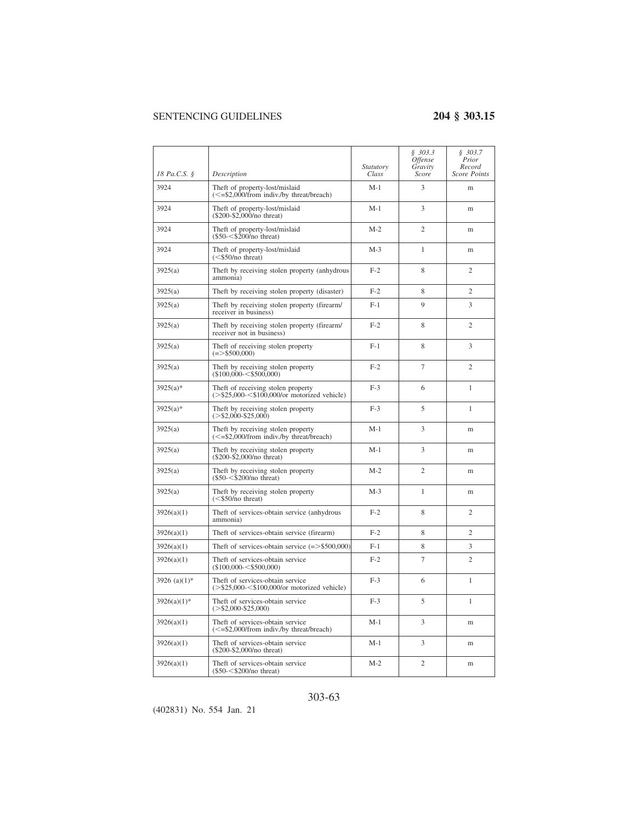| 18 Pa.C.S. §     | Description                                                                         | Statutory<br>Class | \$303.3<br>Offense<br>Gravity<br>Score | \$303.7<br>Prior<br>Record<br>Score Points |
|------------------|-------------------------------------------------------------------------------------|--------------------|----------------------------------------|--------------------------------------------|
| 3924             | Theft of property-lost/mislaid<br>$\epsilon$ =\$2.000/from indiv./by threat/breach) | $M-1$              | 3                                      | m                                          |
| 3924             | Theft of property-lost/mislaid<br>(\$200-\$2,000/no threat)                         | $M-1$              | 3                                      | m                                          |
| 3924             | Theft of property-lost/mislaid<br>$(\$50<\$200/no$ threat)                          | $M-2$              | $\overline{2}$                         | m                                          |
| 3924             | Theft of property-lost/mislaid<br>$(<$ \$50/no threat)                              | $M-3$              | 1                                      | m                                          |
| 3925(a)          | Theft by receiving stolen property (anhydrous<br>ammonia)                           | $F-2$              | 8                                      | $\overline{2}$                             |
| 3925(a)          | Theft by receiving stolen property (disaster)                                       | $F-2$              | 8                                      | $\overline{c}$                             |
| 3925(a)          | Theft by receiving stolen property (firearm/<br>receiver in business)               | $F-1$              | 9                                      | 3                                          |
| 3925(a)          | Theft by receiving stolen property (firearm/<br>receiver not in business)           | $F-2$              | 8                                      | $\overline{c}$                             |
| 3925(a)          | Theft of receiving stolen property<br>$(=>$ \$500,000)                              | $F-1$              | 8                                      | 3                                          |
| 3925(a)          | Theft by receiving stolen property<br>$(\$100,000-<\$500,000)$                      | $F-2$              | $\overline{7}$                         | $\overline{2}$                             |
| $3925(a)*$       | Theft of receiving stolen property<br>$(>\$25,000<\$100,000$ /or motorized vehicle) | $F-3$              | 6                                      | 1                                          |
| $3925(a)*$       | Theft by receiving stolen property<br>$(>\frac{$2,000}{$2,000}$                     | $F-3$              | 5                                      | 1                                          |
| 3925(a)          | Theft by receiving stolen property<br>$\leq$ =\$2,000/from indiv./by threat/breach) | $M-1$              | 3                                      | m                                          |
| 3925(a)          | Theft by receiving stolen property<br>(\$200-\$2,000/no threat)                     | $M-1$              | 3                                      | m                                          |
| 3925(a)          | Theft by receiving stolen property<br>$($50-<$200/no$ threat)                       | $M-2$              | 2                                      | m                                          |
| 3925(a)          | Theft by receiving stolen property<br>$(<$ \$50/no threat)                          | $M-3$              | 1                                      | m                                          |
| 3926(a)(1)       | Theft of services-obtain service (anhydrous<br>ammonia)                             | $F-2$              | 8                                      | $\overline{c}$                             |
| 3926(a)(1)       | Theft of services-obtain service (firearm)                                          | $F-2$              | 8                                      | $\overline{c}$                             |
| 3926(a)(1)       | Theft of services-obtain service $(=)>$ \$500,000)                                  | $F-1$              | 8                                      | 3                                          |
| 3926(a)(1)       | Theft of services-obtain service<br>$($100,000 - $500,000)$                         | $F-2$              | $\overline{7}$                         | $\mathfrak{2}$                             |
| 3926 (a) $(1)$ * | Theft of services-obtain service<br>$(>\$25,000<\$100,000$ /or motorized vehicle)   | $F-3$              | 6                                      | $\mathbf{1}$                               |
| $3926(a)(1)$ *   | Theft of services-obtain service<br>$(>\$2,000-\$25,000)$                           | $F-3$              | 5                                      | 1                                          |
| 3926(a)(1)       | Theft of services-obtain service<br>(<= \$2,000/from indiv./by threat/breach)       | $M-1$              | 3                                      | m                                          |
| 3926(a)(1)       | Theft of services-obtain service<br>(\$200-\$2,000/no threat)                       | $M-1$              | 3                                      | m                                          |
| 3926(a)(1)       | Theft of services-obtain service<br>$($50-<$200/no$ threat)                         | $M-2$              | $\overline{c}$                         | m                                          |

### 303-63

(402831) No. 554 Jan. 21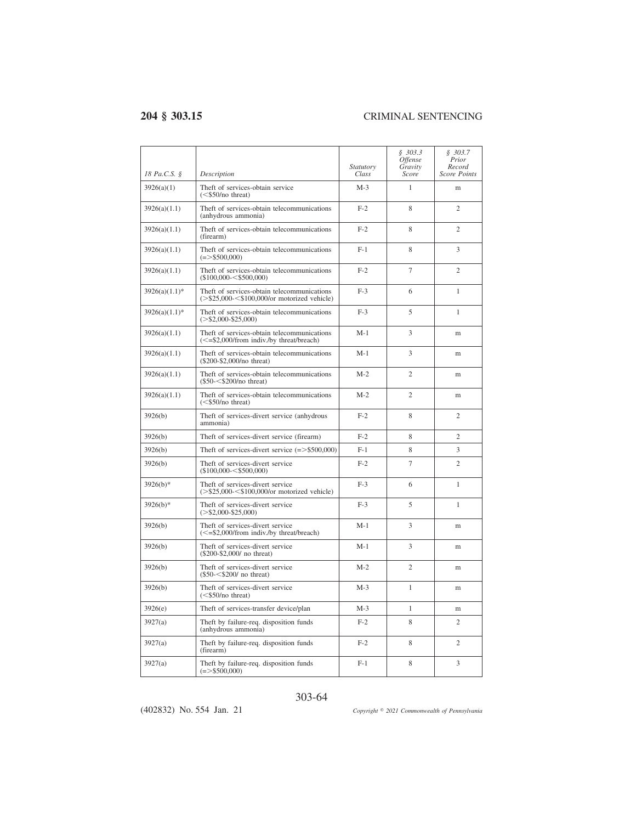| 18 Pa.C.S. §     | Description                                                                                  | Statutory<br>Class | \$303.3<br><i><b>Offense</b></i><br>Gravity<br>Score | \$303.7<br>Prior<br>Record<br>Score Points |
|------------------|----------------------------------------------------------------------------------------------|--------------------|------------------------------------------------------|--------------------------------------------|
| 3926(a)(1)       | Theft of services-obtain service<br>$(<$ \$50/no threat)                                     | $M-3$              | $\mathbf{1}$                                         | m                                          |
| 3926(a)(1.1)     | Theft of services-obtain telecommunications<br>(anhydrous ammonia)                           | $F-2$              | 8                                                    | $\overline{c}$                             |
| 3926(a)(1.1)     | Theft of services-obtain telecommunications<br>(firearm)                                     | $F-2$              | 8                                                    | $\overline{c}$                             |
| 3926(a)(1.1)     | Theft of services-obtain telecommunications<br>$(=>$ \$500,000)                              | $F-1$              | 8                                                    | 3                                          |
| 3926(a)(1.1)     | Theft of services-obtain telecommunications<br>$($100.000 - $500.000)$                       | $F-2$              | 7                                                    | $\overline{c}$                             |
| $3926(a)(1.1)^*$ | Theft of services-obtain telecommunications<br>$(>\$25,000<\$100,000$ /or motorized vehicle) | $F-3$              | 6                                                    | $\mathbf{1}$                               |
| $3926(a)(1.1)^*$ | Theft of services-obtain telecommunications<br>$(>\$2,000-\$25,000)$                         | $F-3$              | 5                                                    | 1                                          |
| 3926(a)(1.1)     | Theft of services-obtain telecommunications<br>(<= \$2,000/from indiv./by threat/breach)     | $M-1$              | 3                                                    | m                                          |
| 3926(a)(1.1)     | Theft of services-obtain telecommunications<br>(\$200-\$2,000/no threat)                     | $M-1$              | 3                                                    | m                                          |
| 3926(a)(1.1)     | Theft of services-obtain telecommunications<br>$($50-<$200/no$ threat)                       | $M-2$              | $\overline{2}$                                       | m                                          |
| 3926(a)(1.1)     | Theft of services-obtain telecommunications<br>$(<\frac{$50}{no}$ threat)                    | $M-2$              | $\overline{c}$                                       | m                                          |
| 3926(b)          | Theft of services-divert service (anhydrous<br>ammonia)                                      | $F-2$              | 8                                                    | $\overline{c}$                             |
| 3926(b)          | Theft of services-divert service (firearm)                                                   | $F-2$              | 8                                                    | $\overline{c}$                             |
| 3926(b)          | Theft of services-divert service $(=>$ \$500,000)                                            | $F-1$              | 8                                                    | 3                                          |
| 3926(b)          | Theft of services-divert service<br>$($100,000 - $500,000)$                                  | $F-2$              | 7                                                    | $\overline{c}$                             |
| $3926(b)*$       | Theft of services-divert service<br>$(>\$25,000<\$100,000$ /or motorized vehicle)            | $F-3$              | 6                                                    | $\mathbf{1}$                               |
| $3926(b)*$       | Theft of services-divert service<br>$(>\$2,000-\$25,000)$                                    | $F-3$              | 5                                                    | 1                                          |
| 3926(b)          | Theft of services-divert service<br>(<= \$2,000/from indiv./by threat/breach)                | $M-1$              | 3                                                    | m                                          |
| 3926(b)          | Theft of services-divert service<br>(\$200-\$2,000/ no threat)                               | $M-1$              | 3                                                    | m                                          |
| 3926(b)          | Theft of services-divert service<br>$(\$50 - < $200/$ no threat)                             | $M-2$              | $\overline{c}$                                       | m                                          |
| 3926(b)          | Theft of services-divert service<br>$(<\frac{$50}{no}$ threat)                               | $M-3$              | $\mathbf{1}$                                         | m                                          |
| 3926(e)          | Theft of services-transfer device/plan                                                       | $M-3$              | 1                                                    | m                                          |
| 3927(a)          | Theft by failure-req. disposition funds<br>(anhydrous ammonia)                               | $F-2$              | 8                                                    | $\overline{c}$                             |
| 3927(a)          | Theft by failure-req. disposition funds<br>(firearm)                                         | $F-2$              | 8                                                    | $\overline{c}$                             |
| 3927(a)          | Theft by failure-req. disposition funds<br>$(= > $500,000)$                                  | $F-1$              | 8                                                    | 3                                          |

### 303-64

(402832) No. 554 Jan. 21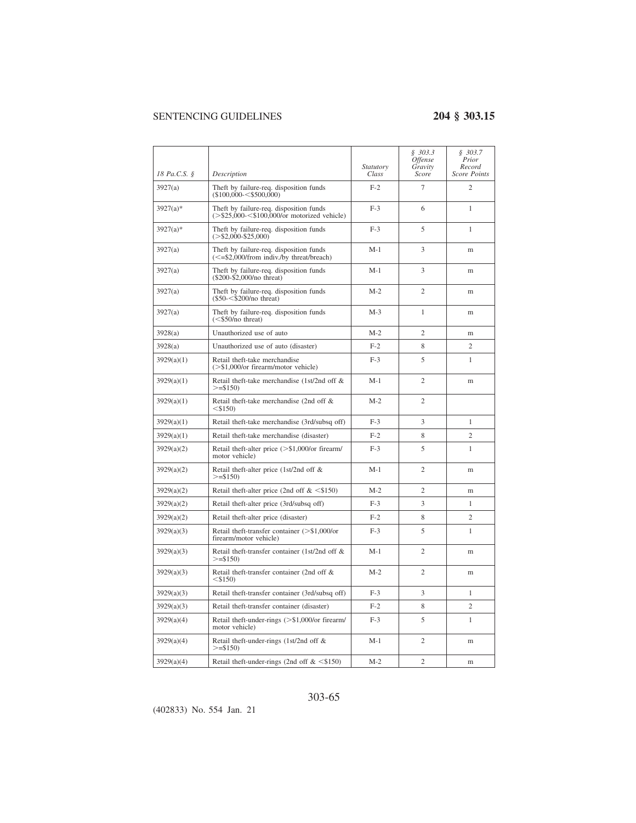| 18 Pa.C.S. § | Description                                                                                                            | Statutory<br>Class | \$303.3\$<br><i><b>Offense</b></i><br>Gravity<br>Score | \$303.7<br>Prior<br>Record<br>Score Points |
|--------------|------------------------------------------------------------------------------------------------------------------------|--------------------|--------------------------------------------------------|--------------------------------------------|
| 3927(a)      | Theft by failure-req. disposition funds<br>$($100,000 - $500,000)$                                                     | $F-2$              | $\overline{7}$                                         | $\overline{c}$                             |
| $3927(a)*$   | Theft by failure-req. disposition funds<br>$(>\$25,000<\$100,000/$ or motorized vehicle)                               | $F-3$              | 6                                                      | $\mathbf{1}$                               |
| $3927(a)*$   | Theft by failure-req. disposition funds<br>$(>\$2,000-\$25,000)$                                                       | $F-3$              | 5                                                      | $\mathbf{1}$                               |
| 3927(a)      | Theft by failure-req. disposition funds<br>$\left( \leq = \frac{52,000}{\text{from indiv}} \text{.}$ by threat/breach) | $M-1$              | 3                                                      | m                                          |
| 3927(a)      | Theft by failure-req. disposition funds<br>(\$200-\$2,000/no threat)                                                   | $M-1$              | 3                                                      | m                                          |
| 3927(a)      | Theft by failure-req. disposition funds<br>$(\$50 - < $200/no$ threat)                                                 | $M-2$              | $\overline{c}$                                         | m                                          |
| 3927(a)      | Theft by failure-req. disposition funds<br>$(<$ \$50/no threat)                                                        | $M-3$              | 1                                                      | m                                          |
| 3928(a)      | Unauthorized use of auto                                                                                               | $M-2$              | $\overline{2}$                                         | m                                          |
| 3928(a)      | Unauthorized use of auto (disaster)                                                                                    | $F-2$              | 8                                                      | $\overline{c}$                             |
| 3929(a)(1)   | Retail theft-take merchandise<br>$(>\$1,000$ /or firearm/motor vehicle)                                                | $F-3$              | 5                                                      | 1                                          |
| 3929(a)(1)   | Retail theft-take merchandise (1st/2nd off &<br>$>=$ \$150)                                                            | $M-1$              | $\overline{2}$                                         | m                                          |
| 3929(a)(1)   | Retail theft-take merchandise (2nd off &<br>$<$ \$150)                                                                 | $M-2$              | $\overline{c}$                                         |                                            |
| 3929(a)(1)   | Retail theft-take merchandise (3rd/subsq off)                                                                          | $F-3$              | 3                                                      | $\mathbf{1}$                               |
| 3929(a)(1)   | Retail theft-take merchandise (disaster)                                                                               | $F-2$              | 8                                                      | $\overline{c}$                             |
| 3929(a)(2)   | Retail theft-alter price (>\$1,000/or firearm/<br>motor vehicle)                                                       | $F-3$              | 5                                                      | 1                                          |
| 3929(a)(2)   | Retail theft-alter price (1st/2nd off &<br>$>=$ \$150)                                                                 | $M-1$              | $\overline{2}$                                         | m                                          |
| 3929(a)(2)   | Retail theft-alter price (2nd off $\< $150$ )                                                                          | $M-2$              | $\overline{2}$                                         | m                                          |
| 3929(a)(2)   | Retail theft-alter price (3rd/subsq off)                                                                               | $F-3$              | 3                                                      | 1                                          |
| 3929(a)(2)   | Retail theft-alter price (disaster)                                                                                    | $F-2$              | 8                                                      | $\overline{c}$                             |
| 3929(a)(3)   | Retail theft-transfer container (>\$1,000/or<br>firearm/motor vehicle)                                                 | $F-3$              | 5                                                      | 1                                          |
| 3929(a)(3)   | Retail theft-transfer container (1st/2nd off &<br>$>=$ \$150)                                                          | $M-1$              | $\overline{c}$                                         | m                                          |
| 3929(a)(3)   | Retail theft-transfer container (2nd off &<br>$<$ \$150)                                                               | $M-2$              | $\overline{2}$                                         | m                                          |
| 3929(a)(3)   | Retail theft-transfer container (3rd/subsq off)                                                                        | $F-3$              | 3                                                      | $\mathbf{1}$                               |
| 3929(a)(3)   | Retail theft-transfer container (disaster)                                                                             | $F-2$              | 8                                                      | $\overline{c}$                             |
| 3929(a)(4)   | Retail theft-under-rings (>\$1,000/or firearm/<br>motor vehicle)                                                       | $F-3$              | 5                                                      | 1                                          |
| 3929(a)(4)   | Retail theft-under-rings (1st/2nd off &<br>$>=$ \$150)                                                                 | M-1                | 2                                                      | m                                          |
| 3929(a)(4)   | Retail theft-under-rings (2nd off $<\$150$ )                                                                           | $M-2$              | $\overline{c}$                                         | m                                          |

### 303-65

(402833) No. 554 Jan. 21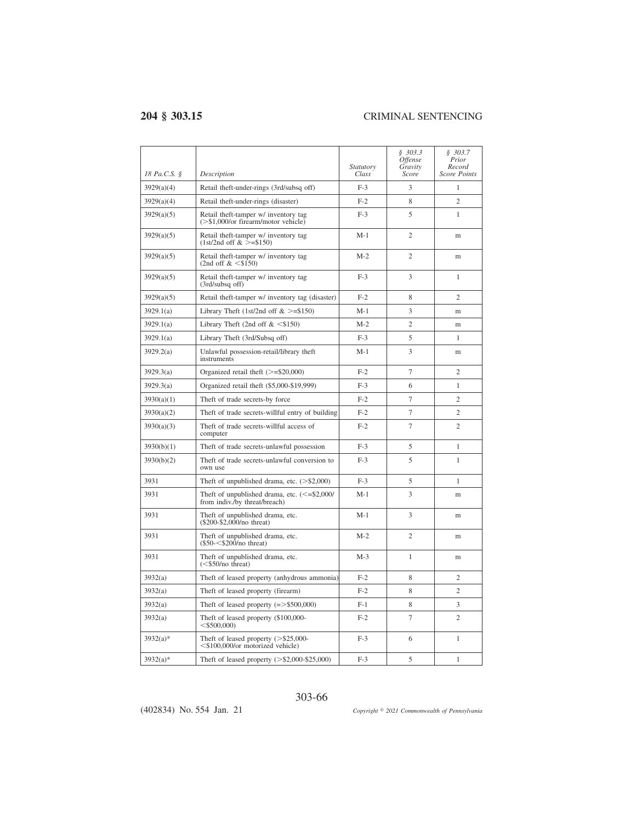| 18 Pa.C.S. § | Description                                                                        | Statutory<br>Class | \$303.3<br><i>Offense</i><br>Gravity<br>Score | \$303.7<br>Prior<br>Record<br><b>Score Points</b> |
|--------------|------------------------------------------------------------------------------------|--------------------|-----------------------------------------------|---------------------------------------------------|
| 3929(a)(4)   | Retail theft-under-rings (3rd/subsq off)                                           | $F-3$              | 3                                             | 1                                                 |
| 3929(a)(4)   | Retail theft-under-rings (disaster)                                                | $F-2$              | 8                                             | $\overline{c}$                                    |
| 3929(a)(5)   | Retail theft-tamper w/ inventory tag<br>$(>\$1,000$ /or firearm/motor vehicle)     | $F-3$              | 5                                             | 1                                                 |
| 3929(a)(5)   | Retail theft-tamper w/ inventory tag<br>$(1st/2nd$ off $>=\$150$                   | $M-1$              | $\overline{2}$                                | m                                                 |
| 3929(a)(5)   | Retail theft-tamper w/ inventory tag<br>(2nd off $< $150$ )                        | $M-2$              | $\overline{2}$                                | m                                                 |
| 3929(a)(5)   | Retail theft-tamper w/ inventory tag<br>$(3rd/subsq$ off)                          | $F-3$              | 3                                             | 1                                                 |
| 3929(a)(5)   | Retail theft-tamper w/ inventory tag (disaster)                                    | $F-2$              | 8                                             | 2                                                 |
| 3929.1(a)    | Library Theft (1st/2nd off $>=$ \$150)                                             | $M-1$              | 3                                             | m                                                 |
| 3929.1(a)    | Library Theft (2nd off $<\$150$ )                                                  | $M-2$              | $\overline{2}$                                | m                                                 |
| 3929.1(a)    | Library Theft (3rd/Subsq off)                                                      | $F-3$              | 5                                             | 1                                                 |
| 3929.2(a)    | Unlawful possession-retail/library theft<br>instruments                            | $M-1$              | 3                                             | m                                                 |
| 3929.3(a)    | Organized retail theft $(>=\$20,000)$                                              | $F-2$              | $\overline{7}$                                | $\overline{c}$                                    |
| 3929.3(a)    | Organized retail theft (\$5,000-\$19,999)                                          | $F-3$              | 6                                             | $\mathbf{1}$                                      |
| 3930(a)(1)   | Theft of trade secrets-by force                                                    | $F-2$              | $\overline{7}$                                | $\overline{c}$                                    |
| 3930(a)(2)   | Theft of trade secrets-willful entry of building                                   | $F-2$              | $\overline{7}$                                | $\overline{c}$                                    |
| 3930(a)(3)   | Theft of trade secrets-willful access of<br>computer                               | $F-2$              | $\overline{7}$                                | $\overline{c}$                                    |
| 3930(b)(1)   | Theft of trade secrets-unlawful possession                                         | $F-3$              | 5                                             | $\mathbf{1}$                                      |
| 3930(b)(2)   | Theft of trade secrets-unlawful conversion to<br>own use                           | $F-3$              | 5                                             | 1                                                 |
| 3931         | Theft of unpublished drama, etc. $(>\$2,000)$                                      | $F-3$              | 5                                             | 1                                                 |
| 3931         | Theft of unpublished drama, etc. $\leq$ =\$2,000/<br>from indiv./by threat/breach) | $M-1$              | 3                                             | m                                                 |
| 3931         | Theft of unpublished drama, etc.<br>$(\$200-\$2,000/no$ threat)                    | $M-1$              | 3                                             | m                                                 |
| 3931         | Theft of unpublished drama, etc.<br>$($50$ - $\leq $200$ /no threat)               | $M-2$              | $\mathfrak{2}$                                | m                                                 |
| 3931         | Theft of unpublished drama, etc.<br>$(<\frac{$50}{no}$ threat)                     | $M-3$              | 1                                             | m                                                 |
| 3932(a)      | Theft of leased property (anhydrous ammonia)                                       | $F-2$              | 8                                             | $\overline{c}$                                    |
| 3932(a)      | Theft of leased property (firearm)                                                 | $F-2$              | 8                                             | $\overline{c}$                                    |
| 3932(a)      | Theft of leased property $(=>$ \$500,000)                                          | F-1                | 8                                             | 3                                                 |
| 3932(a)      | Theft of leased property (\$100,000-<br>$<$ \$500,000)                             | $F-2$              | 7                                             | $\overline{c}$                                    |
| $3932(a)*$   | Theft of leased property $(>\$25,000-$<br><\$100,000/or motorized vehicle)         | $F-3$              | 6                                             | 1                                                 |
| $3932(a)*$   | Theft of leased property $(>\$2,000-\$25,000)$                                     | $F-3$              | 5                                             | 1                                                 |

303-66

(402834) No. 554 Jan. 21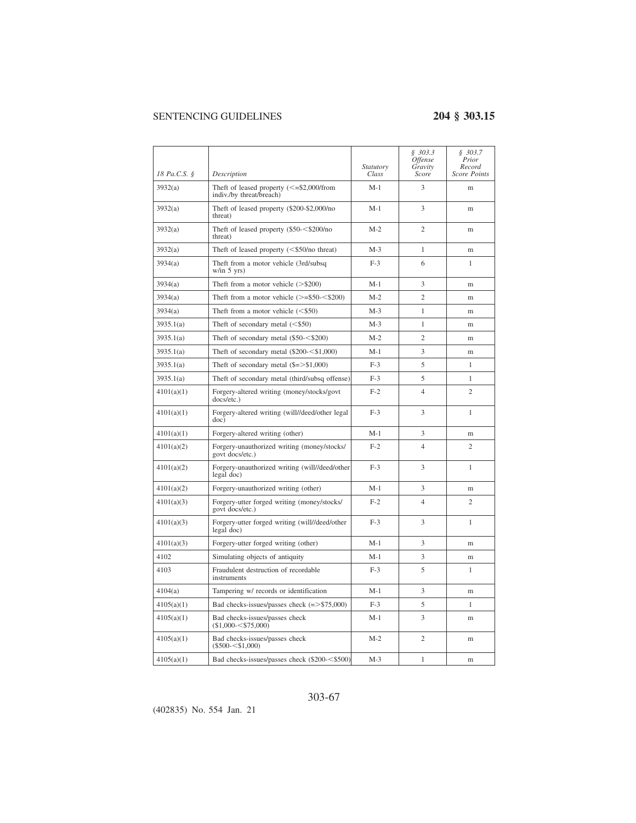| 18 Pa.C.S. § | Description                                                             | Statutory<br>Class | \$303.3<br><i>Offense</i><br>Gravity<br>Score | \$303.7<br>Prior<br>Record<br><b>Score Points</b> |
|--------------|-------------------------------------------------------------------------|--------------------|-----------------------------------------------|---------------------------------------------------|
| 3932(a)      | Theft of leased property $(<= $2,000$ /from<br>indiv./by threat/breach) | $M-1$              | 3                                             | m                                                 |
| 3932(a)      | Theft of leased property (\$200-\$2,000/no<br>threat)                   | $M-1$              | 3                                             | m                                                 |
| 3932(a)      | Theft of leased property $(\$50 - < \$200/no$<br>threat)                | $M-2$              | $\overline{c}$                                | m                                                 |
| 3932(a)      | Theft of leased property $(<\frac{250}{no}$ threat)                     | $M-3$              | $\mathbf{1}$                                  | m                                                 |
| 3934(a)      | Theft from a motor vehicle (3rd/subsq)<br>w/in 5 yrs)                   | $F-3$              | 6                                             | 1                                                 |
| 3934(a)      | Theft from a motor vehicle $(>\$200)$                                   | $M-1$              | 3                                             | m                                                 |
| 3934(a)      | Theft from a motor vehicle $(>=\$50-<\$200)$                            | $M-2$              | $\overline{c}$                                | m                                                 |
| 3934(a)      | Theft from a motor vehicle $(<\$ 50)                                    | $M-3$              | $\mathbf{1}$                                  | m                                                 |
| 3935.1(a)    | The ft of secondary metal $(<$ \$50)                                    | $M-3$              | 1                                             | m                                                 |
| 3935.1(a)    | Theft of secondary metal $(\$50 - < \$200)$                             | $M-2$              | $\overline{2}$                                | m                                                 |
| 3935.1(a)    | Theft of secondary metal $(\$200<\$1,000)$                              | $M-1$              | 3                                             | m                                                 |
| 3935.1(a)    | Theft of secondary metal $(\$ = > 1,000)$                               | $F-3$              | 5                                             | 1                                                 |
| 3935.1(a)    | Theft of secondary metal (third/subsq offense)                          | $F-3$              | 5                                             | 1                                                 |
| 4101(a)(1)   | Forgery-altered writing (money/stocks/govt<br>docs/etc.)                | $F-2$              | $\overline{4}$                                | $\overline{c}$                                    |
| 4101(a)(1)   | Forgery-altered writing (will//deed/other legal<br>doc)                 | $F-3$              | 3                                             | $\mathbf{1}$                                      |
| 4101(a)(1)   | Forgery-altered writing (other)                                         | $M-1$              | 3                                             | m                                                 |
| 4101(a)(2)   | Forgery-unauthorized writing (money/stocks/<br>govt docs/etc.)          | $F-2$              | 4                                             | $\overline{c}$                                    |
| 4101(a)(2)   | Forgery-unauthorized writing (will//deed/other<br>legal doc)            | $F-3$              | 3                                             | 1                                                 |
| 4101(a)(2)   | Forgery-unauthorized writing (other)                                    | $M-1$              | 3                                             | m                                                 |
| 4101(a)(3)   | Forgery-utter forged writing (money/stocks/<br>govt docs/etc.)          | $F-2$              | 4                                             | $\overline{c}$                                    |
| 4101(a)(3)   | Forgery-utter forged writing (will//deed/other<br>legal doc)            | $F-3$              | 3                                             | $\mathbf{1}$                                      |
| 4101(a)(3)   | Forgery-utter forged writing (other)                                    | $M-1$              | 3                                             | m                                                 |
| 4102         | Simulating objects of antiquity                                         | $M-1$              | 3                                             | m                                                 |
| 4103         | Fraudulent destruction of recordable<br>instruments                     | $F-3$              | 5                                             | 1                                                 |
| 4104(a)      | Tampering w/ records or identification                                  | $M-1$              | 3                                             | m                                                 |
| 4105(a)(1)   | Bad checks-issues/passes check $(=> $75,000)$                           | $F-3$              | 5                                             | 1                                                 |
| 4105(a)(1)   | Bad checks-issues/passes check<br>$($1,000 - $75,000)$                  | $M-1$              | 3                                             | m                                                 |
| 4105(a)(1)   | Bad checks-issues/passes check<br>$(\$500 - < $1,000)$                  | $M-2$              | $\overline{c}$                                | m                                                 |
| 4105(a)(1)   | Bad checks-issues/passes check (\$200-<\$500)                           | $M-3$              | 1                                             | m                                                 |

### 303-67

(402835) No. 554 Jan. 21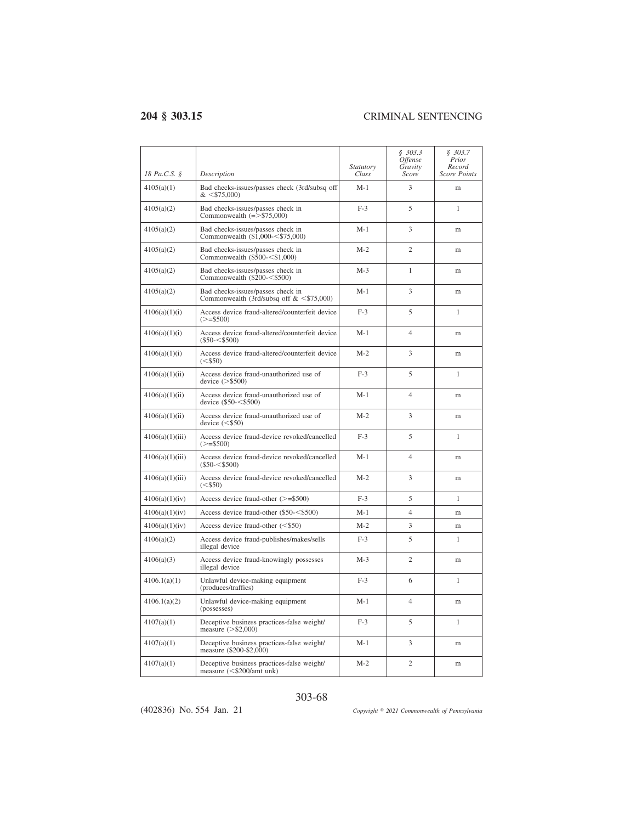| 18 Pa.C.S. §    | Description                                                                            | <i>Statutory</i><br>Class | \$303.3<br><i>Offense</i><br>Gravity<br>Score | \$303.7<br>Prior<br>Record<br><b>Score Points</b> |
|-----------------|----------------------------------------------------------------------------------------|---------------------------|-----------------------------------------------|---------------------------------------------------|
| 4105(a)(1)      | Bad checks-issues/passes check (3rd/subsq off<br>$<$ \$75,000)                         | $M-1$                     | 3                                             | m                                                 |
| 4105(a)(2)      | Bad checks-issues/passes check in<br>Commonwealth $(=> $75,000)$                       | $F-3$                     | 5                                             | 1                                                 |
| 4105(a)(2)      | Bad checks-issues/passes check in<br>Commonwealth $(\$1.000<\$75.000)$                 | $M-1$                     | 3                                             | m                                                 |
| 4105(a)(2)      | Bad checks-issues/passes check in<br>Commonwealth $(\$500=<\$1,000)$                   | $M-2$                     | $\overline{c}$                                | m                                                 |
| 4105(a)(2)      | Bad checks-issues/passes check in<br>Commonwealth $(\$200=<\$500)$                     | $M-3$                     | 1                                             | m                                                 |
| 4105(a)(2)      | Bad checks-issues/passes check in<br>Commonwealth (3rd/subsq off $< $75,000$ )         | $M-1$                     | 3                                             | m                                                 |
| 4106(a)(1)(i)   | Access device fraud-altered/counterfeit device<br>$(>= $500)$                          | $F-3$                     | 5                                             | $\mathbf{1}$                                      |
| 4106(a)(1)(i)   | Access device fraud-altered/counterfeit device<br>$(\$50 - < $500)$                    | $M-1$                     | $\overline{4}$                                | m                                                 |
| 4106(a)(1)(i)   | Access device fraud-altered/counterfeit device<br>$(<\frac{1}{50}$ )                   | $M-2$                     | 3                                             | m                                                 |
| 4106(a)(1)(ii)  | Access device fraud-unauthorized use of<br>device $(>\$500)$                           | $F-3$                     | 5                                             | $\mathbf{1}$                                      |
| 4106(a)(1)(ii)  | Access device fraud-unauthorized use of<br>device $(\$50 - < $500)$                    | $M-1$                     | $\overline{4}$                                | m                                                 |
| 4106(a)(1)(ii)  | Access device fraud-unauthorized use of<br>device $(<$ \$50)                           | $M-2$                     | 3                                             | m                                                 |
| 4106(a)(1)(iii) | Access device fraud-device revoked/cancelled<br>$(>= $500)$                            | $F-3$                     | 5                                             | 1                                                 |
| 4106(a)(1)(iii) | Access device fraud-device revoked/cancelled<br>$(\$50 - < $500)$                      | $M-1$                     | $\overline{4}$                                | m                                                 |
| 4106(a)(1)(iii) | Access device fraud-device revoked/cancelled<br>$(<\frac{$50}{50}$                     | $M-2$                     | 3                                             | m                                                 |
| 4106(a)(1)(iv)  | Access device fraud-other $(>=\$500)$                                                  | $F-3$                     | 5                                             | 1                                                 |
| 4106(a)(1)(iv)  | Access device fraud-other (\$50-<\$500)                                                | $M-1$                     | $\overline{4}$                                | m                                                 |
| 4106(a)(1)(iv)  | Access device fraud-other $(<$ \$50)                                                   | $M-2$                     | 3                                             | m                                                 |
| 4106(a)(2)      | Access device fraud-publishes/makes/sells<br>illegal device                            | $F-3$                     | 5                                             | 1                                                 |
| 4106(a)(3)      | Access device fraud-knowingly possesses<br>illegal device                              | $M-3$                     | $\overline{c}$                                | m                                                 |
| 4106.1(a)(1)    | Unlawful device-making equipment<br>(produces/traffics)                                | $F-3$                     | 6                                             | $\mathbf{1}$                                      |
| 4106.1(a)(2)    | Unlawful device-making equipment<br>(possesses)                                        | $M-1$                     | $\overline{4}$                                | m                                                 |
| 4107(a)(1)      | Deceptive business practices-false weight/<br>measure $(>\,$ \$2,000)                  | $F-3$                     | 5                                             | 1                                                 |
| 4107(a)(1)      | Deceptive business practices-false weight/<br>measure (\$200-\$2,000)                  | $M-1$                     | 3                                             | m                                                 |
| 4107(a)(1)      | Deceptive business practices-false weight/<br>measure $(<\frac{$200}{\text{amt}}$ unk) | $M-2$                     | $\overline{c}$                                | m                                                 |

### 303-68

(402836) No. 554 Jan. 21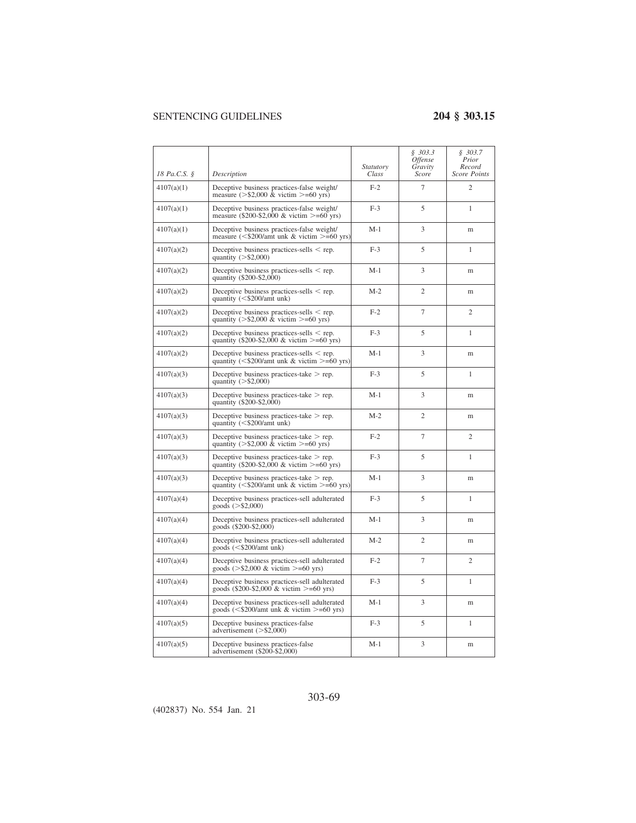|              |                                                                                                        | Statutory | \$303.3<br><i><b>Offense</b></i><br>Gravity | \$303.7<br>Prior<br>Record |
|--------------|--------------------------------------------------------------------------------------------------------|-----------|---------------------------------------------|----------------------------|
| 18 Pa.C.S. § | Description                                                                                            | Class     | Score                                       | <b>Score Points</b>        |
| 4107(a)(1)   | Deceptive business practices-false weight/<br>measure $(>\$2,000 \& \text{victim} >=60 \text{ yrs})$   | $F-2$     | $\overline{7}$                              | $\overline{2}$             |
| 4107(a)(1)   | Deceptive business practices-false weight/<br>measure (\$200-\$2,000 & victim >=60 yrs)                | $F-3$     | 5                                           | 1                          |
| 4107(a)(1)   | Deceptive business practices-false weight/<br>measure ( $\leq$ \$200/amt unk & victim $\geq$ =60 yrs)  | $M-1$     | 3                                           | m                          |
| 4107(a)(2)   | Deceptive business practices-sells $\le$ rep.<br>quantity $(>\$2,000)$                                 | $F-3$     | 5                                           | 1                          |
| 4107(a)(2)   | Deceptive business practices-sells $\le$ rep.<br>quantity (\$200-\$2,000)                              | $M-1$     | 3                                           | m                          |
| 4107(a)(2)   | Deceptive business practices-sells $\le$ rep.<br>quantity $(<\frac{$200}{amt}$ unk)                    | $M-2$     | $\overline{c}$                              | m                          |
| 4107(a)(2)   | Deceptive business practices-sells $\le$ rep.<br>quantity ( $>$ \$2,000 & victim $>=$ 60 yrs)          | $F-2$     | $\tau$                                      | $\overline{c}$             |
| 4107(a)(2)   | Deceptive business practices-sells $\le$ rep.<br>quantity (\$200-\$2,000 & victim >=60 yrs)            | $F-3$     | 5                                           | 1                          |
| 4107(a)(2)   | Deceptive business practices-sells $\le$ rep.<br>quantity (<\$200/amt unk & victim >= $60$ yrs)        | $M-1$     | 3                                           | m                          |
| 4107(a)(3)   | Deceptive business practices-take $>$ rep.<br>quantity $(>\,$ \$2,000)                                 | $F-3$     | 5                                           | 1                          |
| 4107(a)(3)   | Deceptive business practices-take $>$ rep.<br>quantity (\$200-\$2,000)                                 | $M-1$     | 3                                           | m                          |
| 4107(a)(3)   | Deceptive business practices-take $>$ rep.<br>quantity $(<\frac{$200}{\text{amt}}$ unk)                | $M-2$     | $\overline{c}$                              | m                          |
| 4107(a)(3)   | Deceptive business practices-take $>$ rep.<br>quantity ( $>$ \$2,000 & victim $>=$ 60 yrs)             | $F-2$     | $\overline{7}$                              | $\overline{2}$             |
| 4107(a)(3)   | Deceptive business practices-take $>$ rep.<br>quantity (\$200-\$2,000 & victim $>= 60$ yrs)            | $F-3$     | 5                                           | $\mathbf{1}$               |
| 4107(a)(3)   | Deceptive business practices-take $>$ rep.<br>quantity ( $\leq$ \$200/amt unk & victim $\geq$ =60 yrs) | $M-1$     | 3                                           | m                          |
| 4107(a)(4)   | Deceptive business practices-sell adulterated<br>goods $(>\$2,000)$                                    | $F-3$     | 5                                           | $\mathbf{1}$               |
| 4107(a)(4)   | Deceptive business practices-sell adulterated<br>goods (\$200-\$2,000)                                 | $M-1$     | 3                                           | m                          |
| 4107(a)(4)   | Deceptive business practices-sell adulterated<br>goods $(<$ \$200/amt unk)                             | $M-2$     | $\overline{2}$                              | m                          |
| 4107(a)(4)   | Deceptive business practices-sell adulterated<br>goods ( $>$ \$2,000 & victim $>=$ 60 yrs)             | $F-2$     | $\overline{7}$                              | $\overline{2}$             |
| 4107(a)(4)   | Deceptive business practices-sell adulterated<br>goods (\$200-\$2,000 & victim >=60 yrs)               | $F-3$     | 5                                           | 1                          |
| 4107(a)(4)   | Deceptive business practices-sell adulterated<br>goods ( $\leq$ \$200/amt unk & victim $\geq$ =60 yrs) | $M-1$     | 3                                           | m                          |
| 4107(a)(5)   | Deceptive business practices-false<br>advertisement $(>\$2,000)$                                       | $F-3$     | 5                                           | 1                          |
| 4107(a)(5)   | Deceptive business practices-false<br>advertisement (\$200-\$2,000)                                    | $M-1$     | 3                                           | m                          |

### 303-69

(402837) No. 554 Jan. 21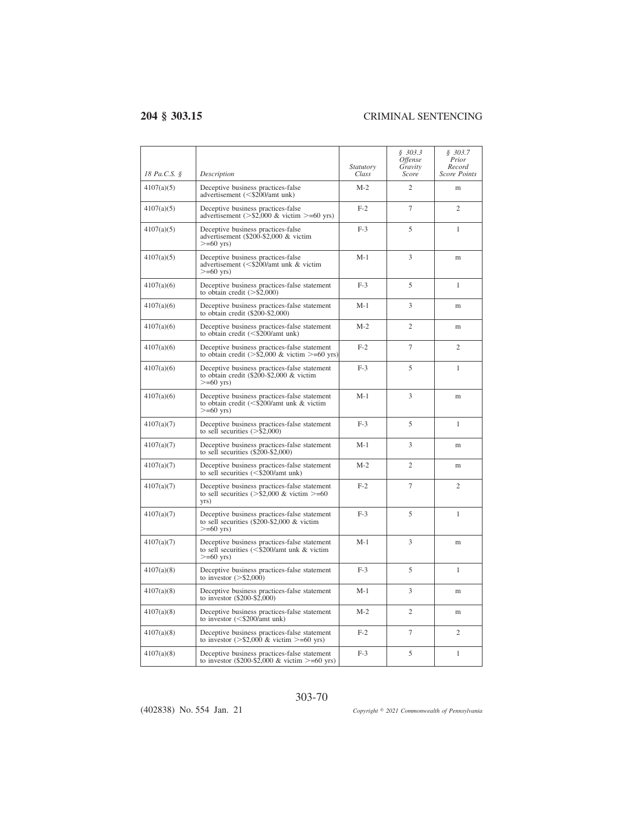| 18 Pa.C.S. § | Description                                                                                                                | <i>Statutory</i><br>Class | \$303.3<br><i><b>Offense</b></i><br>Gravity<br>Score | \$303.7<br>Prior<br>Record<br><b>Score Points</b> |
|--------------|----------------------------------------------------------------------------------------------------------------------------|---------------------------|------------------------------------------------------|---------------------------------------------------|
| 4107(a)(5)   | Deceptive business practices-false<br>advertisement (<\$200/amt unk)                                                       | $M-2$                     | $\overline{c}$                                       | m                                                 |
| 4107(a)(5)   | Deceptive business practices-false<br>advertisement ( $>$ \$2,000 & victim $>=$ 60 yrs)                                    | $F-2$                     | $\overline{7}$                                       | $\overline{c}$                                    |
| 4107(a)(5)   | Deceptive business practices-false<br>advertisement (\$200-\$2,000 & victim<br>$>= 60$ yrs)                                | $F-3$                     | 5                                                    | 1                                                 |
| 4107(a)(5)   | Deceptive business practices-false<br>advertisement (<\$200/amt unk & victim<br>$>= 60$ yrs)                               | $M-1$                     | 3                                                    | m                                                 |
| 4107(a)(6)   | Deceptive business practices-false statement<br>to obtain credit $(>\frac{5}{2,000})$                                      | $F-3$                     | 5                                                    | 1                                                 |
| 4107(a)(6)   | Deceptive business practices-false statement<br>to obtain credit $(\$200-\$2,000)$                                         | $M-1$                     | 3                                                    | m                                                 |
| 4107(a)(6)   | Deceptive business practices-false statement<br>to obtain credit $(<\frac{$200}{\text{amt}}$ unk)                          | $M-2$                     | 2                                                    | m                                                 |
| 4107(a)(6)   | Deceptive business practices-false statement<br>to obtain credit ( $>$ \$2,000 & victim $>=$ 60 yrs)                       | $F-2$                     | 7                                                    | $\overline{c}$                                    |
| 4107(a)(6)   | Deceptive business practices-false statement<br>to obtain credit (\$200-\$2,000 & victim<br>$>= 60$ yrs)                   | $F-3$                     | 5                                                    | $\mathbf{1}$                                      |
| 4107(a)(6)   | Deceptive business practices-false statement<br>to obtain credit $(<\frac{$200}{\text{amt}})$ unk & victim<br>$>= 60$ yrs) | $M-1$                     | 3                                                    | m                                                 |
| 4107(a)(7)   | Deceptive business practices-false statement<br>to sell securities $(>\$2,000)$                                            | $F-3$                     | 5                                                    | $\mathbf{1}$                                      |
| 4107(a)(7)   | Deceptive business practices-false statement<br>to sell securities $(\$200-\$2,000)$                                       | $M-1$                     | 3                                                    | m                                                 |
| 4107(a)(7)   | Deceptive business practices-false statement<br>to sell securities $\langle \langle \$ {5200/amt}} unk)                    | $M-2$                     | $\overline{c}$                                       | m                                                 |
| 4107(a)(7)   | Deceptive business practices-false statement<br>to sell securities ( $>$ \$2,000 & victim $>=$ 60<br>yrs)                  | $F-2$                     | 7                                                    | $\overline{c}$                                    |
| 4107(a)(7)   | Deceptive business practices-false statement<br>to sell securities $(\$200-\$2,000 \& \text{victim})$<br>$>=60$ yrs)       | $F-3$                     | 5                                                    | $\mathbf{1}$                                      |
| 4107(a)(7)   | Deceptive business practices-false statement<br>to sell securities (<\$200/amt unk & victim<br>$>= 60$ yrs)                | $M-1$                     | 3                                                    | m                                                 |
| 4107(a)(8)   | Deceptive business practices-false statement<br>to investor $(>\$2,000)$                                                   | $F-3$                     | 5                                                    | 1                                                 |
| 4107(a)(8)   | Deceptive business practices-false statement<br>to investor (\$200-\$2,000)                                                | $M-1$                     | 3                                                    | m                                                 |
| 4107(a)(8)   | Deceptive business practices-false statement<br>to investor $(<\frac{$200}{\text{amt}}$ unk)                               | $M-2$                     | $\overline{c}$                                       | m                                                 |
| 4107(a)(8)   | Deceptive business practices-false statement<br>to investor ( $>$ \$2,000 & victim $>=$ 60 yrs)                            | $F-2$                     | $\overline{7}$                                       | $\overline{c}$                                    |
| 4107(a)(8)   | Deceptive business practices-false statement<br>to investor (\$200-\$2,000 & victim >=60 yrs)                              | $F-3$                     | 5                                                    | $\mathbf{1}$                                      |

(402838) No. 554 Jan. 21

*2021 Commonwealth of Pennsylvania*

303-70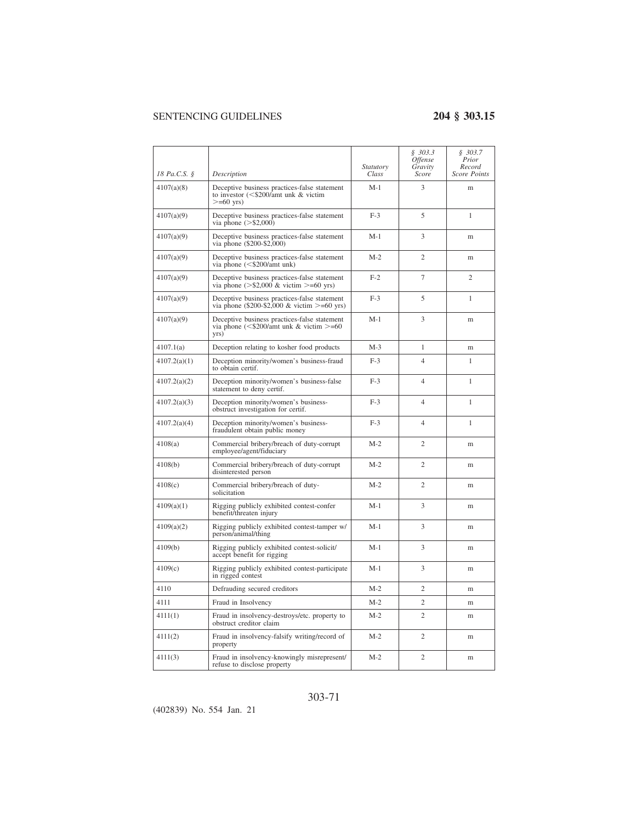| 18 Pa.C.S. § | Description                                                                                                                            | Statutory<br>Class | \$303.3<br>Offense<br>Gravity<br>Score | \$303.7<br>Prior<br>Record<br><b>Score Points</b> |
|--------------|----------------------------------------------------------------------------------------------------------------------------------------|--------------------|----------------------------------------|---------------------------------------------------|
| 4107(a)(8)   | Deceptive business practices-false statement<br>to investor $(<\frac{$200}{\text{amt}}$ unk & victim<br>$>= 60$ yrs)                   | $M-1$              | 3                                      | m                                                 |
| 4107(a)(9)   | Deceptive business practices-false statement<br>via phone $(>\$2,000)$                                                                 | $F-3$              | 5                                      | 1                                                 |
| 4107(a)(9)   | Deceptive business practices-false statement<br>via phone (\$200-\$2,000)                                                              | $M-1$              | 3                                      | m                                                 |
| 4107(a)(9)   | Deceptive business practices-false statement<br>via phone $(<\frac{$200}{\text{amt}}$ unk)                                             | $M-2$              | $\overline{2}$                         | m                                                 |
| 4107(a)(9)   | Deceptive business practices-false statement<br>via phone $(>\$2,000 \& \text{victim} >=60 \text{ yrs})$                               | $F-2$              | $\overline{7}$                         | $\overline{2}$                                    |
| 4107(a)(9)   | Deceptive business practices-false statement<br>via phone (\$200-\$2,000 & victim >=60 yrs)                                            | $F-3$              | 5                                      | 1                                                 |
| 4107(a)(9)   | Deceptive business practices-false statement<br>via phone $\left( \frac{5200}{\text{amt}} \right)$ unk & victim $\right) = 60$<br>yrs) | $M-1$              | 3                                      | m                                                 |
| 4107.1(a)    | Deception relating to kosher food products                                                                                             | $M-3$              | 1                                      | m                                                 |
| 4107.2(a)(1) | Deception minority/women's business-fraud<br>to obtain certif.                                                                         | $F-3$              | 4                                      | 1                                                 |
| 4107.2(a)(2) | Deception minority/women's business-false<br>statement to deny certif.                                                                 | $F-3$              | 4                                      | 1                                                 |
| 4107.2(a)(3) | Deception minority/women's business-<br>obstruct investigation for certif.                                                             | $F-3$              | 4                                      | 1                                                 |
| 4107.2(a)(4) | Deception minority/women's business-<br>fraudulent obtain public money                                                                 | $F-3$              | 4                                      | 1                                                 |
| 4108(a)      | Commercial bribery/breach of duty-corrupt<br>employee/agent/fiduciary                                                                  | $M-2$              | $\overline{c}$                         | m                                                 |
| 4108(b)      | Commercial bribery/breach of duty-corrupt<br>disinterested person                                                                      | $M-2$              | $\overline{c}$                         | m                                                 |
| 4108(c)      | Commercial bribery/breach of duty-<br>solicitation                                                                                     | $M-2$              | $\overline{2}$                         | m                                                 |
| 4109(a)(1)   | Rigging publicly exhibited contest-confer<br>benefit/threaten injury                                                                   | $M-1$              | 3                                      | m                                                 |
| 4109(a)(2)   | Rigging publicly exhibited contest-tamper w/<br>person/animal/thing                                                                    | $M-1$              | 3                                      | m                                                 |
| 4109(b)      | Rigging publicly exhibited contest-solicit/<br>accept benefit for rigging                                                              | $M-1$              | 3                                      | m                                                 |
| 4109(c)      | Rigging publicly exhibited contest-participate<br>in rigged contest                                                                    | $M-1$              | 3                                      | m                                                 |
| 4110         | Defrauding secured creditors                                                                                                           | $M-2$              | $\overline{c}$                         | m                                                 |
| 4111         | Fraud in Insolvency                                                                                                                    | $M-2$              | $\overline{c}$                         | m                                                 |
| 4111(1)      | Fraud in insolvency-destroys/etc. property to<br>obstruct creditor claim                                                               | $M-2$              | $\overline{2}$                         | m                                                 |
| 4111(2)      | Fraud in insolvency-falsify writing/record of<br>property                                                                              | $M-2$              | $\overline{2}$                         | m                                                 |
| 4111(3)      | Fraud in insolvency-knowingly misrepresent/<br>refuse to disclose property                                                             | $M-2$              | $\overline{2}$                         | m                                                 |

### 303-71

(402839) No. 554 Jan. 21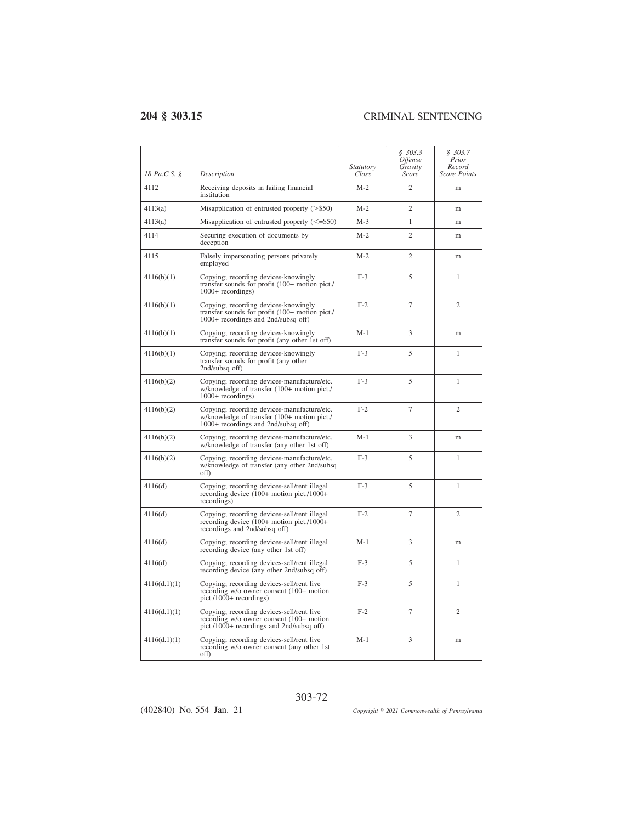$\overline{a}$ 

| 18 Pa.C.S. § | Description                                                                                                                        | Statutory<br>Class | \$303.3<br><i><b>Offense</b></i><br>Gravity<br>Score | \$303.7<br>Prior<br>Record<br>Score Points |
|--------------|------------------------------------------------------------------------------------------------------------------------------------|--------------------|------------------------------------------------------|--------------------------------------------|
| 4112         | Receiving deposits in failing financial<br>institution                                                                             | $M-2$              | $\overline{c}$                                       | m                                          |
| 4113(a)      | Misapplication of entrusted property $(>\,$ \$50)                                                                                  | $M-2$              | $\overline{2}$                                       | m                                          |
| 4113(a)      | Misapplication of entrusted property $(\leq=\$50)$                                                                                 | $M-3$              | $\mathbf{1}$                                         | m                                          |
| 4114         | Securing execution of documents by<br>deception                                                                                    | $M-2$              | $\overline{2}$                                       | m                                          |
| 4115         | Falsely impersonating persons privately<br>employed                                                                                | $M-2$              | $\overline{c}$                                       | m                                          |
| 4116(b)(1)   | Copying; recording devices-knowingly<br>transfer sounds for profit (100+ motion pict./<br>$1000+$ recordings)                      | $F-3$              | 5                                                    | 1                                          |
| 4116(b)(1)   | Copying; recording devices-knowingly<br>transfer sounds for profit (100+ motion pict./<br>1000+ recordings and 2nd/subsq off)      | $F-2$              | 7                                                    | $\overline{c}$                             |
| 4116(b)(1)   | Copying; recording devices-knowingly<br>transfer sounds for profit (any other 1st off)                                             | $M-1$              | 3                                                    | m                                          |
| 4116(b)(1)   | Copying; recording devices-knowingly<br>transfer sounds for profit (any other<br>2nd/subsq off)                                    | $F-3$              | 5                                                    | 1                                          |
| 4116(b)(2)   | Copying; recording devices-manufacture/etc.<br>w/knowledge of transfer (100+ motion pict./<br>$1000+$ recordings)                  | $F-3$              | 5                                                    | $\mathbf{1}$                               |
| 4116(b)(2)   | Copying; recording devices-manufacture/etc.<br>w/knowledge of transfer (100+ motion pict./<br>1000+ recordings and 2nd/subsq off)  | $F-2$              | 7                                                    | $\overline{c}$                             |
| 4116(b)(2)   | Copying; recording devices-manufacture/etc.<br>w/knowledge of transfer (any other 1st off)                                         | $M-1$              | 3                                                    | m                                          |
| 4116(b)(2)   | Copying; recording devices-manufacture/etc.<br>w/knowledge of transfer (any other 2nd/subsq<br>off)                                | $F-3$              | 5                                                    | $\mathbf{1}$                               |
| 4116(d)      | Copying; recording devices-sell/rent illegal<br>recording device $(100+$ motion pict./1000+<br>recordings)                         | $F-3$              | 5                                                    | 1                                          |
| 4116(d)      | Copying; recording devices-sell/rent illegal<br>recording device $(100+$ motion pict./1000+<br>recordings and 2nd/subsq off)       | $F-2$              | 7                                                    | $\overline{c}$                             |
| 4116(d)      | Copying; recording devices-sell/rent illegal<br>recording device (any other 1st off)                                               | $M-1$              | 3                                                    | m                                          |
| 4116(d)      | Copying; recording devices-sell/rent illegal<br>recording device (any other 2nd/subsq off)                                         | $F-3$              | 5                                                    | 1                                          |
| 4116(d.1)(1) | Copying; recording devices-sell/rent live<br>recording w/o owner consent (100+ motion<br>$picture(1000 + recordings))$             | $F-3$              | 5                                                    | 1                                          |
| 4116(d.1)(1) | Copying; recording devices-sell/rent live<br>recording w/o owner consent (100+ motion<br>pict./1000+ recordings and 2nd/subsq off) | $F-2$              | $\overline{7}$                                       | $\overline{c}$                             |
| 4116(d.1)(1) | Copying; recording devices-sell/rent live<br>recording w/o owner consent (any other 1st<br>off)                                    | $M-1$              | 3                                                    | m                                          |

(402840) No. 554 Jan. 21

*2021 Commonwealth of Pennsylvania*

303-72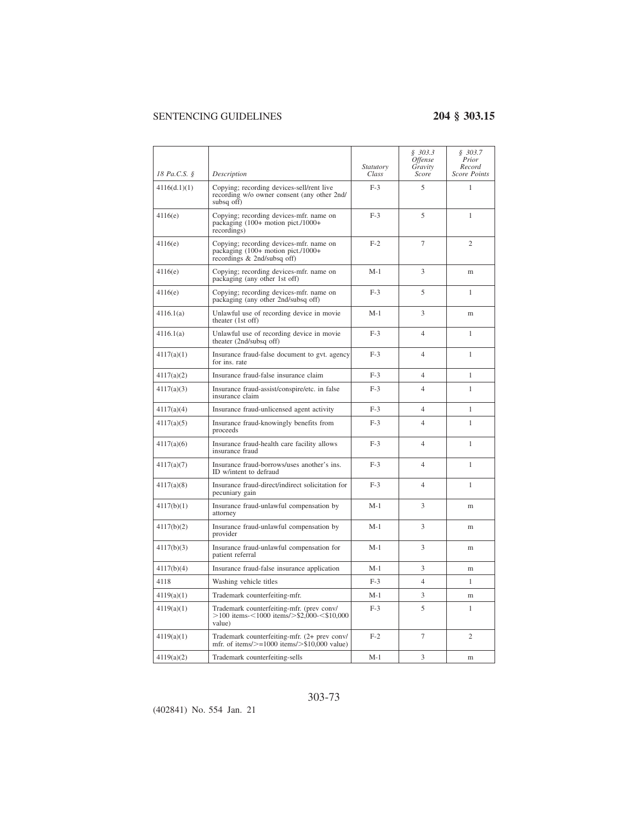| 18 Pa.C.S. § | Description                                                                                                    | <i>Statutory</i><br>Class | \$303.3<br><i><b>Offense</b></i><br>Gravity<br>Score | \$303.7<br>Prior<br>Record<br><b>Score Points</b> |
|--------------|----------------------------------------------------------------------------------------------------------------|---------------------------|------------------------------------------------------|---------------------------------------------------|
| 4116(d.1)(1) | Copying; recording devices-sell/rent live<br>recording w/o owner consent (any other 2nd/<br>subsq off)         | $F-3$                     | 5                                                    | 1                                                 |
| 4116(e)      | Copying; recording devices-mfr. name on<br>packaging (100+ motion pict./1000+<br>recordings)                   | $F-3$                     | 5                                                    | 1                                                 |
| 4116(e)      | Copying; recording devices-mfr. name on<br>packaging (100+ motion pict./1000+<br>recordings & 2nd/subsq off)   | $F-2$                     | 7                                                    | $\overline{c}$                                    |
| 4116(e)      | Copying; recording devices-mfr. name on<br>packaging (any other 1st off)                                       | $M-1$                     | 3                                                    | m                                                 |
| 4116(e)      | Copying; recording devices-mfr. name on<br>packaging (any other 2nd/subsq off)                                 | $F-3$                     | 5                                                    | 1                                                 |
| 4116.1(a)    | Unlawful use of recording device in movie<br>theater (1st off)                                                 | $M-1$                     | 3                                                    | m                                                 |
| 4116.1(a)    | Unlawful use of recording device in movie<br>theater (2nd/subsq off)                                           | $F-3$                     | $\overline{4}$                                       | 1                                                 |
| 4117(a)(1)   | Insurance fraud-false document to gvt. agency<br>for ins. rate                                                 | $F-3$                     | 4                                                    | 1                                                 |
| 4117(a)(2)   | Insurance fraud-false insurance claim                                                                          | $F-3$                     | $\overline{4}$                                       | 1                                                 |
| 4117(a)(3)   | Insurance fraud-assist/conspire/etc. in false<br>insurance claim                                               | $F-3$                     | 4                                                    | 1                                                 |
| 4117(a)(4)   | Insurance fraud-unlicensed agent activity                                                                      | $F-3$                     | $\overline{4}$                                       | $\mathbf{1}$                                      |
| 4117(a)(5)   | Insurance fraud-knowingly benefits from<br>proceeds                                                            | $F-3$                     | $\overline{4}$                                       | 1                                                 |
| 4117(a)(6)   | Insurance fraud-health care facility allows<br>insurance fraud                                                 | $F-3$                     | $\overline{4}$                                       | 1                                                 |
| 4117(a)(7)   | Insurance fraud-borrows/uses another's ins.<br>ID w/intent to defraud                                          | $F-3$                     | 4                                                    | 1                                                 |
| 4117(a)(8)   | Insurance fraud-direct/indirect solicitation for<br>pecuniary gain                                             | $F-3$                     | $\overline{4}$                                       | 1                                                 |
| 4117(b)(1)   | Insurance fraud-unlawful compensation by<br>attorney                                                           | $M-1$                     | 3                                                    | m                                                 |
| 4117(b)(2)   | Insurance fraud-unlawful compensation by<br>provider                                                           | $M-1$                     | 3                                                    | m                                                 |
| 4117(b)(3)   | Insurance fraud-unlawful compensation for<br>patient referral                                                  | $M-1$                     | 3                                                    | m                                                 |
| 4117(b)(4)   | Insurance fraud-false insurance application                                                                    | $M-1$                     | 3                                                    | m                                                 |
| 4118         | Washing vehicle titles                                                                                         | $F-3$                     | $\overline{4}$                                       | $\mathbf{1}$                                      |
| 4119(a)(1)   | Trademark counterfeiting-mfr.                                                                                  | $M-1$                     | 3                                                    | m                                                 |
| 4119(a)(1)   | Trademark counterfeiting-mfr. (prev conv/<br>$>100$ items- $<$ 1000 items/ $>$ \$2,000- $<$ \$10,000<br>value) | $F-3$                     | 5                                                    | 1                                                 |
| 4119(a)(1)   | Trademark counterfeiting-mfr. (2+ prev conv/<br>mfr. of items/ $> = 1000$ items/ $>$ \$10,000 value)           | $F-2$                     | $\overline{7}$                                       | $\overline{c}$                                    |
| 4119(a)(2)   | Trademark counterfeiting-sells                                                                                 | $M-1$                     | 3                                                    | m                                                 |

### 303-73

(402841) No. 554 Jan. 21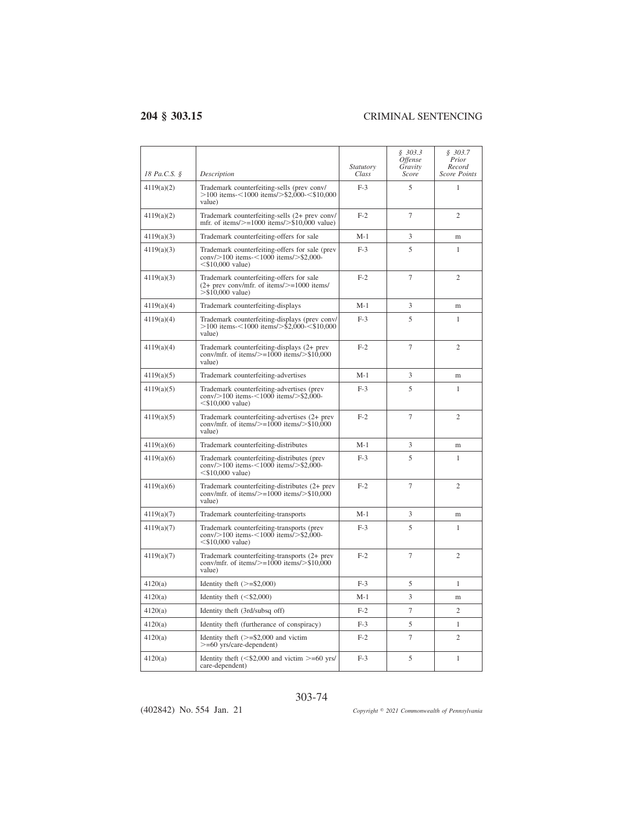$\overline{a}$ 

| 18 Pa.C.S. § | Description                                                                                                                                  | <i>Statutory</i><br>Class | \$303.3<br>Offense<br>Gravity<br>Score | \$303.7<br>Prior<br>Record<br><b>Score Points</b> |
|--------------|----------------------------------------------------------------------------------------------------------------------------------------------|---------------------------|----------------------------------------|---------------------------------------------------|
| 4119(a)(2)   | Trademark counterfeiting-sells (prev conv/<br>$>100$ items- $<$ 1000 items/ $>$ \$2,000- $<$ \$10,000<br>value)                              | $F-3$                     | 5                                      | 1                                                 |
| 4119(a)(2)   | Trademark counterfeiting-sells (2+ prev conv/<br>mfr. of items/ $> = 1000$ items/ $>$ \$10,000 value)                                        | $F-2$                     | 7                                      | 2                                                 |
| 4119(a)(3)   | Trademark counterfeiting-offers for sale                                                                                                     | $M-1$                     | 3                                      | m                                                 |
| 4119(a)(3)   | Trademark counterfeiting-offers for sale (prev<br>$\text{conv}_{>100}$ items- $\leq 1000$ items/ $>$ \$2,000-<br>$<$ \$10,000 value)         | $F-3$                     | 5                                      | $\mathbf{1}$                                      |
| 4119(a)(3)   | Trademark counterfeiting-offers for sale<br>$(2+$ prev conv/mfr. of items/ $> = 1000$ items/<br>$>$ \$10,000 value)                          | $F-2$                     | $\overline{7}$                         | $\overline{c}$                                    |
| 4119(a)(4)   | Trademark counterfeiting-displays                                                                                                            | $M-1$                     | 3                                      | m                                                 |
| 4119(a)(4)   | Trademark counterfeiting-displays (prev conv/<br>$>$ 100 items- $<$ 1000 items/ $>$ \$2,000- $<$ \$10,000<br>value)                          | $F-3$                     | 5                                      | 1                                                 |
| 4119(a)(4)   | Trademark counterfeiting-displays (2+ prev<br>conv/mfr. of items/ $> = 1000$ items/ $>$ \$10,000<br>value)                                   | $F-2$                     | $\overline{7}$                         | 2                                                 |
| 4119(a)(5)   | Trademark counterfeiting-advertises                                                                                                          | $M-1$                     | 3                                      | m                                                 |
| 4119(a)(5)   | Trademark counterfeiting-advertises (prev<br>$\text{conv}_{\text{s}} > 100$ items $\text{0.100}$ items $\text{0.100}$<br>$<$ \$10,000 value) | $F-3$                     | 5                                      | $\mathbf{1}$                                      |
| 4119(a)(5)   | Trademark counterfeiting-advertises (2+ prev<br>conv/mfr. of items/ $> = 1000$ items/ $>$ \$10,000<br>value)                                 | $F-2$                     | $\overline{7}$                         | $\overline{c}$                                    |
| 4119(a)(6)   | Trademark counterfeiting-distributes                                                                                                         | $M-1$                     | 3                                      | m                                                 |
| 4119(a)(6)   | Trademark counterfeiting-distributes (prev<br>$\text{conv}_{\geq 100}$ items-<1000 items/>\$2,000-<br>$<$ \$10,000 value)                    | $F-3$                     | 5                                      | 1                                                 |
| 4119(a)(6)   | Trademark counterfeiting-distributes (2+ prev<br>conv/mfr. of items/ $\ge$ =1000 items/ $>$ \$10.000<br>value)                               | $F-2$                     | 7                                      | 2                                                 |
| 4119(a)(7)   | Trademark counterfeiting-transports                                                                                                          | $M-1$                     | 3                                      | m                                                 |
| 4119(a)(7)   | Trademark counterfeiting-transports (prev<br>conv/>100 items-<1000 items/>\$2,000-<br>$<$ \$10,000 value)                                    | $F-3$                     | 5                                      | 1                                                 |
| 4119(a)(7)   | Trademark counterfeiting-transports (2+ prev<br>conv/mfr. of items/ $> = 1000$ items/ $>$ \$10,000<br>value)                                 | $F-2$                     | $\overline{7}$                         | $\overline{c}$                                    |
| 4120(a)      | Identity theft $(>=\$2,000)$                                                                                                                 | $F-3$                     | 5                                      | 1                                                 |
| 4120(a)      | Identity theft $(<\frac{20,000}{20,000})$                                                                                                    | $M-1$                     | 3                                      | m                                                 |
| 4120(a)      | Identity theft (3rd/subsq off)                                                                                                               | $F-2$                     | $\overline{7}$                         | $\overline{c}$                                    |
| 4120(a)      | Identity theft (furtherance of conspiracy)                                                                                                   | $F-3$                     | 5                                      | $\mathbf{1}$                                      |
| 4120(a)      | Identity theft $(>=\$2,000$ and victim<br>$>= 60$ yrs/care-dependent)                                                                        | $F-2$                     | $\overline{7}$                         | $\overline{c}$                                    |
| 4120(a)      | Identity theft $(<\frac{6}{2,000}$ and victim $>=$ 60 yrs/<br>care-dependent)                                                                | $F-3$                     | 5                                      | $\mathbf{1}$                                      |

303-74

(402842) No. 554 Jan. 21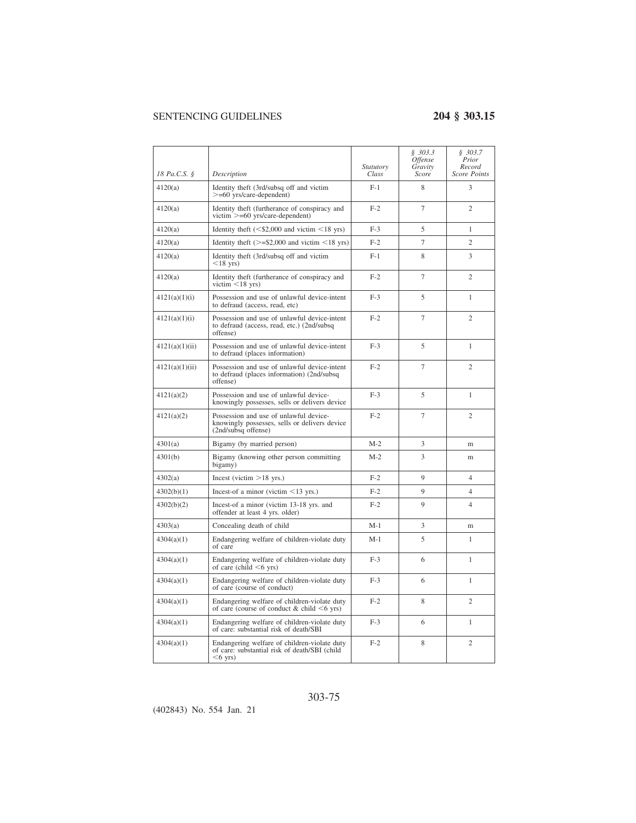| 18 Pa.C.S. §   | Description                                                                                                    | Statutory<br>Class | \$303.3<br><i>Offense</i><br>Gravity<br>Score | \$303.7<br>Prior<br>Record<br><b>Score Points</b> |
|----------------|----------------------------------------------------------------------------------------------------------------|--------------------|-----------------------------------------------|---------------------------------------------------|
| 4120(a)        | Identity theft (3rd/subsq off and victim<br>$>= 60$ yrs/care-dependent)                                        | $F-1$              | 8                                             | $\mathbf{3}$                                      |
| 4120(a)        | Identity theft (furtherance of conspiracy and<br>victim $>= 60$ yrs/care-dependent)                            | $F-2$              | 7                                             | $\overline{c}$                                    |
| 4120(a)        | Identity theft $(<\frac{20,000}{20,000}$ and victim $<$ 18 yrs)                                                | $F-3$              | 5                                             | $\mathbf{1}$                                      |
| 4120(a)        | Identity theft $(>=\$2,000$ and victim $<18$ yrs)                                                              | $F-2$              | $\overline{7}$                                | $\overline{c}$                                    |
| 4120(a)        | Identity theft (3rd/subsq off and victim<br>$<$ 18 yrs)                                                        | $F-1$              | 8                                             | 3                                                 |
| 4120(a)        | Identity theft (furtherance of conspiracy and<br>victim $\leq$ 18 yrs)                                         | $F-2$              | $\tau$                                        | $\overline{c}$                                    |
| 4121(a)(1)(i)  | Possession and use of unlawful device-intent<br>to defraud (access, read, etc)                                 | $F-3$              | 5                                             | 1                                                 |
| 4121(a)(1)(i)  | Possession and use of unlawful device-intent<br>to defraud (access, read, etc.) (2nd/subsq<br>offense)         | $F-2$              | $\overline{7}$                                | $\overline{c}$                                    |
| 4121(a)(1)(ii) | Possession and use of unlawful device-intent<br>to defraud (places information)                                | $F-3$              | 5                                             | 1                                                 |
| 4121(a)(1)(ii) | Possession and use of unlawful device-intent<br>to defraud (places information) (2nd/subsq<br>offense)         | $F-2$              | $\overline{7}$                                | $\overline{c}$                                    |
| 4121(a)(2)     | Possession and use of unlawful device-<br>knowingly possesses, sells or delivers device                        | $F-3$              | 5                                             | 1                                                 |
| 4121(a)(2)     | Possession and use of unlawful device-<br>knowingly possesses, sells or delivers device<br>(2nd/subsq offense) | $F-2$              | 7                                             | $\overline{c}$                                    |
| 4301(a)        | Bigamy (by married person)                                                                                     | $M-2$              | 3                                             | m                                                 |
| 4301(b)        | Bigamy (knowing other person committing<br>bigamy)                                                             | $M-2$              | 3                                             | m                                                 |
| 4302(a)        | Incest (victim $>18$ yrs.)                                                                                     | $F-2$              | 9                                             | $\overline{4}$                                    |
| 4302(b)(1)     | Incest-of a minor (victim $\leq$ 13 yrs.)                                                                      | $F-2$              | 9                                             | $\overline{4}$                                    |
| 4302(b)(2)     | Incest-of a minor (victim 13-18 yrs. and<br>offender at least 4 yrs. older)                                    | $F-2$              | 9                                             | $\overline{4}$                                    |
| 4303(a)        | Concealing death of child                                                                                      | $M-1$              | 3                                             | m                                                 |
| 4304(a)(1)     | Endangering welfare of children-violate duty<br>of care                                                        | $M-1$              | 5                                             | 1                                                 |
| 4304(a)(1)     | Endangering welfare of children-violate duty<br>of care (child $\leq 6$ yrs)                                   | $F-3$              | 6                                             | 1                                                 |
| 4304(a)(1)     | Endangering welfare of children-violate duty<br>of care (course of conduct)                                    | $F-3$              | 6                                             | $\mathbf{1}$                                      |
| 4304(a)(1)     | Endangering welfare of children-violate duty<br>of care (course of conduct $& child <6$ yrs)                   | $F-2$              | 8                                             | $\mathfrak{2}$                                    |
| 4304(a)(1)     | Endangering welfare of children-violate duty<br>of care: substantial risk of death/SBI                         | $F-3$              | 6                                             | $\mathbf{1}$                                      |
| 4304(a)(1)     | Endangering welfare of children-violate duty<br>of care: substantial risk of death/SBI (child<br>$<$ 6 yrs)    | $F-2$              | 8                                             | $\mathfrak{2}$                                    |

### 303-75

(402843) No. 554 Jan. 21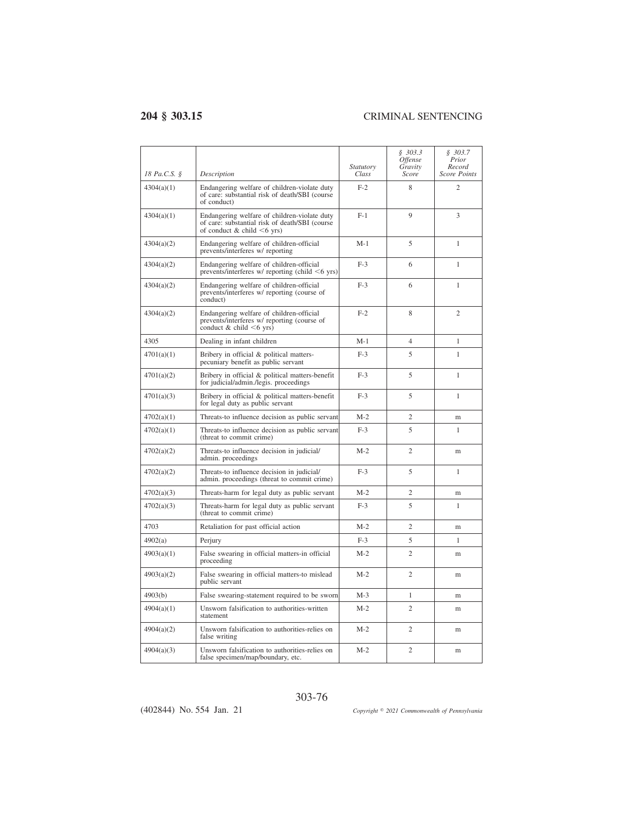| 18 Pa.C.S. § | Description                                                                                                                        | Statutory<br>Class | \$303.3<br><i>Offense</i><br>Gravity<br>Score | \$303.7<br>Prior<br>Record<br><b>Score Points</b> |
|--------------|------------------------------------------------------------------------------------------------------------------------------------|--------------------|-----------------------------------------------|---------------------------------------------------|
| 4304(a)(1)   | Endangering welfare of children-violate duty<br>of care: substantial risk of death/SBI (course<br>of conduct)                      | $F-2$              | 8                                             | $\overline{c}$                                    |
| 4304(a)(1)   | Endangering welfare of children-violate duty<br>of care: substantial risk of death/SBI (course<br>of conduct & child $\leq 6$ yrs) | $F-1$              | 9                                             | 3                                                 |
| 4304(a)(2)   | Endangering welfare of children-official<br>prevents/interferes w/ reporting                                                       | $M-1$              | 5                                             | 1                                                 |
| 4304(a)(2)   | Endangering welfare of children-official<br>prevents/interferes w/ reporting (child $\leq 6$ yrs)                                  | $F-3$              | 6                                             | 1                                                 |
| 4304(a)(2)   | Endangering welfare of children-official<br>prevents/interferes w/ reporting (course of<br>conduct)                                | $F-3$              | 6                                             | 1                                                 |
| 4304(a)(2)   | Endangering welfare of children-official<br>prevents/interferes w/ reporting (course of<br>conduct $& child < 6$ yrs)              | $F-2$              | 8                                             | $\overline{c}$                                    |
| 4305         | Dealing in infant children                                                                                                         | M-1                | 4                                             | 1                                                 |
| 4701(a)(1)   | Bribery in official & political matters-<br>pecuniary benefit as public servant                                                    | $F-3$              | 5                                             | 1                                                 |
| 4701(a)(2)   | Bribery in official & political matters-benefit<br>for judicial/admin./legis. proceedings                                          | $F-3$              | 5                                             | 1                                                 |
| 4701(a)(3)   | Bribery in official & political matters-benefit<br>for legal duty as public servant                                                | $F-3$              | 5                                             | 1                                                 |
| 4702(a)(1)   | Threats-to influence decision as public servant                                                                                    | $M-2$              | $\overline{c}$                                | m                                                 |
| 4702(a)(1)   | Threats-to influence decision as public servant<br>(threat to commit crime)                                                        | $F-3$              | 5                                             | 1                                                 |
| 4702(a)(2)   | Threats-to influence decision in judicial/<br>admin. proceedings                                                                   | $M-2$              | $\overline{c}$                                | m                                                 |
| 4702(a)(2)   | Threats-to influence decision in judicial/<br>admin. proceedings (threat to commit crime)                                          | $F-3$              | 5                                             | 1                                                 |
| 4702(a)(3)   | Threats-harm for legal duty as public servant                                                                                      | $M-2$              | $\overline{c}$                                | m                                                 |
| 4702(a)(3)   | Threats-harm for legal duty as public servant<br>(threat to commit crime)                                                          | $F-3$              | 5                                             | 1                                                 |
| 4703         | Retaliation for past official action                                                                                               | $M-2$              | $\overline{2}$                                | m                                                 |
| 4902(a)      | Perjury                                                                                                                            | $F-3$              | 5                                             | 1                                                 |
| 4903(a)(1)   | False swearing in official matters-in official<br>proceeding                                                                       | $M-2$              | $\overline{2}$                                | m                                                 |
| 4903(a)(2)   | False swearing in official matters-to mislead<br>public servant                                                                    | $M-2$              | $\overline{c}$                                | m                                                 |
| 4903(b)      | False swearing-statement required to be sworn                                                                                      | $M-3$              | 1                                             | m                                                 |
| 4904(a)(1)   | Unsworn falsification to authorities-written<br>statement                                                                          | $M-2$              | $\overline{c}$                                | m                                                 |
| 4904(a)(2)   | Unsworn falsification to authorities-relies on<br>false writing                                                                    | $M-2$              | $\overline{c}$                                | m                                                 |
| 4904(a)(3)   | Unsworn falsification to authorities-relies on<br>false specimen/map/boundary, etc.                                                | $M-2$              | $\overline{c}$                                | m                                                 |

(402844) No. 554 Jan. 21

*2021 Commonwealth of Pennsylvania*

303-76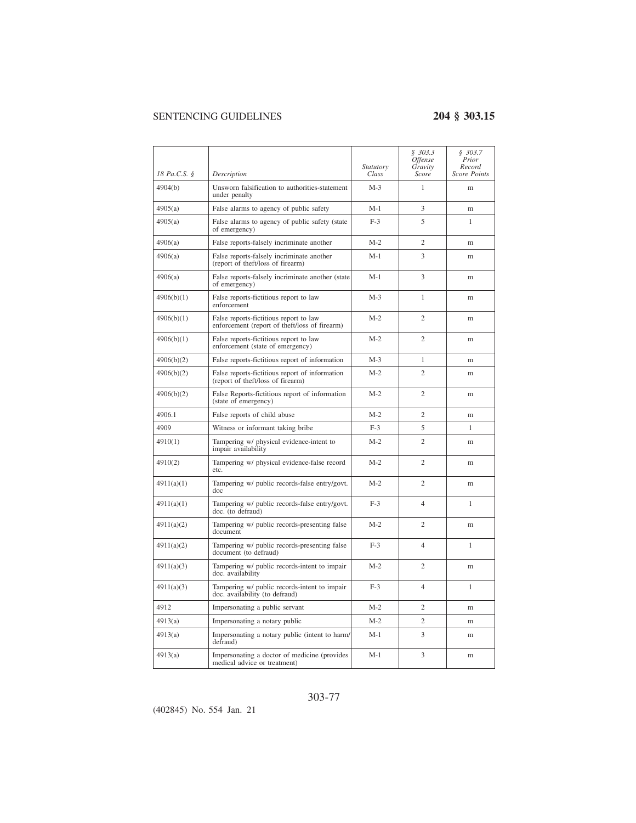| 18 Pa.C.S. § | Description                                                                             | <i>Statutory</i><br>Class | \$303.3<br>Offense<br>Gravity<br>Score | \$303.7<br>Prior<br>Record<br><b>Score Points</b> |
|--------------|-----------------------------------------------------------------------------------------|---------------------------|----------------------------------------|---------------------------------------------------|
| 4904(b)      | Unsworn falsification to authorities-statement                                          | $M-3$                     | 1                                      | m                                                 |
|              | under penalty                                                                           |                           |                                        |                                                   |
| 4905(a)      | False alarms to agency of public safety                                                 | $M-1$                     | 3                                      | m                                                 |
| 4905(a)      | False alarms to agency of public safety (state<br>of emergency)                         | $F-3$                     | 5                                      | 1                                                 |
| 4906(a)      | False reports-falsely incriminate another                                               | $M-2$                     | $\overline{c}$                         | m                                                 |
| 4906(a)      | False reports-falsely incriminate another<br>(report of theft/loss of firearm)          | $M-1$                     | 3                                      | m                                                 |
| 4906(a)      | False reports-falsely incriminate another (state<br>of emergency)                       | M-1                       | 3                                      | m                                                 |
| 4906(b)(1)   | False reports-fictitious report to law<br>enforcement                                   | $M-3$                     | 1                                      | m                                                 |
| 4906(b)(1)   | False reports-fictitious report to law<br>enforcement (report of theft/loss of firearm) | $M-2$                     | $\overline{c}$                         | m                                                 |
| 4906(b)(1)   | False reports-fictitious report to law<br>enforcement (state of emergency)              | $M-2$                     | $\overline{c}$                         | m                                                 |
| 4906(b)(2)   | False reports-fictitious report of information                                          | $M-3$                     | $\mathbf{1}$                           | m                                                 |
| 4906(b)(2)   | False reports-fictitious report of information<br>(report of theft/loss of firearm)     | $M-2$                     | $\overline{c}$                         | m                                                 |
| 4906(b)(2)   | False Reports-fictitious report of information<br>(state of emergency)                  | $M-2$                     | $\overline{2}$                         | m                                                 |
| 4906.1       | False reports of child abuse                                                            | $M-2$                     | $\overline{c}$                         | m                                                 |
| 4909         | Witness or informant taking bribe                                                       | $F-3$                     | 5                                      | 1                                                 |
| 4910(1)      | Tampering w/ physical evidence-intent to<br>impair availability                         | $M-2$                     | $\overline{2}$                         | m                                                 |
| 4910(2)      | Tampering w/ physical evidence-false record<br>etc.                                     | $M-2$                     | $\overline{c}$                         | m                                                 |
| 4911(a)(1)   | Tampering w/ public records-false entry/govt.<br>doc                                    | $M-2$                     | $\overline{c}$                         | m                                                 |
| 4911(a)(1)   | Tampering w/ public records-false entry/govt.<br>doc. (to defraud)                      | $F-3$                     | 4                                      | 1                                                 |
| 4911(a)(2)   | Tampering w/ public records-presenting false<br>document                                | $M-2$                     | $\overline{c}$                         | m                                                 |
| 4911(a)(2)   | Tampering w/ public records-presenting false<br>document (to defraud)                   | $F-3$                     | 4                                      | 1                                                 |
| 4911(a)(3)   | Tampering w/ public records-intent to impair<br>doc. availability                       | $M-2$                     | $\overline{c}$                         | m                                                 |
| 4911(a)(3)   | Tampering w/ public records-intent to impair<br>doc. availability (to defraud)          | $F-3$                     | 4                                      | 1                                                 |
| 4912         | Impersonating a public servant                                                          | $M-2$                     | $\overline{c}$                         | m                                                 |
| 4913(a)      | Impersonating a notary public                                                           | $M-2$                     | 2                                      | m                                                 |
| 4913(a)      | Impersonating a notary public (intent to harm/<br>defraud)                              | $M-1$                     | 3                                      | m                                                 |
| 4913(a)      | Impersonating a doctor of medicine (provides<br>medical advice or treatment)            | $M-1$                     | 3                                      | m                                                 |

### 303-77

(402845) No. 554 Jan. 21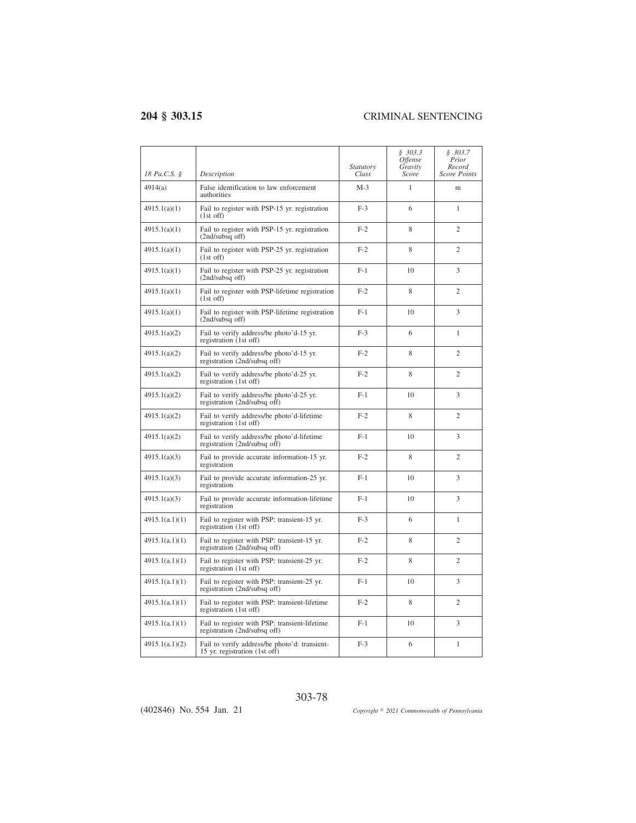|                |                                                                                | Statutory | \$303.3<br><i><b>Offense</b></i><br>Gravity | \$303.7<br>Prior<br>Record |
|----------------|--------------------------------------------------------------------------------|-----------|---------------------------------------------|----------------------------|
| 18 Pa.C.S. §   | Description                                                                    | Class     | Score                                       | <b>Score Points</b>        |
| 4914(a)        | False identification to law enforcement<br>authorities                         | $M-3$     | 1                                           | m                          |
| 4915.1(a)(1)   | Fail to register with PSP-15 yr. registration<br>$(1st$ off)                   | $F-3$     | 6                                           | 1                          |
| 4915.1(a)(1)   | Fail to register with PSP-15 yr. registration<br>(2nd/subsq off)               | $F-2$     | 8                                           | $\overline{c}$             |
| 4915.1(a)(1)   | Fail to register with PSP-25 yr. registration<br>$(1st$ off)                   | $F-2$     | 8                                           | $\overline{c}$             |
| 4915.1(a)(1)   | Fail to register with PSP-25 yr. registration<br>$(2nd/subsq$ off)             | $F-1$     | 10                                          | 3                          |
| 4915.1(a)(1)   | Fail to register with PSP-lifetime registration<br>$(1st$ off)                 | $F-2$     | 8                                           | $\overline{c}$             |
| 4915.1(a)(1)   | Fail to register with PSP-lifetime registration<br>(2nd/subsq off)             | $F-1$     | 10                                          | 3                          |
| 4915.1(a)(2)   | Fail to verify address/be photo'd-15 yr.<br>registration (1st off)             | $F-3$     | 6                                           | 1                          |
| 4915.1(a)(2)   | Fail to verify address/be photo'd-15 yr.<br>registration (2nd/subsq off)       | $F-2$     | 8                                           | $\overline{c}$             |
| 4915.1(a)(2)   | Fail to verify address/be photo'd-25 yr.<br>registration (1st off)             | $F-2$     | 8                                           | $\overline{c}$             |
| 4915.1(a)(2)   | Fail to verify address/be photo'd-25 yr.<br>registration (2nd/subsq off)       | $F-1$     | 10                                          | 3                          |
| 4915.1(a)(2)   | Fail to verify address/be photo'd-lifetime<br>registration (1st off)           | $F-2$     | 8                                           | $\overline{c}$             |
| 4915.1(a)(2)   | Fail to verify address/be photo'd-lifetime<br>registration (2nd/subsq off)     | $F-1$     | 10                                          | 3                          |
| 4915.1(a)(3)   | Fail to provide accurate information-15 yr.<br>registration                    | $F-2$     | 8                                           | $\overline{c}$             |
| 4915.1(a)(3)   | Fail to provide accurate information-25 yr.<br>registration                    | $F-1$     | 10                                          | 3                          |
| 4915.1(a)(3)   | Fail to provide accurate information-lifetime<br>registration                  | $F-1$     | 10                                          | 3                          |
| 4915.1(a.1)(1) | Fail to register with PSP: transient-15 yr.<br>registration (1st off)          | $F-3$     | 6                                           | $\mathbf{1}$               |
| 4915.1(a.1)(1) | Fail to register with PSP: transient-15 yr.<br>registration (2nd/subsq off)    | $F-2$     | 8                                           | $\overline{c}$             |
| 4915.1(a.1)(1) | Fail to register with PSP: transient-25 yr.<br>registration (1st off)          | $F-2$     | 8                                           | $\overline{c}$             |
| 4915.1(a.1)(1) | Fail to register with PSP: transient-25 yr.<br>registration (2nd/subsq off)    | $F-1$     | 10                                          | 3                          |
| 4915.1(a.1)(1) | Fail to register with PSP: transient-lifetime<br>registration (1st off)        | $F-2$     | 8                                           | $\overline{c}$             |
| 4915.1(a.1)(1) | Fail to register with PSP: transient-lifetime<br>registration (2nd/subsq off)  | $F-1$     | 10                                          | 3                          |
| 4915.1(a.1)(2) | Fail to verify address/be photo'd: transient-<br>15 yr. registration (1st off) | $F-3$     | 6                                           | $\mathbf{1}$               |

(402846) No. 554 Jan. 21

*2021 Commonwealth of Pennsylvania*

303-78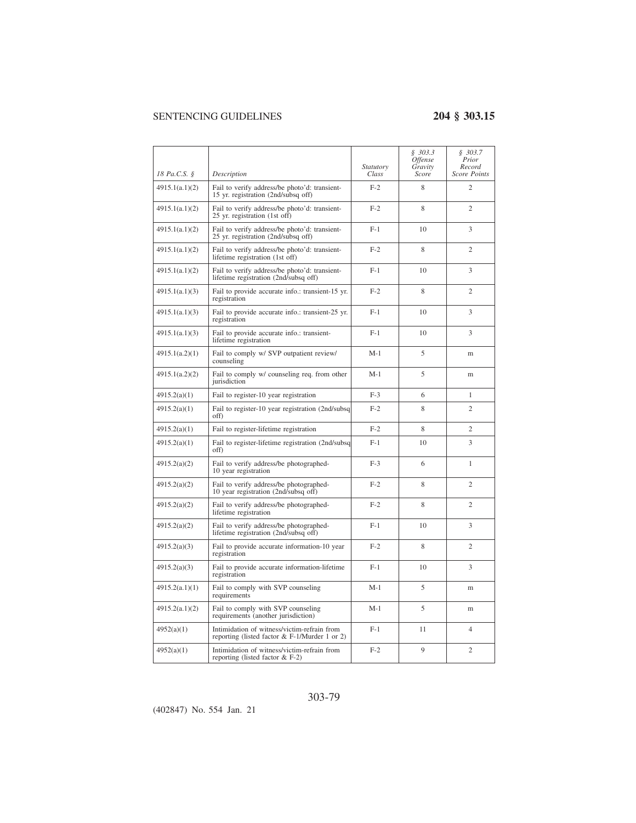|                |                                                                                                | <i>Statutory</i> | \$303.3<br><i>Offense</i><br>Gravity | \$303.7<br>Prior<br>Record |
|----------------|------------------------------------------------------------------------------------------------|------------------|--------------------------------------|----------------------------|
| 18 Pa.C.S. §   | Description                                                                                    | Class            | Score                                | Score Points               |
| 4915.1(a.1)(2) | Fail to verify address/be photo'd: transient-<br>15 yr. registration (2nd/subsq off)           | $F-2$            | 8                                    | $\overline{c}$             |
| 4915.1(a.1)(2) | Fail to verify address/be photo'd: transient-<br>25 yr. registration (1st off)                 | $F-2$            | 8                                    | $\overline{c}$             |
| 4915.1(a.1)(2) | Fail to verify address/be photo'd: transient-<br>25 yr. registration (2nd/subsq off)           | $F-1$            | 10                                   | 3                          |
| 4915.1(a.1)(2) | Fail to verify address/be photo'd: transient-<br>lifetime registration (1st off)               | $F-2$            | 8                                    | $\overline{c}$             |
| 4915.1(a.1)(2) | Fail to verify address/be photo'd: transient-<br>lifetime registration (2nd/subsq off)         | $F-1$            | 10                                   | 3                          |
| 4915.1(a.1)(3) | Fail to provide accurate info.: transient-15 yr.<br>registration                               | $F-2$            | 8                                    | $\overline{c}$             |
| 4915.1(a.1)(3) | Fail to provide accurate info.: transient-25 yr.<br>registration                               | $F-1$            | 10                                   | 3                          |
| 4915.1(a.1)(3) | Fail to provide accurate info.: transient-<br>lifetime registration                            | $F-1$            | 10                                   | 3                          |
| 4915.1(a.2)(1) | Fail to comply w/ SVP outpatient review/<br>counseling                                         | $M-1$            | 5                                    | m                          |
| 4915.1(a.2)(2) | Fail to comply w/ counseling req. from other<br>jurisdiction                                   | $M-1$            | 5                                    | m                          |
| 4915.2(a)(1)   | Fail to register-10 year registration                                                          | $F-3$            | 6                                    | $\mathbf{1}$               |
| 4915.2(a)(1)   | Fail to register-10 year registration (2nd/subsq<br>off)                                       | $F-2$            | 8                                    | $\overline{c}$             |
| 4915.2(a)(1)   | Fail to register-lifetime registration                                                         | $F-2$            | 8                                    | $\overline{c}$             |
| 4915.2(a)(1)   | Fail to register-lifetime registration (2nd/subsq<br>off)                                      | $F-1$            | 10                                   | 3                          |
| 4915.2(a)(2)   | Fail to verify address/be photographed-<br>10 year registration                                | $F-3$            | 6                                    | 1                          |
| 4915.2(a)(2)   | Fail to verify address/be photographed-<br>10 year registration (2nd/subsq off)                | $F-2$            | 8                                    | $\overline{c}$             |
| 4915.2(a)(2)   | Fail to verify address/be photographed-<br>lifetime registration                               | $F-2$            | 8                                    | 2                          |
| 4915.2(a)(2)   | Fail to verify address/be photographed-<br>lifetime registration (2nd/subsq off)               | $F-1$            | 10                                   | 3                          |
| 4915.2(a)(3)   | Fail to provide accurate information-10 year<br>registration                                   | $F-2$            | 8                                    | $\overline{c}$             |
| 4915.2(a)(3)   | Fail to provide accurate information-lifetime<br>registration                                  | $F-1$            | 10                                   | 3                          |
| 4915.2(a.1)(1) | Fail to comply with SVP counseling<br>requirements                                             | $M-1$            | 5                                    | m                          |
| 4915.2(a.1)(2) | Fail to comply with SVP counseling<br>requirements (another jurisdiction)                      | $M-1$            | 5                                    | m                          |
| 4952(a)(1)     | Intimidation of witness/victim-refrain from<br>reporting (listed factor $& F-1/Murder 1$ or 2) | $F-1$            | 11                                   | $\overline{4}$             |
| 4952(a)(1)     | Intimidation of witness/victim-refrain from<br>reporting (listed factor $& F-2$ )              | $F-2$            | 9                                    | $\overline{c}$             |

### 303-79

(402847) No. 554 Jan. 21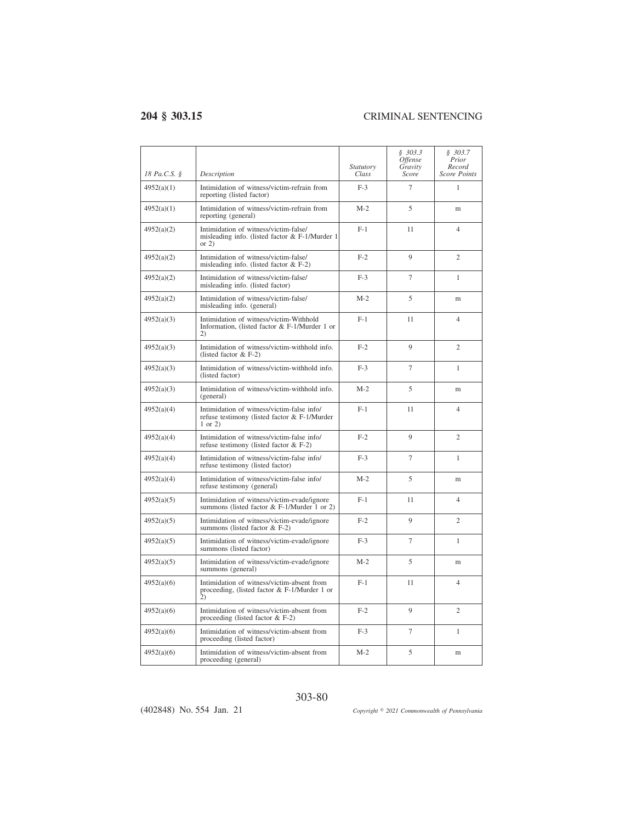| 18 Pa.C.S. § | Description                                                                                                  | <i>Statutory</i><br>Class | \$303.3<br><i>Offense</i><br>Gravity<br>Score | \$303.7<br>Prior<br>Record<br><b>Score Points</b> |
|--------------|--------------------------------------------------------------------------------------------------------------|---------------------------|-----------------------------------------------|---------------------------------------------------|
| 4952(a)(1)   | Intimidation of witness/victim-refrain from<br>reporting (listed factor)                                     | $F-3$                     | $\overline{7}$                                | 1                                                 |
| 4952(a)(1)   | Intimidation of witness/victim-refrain from<br>reporting (general)                                           | $M-2$                     | 5                                             | m                                                 |
| 4952(a)(2)   | Intimidation of witness/victim-false/<br>misleading info. (listed factor & F-1/Murder 1<br>or $2)$           | $F-1$                     | 11                                            | 4                                                 |
| 4952(a)(2)   | Intimidation of witness/victim-false/<br>misleading info. (listed factor $& F-2$ )                           | $F-2$                     | $\mathbf{Q}$                                  | $\overline{c}$                                    |
| 4952(a)(2)   | Intimidation of witness/victim-false/<br>misleading info. (listed factor)                                    | $F-3$                     | $\overline{7}$                                | $\mathbf{1}$                                      |
| 4952(a)(2)   | Intimidation of witness/victim-false/<br>misleading info. (general)                                          | $M-2$                     | 5                                             | m                                                 |
| 4952(a)(3)   | Intimidation of witness/victim-Withhold<br>Information, (listed factor & F-1/Murder 1 or<br>2)               | $F-1$                     | 11                                            | 4                                                 |
| 4952(a)(3)   | Intimidation of witness/victim-withhold info.<br>(listed factor $& F-2$ )                                    | $F-2$                     | 9                                             | $\overline{c}$                                    |
| 4952(a)(3)   | Intimidation of witness/victim-withhold info.<br>(listed factor)                                             | $F-3$                     | $\overline{7}$                                | 1                                                 |
| 4952(a)(3)   | Intimidation of witness/victim-withhold info.<br>(general)                                                   | $M-2$                     | 5                                             | m                                                 |
| 4952(a)(4)   | Intimidation of witness/victim-false info/<br>refuse testimony (listed factor & F-1/Murder<br>$1$ or $2)$    | $F-1$                     | 11                                            | $\overline{4}$                                    |
| 4952(a)(4)   | Intimidation of witness/victim-false info/<br>refuse testimony (listed factor & F-2)                         | $F-2$                     | 9                                             | $\overline{c}$                                    |
| 4952(a)(4)   | Intimidation of witness/victim-false info/<br>refuse testimony (listed factor)                               | $F-3$                     | $\tau$                                        | 1                                                 |
| 4952(a)(4)   | Intimidation of witness/victim-false info/<br>refuse testimony (general)                                     | $M-2$                     | 5                                             | m                                                 |
| 4952(a)(5)   | Intimidation of witness/victim-evade/ignore<br>summons (listed factor $&$ F-1/Murder 1 or 2)                 | $F-1$                     | 11                                            | $\overline{4}$                                    |
| 4952(a)(5)   | Intimidation of witness/victim-evade/ignore<br>summons (listed factor $& F-2$ )                              | $F-2$                     | 9                                             | $\overline{c}$                                    |
| 4952(a)(5)   | Intimidation of witness/victim-evade/ignore<br>summons (listed factor)                                       | $F-3$                     | $\overline{7}$                                | 1                                                 |
| 4952(a)(5)   | Intimidation of witness/victim-evade/ignore<br>summons (general)                                             | $M-2$                     | 5                                             | m                                                 |
| 4952(a)(6)   | Intimidation of witness/victim-absent from<br>proceeding, (listed factor $& F-1/Murder 1$ or<br>$\mathbf{2}$ | $F-1$                     | 11                                            | $\overline{4}$                                    |
| 4952(a)(6)   | Intimidation of witness/victim-absent from<br>proceeding (listed factor $& F-2$ )                            | $F-2$                     | 9                                             | $\overline{2}$                                    |
| 4952(a)(6)   | Intimidation of witness/victim-absent from<br>proceeding (listed factor)                                     | $F-3$                     | $\overline{7}$                                | $\mathbf{1}$                                      |
| 4952(a)(6)   | Intimidation of witness/victim-absent from<br>proceeding (general)                                           | $M-2$                     | 5                                             | m                                                 |

303-80

*2021 Commonwealth of Pennsylvania*

(402848) No. 554 Jan. 21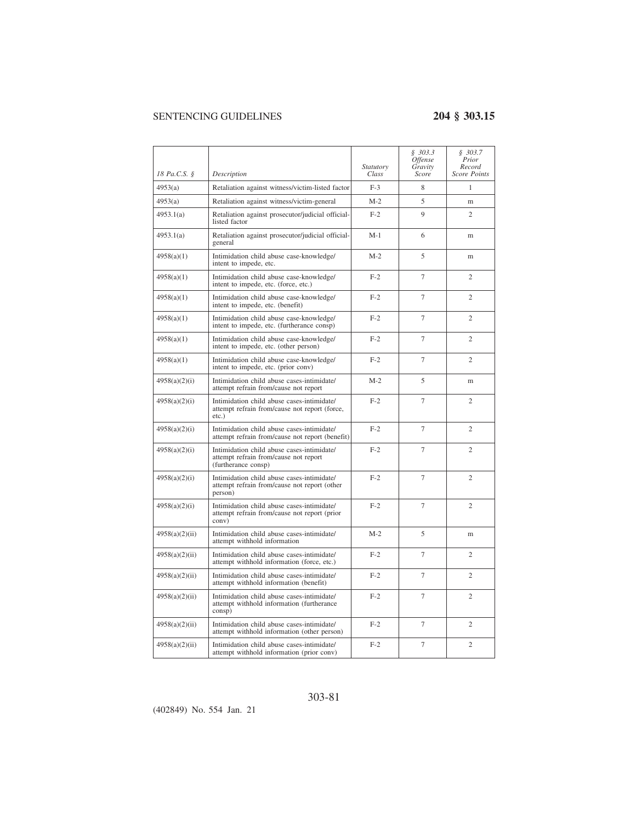|                |                                                                                                            | Statutory | \$303.3<br><i><b>Offense</b></i><br>Gravity | \$303.7<br>Prior<br>Record |
|----------------|------------------------------------------------------------------------------------------------------------|-----------|---------------------------------------------|----------------------------|
| 18 Pa.C.S. §   | Description                                                                                                | Class     | Score                                       | <b>Score Points</b>        |
| 4953(a)        | Retaliation against witness/victim-listed factor                                                           | $F-3$     | 8                                           | 1                          |
| 4953(a)        | Retaliation against witness/victim-general                                                                 | $M-2$     | 5                                           | m                          |
| 4953.1(a)      | Retaliation against prosecutor/judicial official-<br>listed factor                                         | $F-2$     | 9                                           | $\overline{c}$             |
| 4953.1(a)      | Retaliation against prosecutor/judicial official-<br>general                                               | $M-1$     | 6                                           | m                          |
| 4958(a)(1)     | Intimidation child abuse case-knowledge/<br>intent to impede, etc.                                         | $M-2$     | 5                                           | m                          |
| 4958(a)(1)     | Intimidation child abuse case-knowledge/<br>intent to impede, etc. (force, etc.)                           | $F-2$     | 7                                           | 2                          |
| 4958(a)(1)     | Intimidation child abuse case-knowledge/<br>intent to impede, etc. (benefit)                               | $F-2$     | $\overline{7}$                              | $\overline{c}$             |
| 4958(a)(1)     | Intimidation child abuse case-knowledge/<br>intent to impede, etc. (furtherance consp)                     | $F-2$     | $\overline{7}$                              | $\mathfrak{D}$             |
| 4958(a)(1)     | Intimidation child abuse case-knowledge/<br>intent to impede, etc. (other person)                          | $F-2$     | $\overline{7}$                              | $\mathcal{D}_{\alpha}$     |
| 4958(a)(1)     | Intimidation child abuse case-knowledge/<br>intent to impede, etc. (prior conv)                            | $F-2$     | 7                                           | $\overline{c}$             |
| 4958(a)(2)(i)  | Intimidation child abuse cases-intimidate/<br>attempt refrain from/cause not report                        | $M-2$     | 5                                           | m                          |
| 4958(a)(2)(i)  | Intimidation child abuse cases-intimidate/<br>attempt refrain from/cause not report (force,<br>$etc.$ )    | $F-2$     | 7                                           | $\overline{c}$             |
| 4958(a)(2)(i)  | Intimidation child abuse cases-intimidate/<br>attempt refrain from/cause not report (benefit)              | $F-2$     | $\overline{7}$                              | $\overline{c}$             |
| 4958(a)(2)(i)  | Intimidation child abuse cases-intimidate/<br>attempt refrain from/cause not report<br>(furtherance consp) | $F-2$     | $\tau$                                      | $\mathfrak{2}$             |
| 4958(a)(2)(i)  | Intimidation child abuse cases-intimidate/<br>attempt refrain from/cause not report (other<br>person)      | $F-2$     | 7                                           | $\overline{c}$             |
| 4958(a)(2)(i)  | Intimidation child abuse cases-intimidate/<br>attempt refrain from/cause not report (prior<br>conv)        | $F-2$     | $\overline{7}$                              | $\overline{c}$             |
| 4958(a)(2)(ii) | Intimidation child abuse cases-intimidate/<br>attempt withhold information                                 | $M-2$     | 5                                           | m                          |
| 4958(a)(2)(ii) | Intimidation child abuse cases-intimidate/<br>attempt withhold information (force, etc.)                   | $F-2$     | 7                                           | $\mathfrak{2}$             |
| 4958(a)(2)(ii) | Intimidation child abuse cases-intimidate/<br>attempt withhold information (benefit)                       | $F-2$     | 7                                           | $\overline{c}$             |
| 4958(a)(2)(ii) | Intimidation child abuse cases-intimidate/<br>attempt withhold information (furtherance<br>consp)          | $F-2$     | 7                                           | $\overline{c}$             |
| 4958(a)(2)(ii) | Intimidation child abuse cases-intimidate/<br>attempt withhold information (other person)                  | $F-2$     | $\tau$                                      | $\mathfrak{2}$             |
| 4958(a)(2)(ii) | Intimidation child abuse cases-intimidate/<br>attempt withhold information (prior conv)                    | $F-2$     | 7                                           | $\overline{c}$             |

(402849) No. 554 Jan. 21

303-81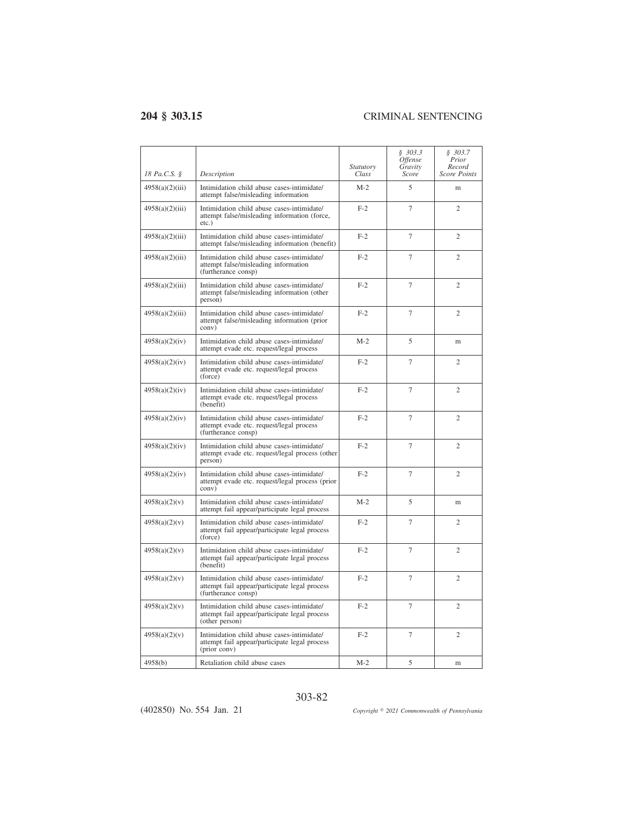$\overline{a}$ 

| 18 Pa.C.S. §    | Description                                                                                                        | <i>Statutory</i><br>Class | \$303.3<br>Offense<br>Gravity<br>Score | \$303.7<br>Prior<br>Record<br><b>Score Points</b> |
|-----------------|--------------------------------------------------------------------------------------------------------------------|---------------------------|----------------------------------------|---------------------------------------------------|
| 4958(a)(2)(iii) | Intimidation child abuse cases-intimidate/<br>attempt false/misleading information                                 | $M-2$                     | 5                                      | m                                                 |
| 4958(a)(2)(iii) | Intimidation child abuse cases-intimidate/<br>attempt false/misleading information (force,<br>$etc.$ )             | $F-2$                     | 7                                      | $\overline{c}$                                    |
| 4958(a)(2)(iii) | Intimidation child abuse cases-intimidate/<br>attempt false/misleading information (benefit)                       | $F-2$                     | $\tau$                                 | $\overline{c}$                                    |
| 4958(a)(2)(iii) | Intimidation child abuse cases-intimidate/<br>attempt false/misleading information<br>(furtherance consp)          | $F-2$                     | $\overline{7}$                         | $\overline{c}$                                    |
| 4958(a)(2)(iii) | Intimidation child abuse cases-intimidate/<br>attempt false/misleading information (other<br>person)               | $F-2$                     | $\overline{7}$                         | $\overline{c}$                                    |
| 4958(a)(2)(iii) | Intimidation child abuse cases-intimidate/<br>attempt false/misleading information (prior<br>conv)                 | $F-2$                     | $\overline{7}$                         | $\mathfrak{D}$                                    |
| 4958(a)(2)(iv)  | Intimidation child abuse cases-intimidate/<br>attempt evade etc. request/legal process                             | $M-2$                     | 5                                      | m                                                 |
| 4958(a)(2)(iv)  | Intimidation child abuse cases-intimidate/<br>attempt evade etc. request/legal process<br>(force)                  | $F-2$                     | 7                                      | $\overline{c}$                                    |
| 4958(a)(2)(iv)  | Intimidation child abuse cases-intimidate/<br>attempt evade etc. request/legal process<br>(benefit)                | $F-2$                     | $\overline{7}$                         | $\overline{c}$                                    |
| 4958(a)(2)(iv)  | Intimidation child abuse cases-intimidate/<br>attempt evade etc. request/legal process<br>(furtherance consp)      | $F-2$                     | $\overline{7}$                         | $\overline{c}$                                    |
| 4958(a)(2)(iv)  | Intimidation child abuse cases-intimidate/<br>attempt evade etc. request/legal process (other<br>person)           | $F-2$                     | 7                                      | $\overline{c}$                                    |
| 4958(a)(2)(iv)  | Intimidation child abuse cases-intimidate/<br>attempt evade etc. request/legal process (prior<br>conv)             | $F-2$                     | 7                                      | $\overline{c}$                                    |
| 4958(a)(2)(v)   | Intimidation child abuse cases-intimidate/<br>attempt fail appear/participate legal process                        | $M-2$                     | 5                                      | m                                                 |
| 4958(a)(2)(v)   | Intimidation child abuse cases-intimidate/<br>attempt fail appear/participate legal process<br>(force)             | $F-2$                     | 7                                      | $\overline{c}$                                    |
| 4958(a)(2)(v)   | Intimidation child abuse cases-intimidate/<br>attempt fail appear/participate legal process<br>(benefit)           | $F-2$                     | 7                                      | $\overline{c}$                                    |
| 4958(a)(2)(v)   | Intimidation child abuse cases-intimidate/<br>attempt fail appear/participate legal process<br>(furtherance consp) | $F-2$                     | 7                                      | $\overline{c}$                                    |
| 4958(a)(2)(v)   | Intimidation child abuse cases-intimidate/<br>attempt fail appear/participate legal process<br>(other person)      | $F-2$                     | 7                                      | $\overline{c}$                                    |
| 4958(a)(2)(v)   | Intimidation child abuse cases-intimidate/<br>attempt fail appear/participate legal process<br>(prior conv)        | $F-2$                     | 7                                      | $\overline{c}$                                    |
| 4958(b)         | Retaliation child abuse cases                                                                                      | $M-2$                     | 5                                      | m                                                 |

### 303-82

(402850) No. 554 Jan. 21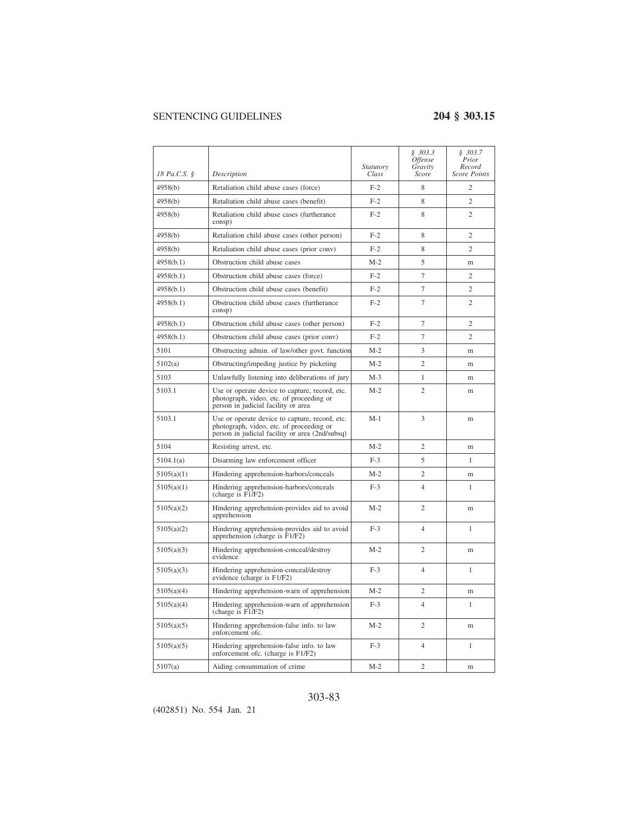| 18 Pa.C.S. § | Description                                                                                                                                   | <i>Statutory</i><br>Class | § 303.3<br><i>Offense</i><br>Gravity<br>Score | \$303.7<br>Prior<br>Record<br><b>Score Points</b> |
|--------------|-----------------------------------------------------------------------------------------------------------------------------------------------|---------------------------|-----------------------------------------------|---------------------------------------------------|
| 4958(b)      | Retaliation child abuse cases (force)                                                                                                         | $F-2$                     | 8                                             | $\overline{c}$                                    |
| 4958(b)      | Retaliation child abuse cases (benefit)                                                                                                       | $F-2$                     | 8                                             | $\overline{c}$                                    |
| 4958(b)      | Retaliation child abuse cases (furtherance<br>consp)                                                                                          | $F-2$                     | 8                                             | $\overline{c}$                                    |
| 4958(b)      | Retaliation child abuse cases (other person)                                                                                                  | $F-2$                     | 8                                             | $\overline{c}$                                    |
| 4958(b)      | Retaliation child abuse cases (prior conv)                                                                                                    | $F-2$                     | 8                                             | $\overline{c}$                                    |
| 4958(b.1)    | Obstruction child abuse cases                                                                                                                 | $M-2$                     | 5                                             | m                                                 |
| 4958(b.1)    | Obstruction child abuse cases (force)                                                                                                         | $F-2$                     | $\tau$                                        | $\overline{c}$                                    |
| 4958(b.1)    | Obstruction child abuse cases (benefit)                                                                                                       | $F-2$                     | 7                                             | $\overline{c}$                                    |
| 4958(b.1)    | Obstruction child abuse cases (furtherance<br>consp)                                                                                          | $F-2$                     | $\overline{7}$                                | $\overline{c}$                                    |
| 4958(b.1)    | Obstruction child abuse cases (other person)                                                                                                  | $F-2$                     | 7                                             | $\overline{c}$                                    |
| 4958(b.1)    | Obstruction child abuse cases (prior conv)                                                                                                    | $F-2$                     | $\overline{7}$                                | $\overline{c}$                                    |
| 5101         | Obstructing admin. of law/other govt. function                                                                                                | $M-2$                     | 3                                             | m                                                 |
| 5102(a)      | Obstructing/impeding justice by picketing                                                                                                     | $M-2$                     | $\overline{2}$                                | m                                                 |
| 5103         | Unlawfully listening into deliberations of jury                                                                                               | $M-3$                     | 1                                             | m                                                 |
| 5103.1       | Use or operate device to capture, record, etc.<br>photograph, video, etc. of proceeding or<br>person in judicial facility or area             | $M-2$                     | $\overline{c}$                                | m                                                 |
| 5103.1       | Use or operate device to capture, record, etc.<br>photograph, video, etc. of proceeding or<br>person in judicial facility or area (2nd/subsq) | $M-1$                     | 3                                             | m                                                 |
| 5104         | Resisting arrest, etc.                                                                                                                        | $M-2$                     | $\overline{2}$                                | m                                                 |
| 5104.1(a)    | Disarming law enforcement officer                                                                                                             | $F-3$                     | 5                                             | 1                                                 |
| 5105(a)(1)   | Hindering apprehension-harbors/conceals                                                                                                       | $M-2$                     | $\mathfrak{2}$                                | m                                                 |
| 5105(a)(1)   | Hindering apprehension-harbors/conceals<br>(charge is F1/F2)                                                                                  | $F-3$                     | $\overline{4}$                                | 1                                                 |
| 5105(a)(2)   | Hindering apprehension-provides aid to avoid<br>apprehension                                                                                  | $M-2$                     | $\overline{2}$                                | m                                                 |
| 5105(a)(2)   | Hindering apprehension-provides aid to avoid<br>apprehension (charge is $F1/F2$ )                                                             | $F-3$                     | $\overline{4}$                                | 1                                                 |
| 5105(a)(3)   | Hindering apprehension-conceal/destroy<br>evidence                                                                                            | $M-2$                     | $\overline{2}$                                | m                                                 |
| 5105(a)(3)   | Hindering apprehension-conceal/destroy<br>evidence (charge is F1/F2)                                                                          | $F-3$                     | $\overline{4}$                                | 1                                                 |
| 5105(a)(4)   | Hindering apprehension-warn of apprehension                                                                                                   | $M-2$                     | $\overline{2}$                                | m                                                 |
| 5105(a)(4)   | Hindering apprehension-warn of apprehension<br>(charge is F1/F2)                                                                              | $F-3$                     | $\overline{4}$                                | $\mathbf{1}$                                      |
| 5105(a)(5)   | Hindering apprehension-false info. to law<br>enforcement ofc.                                                                                 | $M-2$                     | $\mathfrak{2}$                                | m                                                 |
| 5105(a)(5)   | Hindering apprehension-false info. to law<br>enforcement ofc. (charge is F1/F2)                                                               | $F-3$                     | 4                                             | 1                                                 |
| 5107(a)      | Aiding consummation of crime                                                                                                                  | $M-2$                     | $\mathfrak{2}$                                | m                                                 |

### 303-83

(402851) No. 554 Jan. 21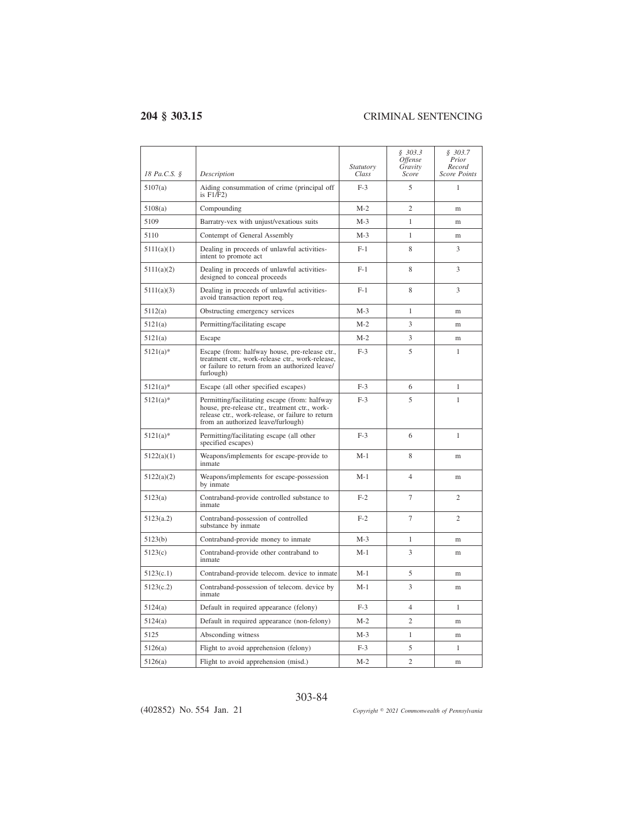$\overline{a}$ 

| 18 Pa.C.S. § | Description                                                                                                                                                                               | <i>Statutory</i><br>Class | \$303.3<br><i><b>Offense</b></i><br>Gravity<br>Score | \$303.7<br>Prior<br>Record<br>Score Points |
|--------------|-------------------------------------------------------------------------------------------------------------------------------------------------------------------------------------------|---------------------------|------------------------------------------------------|--------------------------------------------|
| 5107(a)      | Aiding consummation of crime (principal off<br>is $F1/F2$ )                                                                                                                               | $F-3$                     | 5                                                    | 1                                          |
| 5108(a)      | Compounding                                                                                                                                                                               | $M-2$                     | $\overline{c}$                                       | m                                          |
| 5109         | Barratry-vex with unjust/vexatious suits                                                                                                                                                  | $M-3$                     | 1                                                    | m                                          |
| 5110         | Contempt of General Assembly                                                                                                                                                              | $M-3$                     | $\mathbf{1}$                                         | m                                          |
| 5111(a)(1)   | Dealing in proceeds of unlawful activities-<br>intent to promote act                                                                                                                      | $F-1$                     | 8                                                    | 3                                          |
| 5111(a)(2)   | Dealing in proceeds of unlawful activities-<br>designed to conceal proceeds                                                                                                               | $F-1$                     | 8                                                    | 3                                          |
| 5111(a)(3)   | Dealing in proceeds of unlawful activities-<br>avoid transaction report req.                                                                                                              | $F-1$                     | 8                                                    | 3                                          |
| 5112(a)      | Obstructing emergency services                                                                                                                                                            | $M-3$                     | 1                                                    | m                                          |
| 5121(a)      | Permitting/facilitating escape                                                                                                                                                            | $M-2$                     | 3                                                    | m                                          |
| 5121(a)      | Escape                                                                                                                                                                                    | $M-2$                     | 3                                                    | m                                          |
| $5121(a)$ *  | Escape (from: halfway house, pre-release ctr.,<br>treatment ctr., work-release ctr., work-release,<br>or failure to return from an authorized leave/<br>furlough)                         | $F-3$                     | 5                                                    | 1                                          |
| $5121(a)$ *  | Escape (all other specified escapes)                                                                                                                                                      | $F-3$                     | 6                                                    | 1                                          |
| $5121(a)$ *  | Permitting/facilitating escape (from: halfway<br>house, pre-release ctr., treatment ctr., work-<br>release ctr., work-release, or failure to return<br>from an authorized leave/furlough) | $F-3$                     | 5                                                    | 1                                          |
| $5121(a)*$   | Permitting/facilitating escape (all other<br>specified escapes)                                                                                                                           | $F-3$                     | 6                                                    | 1                                          |
| 5122(a)(1)   | Weapons/implements for escape-provide to<br>inmate                                                                                                                                        | $M-1$                     | 8                                                    | m                                          |
| 5122(a)(2)   | Weapons/implements for escape-possession<br>by inmate                                                                                                                                     | $M-1$                     | $\overline{4}$                                       | m                                          |
| 5123(a)      | Contraband-provide controlled substance to<br>inmate                                                                                                                                      | $F-2$                     | 7                                                    | $\overline{c}$                             |
| 5123(a.2)    | Contraband-possession of controlled<br>substance by inmate                                                                                                                                | $F-2$                     | 7                                                    | $\overline{c}$                             |
| 5123(b)      | Contraband-provide money to inmate                                                                                                                                                        | $M-3$                     | 1                                                    | m                                          |
| 5123(c)      | Contraband-provide other contraband to<br>inmate                                                                                                                                          | $M-1$                     | 3                                                    | m                                          |
| 5123(c.1)    | Contraband-provide telecom. device to inmate                                                                                                                                              | $M-1$                     | 5                                                    | m                                          |
| 5123(c.2)    | Contraband-possession of telecom. device by<br>inmate                                                                                                                                     | $M-1$                     | 3                                                    | m                                          |
| 5124(a)      | Default in required appearance (felony)                                                                                                                                                   | $F-3$                     | $\overline{4}$                                       | 1                                          |
| 5124(a)      | Default in required appearance (non-felony)                                                                                                                                               | $M-2$                     | $\overline{c}$                                       | m                                          |
| 5125         | Absconding witness                                                                                                                                                                        | $M-3$                     | $\mathbf{1}$                                         | m                                          |
| 5126(a)      | Flight to avoid apprehension (felony)                                                                                                                                                     | $F-3$                     | 5                                                    | 1                                          |
| 5126(a)      | Flight to avoid apprehension (misd.)                                                                                                                                                      | $M-2$                     | $\overline{c}$                                       | m                                          |

### 303-84

(402852) No. 554 Jan. 21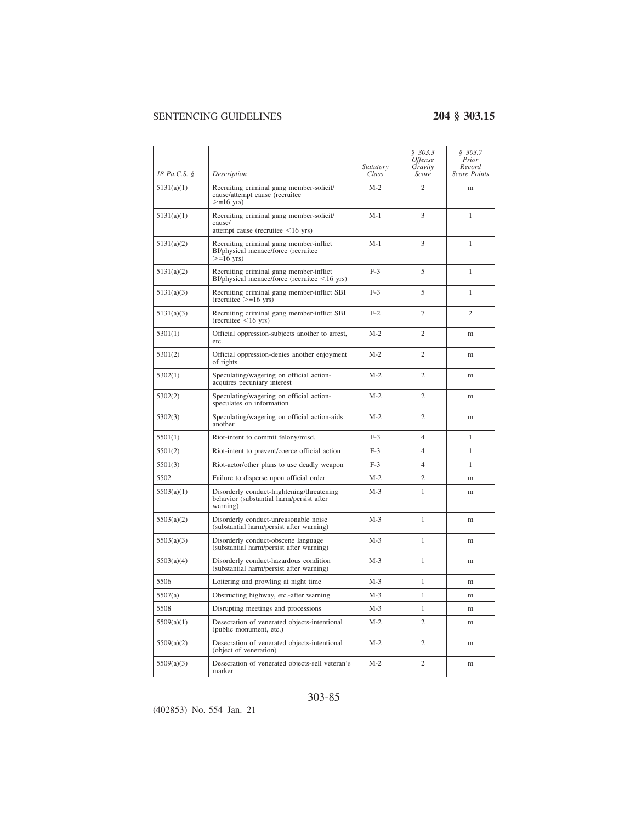| 18 Pa.C.S. § | Description                                                                                        | Statutory<br>Class | \$303.3<br>Offense<br>Gravity<br>Score | \$303.7<br>Prior<br>Record<br>Score Points |
|--------------|----------------------------------------------------------------------------------------------------|--------------------|----------------------------------------|--------------------------------------------|
| 5131(a)(1)   | Recruiting criminal gang member-solicit/<br>cause/attempt cause (recruitee<br>$>=16$ yrs)          | $M-2$              | $\overline{2}$                         | m                                          |
| 5131(a)(1)   | Recruiting criminal gang member-solicit/<br>cause/<br>attempt cause (recruitee $\leq 16$ yrs)      | $M-1$              | 3                                      | 1                                          |
| 5131(a)(2)   | Recruiting criminal gang member-inflict<br>BI/physical menace/force (recruitee<br>$>=16$ yrs)      | $M-1$              | 3                                      | $\mathbf{1}$                               |
| 5131(a)(2)   | Recruiting criminal gang member-inflict<br>$BI/physical$ menace/force (recruitee $\leq 16$ yrs)    | $F-3$              | 5                                      | 1                                          |
| 5131(a)(3)   | Recruiting criminal gang member-inflict SBI<br>$(recruitee \ge = 16 \text{ yrs})$                  | $F-3$              | 5                                      | 1                                          |
| 5131(a)(3)   | Recruiting criminal gang member-inflict SBI<br>$(recruitee < 16 \text{ yrs})$                      | $F-2$              | $\overline{7}$                         | $\overline{c}$                             |
| 5301(1)      | Official oppression-subjects another to arrest,<br>etc.                                            | $M-2$              | $\overline{2}$                         | m                                          |
| 5301(2)      | Official oppression-denies another enjoyment<br>of rights                                          | $M-2$              | $\overline{2}$                         | m                                          |
| 5302(1)      | Speculating/wagering on official action-<br>acquires pecuniary interest                            | $M-2$              | $\overline{2}$                         | m                                          |
| 5302(2)      | Speculating/wagering on official action-<br>speculates on information                              | $M-2$              | $\overline{2}$                         | m                                          |
| 5302(3)      | Speculating/wagering on official action-aids<br>another                                            | $M-2$              | $\overline{2}$                         | m                                          |
| 5501(1)      | Riot-intent to commit felony/misd.                                                                 | $F-3$              | $\overline{4}$                         | 1                                          |
| 5501(2)      | Riot-intent to prevent/coerce official action                                                      | $F-3$              | $\overline{4}$                         | 1                                          |
| 5501(3)      | Riot-actor/other plans to use deadly weapon                                                        | $F-3$              | $\overline{4}$                         | 1                                          |
| 5502         | Failure to disperse upon official order                                                            | $M-2$              | $\overline{2}$                         | m                                          |
| 5503(a)(1)   | Disorderly conduct-frightening/threatening<br>behavior (substantial harm/persist after<br>warning) | $M-3$              | 1                                      | m                                          |
| 5503(a)(2)   | Disorderly conduct-unreasonable noise<br>(substantial harm/persist after warning)                  | $M-3$              | 1                                      | m                                          |
| 5503(a)(3)   | Disorderly conduct-obscene language<br>(substantial harm/persist after warning)                    | $M-3$              | 1                                      | m                                          |
| 5503(a)(4)   | Disorderly conduct-hazardous condition<br>(substantial harm/persist after warning)                 | $M-3$              | 1                                      | m                                          |
| 5506         | Loitering and prowling at night time                                                               | $M-3$              | $\mathbf{1}$                           | m                                          |
| 5507(a)      | Obstructing highway, etc.-after warning                                                            | $M-3$              | 1                                      | m                                          |
| 5508         | Disrupting meetings and processions                                                                | $M-3$              | 1                                      | m                                          |
| 5509(a)(1)   | Desecration of venerated objects-intentional<br>(public monument, etc.)                            | $M-2$              | $\overline{2}$                         | m                                          |
| 5509(a)(2)   | Desecration of venerated objects-intentional<br>(object of veneration)                             | $M-2$              | $\mathfrak{2}$                         | m                                          |
| 5509(a)(3)   | Desecration of venerated objects-sell veteran's<br>marker                                          | $M-2$              | $\mathfrak{2}$                         | m                                          |

### 303-85

(402853) No. 554 Jan. 21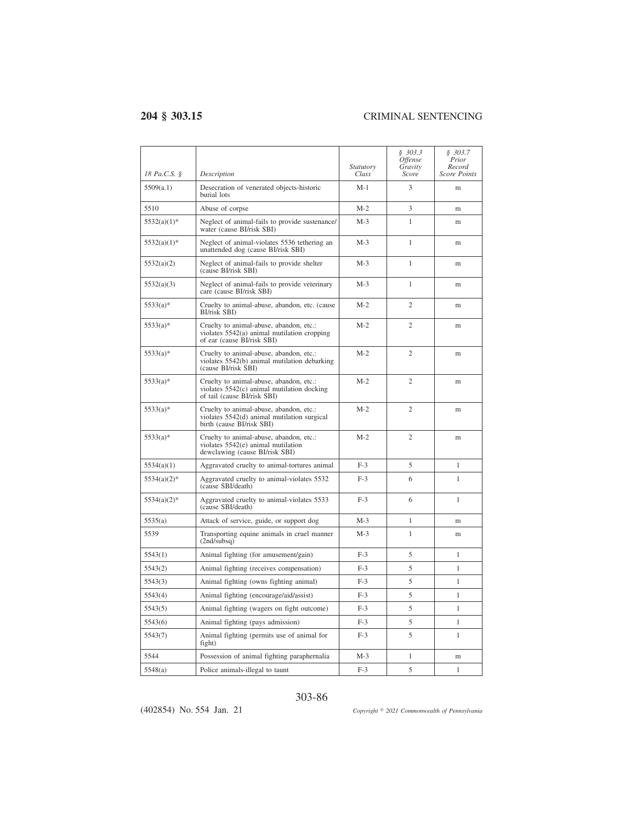| 18 Pa.C.S. §   | Description                                                                                                            | Statutory<br>Class | \$303.3<br><i><b>Offense</b></i><br>Gravity<br>Score | \$303.7<br>Prior<br>Record<br><b>Score Points</b> |
|----------------|------------------------------------------------------------------------------------------------------------------------|--------------------|------------------------------------------------------|---------------------------------------------------|
| 5509(a.1)      | Desecration of venerated objects-historic<br>burial lots                                                               | $M-1$              | 3                                                    | m                                                 |
| 5510           | Abuse of corpse                                                                                                        | $M-2$              | 3                                                    | m                                                 |
| $5532(a)(1)$ * | Neglect of animal-fails to provide sustenance/<br>water (cause BI/risk SBI)                                            | $M-3$              | 1                                                    | m                                                 |
| $5532(a)(1)$ * | Neglect of animal-violates 5536 tethering an<br>unattended dog (cause BI/risk SBI)                                     | $M-3$              | 1                                                    | m                                                 |
| 5532(a)(2)     | Neglect of animal-fails to provide shelter<br>(cause BI/risk SBI)                                                      | $M-3$              | 1                                                    | m                                                 |
| 5532(a)(3)     | Neglect of animal-fails to provide veterinary<br>care (cause BI/risk SBI)                                              | $M-3$              | $\mathbf{1}$                                         | m                                                 |
| $5533(a)*$     | Cruelty to animal-abuse, abandon, etc. (cause<br>BI/risk SBI)                                                          | $M-2$              | $\overline{c}$                                       | m                                                 |
| $5533(a)*$     | Cruelty to animal-abuse, abandon, etc.:<br>violates 5542(a) animal mutilation cropping<br>of ear (cause BI/risk SBI)   | $M-2$              | $\overline{2}$                                       | m                                                 |
| $5533(a)*$     | Cruelty to animal-abuse, abandon, etc.:<br>violates 5542(b) animal mutilation debarking<br>(cause BI/risk SBI)         | $M-2$              | $\overline{c}$                                       | m                                                 |
| $5533(a)*$     | Cruelty to animal-abuse, abandon, etc.:<br>violates $5542(c)$ animal mutilation docking<br>of tail (cause BI/risk SBI) | $M-2$              | $\overline{c}$                                       | m                                                 |
| $5533(a)*$     | Cruelty to animal-abuse, abandon, etc.:<br>violates 5542(d) animal mutilation surgical<br>birth (cause BI/risk SBI)    | $M-2$              | $\overline{c}$                                       | m                                                 |
| $5533(a)*$     | Cruelty to animal-abuse, abandon, etc.:<br>violates $5542(e)$ animal mutilation<br>dewclawing (cause BI/risk SBI)      | $M-2$              | $\overline{c}$                                       | m                                                 |
| 5534(a)(1)     | Aggravated cruelty to animal-tortures animal                                                                           | $F-3$              | 5                                                    | $\mathbf{1}$                                      |
| $5534(a)(2)$ * | Aggravated cruelty to animal-violates 5532<br>(cause SBI/death)                                                        | $F-3$              | 6                                                    | 1                                                 |
| $5534(a)(2)$ * | Aggravated cruelty to animal-violates 5533<br>(cause SBI/death)                                                        | $F-3$              | 6                                                    | $\mathbf{1}$                                      |
| 5535(a)        | Attack of service, guide, or support dog                                                                               | $M-3$              | $\mathbf{1}$                                         | m                                                 |
| 5539           | Transporting equine animals in cruel manner<br>(2nd/subsq)                                                             | $M-3$              | 1                                                    | m                                                 |
| 5543(1)        | Animal fighting (for amusement/gain)                                                                                   | $F-3$              | 5                                                    | $\mathbf{1}$                                      |
| 5543(2)        | Animal fighting (receives compensation)                                                                                | $F-3$              | 5                                                    | $\mathbf{1}$                                      |
| 5543(3)        | Animal fighting (owns fighting animal)                                                                                 | $F-3$              | 5                                                    | 1                                                 |
| 5543(4)        | Animal fighting (encourage/aid/assist)                                                                                 | $F-3$              | 5                                                    | $\mathbf{1}$                                      |
| 5543(5)        | Animal fighting (wagers on fight outcome)                                                                              | $F-3$              | 5                                                    | $\mathbf{1}$                                      |
| 5543(6)        | Animal fighting (pays admission)                                                                                       | $F-3$              | 5                                                    | 1                                                 |
| 5543(7)        | Animal fighting (permits use of animal for<br>fight)                                                                   | $F-3$              | 5                                                    | 1                                                 |
| 5544           | Possession of animal fighting paraphernalia                                                                            | $M-3$              | 1                                                    | m                                                 |
| 5548(a)        | Police animals-illegal to taunt                                                                                        | $F-3$              | 5                                                    | $\mathbf{1}$                                      |

### 303-86

(402854) No. 554 Jan. 21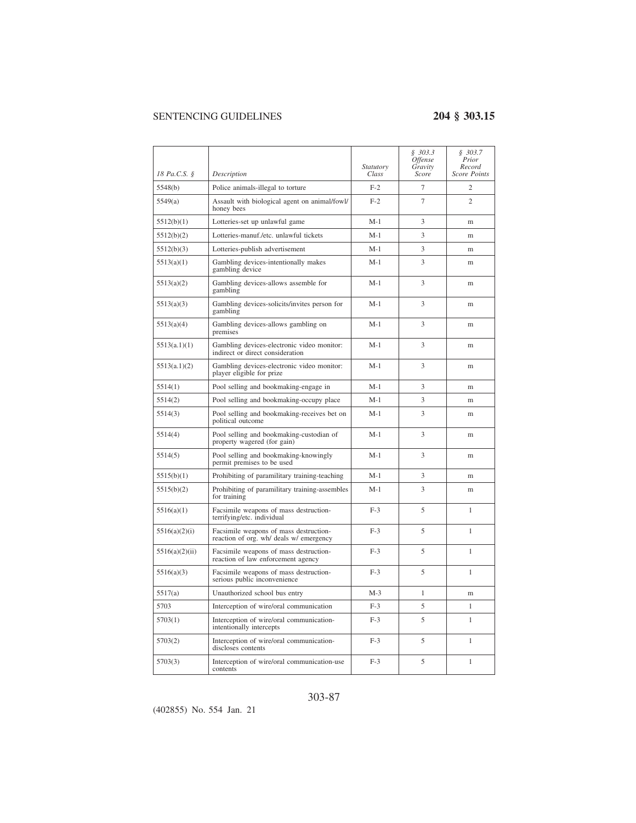|                |                                                                                   | <i>Statutory</i> | \$303.3<br>Offense<br>Gravity | \$303.7<br>Prior<br>Record |
|----------------|-----------------------------------------------------------------------------------|------------------|-------------------------------|----------------------------|
| 18 Pa.C.S. §   | Description                                                                       | Class            | Score                         | <b>Score Points</b>        |
| 5548(b)        | Police animals-illegal to torture                                                 | $F-2$            | $\overline{7}$                | 2                          |
| 5549(a)        | Assault with biological agent on animal/fowl/<br>honey bees                       | $F-2$            | $\overline{7}$                | $\overline{c}$             |
| 5512(b)(1)     | Lotteries-set up unlawful game                                                    | $M-1$            | 3                             | m                          |
| 5512(b)(2)     | Lotteries-manuf./etc. unlawful tickets                                            | $M-1$            | 3                             | m                          |
| 5512(b)(3)     | Lotteries-publish advertisement                                                   | $M-1$            | 3                             | m                          |
| 5513(a)(1)     | Gambling devices-intentionally makes<br>gambling device                           | $M-1$            | 3                             | m                          |
| 5513(a)(2)     | Gambling devices-allows assemble for<br>gambling                                  | $M-1$            | 3                             | m                          |
| 5513(a)(3)     | Gambling devices-solicits/invites person for<br>gambling                          | $M-1$            | 3                             | m                          |
| 5513(a)(4)     | Gambling devices-allows gambling on<br>premises                                   | $M-1$            | 3                             | m                          |
| 5513(a.1)(1)   | Gambling devices-electronic video monitor:<br>indirect or direct consideration    | $M-1$            | 3                             | m                          |
| 5513(a.1)(2)   | Gambling devices-electronic video monitor:<br>player eligible for prize           | $M-1$            | 3                             | m                          |
| 5514(1)        | Pool selling and bookmaking-engage in                                             | $M-1$            | 3                             | m                          |
| 5514(2)        | Pool selling and bookmaking-occupy place                                          | $M-1$            | 3                             | m                          |
| 5514(3)        | Pool selling and bookmaking-receives bet on<br>political outcome                  | $M-1$            | 3                             | m                          |
| 5514(4)        | Pool selling and bookmaking-custodian of<br>property wagered (for gain)           | $M-1$            | 3                             | m                          |
| 5514(5)        | Pool selling and bookmaking-knowingly<br>permit premises to be used               | $M-1$            | 3                             | m                          |
| 5515(b)(1)     | Prohibiting of paramilitary training-teaching                                     | $M-1$            | 3                             | m                          |
| 5515(b)(2)     | Prohibiting of paramilitary training-assembles<br>for training                    | $M-1$            | 3                             | m                          |
| 5516(a)(1)     | Facsimile weapons of mass destruction-<br>terrifying/etc. individual              | $F-3$            | 5                             | 1                          |
| 5516(a)(2)(i)  | Facsimile weapons of mass destruction-<br>reaction of org. wh/ deals w/ emergency | $F-3$            | 5                             | 1                          |
| 5516(a)(2)(ii) | Facsimile weapons of mass destruction-<br>reaction of law enforcement agency      | $F-3$            | 5                             | 1                          |
| 5516(a)(3)     | Facsimile weapons of mass destruction-<br>serious public inconvenience            | $F-3$            | 5                             | 1                          |
| 5517(a)        | Unauthorized school bus entry                                                     | $M-3$            | 1                             | m                          |
| 5703           | Interception of wire/oral communication                                           | $F-3$            | 5                             | 1                          |
| 5703(1)        | Interception of wire/oral communication-<br>intentionally intercepts              | $F-3$            | 5                             | 1                          |
| 5703(2)        | Interception of wire/oral communication-<br>discloses contents                    | $F-3$            | 5                             | 1                          |
| 5703(3)        | Interception of wire/oral communication-use<br>contents                           | $F-3$            | 5                             | 1                          |

### 303-87

(402855) No. 554 Jan. 21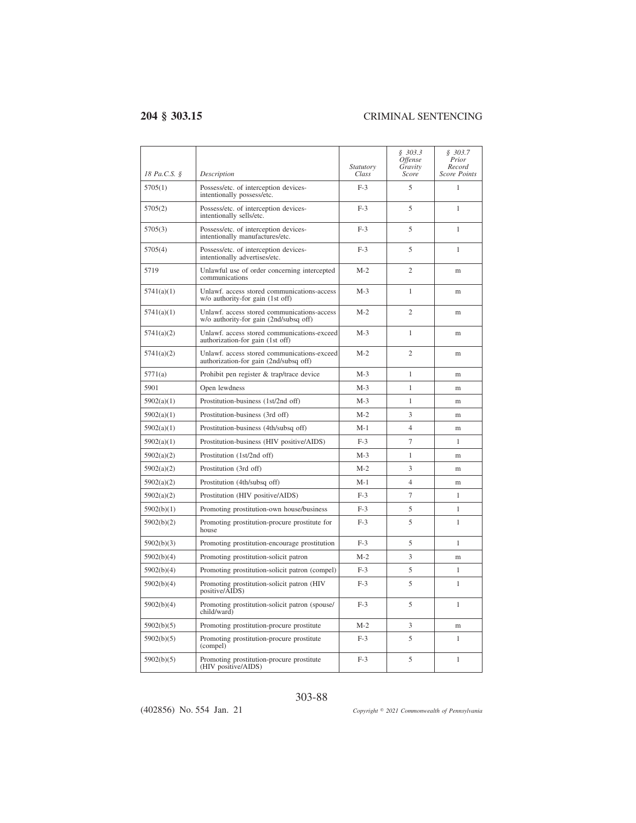| 18 Pa.C.S. § | Description                                                                           | <i>Statutory</i><br>Class | \$303.3<br><i><b>Offense</b></i><br>Gravity<br>Score | \$303.7<br>Prior<br>Record<br><b>Score Points</b> |
|--------------|---------------------------------------------------------------------------------------|---------------------------|------------------------------------------------------|---------------------------------------------------|
| 5705(1)      | Possess/etc. of interception devices-<br>intentionally possess/etc.                   | $F-3$                     | 5                                                    | 1                                                 |
| 5705(2)      | Possess/etc. of interception devices-<br>intentionally sells/etc.                     | $F-3$                     | 5                                                    | 1                                                 |
| 5705(3)      | Possess/etc. of interception devices-<br>intentionally manufactures/etc.              | $F-3$                     | 5                                                    | 1                                                 |
| 5705(4)      | Possess/etc. of interception devices-<br>intentionally advertises/etc.                | $F-3$                     | 5                                                    | 1                                                 |
| 5719         | Unlawful use of order concerning intercepted<br>communications                        | $M-2$                     | $\overline{c}$                                       | m                                                 |
| 5741(a)(1)   | Unlawf, access stored communications-access<br>w/o authority-for gain (1st off)       | $M-3$                     | 1                                                    | m                                                 |
| 5741(a)(1)   | Unlawf. access stored communications-access<br>w/o authority-for gain (2nd/subsq off) | $M-2$                     | $\overline{c}$                                       | m                                                 |
| 5741(a)(2)   | Unlawf. access stored communications-exceed<br>authorization-for gain (1st off)       | $M-3$                     | 1                                                    | m                                                 |
| 5741(a)(2)   | Unlawf. access stored communications-exceed<br>authorization-for gain (2nd/subsq off) | $M-2$                     | $\overline{c}$                                       | m                                                 |
| 5771(a)      | Prohibit pen register & trap/trace device                                             | M-3                       | 1                                                    | m                                                 |
| 5901         | Open lewdness                                                                         | $M-3$                     | 1                                                    | m                                                 |
| 5902(a)(1)   | Prostitution-business (1st/2nd off)                                                   | $M-3$                     | 1                                                    | m                                                 |
| 5902(a)(1)   | Prostitution-business (3rd off)                                                       | $M-2$                     | 3                                                    | m                                                 |
| 5902(a)(1)   | Prostitution-business (4th/subsq off)                                                 | $M-1$                     | $\overline{4}$                                       | m                                                 |
| 5902(a)(1)   | Prostitution-business (HIV positive/AIDS)                                             | $F-3$                     | 7                                                    | $\mathbf{1}$                                      |
| 5902(a)(2)   | Prostitution (1st/2nd off)                                                            | $M-3$                     | $\mathbf{1}$                                         | m                                                 |
| 5902(a)(2)   | Prostitution (3rd off)                                                                | $M-2$                     | 3                                                    | m                                                 |
| 5902(a)(2)   | Prostitution (4th/subsq off)                                                          | M-1                       | 4                                                    | m                                                 |
| 5902(a)(2)   | Prostitution (HIV positive/AIDS)                                                      | $F-3$                     | 7                                                    | 1                                                 |
| 5902(b)(1)   | Promoting prostitution-own house/business                                             | $F-3$                     | 5                                                    | 1                                                 |
| 5902(b)(2)   | Promoting prostitution-procure prostitute for<br>house                                | $F-3$                     | 5                                                    | 1                                                 |
| 5902(b)(3)   | Promoting prostitution-encourage prostitution                                         | $F-3$                     | 5                                                    | 1                                                 |
| 5902(b)(4)   | Promoting prostitution-solicit patron                                                 | $M-2$                     | 3                                                    | m                                                 |
| 5902(b)(4)   | Promoting prostitution-solicit patron (compel)                                        | $F-3$                     | 5                                                    | 1                                                 |
| 5902(b)(4)   | Promoting prostitution-solicit patron (HIV<br>positive/AIDS)                          | $F-3$                     | 5                                                    | 1                                                 |
| 5902(b)(4)   | Promoting prostitution-solicit patron (spouse/<br>child/ward)                         | $F-3$                     | 5                                                    | 1                                                 |
| 5902(b)(5)   | Promoting prostitution-procure prostitute                                             | M-2                       | 3                                                    | m                                                 |
| 5902(b)(5)   | Promoting prostitution-procure prostitute<br>(compel)                                 | $F-3$                     | 5                                                    | 1                                                 |
| 5902(b)(5)   | Promoting prostitution-procure prostitute<br>(HIV positive/AIDS)                      | $F-3$                     | 5                                                    | 1                                                 |

### 303-88

(402856) No. 554 Jan. 21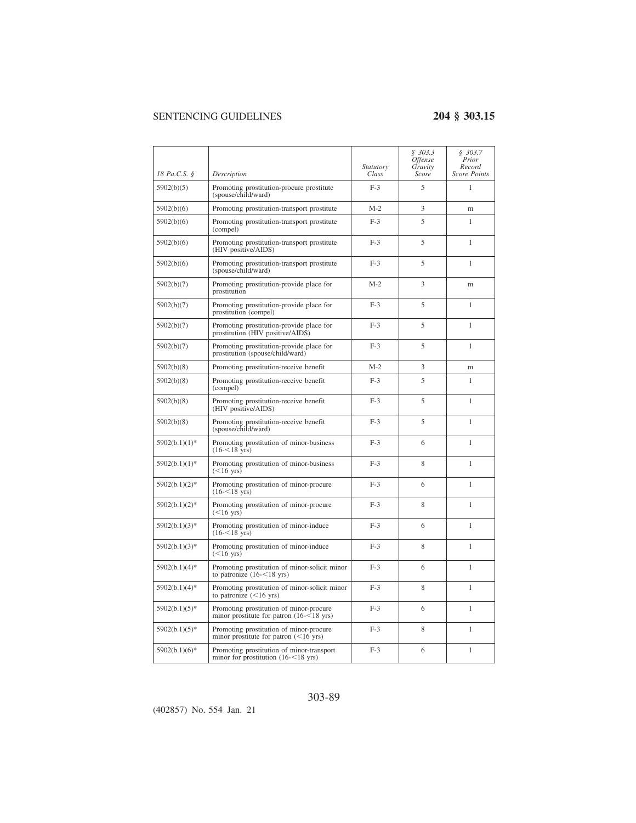| 18 Pa.C.S. §     | Description                                                                                    | <i>Statutory</i><br>Class | \$303.3<br>Offense<br>Gravity<br>Score | \$303.7<br>Prior<br>Record<br>Score Points |
|------------------|------------------------------------------------------------------------------------------------|---------------------------|----------------------------------------|--------------------------------------------|
| 5902(b)(5)       | Promoting prostitution-procure prostitute<br>(spouse/child/ward)                               | $F-3$                     | 5                                      | 1                                          |
| 5902(b)(6)       | Promoting prostitution-transport prostitute                                                    | $M-2$                     | 3                                      | m                                          |
| 5902(b)(6)       | Promoting prostitution-transport prostitute<br>(compel)                                        | $F-3$                     | 5                                      | 1                                          |
| 5902(b)(6)       | Promoting prostitution-transport prostitute<br>(HIV positive/AIDS)                             | $F-3$                     | 5                                      | $\mathbf{1}$                               |
| 5902(b)(6)       | Promoting prostitution-transport prostitute<br>(spouse/child/ward)                             | $F-3$                     | 5                                      | 1                                          |
| 5902(b)(7)       | Promoting prostitution-provide place for<br>prostitution                                       | $M-2$                     | 3                                      | m                                          |
| 5902(b)(7)       | Promoting prostitution-provide place for<br>prostitution (compel)                              | $F-3$                     | 5                                      | 1                                          |
| 5902(b)(7)       | Promoting prostitution-provide place for<br>prostitution (HIV positive/AIDS)                   | $F-3$                     | 5                                      | 1                                          |
| 5902(b)(7)       | Promoting prostitution-provide place for<br>prostitution (spouse/child/ward)                   | $F-3$                     | 5                                      | $\mathbf{1}$                               |
| 5902(b)(8)       | Promoting prostitution-receive benefit                                                         | $M-2$                     | 3                                      | m                                          |
| 5902(b)(8)       | Promoting prostitution-receive benefit<br>(compel)                                             | $F-3$                     | 5                                      | 1                                          |
| 5902(b)(8)       | Promoting prostitution-receive benefit<br>(HIV positive/AIDS)                                  | $F-3$                     | 5                                      | 1                                          |
| 5902(b)(8)       | Promoting prostitution-receive benefit<br>(spouse/child/ward)                                  | $F-3$                     | 5                                      | 1                                          |
| $5902(b.1)(1)$ * | Promoting prostitution of minor-business<br>$(16 - 18 \text{ yrs})$                            | $F-3$                     | 6                                      | 1                                          |
| $5902(b.1)(1)$ * | Promoting prostitution of minor-business<br>$(<16$ yrs)                                        | $F-3$                     | 8                                      | 1                                          |
| $5902(b.1)(2)$ * | Promoting prostitution of minor-procure<br>$(16 - 18 \text{ yrs})$                             | $F-3$                     | 6                                      | 1                                          |
| $5902(b.1)(2)$ * | Promoting prostitution of minor-procure<br>$(<16$ yrs)                                         | $F-3$                     | 8                                      | 1                                          |
| $5902(b.1)(3)$ * | Promoting prostitution of minor-induce<br>$(16 - 18 \text{ yrs})$                              | $F-3$                     | 6                                      | 1                                          |
| $5902(b.1)(3)*$  | Promoting prostitution of minor-induce<br>$(<16$ yrs)                                          | $F-3$                     | 8                                      | 1                                          |
| $5902(b.1)(4)$ * | Promoting prostitution of minor-solicit minor<br>to patronize $(16 - 18$ yrs)                  | $F-3$                     | 6                                      | 1                                          |
| $5902(b.1)(4)$ * | Promoting prostitution of minor-solicit minor<br>to patronize $(<16$ yrs)                      | $F-3$                     | 8                                      | $\mathbf{1}$                               |
| $5902(b.1)(5)$ * | Promoting prostitution of minor-procure<br>minor prostitute for patron $(16 - 18 \text{ yrs})$ | $F-3$                     | 6                                      | $\mathbf{1}$                               |
| $5902(b.1)(5)$ * | Promoting prostitution of minor-procure<br>minor prostitute for patron $(<16$ yrs)             | $F-3$                     | 8                                      | 1                                          |
| $5902(b.1)(6)$ * | Promoting prostitution of minor-transport<br>minor for prostitution $(16 - 18 \text{ yrs})$    | $F-3$                     | 6                                      | $\mathbf{1}$                               |

## 303-89

(402857) No. 554 Jan. 21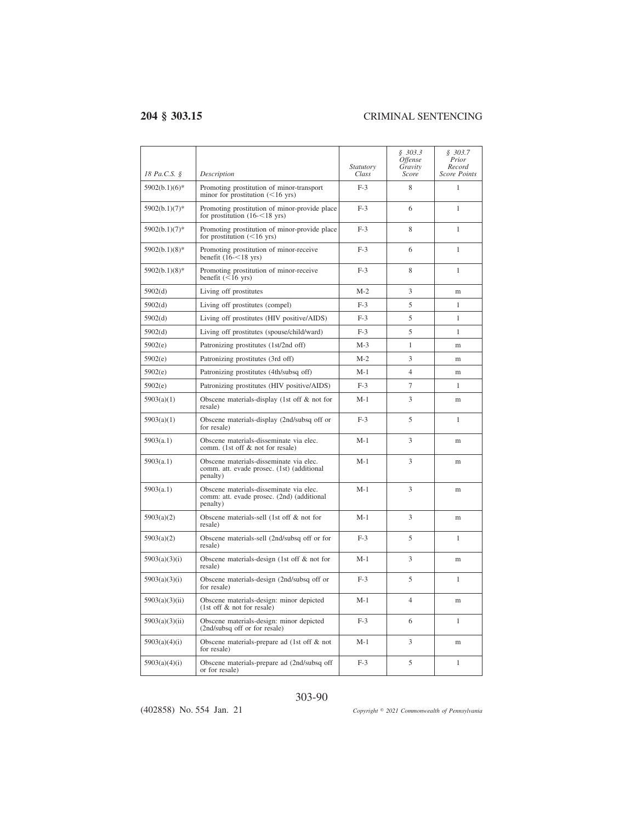| 18 Pa.C.S. §     | Description                                                                                       | Statutory<br>Class | \$303.3<br><i>Offense</i><br>Gravity<br>Score | \$303.7<br>Prior<br>Record<br><b>Score Points</b> |
|------------------|---------------------------------------------------------------------------------------------------|--------------------|-----------------------------------------------|---------------------------------------------------|
| $5902(b.1)(6)$ * | Promoting prostitution of minor-transport<br>minor for prostitution $(<16$ yrs)                   | $F-3$              | 8                                             | 1                                                 |
| $5902(b.1)(7)$ * | Promoting prostitution of minor-provide place<br>for prostitution $(16 - 18$ yrs)                 | $F-3$              | 6                                             | $\mathbf{1}$                                      |
| 5902(b.1)(7)*    | Promoting prostitution of minor-provide place<br>for prostitution $(<16$ yrs)                     | $F-3$              | 8                                             | 1                                                 |
| $5902(b.1)(8)$ * | Promoting prostitution of minor-receive<br>benefit $(16 - 18$ yrs)                                | $F-3$              | 6                                             | $\mathbf{1}$                                      |
| $5902(b.1)(8)$ * | Promoting prostitution of minor-receive<br>benefit $(<16$ yrs)                                    | $F-3$              | 8                                             | 1                                                 |
| 5902(d)          | Living off prostitutes                                                                            | $M-2$              | 3                                             | m                                                 |
| 5902(d)          | Living off prostitutes (compel)                                                                   | $F-3$              | 5                                             | 1                                                 |
| 5902(d)          | Living off prostitutes (HIV positive/AIDS)                                                        | $F-3$              | 5                                             | $\mathbf{1}$                                      |
| 5902(d)          | Living off prostitutes (spouse/child/ward)                                                        | $F-3$              | 5                                             | 1                                                 |
| 5902(e)          | Patronizing prostitutes (1st/2nd off)                                                             | $M-3$              | 1                                             | m                                                 |
| 5902(e)          | Patronizing prostitutes (3rd off)                                                                 | $M-2$              | 3                                             | m                                                 |
| 5902(e)          | Patronizing prostitutes (4th/subsq off)                                                           | $M-1$              | $\overline{4}$                                | m                                                 |
| 5902(e)          | Patronizing prostitutes (HIV positive/AIDS)                                                       | $F-3$              | $\overline{7}$                                | 1                                                 |
| 5903(a)(1)       | Obscene materials-display (1st off $\&$ not for<br>resale)                                        | $M-1$              | 3                                             | m                                                 |
| 5903(a)(1)       | Obscene materials-display (2nd/subsq off or<br>for resale)                                        | $F-3$              | 5                                             | $\mathbf{1}$                                      |
| 5903(a.1)        | Obscene materials-disseminate via elec.<br>comm. (1st off & not for resale)                       | $M-1$              | 3                                             | m                                                 |
| 5903(a.1)        | Obscene materials-disseminate via elec.<br>comm. att. evade prosec. (1st) (additional<br>penalty) | $M-1$              | 3                                             | m                                                 |
| 5903(a.1)        | Obscene materials-disseminate via elec.<br>comm: att. evade prosec. (2nd) (additional<br>penalty) | $M-1$              | 3                                             | m                                                 |
| 5903(a)(2)       | Obscene materials-sell (1st off & not for<br>resale)                                              | $M-1$              | 3                                             | m                                                 |
| 5903(a)(2)       | Obscene materials-sell (2nd/subsq off or for<br>resale)                                           | $F-3$              | 5                                             | $\mathbf{1}$                                      |
| 5903(a)(3)(i)    | Obscene materials-design (1st off $\&$ not for<br>resale)                                         | $M-1$              | 3                                             | m                                                 |
| 5903(a)(3)(i)    | Obscene materials-design (2nd/subsq off or<br>for resale)                                         | $F-3$              | 5                                             | $\mathbf{1}$                                      |
| 5903(a)(3)(ii)   | Obscene materials-design: minor depicted<br>$(1st$ off $\&$ not for resale)                       | $M-1$              | $\overline{4}$                                | m                                                 |
| 5903(a)(3)(ii)   | Obscene materials-design: minor depicted<br>(2nd/subsq off or for resale)                         | $F-3$              | 6                                             | 1                                                 |
| 5903(a)(4)(i)    | Obscene materials-prepare ad (1st off & not<br>for resale)                                        | $M-1$              | 3                                             | m                                                 |
| 5903(a)(4)(i)    | Obscene materials-prepare ad (2nd/subsq off<br>or for resale)                                     | $F-3$              | 5                                             | $\mathbf{1}$                                      |

### 303-90

(402858) No. 554 Jan. 21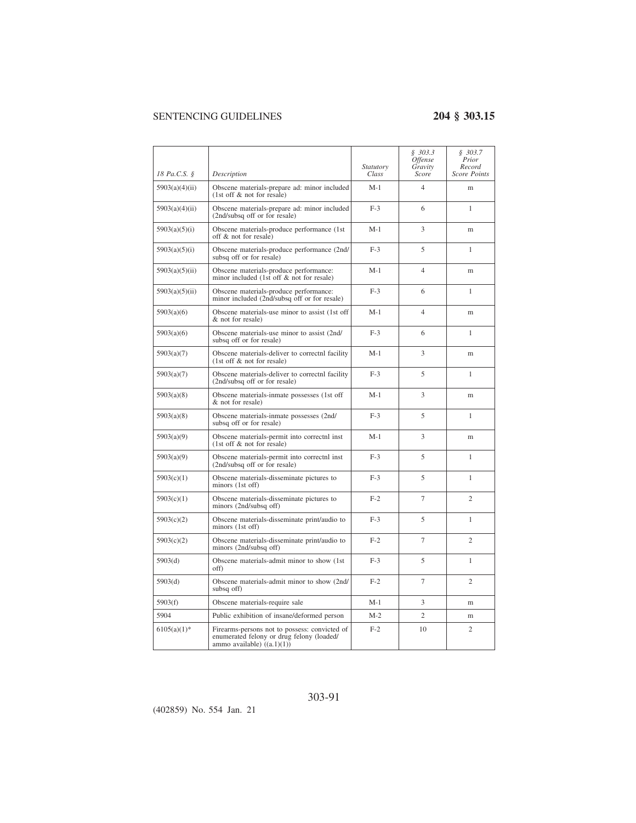|                |                                                                                                                            | Statutory | \$303.3<br><i><b>Offense</b></i><br>Gravity | \$303.7<br>Prior<br>Record |
|----------------|----------------------------------------------------------------------------------------------------------------------------|-----------|---------------------------------------------|----------------------------|
| 18 Pa.C.S. §   | Description                                                                                                                | Class     | Score                                       | <b>Score Points</b>        |
| 5903(a)(4)(ii) | Obscene materials-prepare ad: minor included<br>(1st off & not for resale)                                                 | $M-1$     | $\overline{4}$                              | m                          |
| 5903(a)(4)(ii) | Obscene materials-prepare ad: minor included<br>(2nd/subsq off or for resale)                                              | $F-3$     | 6                                           | 1                          |
| 5903(a)(5)(i)  | Obscene materials-produce performance (1st)<br>off & not for resale)                                                       | $M-1$     | 3                                           | m                          |
| 5903(a)(5)(i)  | Obscene materials-produce performance (2nd/<br>subsq off or for resale)                                                    | $F-3$     | 5                                           | $\mathbf{1}$               |
| 5903(a)(5)(ii) | Obscene materials-produce performance:<br>minor included (1st off & not for resale)                                        | $M-1$     | $\overline{4}$                              | m                          |
| 5903(a)(5)(ii) | Obscene materials-produce performance:<br>minor included (2nd/subsq off or for resale)                                     | $F-3$     | 6                                           | 1                          |
| 5903(a)(6)     | Obscene materials-use minor to assist (1st off<br>& not for resale)                                                        | $M-1$     | 4                                           | m                          |
| 5903(a)(6)     | Obscene materials-use minor to assist (2nd/<br>subsq off or for resale)                                                    | $F-3$     | 6                                           | $\mathbf{1}$               |
| 5903(a)(7)     | Obscene materials-deliver to correct a facility<br>(1st off & not for resale)                                              | M-1       | 3                                           | m                          |
| 5903(a)(7)     | Obscene materials-deliver to correctnl facility<br>(2nd/subsq off or for resale)                                           | $F-3$     | 5                                           | 1                          |
| 5903(a)(8)     | Obscene materials-inmate possesses (1st off<br>& not for resale)                                                           | $M-1$     | 3                                           | m                          |
| 5903(a)(8)     | Obscene materials-inmate possesses (2nd/<br>subsq off or for resale)                                                       | $F-3$     | 5                                           | $\mathbf{1}$               |
| 5903(a)(9)     | Obscene materials-permit into correctnl inst<br>(1st off & not for resale)                                                 | $M-1$     | 3                                           | m                          |
| 5903(a)(9)     | Obscene materials-permit into correctnl inst<br>(2nd/subsq off or for resale)                                              | $F-3$     | 5                                           | 1                          |
| 5903(c)(1)     | Obscene materials-disseminate pictures to<br>minors (1st off)                                                              | $F-3$     | 5                                           | 1                          |
| 5903(c)(1)     | Obscene materials-disseminate pictures to<br>minors (2nd/subsq off)                                                        | $F-2$     | $\overline{7}$                              | $\mathfrak{2}$             |
| 5903(c)(2)     | Obscene materials-disseminate print/audio to<br>$minors$ (1st off)                                                         | $F-3$     | 5                                           | $\mathbf{1}$               |
| 5903(c)(2)     | Obscene materials-disseminate print/audio to<br>minors (2nd/subsq off)                                                     | $F-2$     | 7                                           | $\mathfrak{2}$             |
| 5903(d)        | Obscene materials-admit minor to show (1st)<br>off)                                                                        | $F-3$     | 5                                           | 1                          |
| 5903(d)        | Obscene materials-admit minor to show (2nd/<br>subsq off)                                                                  | $F-2$     | $\overline{7}$                              | $\mathfrak{2}$             |
| 5903(f)        | Obscene materials-require sale                                                                                             | $M-1$     | 3                                           | m                          |
| 5904           | Public exhibition of insane/deformed person                                                                                | $M-2$     | $\overline{c}$                              | m                          |
| $6105(a)(1)$ * | Firearms-persons not to possess: convicted of<br>enumerated felony or drug felony (loaded/<br>ammo available) $((a.1)(1))$ | $F-2$     | 10                                          | $\overline{c}$             |

### 303-91

(402859) No. 554 Jan. 21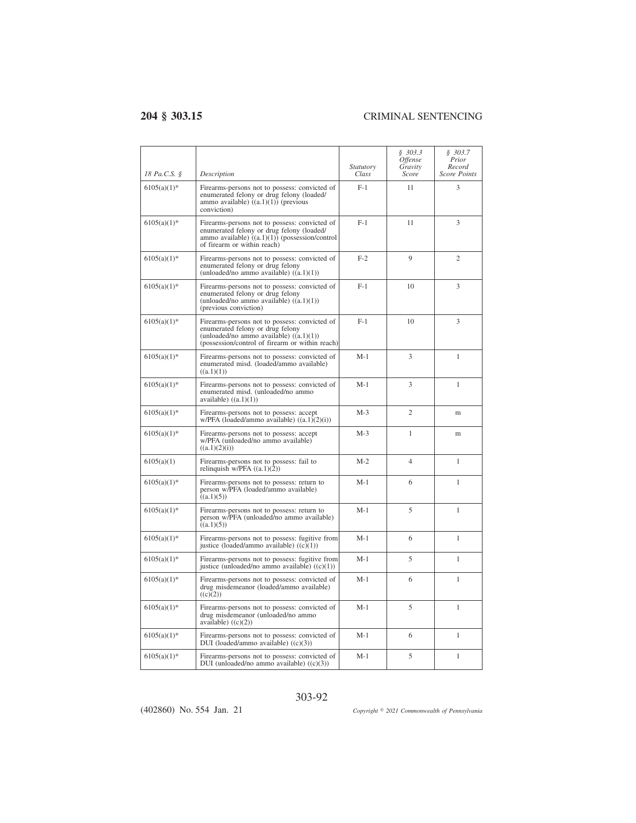$\overline{a}$ 

| 18 Pa.C.S. §   | Description                                                                                                                                                                       | <i>Statutory</i><br>Class | \$303.3<br>Offense<br>Gravity<br>Score | \$303.7<br>Prior<br>Record<br><b>Score Points</b> |
|----------------|-----------------------------------------------------------------------------------------------------------------------------------------------------------------------------------|---------------------------|----------------------------------------|---------------------------------------------------|
| $6105(a)(1)$ * | Firearms-persons not to possess: convicted of<br>enumerated felony or drug felony (loaded/<br>ammo available) $((a.1)(1))$ (previous<br>conviction)                               | $F-1$                     | 11                                     | 3                                                 |
| $6105(a)(1)$ * | Firearms-persons not to possess: convicted of<br>enumerated felony or drug felony (loaded/<br>ammo available) $((a.1)(1))$ (possession/control<br>of firearm or within reach)     | $F-1$                     | 11                                     | 3                                                 |
| $6105(a)(1)$ * | Firearms-persons not to possess: convicted of<br>enumerated felony or drug felony<br>(unloaded/no ammo available) $((a.1)(1))$                                                    | $F-2$                     | $\mathbf Q$                            | $\overline{c}$                                    |
| $6105(a)(1)$ * | Firearms-persons not to possess: convicted of<br>enumerated felony or drug felony<br>(unloaded/no ammo available) $((a.1)(1))$<br>(previous conviction)                           | $F-1$                     | 10                                     | 3                                                 |
| $6105(a)(1)$ * | Firearms-persons not to possess: convicted of<br>enumerated felony or drug felony<br>(unloaded/no ammo available) $((a.1)(1))$<br>(possession/control of firearm or within reach) | $F-1$                     | 10                                     | 3                                                 |
| $6105(a)(1)$ * | Firearms-persons not to possess: convicted of<br>enumerated misd. (loaded/ammo available)<br>((a.1)(1))                                                                           | $M-1$                     | 3                                      | $\mathbf{1}$                                      |
| $6105(a)(1)$ * | Firearms-persons not to possess: convicted of<br>enumerated misd. (unloaded/no ammo<br>available) $((a.1)(1))$                                                                    | M-1                       | 3                                      | 1                                                 |
| $6105(a)(1)$ * | Firearms-persons not to possess: accept<br>$w/PPA$ (loaded/ammo available) $((a.1)(2)(i))$                                                                                        | $M-3$                     | $\overline{c}$                         | m                                                 |
| $6105(a)(1)$ * | Firearms-persons not to possess: accept<br>w/PFA (unloaded/no ammo available)<br>((a.1)(2)(i))                                                                                    | $M-3$                     | 1                                      | m                                                 |
| 6105(a)(1)     | Firearms-persons not to possess: fail to<br>relinquish $w/PFA$ $((a.1)(2))$                                                                                                       | $M-2$                     | $\overline{4}$                         | $\mathbf{1}$                                      |
| $6105(a)(1)$ * | Firearms-persons not to possess: return to<br>person w/PFA (loaded/ammo available)<br>((a.1)(5))                                                                                  | M-1                       | 6                                      | $\mathbf{1}$                                      |
| $6105(a)(1)$ * | Firearms-persons not to possess: return to<br>person w/PFA (unloaded/no ammo available)<br>((a.1)(5))                                                                             | $M-1$                     | 5                                      | $\mathbf{1}$                                      |
| $6105(a)(1)$ * | Firearms-persons not to possess: fugitive from<br>justice (loaded/ammo available) $((c)(1))$                                                                                      | $M-1$                     | 6                                      | $\mathbf{1}$                                      |
| $6105(a)(1)$ * | Firearms-persons not to possess: fugitive from<br>justice (unloaded/no ammo available) $((c)(1))$                                                                                 | $M-1$                     | 5                                      | 1                                                 |
| $6105(a)(1)$ * | Firearms-persons not to possess: convicted of<br>drug misdemeanor (loaded/ammo available)<br>((c)(2))                                                                             | $M-1$                     | 6                                      | 1                                                 |
| $6105(a)(1)$ * | Firearms-persons not to possess: convicted of<br>drug misdemeanor (unloaded/no ammo<br>available) $((c)(2))$                                                                      | $M-1$                     | 5                                      | $\mathbf{1}$                                      |
| $6105(a)(1)$ * | Firearms-persons not to possess: convicted of<br>DUI (loaded/ammo available) ((c)(3))                                                                                             | M-1                       | 6                                      | 1                                                 |
| $6105(a)(1)$ * | Firearms-persons not to possess: convicted of<br>DUI (unloaded/no ammo available) $((c)(3))$                                                                                      | M-1                       | 5                                      | $\mathbf{1}$                                      |

303-92

(402860) No. 554 Jan. 21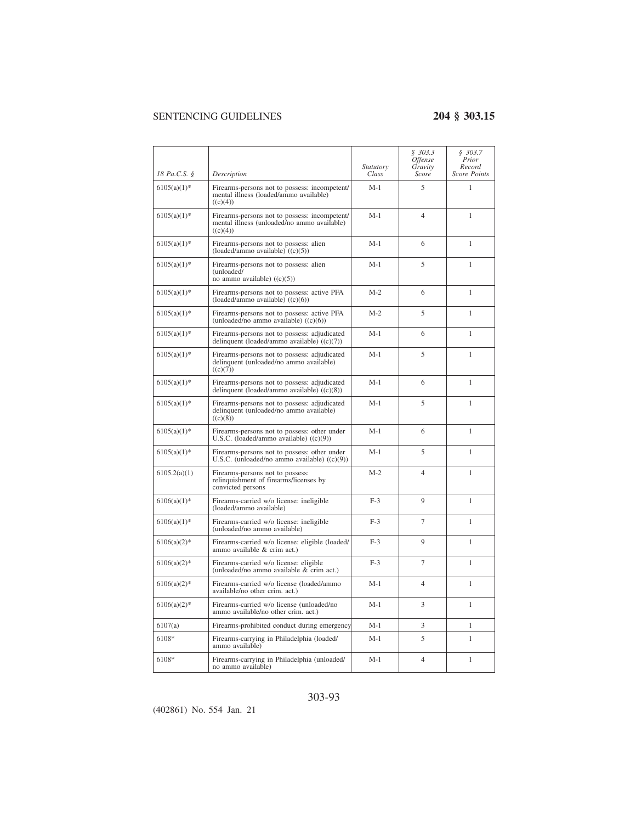|                |                                                                                                          | Statutory | \$303.3<br>Offense<br>Gravity | \$303.7<br>Prior<br>Record |
|----------------|----------------------------------------------------------------------------------------------------------|-----------|-------------------------------|----------------------------|
| 18 Pa.C.S. §   | Description                                                                                              | Class     | Score                         | <b>Score Points</b>        |
| $6105(a)(1)$ * | Firearms-persons not to possess: incompetent/<br>mental illness (loaded/ammo available)<br>((c)(4))      | $M-1$     | 5                             | 1                          |
| $6105(a)(1)$ * | Firearms-persons not to possess: incompetent/<br>mental illness (unloaded/no ammo available)<br>((c)(4)) | $M-1$     | 4                             | $\mathbf{1}$               |
| $6105(a)(1)$ * | Firearms-persons not to possess: alien<br>(loaded/ammo available) ((c)(5))                               | M-1       | 6                             | 1                          |
| $6105(a)(1)$ * | Firearms-persons not to possess: alien<br>(unloaded/<br>no ammo available) $((c)(5))$                    | $M-1$     | 5                             | 1                          |
| $6105(a)(1)$ * | Firearms-persons not to possess: active PFA<br>(loaded/ammo available) $((c)(6))$                        | $M-2$     | 6                             | $\mathbf{1}$               |
| $6105(a)(1)$ * | Firearms-persons not to possess: active PFA<br>(unloaded/no ammo available) $((c)(6))$                   | $M-2$     | 5                             | $\mathbf{1}$               |
| $6105(a)(1)$ * | Firearms-persons not to possess: adjudicated<br>delinquent (loaded/ammo available) $((c)(7))$            | M-1       | 6                             | 1                          |
| $6105(a)(1)$ * | Firearms-persons not to possess: adjudicated<br>delinquent (unloaded/no ammo available)<br>((c)(7))      | $M-1$     | 5                             | $\mathbf{1}$               |
| $6105(a)(1)$ * | Firearms-persons not to possess: adjudicated<br>delinquent (loaded/ammo available) $((c)(8))$            | $M-1$     | 6                             | $\mathbf{1}$               |
| $6105(a)(1)$ * | Firearms-persons not to possess: adjudicated<br>delinquent (unloaded/no ammo available)<br>((c)(8))      | $M-1$     | 5                             | 1                          |
| $6105(a)(1)$ * | Firearms-persons not to possess: other under<br>U.S.C. (loaded/ammo available) ((c)(9))                  | $M-1$     | 6                             | $\mathbf{1}$               |
| $6105(a)(1)$ * | Firearms-persons not to possess: other under<br>U.S.C. (unloaded/no ammo available) $((c)(9))$           | $M-1$     | 5                             | $\mathbf{1}$               |
| 6105.2(a)(1)   | Firearms-persons not to possess:<br>relinquishment of firearms/licenses by<br>convicted persons          | $M-2$     | $\overline{4}$                | 1                          |
| $6106(a)(1)$ * | Firearms-carried w/o license: ineligible<br>(loaded/ammo available)                                      | $F-3$     | 9                             | 1                          |
| $6106(a)(1)$ * | Firearms-carried w/o license: ineligible<br>(unloaded/no ammo available)                                 | $F-3$     | $\overline{7}$                | $\mathbf{1}$               |
| $6106(a)(2)$ * | Firearms-carried w/o license: eligible (loaded/<br>ammo available & crim act.)                           | $F-3$     | 9                             | 1                          |
| $6106(a)(2)$ * | Firearms-carried w/o license: eligible<br>(unloaded/no ammo available & crim act.)                       | $F-3$     | $\overline{7}$                | 1                          |
| $6106(a)(2)$ * | Firearms-carried w/o license (loaded/ammo<br>available/no other crim. act.)                              | $M-1$     | $\overline{4}$                | 1                          |
| $6106(a)(2)$ * | Firearms-carried w/o license (unloaded/no<br>ammo available/no other crim. act.)                         | $M-1$     | 3                             | $\mathbf{1}$               |
| 6107(a)        | Firearms-prohibited conduct during emergency                                                             | M-1       | 3                             | 1                          |
| 6108*          | Firearms-carrying in Philadelphia (loaded/<br>ammo available)                                            | $M-1$     | 5                             | 1                          |
| 6108*          | Firearms-carrying in Philadelphia (unloaded/<br>no ammo available)                                       | $M-1$     | $\overline{4}$                | 1                          |

## 303-93

(402861) No. 554 Jan. 21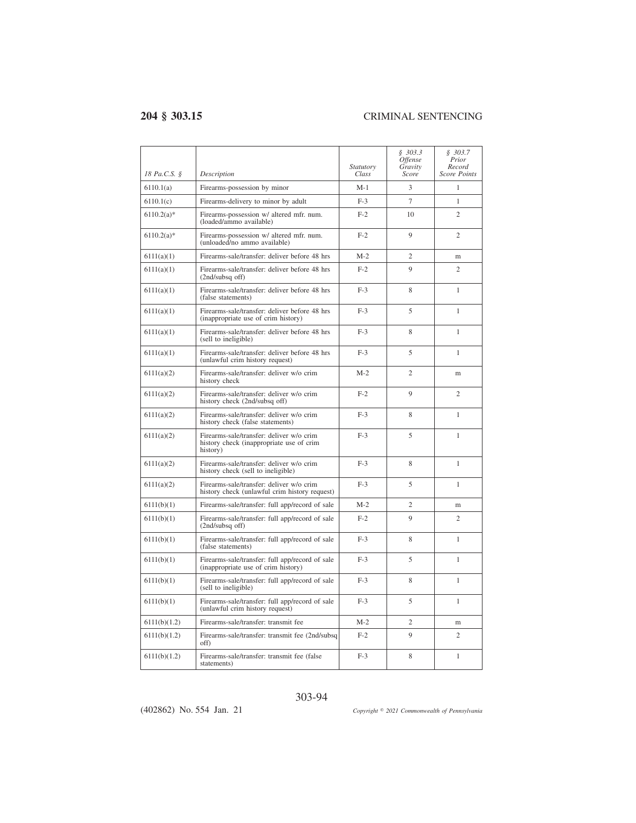| 18 Pa.C.S. §  | Description                                                                                      | <i>Statutory</i><br>Class | \$303.3<br><i><b>Offense</b></i><br>Gravity<br>Score | \$303.7<br>Prior<br>Record<br><b>Score Points</b> |
|---------------|--------------------------------------------------------------------------------------------------|---------------------------|------------------------------------------------------|---------------------------------------------------|
| 6110.1(a)     | Firearms-possession by minor                                                                     | $M-1$                     | 3                                                    | 1                                                 |
| 6110.1(c)     | Firearms-delivery to minor by adult                                                              | $F-3$                     | $\overline{7}$                                       | $\mathbf{1}$                                      |
| $6110.2(a)$ * | Firearms-possession w/ altered mfr. num.<br>(loaded/ammo available)                              | $F-2$                     | 10                                                   | $\overline{2}$                                    |
| $6110.2(a)$ * | Firearms-possession w/ altered mfr. num.<br>(unloaded/no ammo available)                         | $F-2$                     | 9                                                    | $\overline{c}$                                    |
| 6111(a)(1)    | Firearms-sale/transfer: deliver before 48 hrs                                                    | $M-2$                     | $\overline{c}$                                       | m                                                 |
| 6111(a)(1)    | Firearms-sale/transfer: deliver before 48 hrs<br>(2nd/subsq off)                                 | $F-2$                     | 9                                                    | $\overline{2}$                                    |
| 6111(a)(1)    | Firearms-sale/transfer: deliver before 48 hrs<br>(false statements)                              | $F-3$                     | 8                                                    | 1                                                 |
| 6111(a)(1)    | Firearms-sale/transfer: deliver before 48 hrs<br>(inappropriate use of crim history)             | $F-3$                     | 5                                                    | 1                                                 |
| 6111(a)(1)    | Firearms-sale/transfer: deliver before 48 hrs<br>(sell to ineligible)                            | $F-3$                     | 8                                                    | 1                                                 |
| 6111(a)(1)    | Firearms-sale/transfer: deliver before 48 hrs<br>(unlawful crim history request)                 | $F-3$                     | 5                                                    | 1                                                 |
| 6111(a)(2)    | Firearms-sale/transfer: deliver w/o crim<br>history check                                        | $M-2$                     | $\overline{2}$                                       | m                                                 |
| 6111(a)(2)    | Firearms-sale/transfer: deliver w/o crim<br>history check (2nd/subsq off)                        | $F-2$                     | 9                                                    | $\overline{c}$                                    |
| 6111(a)(2)    | Firearms-sale/transfer: deliver w/o crim<br>history check (false statements)                     | $F-3$                     | 8                                                    | 1                                                 |
| 6111(a)(2)    | Firearms-sale/transfer: deliver w/o crim<br>history check (inappropriate use of crim<br>history) | $F-3$                     | 5                                                    | 1                                                 |
| 6111(a)(2)    | Firearms-sale/transfer: deliver w/o crim<br>history check (sell to ineligible)                   | $F-3$                     | 8                                                    | 1                                                 |
| 6111(a)(2)    | Firearms-sale/transfer: deliver w/o crim<br>history check (unlawful crim history request)        | $F-3$                     | 5                                                    | 1                                                 |
| 6111(b)(1)    | Firearms-sale/transfer: full app/record of sale                                                  | $M-2$                     | $\overline{2}$                                       | m                                                 |
| 6111(b)(1)    | Firearms-sale/transfer: full app/record of sale<br>(2nd/subsq off)                               | $F-2$                     | 9                                                    | $\overline{c}$                                    |
| 6111(b)(1)    | Firearms-sale/transfer: full app/record of sale<br>(false statements)                            | $F-3$                     | 8                                                    | 1                                                 |
| 6111(b)(1)    | Firearms-sale/transfer: full app/record of sale<br>(inappropriate use of crim history)           | $F-3$                     | 5                                                    | 1                                                 |
| 6111(b)(1)    | Firearms-sale/transfer: full app/record of sale<br>(sell to ineligible)                          | $F-3$                     | 8                                                    | $\mathbf{1}$                                      |
| 6111(b)(1)    | Firearms-sale/transfer: full app/record of sale<br>(unlawful crim history request)               | $F-3$                     | 5                                                    | $\mathbf{1}$                                      |
| 6111(b)(1.2)  | Firearms-sale/transfer: transmit fee                                                             | $M-2$                     | $\overline{c}$                                       | m                                                 |
| 6111(b)(1.2)  | Firearms-sale/transfer: transmit fee (2nd/subsq)<br>off)                                         | $F-2$                     | 9                                                    | $\overline{2}$                                    |
| 6111(b)(1.2)  | Firearms-sale/transfer: transmit fee (false)<br>statements)                                      | $F-3$                     | 8                                                    | $\mathbf{1}$                                      |

303-94

(402862) No. 554 Jan. 21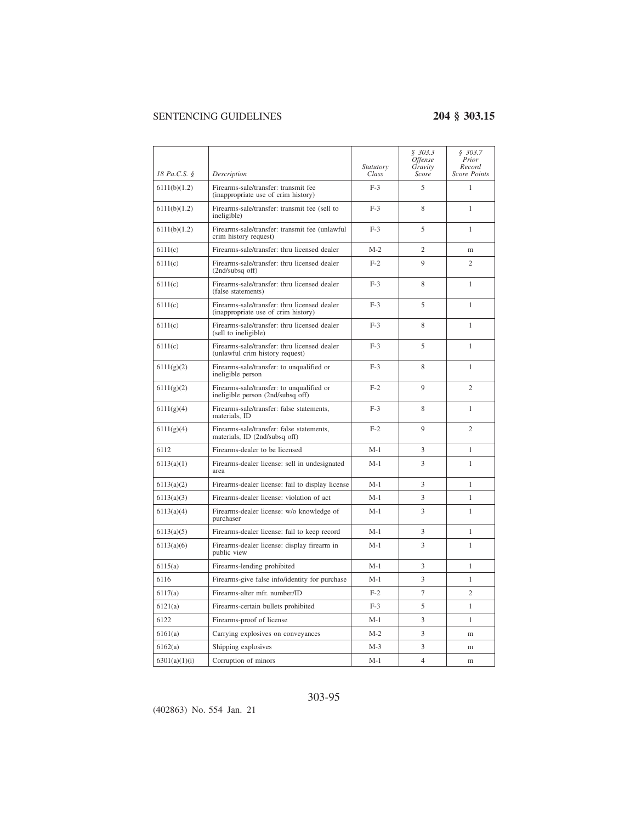| 18 Pa.C.S. §  | Description                                                                         | <i>Statutory</i><br>Class | \$303.3<br><i>Offense</i><br>Gravity<br>Score | \$303.7<br>Prior<br>Record<br><b>Score Points</b> |
|---------------|-------------------------------------------------------------------------------------|---------------------------|-----------------------------------------------|---------------------------------------------------|
| 6111(b)(1.2)  | Firearms-sale/transfer: transmit fee<br>(inappropriate use of crim history)         | $F-3$                     | 5                                             | $\mathbf{1}$                                      |
| 6111(b)(1.2)  | Firearms-sale/transfer: transmit fee (sell to<br>ineligible)                        | $F-3$                     | 8                                             | $\mathbf{1}$                                      |
| 6111(b)(1.2)  | Firearms-sale/transfer: transmit fee (unlawful<br>crim history request)             | $F-3$                     | 5                                             | 1                                                 |
| 6111(c)       | Firearms-sale/transfer: thru licensed dealer                                        | $M-2$                     | $\overline{2}$                                | m                                                 |
| 6111(c)       | Firearms-sale/transfer: thru licensed dealer<br>$(2nd/subsq$ off)                   | $F-2$                     | 9                                             | $\overline{c}$                                    |
| 6111(c)       | Firearms-sale/transfer: thru licensed dealer<br>(false statements)                  | $F-3$                     | 8                                             | 1                                                 |
| 6111(c)       | Firearms-sale/transfer: thru licensed dealer<br>(inappropriate use of crim history) | $F-3$                     | 5                                             | 1                                                 |
| 6111(c)       | Firearms-sale/transfer: thru licensed dealer<br>(sell to ineligible)                | $F-3$                     | 8                                             | $\mathbf{1}$                                      |
| 6111(c)       | Firearms-sale/transfer: thru licensed dealer<br>(unlawful crim history request)     | $F-3$                     | 5                                             | 1                                                 |
| 6111(g)(2)    | Firearms-sale/transfer: to unqualified or<br>ineligible person                      | $F-3$                     | 8                                             | 1                                                 |
| 6111(g)(2)    | Firearms-sale/transfer: to unqualified or<br>ineligible person (2nd/subsq off)      | $F-2$                     | 9                                             | $\overline{c}$                                    |
| 6111(g)(4)    | Firearms-sale/transfer: false statements,<br>materials. ID                          | $F-3$                     | 8                                             | $\mathbf{1}$                                      |
| 6111(g)(4)    | Firearms-sale/transfer: false statements,<br>materials, ID (2nd/subsq off)          | $F-2$                     | 9                                             | $\overline{c}$                                    |
| 6112          | Firearms-dealer to be licensed                                                      | $M-1$                     | 3                                             | $\mathbf{1}$                                      |
| 6113(a)(1)    | Firearms-dealer license: sell in undesignated<br>area                               | $M-1$                     | 3                                             | $\mathbf{1}$                                      |
| 6113(a)(2)    | Firearms-dealer license: fail to display license                                    | $M-1$                     | 3                                             | 1                                                 |
| 6113(a)(3)    | Firearms-dealer license: violation of act                                           | $M-1$                     | 3                                             | 1                                                 |
| 6113(a)(4)    | Firearms-dealer license: w/o knowledge of<br>purchaser                              | $M-1$                     | 3                                             | $\mathbf{1}$                                      |
| 6113(a)(5)    | Firearms-dealer license: fail to keep record                                        | $M-1$                     | 3                                             | 1                                                 |
| 6113(a)(6)    | Firearms-dealer license: display firearm in<br>public view                          | $M-1$                     | 3                                             | 1                                                 |
| 6115(a)       | Firearms-lending prohibited                                                         | $M-1$                     | 3                                             | 1                                                 |
| 6116          | Firearms-give false info/identity for purchase                                      | M-1                       | 3                                             | $\mathbf{1}$                                      |
| 6117(a)       | Firearms-alter mfr. number/ID                                                       | $F-2$                     | $\overline{7}$                                | $\overline{c}$                                    |
| 6121(a)       | Firearms-certain bullets prohibited                                                 | $F-3$                     | 5                                             | 1                                                 |
| 6122          | Firearms-proof of license                                                           | $M-1$                     | 3                                             | $\mathbf{1}$                                      |
| 6161(a)       | Carrying explosives on conveyances                                                  | $M-2$                     | 3                                             | m                                                 |
| 6162(a)       | Shipping explosives                                                                 | $M-3$                     | 3                                             | m                                                 |
| 6301(a)(1)(i) | Corruption of minors                                                                | $M-1$                     | $\overline{4}$                                | m                                                 |

## 303-95

(402863) No. 554 Jan. 21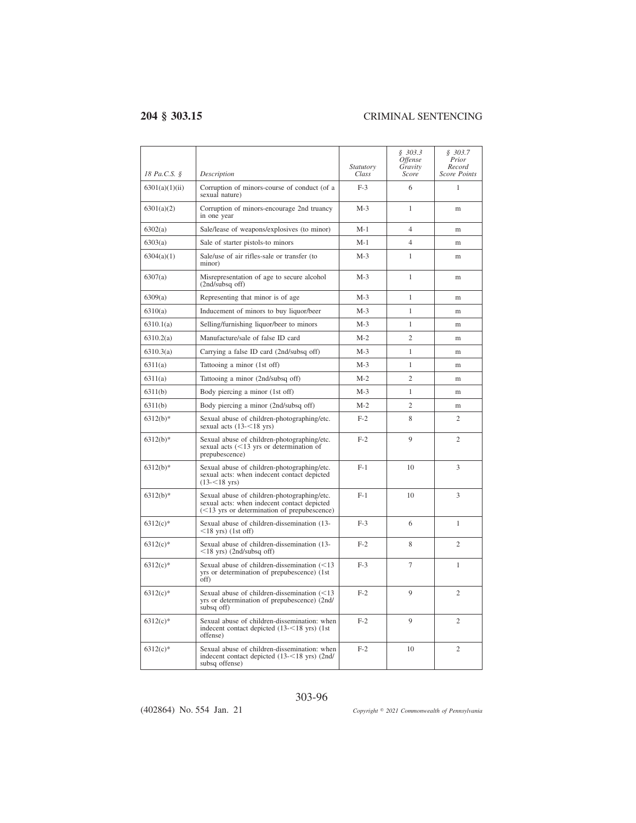| 18 Pa.C.S. §   | Description                                                                                                                                 | Statutory<br>Class | \$303.3<br><i><b>Offense</b></i><br>Gravity<br>Score | \$303.7<br>Prior<br>Record<br><b>Score Points</b> |
|----------------|---------------------------------------------------------------------------------------------------------------------------------------------|--------------------|------------------------------------------------------|---------------------------------------------------|
| 6301(a)(1)(ii) | Corruption of minors-course of conduct (of a<br>sexual nature)                                                                              | $F-3$              | 6                                                    | 1                                                 |
| 6301(a)(2)     | Corruption of minors-encourage 2nd truancy<br>in one year                                                                                   | $M-3$              | 1                                                    | m                                                 |
| 6302(a)        | Sale/lease of weapons/explosives (to minor)                                                                                                 | $M-1$              | $\overline{4}$                                       | m                                                 |
| 6303(a)        | Sale of starter pistols-to minors                                                                                                           | M-1                | 4                                                    | m                                                 |
| 6304(a)(1)     | Sale/use of air rifles-sale or transfer (to<br>minor)                                                                                       | $M-3$              | $\mathbf{1}$                                         | m                                                 |
| 6307(a)        | Misrepresentation of age to secure alcohol<br>$(2nd/subsq$ off)                                                                             | $M-3$              | 1                                                    | m                                                 |
| 6309(a)        | Representing that minor is of age                                                                                                           | $M-3$              | 1                                                    | m                                                 |
| 6310(a)        | Inducement of minors to buy liquor/beer                                                                                                     | $M-3$              | 1                                                    | m                                                 |
| 6310.1(a)      | Selling/furnishing liquor/beer to minors                                                                                                    | $M-3$              | $\mathbf{1}$                                         | m                                                 |
| 6310.2(a)      | Manufacture/sale of false ID card                                                                                                           | $M-2$              | $\overline{c}$                                       | m                                                 |
| 6310.3(a)      | Carrying a false ID card (2nd/subsq off)                                                                                                    | $M-3$              | $\mathbf{1}$                                         | m                                                 |
| 6311(a)        | Tattooing a minor (1st off)                                                                                                                 | $M-3$              | 1                                                    | m                                                 |
| 6311(a)        | Tattooing a minor (2nd/subsq off)                                                                                                           | $M-2$              | $\overline{c}$                                       | m                                                 |
| 6311(b)        | Body piercing a minor (1st off)                                                                                                             | $M-3$              | $\mathbf{1}$                                         | m                                                 |
| 6311(b)        | Body piercing a minor (2nd/subsq off)                                                                                                       | $M-2$              | $\overline{c}$                                       | m                                                 |
| $6312(b)*$     | Sexual abuse of children-photographing/etc.<br>sexual acts $(13 - 18 \text{ yrs})$                                                          | $F-2$              | 8                                                    | 2                                                 |
| 6312(b)*       | Sexual abuse of children-photographing/etc.<br>sexual acts $(<13$ yrs or determination of<br>prepubescence)                                 | $F-2$              | 9                                                    | $\overline{c}$                                    |
| $6312(b)*$     | Sexual abuse of children-photographing/etc.<br>sexual acts: when indecent contact depicted<br>$(13 - 518 \text{ yrs})$                      | $F-1$              | 10                                                   | 3                                                 |
| $6312(b)*$     | Sexual abuse of children-photographing/etc.<br>sexual acts: when indecent contact depicted<br>$(<13$ yrs or determination of prepubescence) | $F-1$              | 10                                                   | 3                                                 |
| $6312(c)$ *    | Sexual abuse of children-dissemination (13-<br>$\leq$ 18 yrs) (1st off)                                                                     | $F-3$              | 6                                                    | $\mathbf{1}$                                      |
| $6312(c)$ *    | Sexual abuse of children-dissemination (13-<br>$\leq$ 18 yrs) (2nd/subsq off)                                                               | $F-2$              | 8                                                    | $\overline{c}$                                    |
| $6312(c)$ *    | Sexual abuse of children-dissemination $(<13$<br>yrs or determination of prepubescence) (1st<br>off)                                        | $F-3$              | 7                                                    | 1                                                 |
| $6312(c)$ *    | Sexual abuse of children-dissemination (<13<br>yrs or determination of prepubescence) (2nd/<br>subsq off)                                   | $F-2$              | 9                                                    | $\overline{c}$                                    |
| $6312(c)$ *    | Sexual abuse of children-dissemination: when<br>indecent contact depicted (13-<18 yrs) (1st<br>offense)                                     | $F-2$              | 9                                                    | $\overline{c}$                                    |
| $6312(c)$ *    | Sexual abuse of children-dissemination: when<br>indecent contact depicted (13-<18 yrs) (2nd/<br>subsq offense)                              | $F-2$              | 10                                                   | $\overline{c}$                                    |

303-96

(402864) No. 554 Jan. 21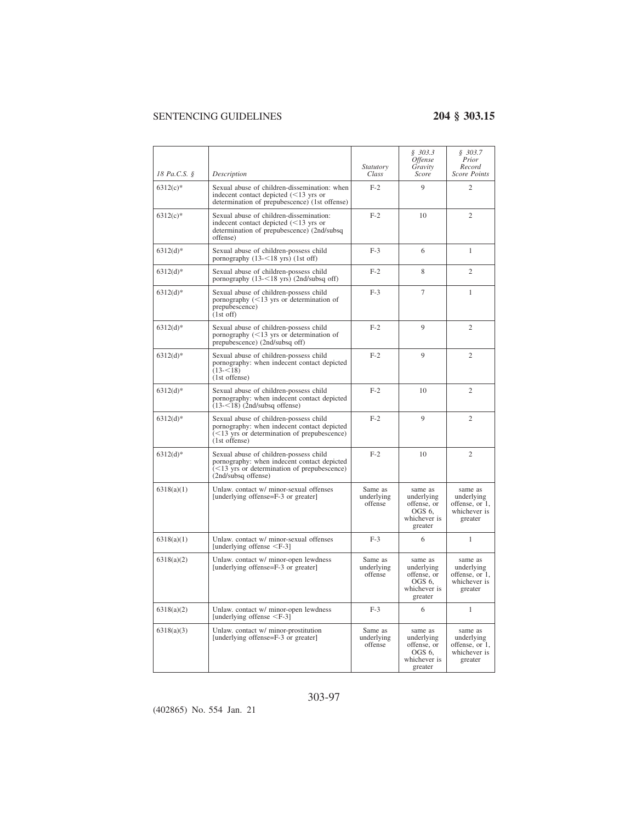| 18 Pa.C.S. § | Description                                                                                                                                                   | <i>Statutory</i><br>Class        | \$303.3<br>Offense<br>Gravity<br>Score                                    | \$303.7<br>Prior<br>Record<br>Score Points                         |
|--------------|---------------------------------------------------------------------------------------------------------------------------------------------------------------|----------------------------------|---------------------------------------------------------------------------|--------------------------------------------------------------------|
| $6312(c)$ *  | Sexual abuse of children-dissemination: when<br>indecent contact depicted $(<13$ yrs or<br>determination of prepubescence) (1st offense)                      | $F-2$                            | 9                                                                         | $\overline{c}$                                                     |
| $6312(c)$ *  | Sexual abuse of children-dissemination:<br>indecent contact depicted $(<13$ yrs or<br>determination of prepubescence) (2nd/subsq<br>offense)                  | $F-2$                            | 10                                                                        | 2                                                                  |
| $6312(d)$ *  | Sexual abuse of children-possess child<br>pornography (13-<18 yrs) (1st off)                                                                                  | $F-3$                            | 6                                                                         | $\mathbf{1}$                                                       |
| $6312(d)$ *  | Sexual abuse of children-possess child<br>pornography $(13 - 18 \text{ yrs})$ $(2nd/subsq off)$                                                               | $F-2$                            | 8                                                                         | $\mathfrak{2}$                                                     |
| $6312(d)$ *  | Sexual abuse of children-possess child<br>pornography $(<13$ yrs or determination of<br>prepubescence)<br>$(1st$ off)                                         | $F-3$                            | $\overline{7}$                                                            | 1                                                                  |
| $6312(d)*$   | Sexual abuse of children-possess child<br>pornography $(<13$ yrs or determination of<br>prepubescence) (2nd/subsq off)                                        | $F-2$                            | 9                                                                         | $\overline{2}$                                                     |
| $6312(d)$ *  | Sexual abuse of children-possess child<br>pornography: when indecent contact depicted<br>$(13 - 518)$<br>(1st offense)                                        | $F-2$                            | 9                                                                         | 2                                                                  |
| $6312(d)$ *  | Sexual abuse of children-possess child<br>pornography: when indecent contact depicted<br>$(13 - 18)$ (2nd/subsq offense)                                      | $F-2$                            | 10                                                                        | 2                                                                  |
| $6312(d)$ *  | Sexual abuse of children-possess child<br>pornography: when indecent contact depicted<br>$(<13$ yrs or determination of prepubescence)<br>(1st offense)       | $F-2$                            | 9                                                                         | $\mathfrak{2}$                                                     |
| $6312(d)*$   | Sexual abuse of children-possess child<br>pornography: when indecent contact depicted<br>$(<13$ yrs or determination of prepubescence)<br>(2nd/subsq offense) | $F-2$                            | 10                                                                        | $\overline{c}$                                                     |
| 6318(a)(1)   | Unlaw. contact w/ minor-sexual offenses<br>[underlying offense=F-3 or greater]                                                                                | Same as<br>underlying<br>offense | same as<br>underlying<br>offense, or<br>OGS 6.<br>whichever is<br>greater | same as<br>underlying<br>offense, or 1,<br>whichever is<br>greater |
| 6318(a)(1)   | Unlaw. contact w/ minor-sexual offenses<br>[underlying offense $\leq$ F-3]                                                                                    | $F-3$                            | 6                                                                         | $\mathbf{1}$                                                       |
| 6318(a)(2)   | Unlaw. contact w/ minor-open lewdness<br>[underlying offense=F-3 or greater]                                                                                  | Same as<br>underlying<br>offense | same as<br>underlying<br>offense, or<br>OGS 6.<br>whichever is<br>greater | same as<br>underlying<br>offense, or 1,<br>whichever is<br>greater |
| 6318(a)(2)   | Unlaw. contact w/ minor-open lewdness<br>[underlying offense $\leq$ F-3]                                                                                      | $F-3$                            | 6                                                                         | 1                                                                  |
| 6318(a)(3)   | Unlaw. contact w/ minor-prostitution<br>[underlying offense=F-3 or greater]                                                                                   | Same as<br>underlying<br>offense | same as<br>underlying<br>offense, or<br>OGS 6.<br>whichever is<br>greater | same as<br>underlying<br>offense, or 1,<br>whichever is<br>greater |

## 303-97

(402865) No. 554 Jan. 21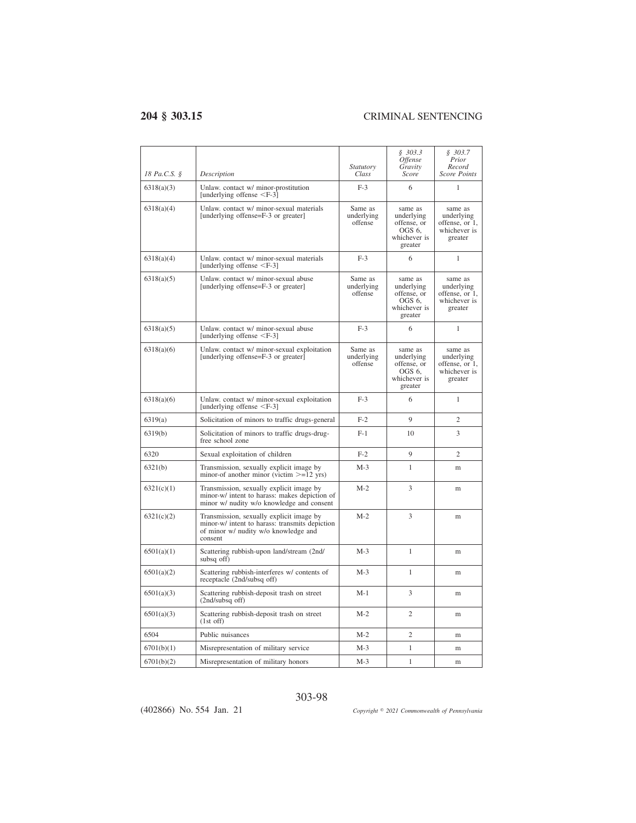| 18 Pa.C.S. § | Description                                                                                                                                   | Statutory<br>Class               | \$303.3<br><i><b>Offense</b></i><br>Gravity<br>Score                      | \$303.7<br>Prior<br>Record<br>Score Points                         |
|--------------|-----------------------------------------------------------------------------------------------------------------------------------------------|----------------------------------|---------------------------------------------------------------------------|--------------------------------------------------------------------|
| 6318(a)(3)   | Unlaw. contact w/ minor-prostitution<br>[underlying offense $\leq$ F-3]                                                                       | $F-3$                            | 6                                                                         | 1                                                                  |
| 6318(a)(4)   | Unlaw. contact w/ minor-sexual materials<br>[underlying offense=F-3 or greater]                                                               | Same as<br>underlying<br>offense | same as<br>underlying<br>offense, or<br>OGS 6,<br>whichever is<br>greater | same as<br>underlying<br>offense, or 1,<br>whichever is<br>greater |
| 6318(a)(4)   | Unlaw. contact w/ minor-sexual materials<br>[underlying offense $\leq$ F-3]                                                                   | $F-3$                            | 6                                                                         | 1                                                                  |
| 6318(a)(5)   | Unlaw. contact w/ minor-sexual abuse<br>[underlying offense=F-3 or greater]                                                                   | Same as<br>underlying<br>offense | same as<br>underlying<br>offense, or<br>OGS 6.<br>whichever is<br>greater | same as<br>underlying<br>offense, or 1,<br>whichever is<br>greater |
| 6318(a)(5)   | Unlaw. contact w/ minor-sexual abuse<br>[underlying offense $\leq$ F-3]                                                                       | $F-3$                            | 6                                                                         | 1                                                                  |
| 6318(a)(6)   | Unlaw. contact w/ minor-sexual exploitation<br>[underlying offense=F-3 or greater]                                                            | Same as<br>underlying<br>offense | same as<br>underlying<br>offense, or<br>OGS 6.<br>whichever is<br>greater | same as<br>underlying<br>offense, or 1,<br>whichever is<br>greater |
| 6318(a)(6)   | Unlaw. contact w/ minor-sexual exploitation<br>[underlying offense <f-3]< td=""><td><math>F-3</math></td><td>6</td><td>1</td></f-3]<>         | $F-3$                            | 6                                                                         | 1                                                                  |
| 6319(a)      | Solicitation of minors to traffic drugs-general                                                                                               | $F-2$                            | $\mathbf{Q}$                                                              | $\overline{c}$                                                     |
| 6319(b)      | Solicitation of minors to traffic drugs-drug-<br>free school zone                                                                             | $F-1$                            | 10                                                                        | 3                                                                  |
| 6320         | Sexual exploitation of children                                                                                                               | $F-2$                            | 9                                                                         | $\overline{c}$                                                     |
| 6321(b)      | Transmission, sexually explicit image by<br>minor-of another minor (victim $>=12$ yrs)                                                        | $M-3$                            | 1                                                                         | m                                                                  |
| 6321(c)(1)   | Transmission, sexually explicit image by<br>minor-w/ intent to harass: makes depiction of<br>minor w/ nudity w/o knowledge and consent        | $M-2$                            | 3                                                                         | m                                                                  |
| 6321(c)(2)   | Transmission, sexually explicit image by<br>minor-w/ intent to harass: transmits depiction<br>of minor w/ nudity w/o knowledge and<br>consent | $M-2$                            | 3                                                                         | m                                                                  |
| 6501(a)(1)   | Scattering rubbish-upon land/stream (2nd/<br>subsq off)                                                                                       | $M-3$                            | 1                                                                         | m                                                                  |
| 6501(a)(2)   | Scattering rubbish-interferes w/ contents of<br>receptacle (2nd/subsq off)                                                                    | $M-3$                            | 1                                                                         | m                                                                  |
| 6501(a)(3)   | Scattering rubbish-deposit trash on street<br>$(2nd/subsq$ off)                                                                               | $M-1$                            | 3                                                                         | m                                                                  |
| 6501(a)(3)   | Scattering rubbish-deposit trash on street<br>$(1st$ off)                                                                                     | $M-2$                            | $\mathfrak{2}$                                                            | m                                                                  |
| 6504         | Public nuisances                                                                                                                              | $M-2$                            | $\overline{c}$                                                            | m                                                                  |
| 6701(b)(1)   | Misrepresentation of military service                                                                                                         | $M-3$                            | 1                                                                         | m                                                                  |
| 6701(b)(2)   | Misrepresentation of military honors                                                                                                          | $M-3$                            | $\mathbf{1}$                                                              | m                                                                  |

(402866) No. 554 Jan. 21

*2021 Commonwealth of Pennsylvania*

### 303-98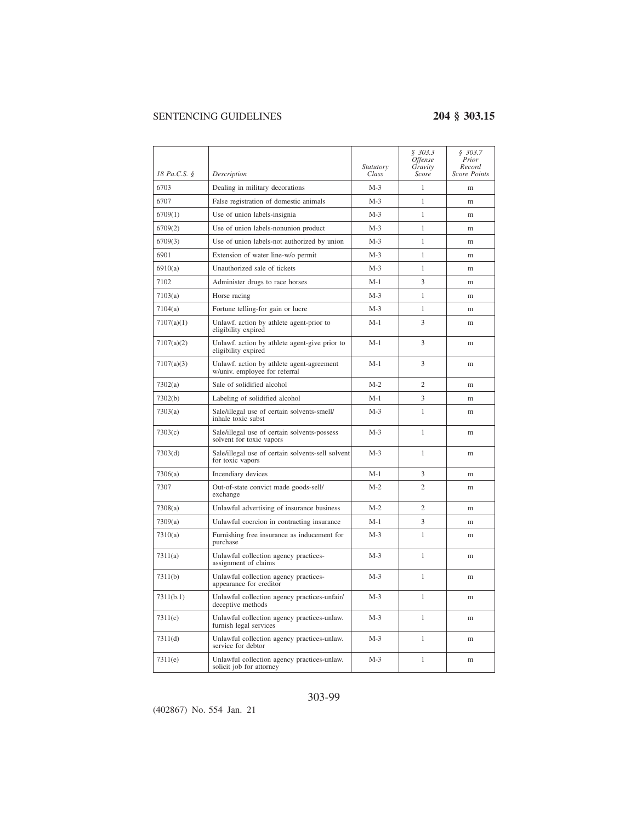| 18 Pa.C.S. § | Description                                                                | <i>Statutory</i><br>Class | \$303.3<br><i>Offense</i><br>Gravity<br>Score | \$303.7<br>Prior<br>Record<br><b>Score Points</b> |
|--------------|----------------------------------------------------------------------------|---------------------------|-----------------------------------------------|---------------------------------------------------|
| 6703         | Dealing in military decorations                                            | $M-3$                     | 1                                             | m                                                 |
| 6707         | False registration of domestic animals                                     | $M-3$                     | 1                                             | m                                                 |
| 6709(1)      | Use of union labels-insignia                                               | $M-3$                     | $\mathbf{1}$                                  | m                                                 |
| 6709(2)      | Use of union labels-nonunion product                                       | $M-3$                     | 1                                             | m                                                 |
| 6709(3)      | Use of union labels-not authorized by union                                | M-3                       | 1                                             | m                                                 |
| 6901         | Extension of water line-w/o permit                                         | $M-3$                     | 1                                             | m                                                 |
| 6910(a)      | Unauthorized sale of tickets                                               | $M-3$                     | 1                                             | m                                                 |
| 7102         | Administer drugs to race horses                                            | M-1                       | 3                                             | m                                                 |
| 7103(a)      | Horse racing                                                               | $M-3$                     | 1                                             | m                                                 |
| 7104(a)      | Fortune telling-for gain or lucre                                          | $M-3$                     | 1                                             | m                                                 |
| 7107(a)(1)   | Unlawf. action by athlete agent-prior to<br>eligibility expired            | M-1                       | 3                                             | m                                                 |
| 7107(a)(2)   | Unlawf. action by athlete agent-give prior to<br>eligibility expired       | $M-1$                     | 3                                             | m                                                 |
| 7107(a)(3)   | Unlawf. action by athlete agent-agreement<br>w/univ. employee for referral | $M-1$                     | 3                                             | m                                                 |
| 7302(a)      | Sale of solidified alcohol                                                 | $M-2$                     | $\mathfrak{2}$                                | m                                                 |
| 7302(b)      | Labeling of solidified alcohol                                             | M-1                       | 3                                             | m                                                 |
| 7303(a)      | Sale/illegal use of certain solvents-smell/<br>inhale toxic subst          | $M-3$                     | $\mathbf{1}$                                  | m                                                 |
| 7303(c)      | Sale/illegal use of certain solvents-possess<br>solvent for toxic vapors   | $M-3$                     | 1                                             | m                                                 |
| 7303(d)      | Sale/illegal use of certain solvents-sell solvent<br>for toxic vapors      | $M-3$                     | 1                                             | m                                                 |
| 7306(a)      | Incendiary devices                                                         | M-1                       | 3                                             | m                                                 |
| 7307         | Out-of-state convict made goods-sell/<br>exchange                          | $M-2$                     | $\overline{2}$                                | m                                                 |
| 7308(a)      | Unlawful advertising of insurance business                                 | $M-2$                     | $\overline{c}$                                | m                                                 |
| 7309(a)      | Unlawful coercion in contracting insurance                                 | M-1                       | 3                                             | m                                                 |
| 7310(a)      | Furnishing free insurance as inducement for<br>purchase                    | $M-3$                     | $\mathbf{1}$                                  | m                                                 |
| 7311(a)      | Unlawful collection agency practices-<br>assignment of claims              | $M-3$                     | 1                                             | m                                                 |
| 7311(b)      | Unlawful collection agency practices-<br>appearance for creditor           | $M-3$                     | 1                                             | m                                                 |
| 7311(b.1)    | Unlawful collection agency practices-unfair/<br>deceptive methods          | $M-3$                     | 1                                             | m                                                 |
| 7311(c)      | Unlawful collection agency practices-unlaw.<br>furnish legal services      | $M-3$                     | 1                                             | m                                                 |
| 7311(d)      | Unlawful collection agency practices-unlaw.<br>service for debtor          | $M-3$                     | 1                                             | m                                                 |
| 7311(e)      | Unlawful collection agency practices-unlaw.<br>solicit job for attorney    | $M-3$                     | 1                                             | m                                                 |

## 303-99

(402867) No. 554 Jan. 21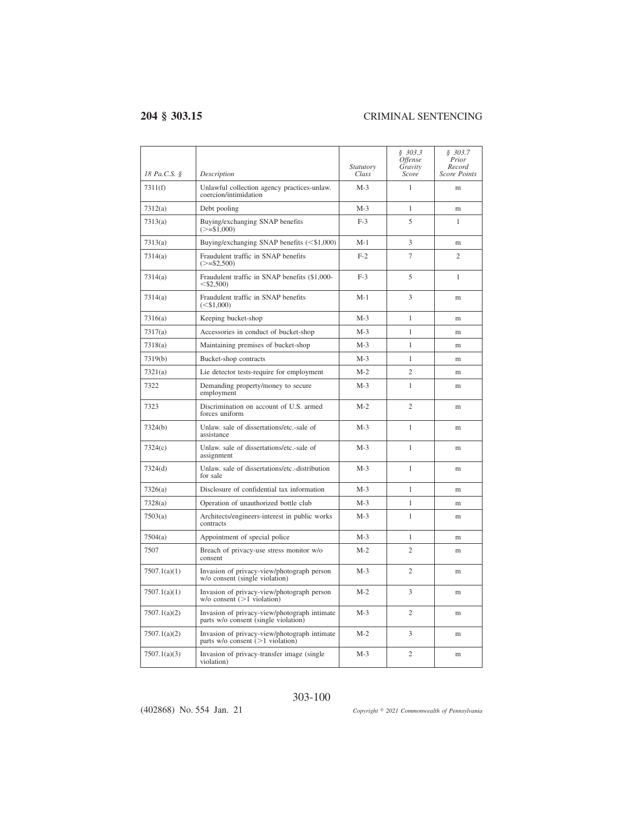| 18 Pa.C.S. § | Description                                                                          | <i>Statutory</i><br>Class | \$303.3<br><i><b>Offense</b></i><br>Gravity<br>Score | \$303.7<br>Prior<br>Record<br><b>Score Points</b> |
|--------------|--------------------------------------------------------------------------------------|---------------------------|------------------------------------------------------|---------------------------------------------------|
| 7311(f)      | Unlawful collection agency practices-unlaw.<br>coercion/intimidation                 | $M-3$                     | $\mathbf{1}$                                         | m                                                 |
| 7312(a)      | Debt pooling                                                                         | $M-3$                     | $\mathbf{1}$                                         | m                                                 |
| 7313(a)      | Buying/exchanging SNAP benefits<br>$(>= $1,000)$                                     | $F-3$                     | 5                                                    | 1                                                 |
| 7313(a)      | Buying/exchanging SNAP benefits $($1,000)$                                           | M-1                       | 3                                                    | m                                                 |
| 7314(a)      | Fraudulent traffic in SNAP benefits<br>$(>= 2.500)$                                  | $F-2$                     | $\overline{7}$                                       | $\overline{c}$                                    |
| 7314(a)      | Fraudulent traffic in SNAP benefits (\$1,000-<br>$<$ \$2,500)                        | $F-3$                     | 5                                                    | $\mathbf{1}$                                      |
| 7314(a)      | Fraudulent traffic in SNAP benefits<br>(< 1.000)                                     | $M-1$                     | 3                                                    | m                                                 |
| 7316(a)      | Keeping bucket-shop                                                                  | $M-3$                     | $\mathbf{1}$                                         | m                                                 |
| 7317(a)      | Accessories in conduct of bucket-shop                                                | $M-3$                     | 1                                                    | m                                                 |
| 7318(a)      | Maintaining premises of bucket-shop                                                  | $M-3$                     | 1                                                    | m                                                 |
| 7319(b)      | Bucket-shop contracts                                                                | $M-3$                     | $\mathbf{1}$                                         | m                                                 |
| 7321(a)      | Lie detector tests-require for employment                                            | $M-2$                     | $\overline{c}$                                       | m                                                 |
| 7322         | Demanding property/money to secure<br>employment                                     | $M-3$                     | $\mathbf{1}$                                         | m                                                 |
| 7323         | Discrimination on account of U.S. armed<br>forces uniform                            | $M-2$                     | $\overline{c}$                                       | m                                                 |
| 7324(b)      | Unlaw, sale of dissertations/etc.-sale of<br>assistance                              | $M-3$                     | 1                                                    | m                                                 |
| 7324(c)      | Unlaw, sale of dissertations/etc.-sale of<br>assignment                              | $M-3$                     | 1                                                    | m                                                 |
| 7324(d)      | Unlaw, sale of dissertations/etc.-distribution<br>for sale                           | M-3                       | 1                                                    | m                                                 |
| 7326(a)      | Disclosure of confidential tax information                                           | $M-3$                     | $\mathbf{1}$                                         | m                                                 |
| 7328(a)      | Operation of unauthorized bottle club                                                | $M-3$                     | $\mathbf{1}$                                         | m                                                 |
| 7503(a)      | Architects/engineers-interest in public works<br>contracts                           | $M-3$                     | 1                                                    | m                                                 |
| 7504(a)      | Appointment of special police                                                        | $M-3$                     | 1                                                    | m                                                 |
| 7507         | Breach of privacy-use stress monitor w/o<br>consent                                  | M-2                       | $\overline{c}$                                       | m                                                 |
| 7507.1(a)(1) | Invasion of privacy-view/photograph person<br>w/o consent (single violation)         | $M-3$                     | $\overline{c}$                                       | m                                                 |
| 7507.1(a)(1) | Invasion of privacy-view/photograph person<br>$w/o$ consent ( $>1$ violation)        | $M-2$                     | 3                                                    | m                                                 |
| 7507.1(a)(2) | Invasion of privacy-view/photograph intimate<br>parts w/o consent (single violation) | $M-3$                     | $\mathfrak{D}$                                       | m                                                 |
| 7507.1(a)(2) | Invasion of privacy-view/photograph intimate<br>parts w/o consent $(>1$ violation)   | $M-2$                     | 3                                                    | m                                                 |
| 7507.1(a)(3) | Invasion of privacy-transfer image (single<br>violation)                             | M-3                       | $\overline{c}$                                       | m                                                 |

303-100

(402868) No. 554 Jan. 21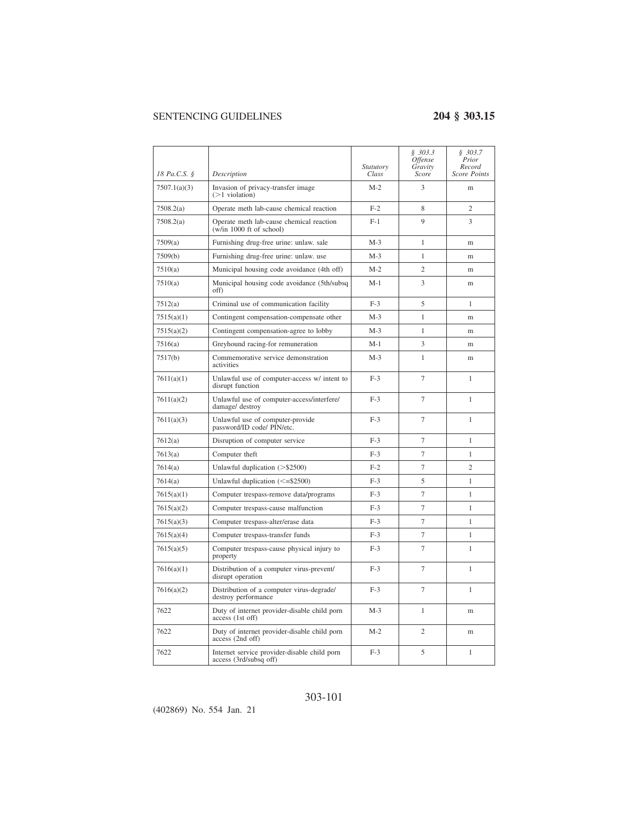|              |                                                                        | Statutory | \$303.3<br><i>Offense</i><br>Gravity | \$303.7<br>Prior<br>Record |
|--------------|------------------------------------------------------------------------|-----------|--------------------------------------|----------------------------|
| 18 Pa.C.S. § | Description                                                            | Class     | Score                                | Score Points               |
| 7507.1(a)(3) | Invasion of privacy-transfer image<br>$($ >1 violation)                | $M-2$     | 3                                    | m                          |
| 7508.2(a)    | Operate meth lab-cause chemical reaction                               | $F-2$     | 8                                    | $\overline{2}$             |
| 7508.2(a)    | Operate meth lab-cause chemical reaction<br>(w/in 1000 ft of school)   | $F-1$     | 9                                    | 3                          |
| 7509(a)      | Furnishing drug-free urine: unlaw. sale                                | $M-3$     | 1                                    | m                          |
| 7509(b)      | Furnishing drug-free urine: unlaw. use                                 | $M-3$     | $\mathbf{1}$                         | m                          |
| 7510(a)      | Municipal housing code avoidance (4th off)                             | $M-2$     | $\overline{2}$                       | m                          |
| 7510(a)      | Municipal housing code avoidance (5th/subsq<br>off)                    | M-1       | 3                                    | m                          |
| 7512(a)      | Criminal use of communication facility                                 | $F-3$     | 5                                    | 1                          |
| 7515(a)(1)   | Contingent compensation-compensate other                               | $M-3$     | $\mathbf{1}$                         | m                          |
| 7515(a)(2)   | Contingent compensation-agree to lobby                                 | $M-3$     | 1                                    | m                          |
| 7516(a)      | Greyhound racing-for remuneration                                      | $M-1$     | 3                                    | m                          |
| 7517(b)      | Commemorative service demonstration<br>activities                      | $M-3$     | $\mathbf{1}$                         | m                          |
| 7611(a)(1)   | Unlawful use of computer-access w/ intent to<br>disrupt function       | $F-3$     | $\overline{7}$                       | 1                          |
| 7611(a)(2)   | Unlawful use of computer-access/interfere/<br>damage/ destroy          | $F-3$     | $\overline{7}$                       | 1                          |
| 7611(a)(3)   | Unlawful use of computer-provide<br>password/ID code/ PIN/etc.         | $F-3$     | 7                                    | 1                          |
| 7612(a)      | Disruption of computer service                                         | $F-3$     | $\overline{7}$                       | 1                          |
| 7613(a)      | Computer theft                                                         | $F-3$     | $\overline{7}$                       | $\mathbf{1}$               |
| 7614(a)      | Unlawful duplication $(>\$2500)$                                       | $F-2$     | $\overline{7}$                       | $\overline{c}$             |
| 7614(a)      | Unlawful duplication $(\leq$ =\$2500)                                  | $F-3$     | 5                                    | 1                          |
| 7615(a)(1)   | Computer trespass-remove data/programs                                 | $F-3$     | $\overline{7}$                       | 1                          |
| 7615(a)(2)   | Computer trespass-cause malfunction                                    | $F-3$     | $\tau$                               | $\mathbf{1}$               |
| 7615(a)(3)   | Computer trespass-alter/erase data                                     | $F-3$     | $\overline{7}$                       | 1                          |
| 7615(a)(4)   | Computer trespass-transfer funds                                       | $F-3$     | 7                                    | 1                          |
| 7615(a)(5)   | Computer trespass-cause physical injury to<br>property                 | $F-3$     | $\overline{7}$                       | $\mathbf{1}$               |
| 7616(a)(1)   | Distribution of a computer virus-prevent/<br>disrupt operation         | $F-3$     | $\tau$                               | $\mathbf{1}$               |
| 7616(a)(2)   | Distribution of a computer virus-degrade/<br>destroy performance       | $F-3$     | 7                                    | 1                          |
| 7622         | Duty of internet provider-disable child porn<br>access (1st off)       | $M-3$     | $\mathbf{1}$                         | m                          |
| 7622         | Duty of internet provider-disable child porn<br>access (2nd off)       | $M-2$     | $\overline{c}$                       | m                          |
| 7622         | Internet service provider-disable child porn<br>access (3rd/subsq off) | $F-3$     | 5                                    | 1                          |

### 303-101

(402869) No. 554 Jan. 21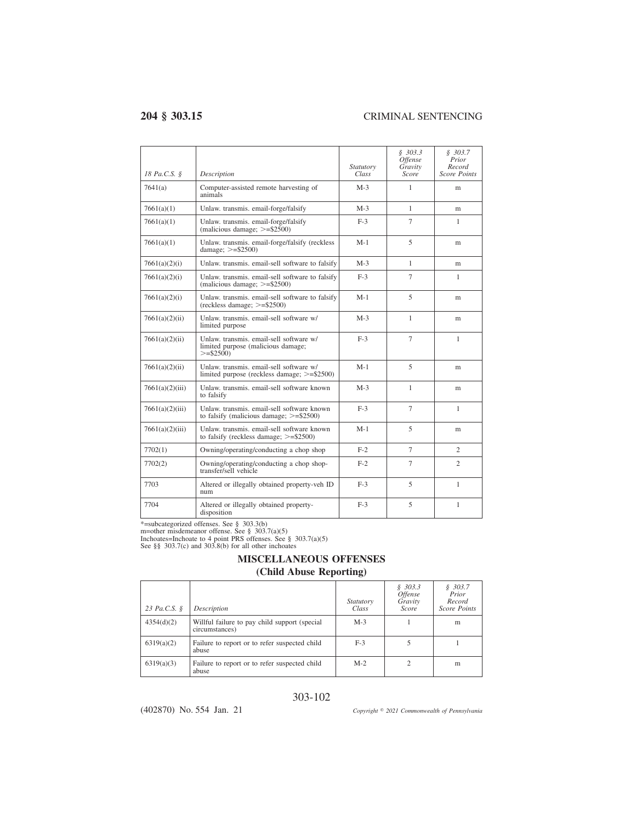| 18 Pa.C.S. §    | Description                                                                                   | Statutory<br>Class | \$303.3<br><i><b>Offense</b></i><br>Gravity<br>Score | \$303.7<br>Prior<br>Record<br><b>Score Points</b> |
|-----------------|-----------------------------------------------------------------------------------------------|--------------------|------------------------------------------------------|---------------------------------------------------|
| 7641(a)         | Computer-assisted remote harvesting of<br>animals                                             | $M-3$              | 1                                                    | m                                                 |
| 7661(a)(1)      | Unlaw. transmis. email-forge/falsify                                                          | $M-3$              | $\mathbf{1}$                                         | m                                                 |
| 7661(a)(1)      | Unlaw. transmis. email-forge/falsify<br>(malicious damage; $\ge$ =\$2500)                     | $F-3$              | 7                                                    | 1                                                 |
| 7661(a)(1)      | Unlaw. transmis. email-forge/falsify (reckless<br>damage; $>=$ \$2500)                        | $M-1$              | 5                                                    | m                                                 |
| 7661(a)(2)(i)   | Unlaw. transmis. email-sell software to falsify                                               | $M-3$              | $\mathbf{1}$                                         | m                                                 |
| 7661(a)(2)(i)   | Unlaw, transmis, email-sell software to falsify<br>(malicious damage; $>=$ \$2500)            | $F-3$              | 7                                                    | 1                                                 |
| 7661(a)(2)(i)   | Unlaw. transmis. email-sell software to falsify<br>$(reckless damage; >= $2500)$              | $M-1$              | 5                                                    | m                                                 |
| 7661(a)(2)(ii)  | Unlaw, transmis, email-sell software w/<br>limited purpose                                    | $M-3$              | 1                                                    | m                                                 |
| 7661(a)(2)(ii)  | Unlaw. transmis. email-sell software w/<br>limited purpose (malicious damage;<br>$>=$ \$2500) | $F-3$              | $\tau$                                               | 1                                                 |
| 7661(a)(2)(ii)  | Unlaw, transmis, email-sell software w/<br>limited purpose (reckless damage; $\ge$ =\$2500)   | $M-1$              | 5                                                    | m                                                 |
| 7661(a)(2)(iii) | Unlaw, transmis, email-sell software known<br>to falsify                                      | $M-3$              | 1                                                    | m                                                 |
| 7661(a)(2)(iii) | Unlaw, transmis, email-sell software known<br>to falsify (malicious damage; $>=$ \$2500)      | $F-3$              | $\tau$                                               | 1                                                 |
| 7661(a)(2)(iii) | Unlaw, transmis, email-sell software known<br>to falsify (reckless damage; $>=$ \$2500)       | $M-1$              | 5                                                    | m                                                 |
| 7702(1)         | Owning/operating/conducting a chop shop                                                       | $F-2$              | $\overline{7}$                                       | $\mathfrak{2}$                                    |
| 7702(2)         | Owning/operating/conducting a chop shop-<br>transfer/sell vehicle                             | $F-2$              | $\overline{7}$                                       | $\mathcal{D}_{\alpha}$                            |
| 7703            | Altered or illegally obtained property-veh ID<br>num                                          | $F-3$              | 5                                                    | 1                                                 |
| 7704            | Altered or illegally obtained property-<br>disposition                                        | $F-3$              | 5                                                    | $\mathbf{1}$                                      |

\*=subcategorized offenses. See § 303.3(b) m=other misdemeanor offense. See § 303.7(a)(5) Inchoates=Inchoate to 4 point PRS offenses. See § 303.7(a)(5) See §§ 303.7(c) and 303.8(b) for all other inchoates

# **MISCELLANEOUS OFFENSES**

## **(Child Abuse Reporting)**

| 23 Pa.C.S. § | Description                                                     | <i>Statutory</i><br>Class | \$303.3\$<br><i><b>Offense</b></i><br>Gravity<br>Score | \$303.7<br>Prior<br>Record<br>Score Points |
|--------------|-----------------------------------------------------------------|---------------------------|--------------------------------------------------------|--------------------------------------------|
| 4354(d)(2)   | Willful failure to pay child support (special<br>circumstances) | $M-3$                     |                                                        | m                                          |
| 6319(a)(2)   | Failure to report or to refer suspected child<br>abuse          | $F-3$                     |                                                        |                                            |
| 6319(a)(3)   | Failure to report or to refer suspected child<br>abuse          | $M-2$                     |                                                        | m                                          |

### 303-102

(402870) No. 554 Jan. 21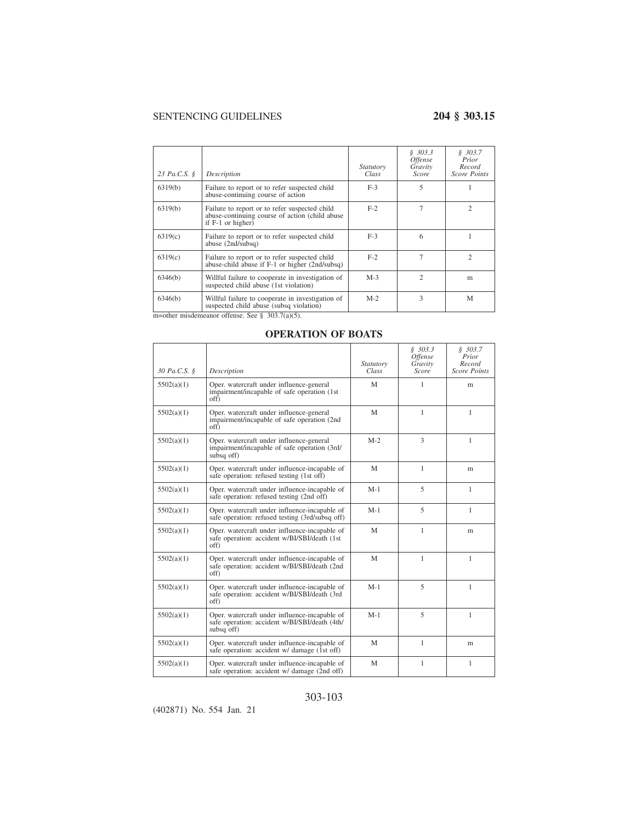| 23 Pa.C.S. § | Description                                                                                                                                                                                                                              | <i>Statutory</i><br>Class | \$303.3\$<br><i><b>Offense</b></i><br>Gravity<br>Score | \$303.7<br>Prior<br>Record<br><b>Score Points</b> |
|--------------|------------------------------------------------------------------------------------------------------------------------------------------------------------------------------------------------------------------------------------------|---------------------------|--------------------------------------------------------|---------------------------------------------------|
| 6319(b)      | Failure to report or to refer suspected child<br>abuse-continuing course of action                                                                                                                                                       | $F-3$                     | 5                                                      |                                                   |
| 6319(b)      | Failure to report or to refer suspected child<br>abuse-continuing course of action (child abuse)<br>if $F-1$ or higher)                                                                                                                  | $F-2$                     | 7                                                      | $\mathfrak{D}$                                    |
| 6319(c)      | Failure to report or to refer suspected child<br>abuse (2nd/subsq)                                                                                                                                                                       | $F-3$                     | 6                                                      |                                                   |
| 6319(c)      | Failure to report or to refer suspected child<br>abuse-child abuse if F-1 or higher (2nd/subsq)                                                                                                                                          | $F-2$                     | 7                                                      | 2                                                 |
| 6346(b)      | Willful failure to cooperate in investigation of<br>suspected child abuse (1st violation)                                                                                                                                                | $M-3$                     | $\overline{c}$                                         | m                                                 |
| 6346(b)      | Willful failure to cooperate in investigation of<br>suspected child abuse (subsq violation)<br>$\ldots$ at $\ldots$ $\ldots$ $\ldots$ $\ldots$ $\ldots$ $\ldots$ $\ldots$ $\ldots$ $\ldots$ $\ldots$ $\ldots$ $\ldots$ $\ldots$ $\ldots$ | $M-2$                     | 3                                                      | M                                                 |

m=other misdemeanor offense. See § 303.7(a)(5).

### **OPERATION OF BOATS**

| 30 Pa.C.S. § | Description                                                                                                  | Statutory<br>Class | \$303.3<br>Offense<br>Gravity<br><b>Score</b> | \$303.7<br>Prior<br>Record<br><b>Score Points</b> |
|--------------|--------------------------------------------------------------------------------------------------------------|--------------------|-----------------------------------------------|---------------------------------------------------|
| 5502(a)(1)   | Oper. watercraft under influence-general<br>impairment/incapable of safe operation (1st)<br>off)             | M                  | 1                                             | m                                                 |
| 5502(a)(1)   | Oper. watercraft under influence-general<br>impairment/incapable of safe operation (2nd<br>off)              | M                  | $\mathbf{1}$                                  | 1                                                 |
| 5502(a)(1)   | Oper. watercraft under influence-general<br>impairment/incapable of safe operation (3rd/<br>subsq off)       | $M-2$              | 3                                             | 1                                                 |
| 5502(a)(1)   | Oper. watercraft under influence-incapable of<br>safe operation: refused testing (1st off)                   | M                  | $\mathbf{1}$                                  | m                                                 |
| 5502(a)(1)   | Oper, watercraft under influence-incapable of<br>safe operation: refused testing (2nd off)                   | $M-1$              | 5                                             | 1                                                 |
| 5502(a)(1)   | Oper, watercraft under influence-incapable of<br>safe operation: refused testing (3rd/subsq off)             | $M-1$              | 5                                             | 1                                                 |
| 5502(a)(1)   | Oper, watercraft under influence-incapable of<br>safe operation: accident w/BI/SBI/death (1st<br>off)        | M                  | 1                                             | m                                                 |
| 5502(a)(1)   | Oper. watercraft under influence-incapable of<br>safe operation: accident w/BI/SBI/death (2nd<br>off)        | M                  | $\mathbf{1}$                                  | 1                                                 |
| 5502(a)(1)   | Oper. watercraft under influence-incapable of<br>safe operation: accident w/BI/SBI/death (3rd<br>off)        | $M-1$              | 5                                             | 1                                                 |
| 5502(a)(1)   | Oper. watercraft under influence-incapable of<br>safe operation: accident w/BI/SBI/death (4th/<br>subsq off) | $M-1$              | 5                                             | 1                                                 |
| 5502(a)(1)   | Oper, watercraft under influence-incapable of<br>safe operation: accident w/ damage (1st off)                | M                  | 1                                             | m                                                 |
| 5502(a)(1)   | Oper. watercraft under influence-incapable of<br>safe operation: accident w/ damage (2nd off)                | M                  | 1                                             | $\mathbf{1}$                                      |

## 303-103

(402871) No. 554 Jan. 21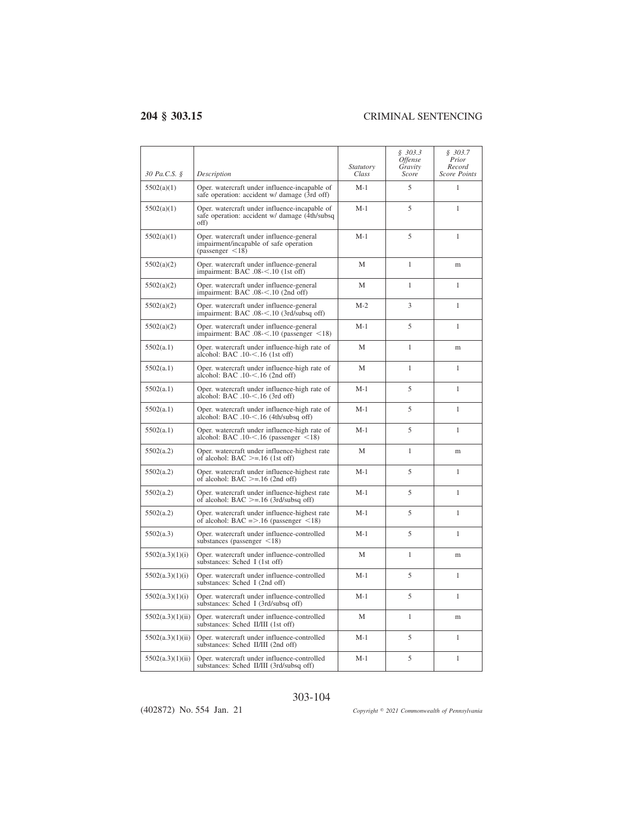| 30 Pa.C.S. §     | Description                                                                                                 | <i>Statutory</i><br>Class | \$303.3<br>Offense<br>Gravity<br>Score | \$303.7<br>Prior<br>Record<br><b>Score Points</b> |
|------------------|-------------------------------------------------------------------------------------------------------------|---------------------------|----------------------------------------|---------------------------------------------------|
| 5502(a)(1)       | Oper, watercraft under influence-incapable of<br>safe operation: accident w/ damage (3rd off)               | M-1                       | 5                                      | 1                                                 |
| 5502(a)(1)       | Oper, watercraft under influence-incapable of<br>safe operation: accident w/ damage (4th/subsq)<br>off)     | M-1                       | 5                                      | $\mathbf{1}$                                      |
| 5502(a)(1)       | Oper, watercraft under influence-general<br>impairment/incapable of safe operation<br>(passenger $\leq$ 18) | $M-1$                     | 5                                      | $\mathbf{1}$                                      |
| 5502(a)(2)       | Oper. watercraft under influence-general<br>impairment: BAC .08-<.10 (1st off)                              | M                         | 1                                      | m                                                 |
| 5502(a)(2)       | Oper. watercraft under influence-general<br>impairment: BAC .08-<.10 (2nd off)                              | M                         | 1                                      | 1                                                 |
| 5502(a)(2)       | Oper. watercraft under influence-general<br>impairment: BAC .08-<.10 (3rd/subsq off)                        | $M-2$                     | 3                                      | 1                                                 |
| 5502(a)(2)       | Oper. watercraft under influence-general<br>impairment: BAC .08- $<$ .10 (passenger $<$ 18)                 | $M-1$                     | 5                                      | $\mathbf{1}$                                      |
| 5502(a.1)        | Oper. watercraft under influence-high rate of<br>alcohol: BAC .10-<.16 (1st off)                            | M                         | $\mathbf{1}$                           | m                                                 |
| 5502(a.1)        | Oper. watercraft under influence-high rate of<br>alcohol: BAC .10-<.16 (2nd off)                            | M                         | $\mathbf{1}$                           | $\mathbf{1}$                                      |
| 5502(a.1)        | Oper. watercraft under influence-high rate of<br>alcohol: BAC .10-<.16 (3rd off)                            | $M-1$                     | 5                                      | $\mathbf{1}$                                      |
| 5502(a.1)        | Oper. watercraft under influence-high rate of<br>alcohol: BAC .10-<.16 (4th/subsq off)                      | $M-1$                     | 5                                      | $\mathbf{1}$                                      |
| 5502(a.1)        | Oper. watercraft under influence-high rate of<br>alcohol: BAC $.10 < .16$ (passenger $\leq 18$ )            | $M-1$                     | 5                                      | 1                                                 |
| 5502(a.2)        | Oper. watercraft under influence-highest rate<br>of alcohol: BAC $>=$ 16 (1st off)                          | M                         | $\mathbf{1}$                           | m                                                 |
| 5502(a.2)        | Oper. watercraft under influence-highest rate<br>of alcohol: BAC $\ge$ = .16 (2nd off)                      | $M-1$                     | 5                                      | $\mathbf{1}$                                      |
| 5502(a.2)        | Oper. watercraft under influence-highest rate<br>of alcohol: BAC $>=$ 16 (3rd/subsq off)                    | $M-1$                     | 5                                      | 1                                                 |
| 5502(a.2)        | Oper. watercraft under influence-highest rate<br>of alcohol: BAC = $> 0.16$ (passenger <18)                 | M-1                       | 5                                      | 1                                                 |
| 5502(a.3)        | Oper. watercraft under influence-controlled<br>substances (passenger $\leq$ 18)                             | M-1                       | 5                                      | 1                                                 |
| 5502(a.3)(1)(i)  | Oper. watercraft under influence-controlled<br>substances: Sched I (1st off)                                | М                         | 1                                      | m                                                 |
| 5502(a.3)(1)(i)  | Oper. watercraft under influence-controlled<br>substances: Sched I (2nd off)                                | $M-1$                     | 5                                      | $\mathbf{1}$                                      |
| 5502(a.3)(1)(i)  | Oper. watercraft under influence-controlled<br>substances: Sched I (3rd/subsq off)                          | $M-1$                     | 5                                      | 1                                                 |
| 5502(a.3)(1)(ii) | Oper. watercraft under influence-controlled<br>substances: Sched II/III (1st off)                           | М                         | 1                                      | m                                                 |
| 5502(a.3)(1)(ii) | Oper, watercraft under influence-controlled<br>substances: Sched II/III (2nd off)                           | $M-1$                     | 5                                      | 1                                                 |
| 5502(a.3)(1)(ii) | Oper. watercraft under influence-controlled<br>substances: Sched II/III (3rd/subsq off)                     | $M-1$                     | 5                                      | $\mathbf{1}$                                      |

### 303-104

(402872) No. 554 Jan. 21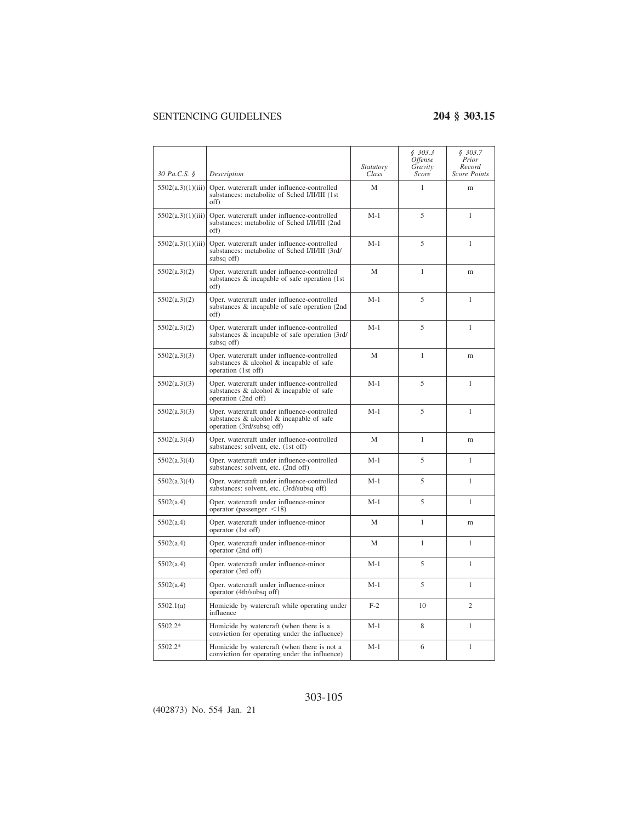|                   |                                                                                                                      | Statutory | \$303.3<br><i>Offense</i><br>Gravity | \$303.7<br>Prior<br>Record |
|-------------------|----------------------------------------------------------------------------------------------------------------------|-----------|--------------------------------------|----------------------------|
| 30 Pa.C.S. §      | Description                                                                                                          | Class     | Score                                | <b>Score Points</b>        |
| 5502(a.3)(1)(iii) | Oper. watercraft under influence-controlled<br>substances: metabolite of Sched I/II/III (1st<br>off)                 | М         | 1                                    | m                          |
| 5502(a.3)(1)(iii) | Oper. watercraft under influence-controlled<br>substances: metabolite of Sched I/II/III (2nd<br>off)                 | $M-1$     | 5                                    | 1                          |
| 5502(a.3)(1)(iii) | Oper. watercraft under influence-controlled<br>substances: metabolite of Sched I/II/III (3rd/<br>subsq off)          | $M-1$     | 5                                    | 1                          |
| 5502(a.3)(2)      | Oper. watercraft under influence-controlled<br>substances $\&$ incapable of safe operation (1st)<br>off)             | М         | $\mathbf{1}$                         | m                          |
| 5502(a.3)(2)      | Oper. watercraft under influence-controlled<br>substances & incapable of safe operation (2nd<br>off)                 | $M-1$     | 5                                    | 1                          |
| 5502(a.3)(2)      | Oper. watercraft under influence-controlled<br>substances & incapable of safe operation (3rd/<br>subsq off)          | $M-1$     | 5                                    | 1                          |
| 5502(a.3)(3)      | Oper. watercraft under influence-controlled<br>substances & alcohol & incapable of safe<br>operation (1st off)       | M         | $\mathbf{1}$                         | m                          |
| 5502(a.3)(3)      | Oper. watercraft under influence-controlled<br>substances & alcohol & incapable of safe<br>operation (2nd off)       | $M-1$     | 5                                    | $\mathbf{1}$               |
| 5502(a.3)(3)      | Oper. watercraft under influence-controlled<br>substances & alcohol & incapable of safe<br>operation (3rd/subsq off) | $M-1$     | 5                                    | $\mathbf{1}$               |
| 5502(a.3)(4)      | Oper. watercraft under influence-controlled<br>substances: solvent, etc. (1st off)                                   | M         | $\mathbf{1}$                         | m                          |
| 5502(a.3)(4)      | Oper. watercraft under influence-controlled<br>substances: solvent, etc. (2nd off)                                   | $M-1$     | 5                                    | 1                          |
| 5502(a.3)(4)      | Oper. watercraft under influence-controlled<br>substances: solvent, etc. (3rd/subsq off)                             | $M-1$     | 5                                    | 1                          |
| 5502(a.4)         | Oper. watercraft under influence-minor<br>operator (passenger $\leq$ 18)                                             | $M-1$     | 5                                    | 1                          |
| 5502(a.4)         | Oper. watercraft under influence-minor<br>operator (1st off)                                                         | М         | $\mathbf{1}$                         | m                          |
| 5502(a.4)         | Oper. watercraft under influence-minor<br>operator (2nd off)                                                         | М         | 1                                    | 1                          |
| 5502(a.4)         | Oper. watercraft under influence-minor<br>operator (3rd off)                                                         | $M-1$     | 5                                    | $\mathbf{1}$               |
| 5502(a.4)         | Oper. watercraft under influence-minor<br>operator (4th/subsq off)                                                   | $M-1$     | 5                                    | 1                          |
| 5502.1(a)         | Homicide by watercraft while operating under<br>influence                                                            | $F-2$     | 10                                   | $\overline{c}$             |
| 5502.2*           | Homicide by watercraft (when there is a<br>conviction for operating under the influence)                             | $M-1$     | 8                                    | $\mathbf{1}$               |
| 5502.2*           | Homicide by watercraft (when there is not a<br>conviction for operating under the influence)                         | M-1       | 6                                    | $\mathbf{1}$               |

## 303-105

(402873) No. 554 Jan. 21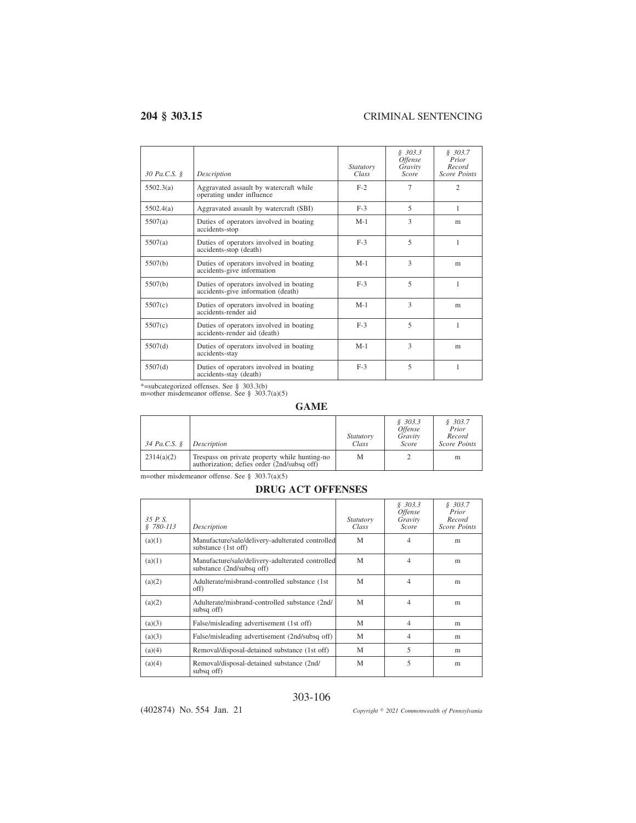| 30 Pa.C.S. § | Description                                                                   | <i>Statutory</i><br>Class | \$303.3<br><i>Offense</i><br>Gravity<br>Score | \$303.7<br>Prior<br>Record<br><b>Score Points</b> |
|--------------|-------------------------------------------------------------------------------|---------------------------|-----------------------------------------------|---------------------------------------------------|
| 5502.3(a)    | Aggravated assault by watercraft while<br>operating under influence           | $F-2$                     | 7                                             | $\mathfrak{D}$                                    |
| 5502.4(a)    | Aggravated assault by watercraft (SBI)                                        | $F-3$                     | 5                                             | 1                                                 |
| 5507(a)      | Duties of operators involved in boating<br>accidents-stop                     | $M-1$                     | 3                                             | m                                                 |
| 5507(a)      | Duties of operators involved in boating<br>accidents-stop (death)             | $F-3$                     | 5                                             | 1                                                 |
| 5507(b)      | Duties of operators involved in boating<br>accidents-give information         | $M-1$                     | 3                                             | m                                                 |
| 5507(b)      | Duties of operators involved in boating<br>accidents-give information (death) | $F-3$                     | 5                                             | 1                                                 |
| 5507(c)      | Duties of operators involved in boating<br>accidents-render aid               | $M-1$                     | 3                                             | m                                                 |
| 5507(c)      | Duties of operators involved in boating<br>accidents-render aid (death)       | $F-3$                     | $\overline{\phantom{0}}$                      | 1                                                 |
| 5507(d)      | Duties of operators involved in boating<br>accidents-stay                     | $M-1$                     | 3                                             | m                                                 |
| 5507(d)      | Duties of operators involved in boating<br>accidents-stay (death)             | $F-3$                     | 5                                             | 1                                                 |

\*=subcategorized offenses. See § 303.3(b) m=other misdemeanor offense. See § 303.7(a)(5)

### **GAME**

| 34 Pa.C.S. § | Description                                                                                  | <i>Statutory</i><br>Class | \$303.3\$<br><i>Offense</i><br>Gravity<br>Score | \$303.7<br>Prior<br>Record<br>Score Points |
|--------------|----------------------------------------------------------------------------------------------|---------------------------|-------------------------------------------------|--------------------------------------------|
| 2314(a)(2)   | Trespass on private property while hunting-no<br>authorization; defies order (2nd/subsq off) | М                         |                                                 | m                                          |

m=other misdemeanor offense. See § 303.7(a)(5)

### **DRUG ACT OFFENSES**

| 35P.S.<br>$$780-113$ | Description                                                                   | <i>Statutory</i><br>Class | \$303.3<br><i><b>Offense</b></i><br>Gravity<br><b>Score</b> | \$303.7<br>Prior<br>Record<br><b>Score Points</b> |
|----------------------|-------------------------------------------------------------------------------|---------------------------|-------------------------------------------------------------|---------------------------------------------------|
| (a)(1)               | Manufacture/sale/delivery-adulterated controlled<br>substance (1st off)       | M                         | 4                                                           | m                                                 |
| (a)(1)               | Manufacture/sale/delivery-adulterated controlled<br>substance (2nd/subsq off) | M                         | 4                                                           | m                                                 |
| (a)(2)               | Adulterate/misbrand-controlled substance (1st)<br>off)                        | M                         | 4                                                           | m                                                 |
| (a)(2)               | Adulterate/misbrand-controlled substance (2nd/<br>subsq off)                  | M                         | 4                                                           | m                                                 |
| (a)(3)               | False/misleading advertisement (1st off)                                      | M                         | $\overline{4}$                                              | m                                                 |
| (a)(3)               | False/misleading advertisement (2nd/subsq off)                                | M                         | 4                                                           | m                                                 |
| (a)(4)               | Removal/disposal-detained substance (1st off)                                 | M                         | 5                                                           | m                                                 |
| (a)(4)               | Removal/disposal-detained substance (2nd/<br>subsq off)                       | M                         | 5                                                           | m                                                 |

### 303-106

(402874) No. 554 Jan. 21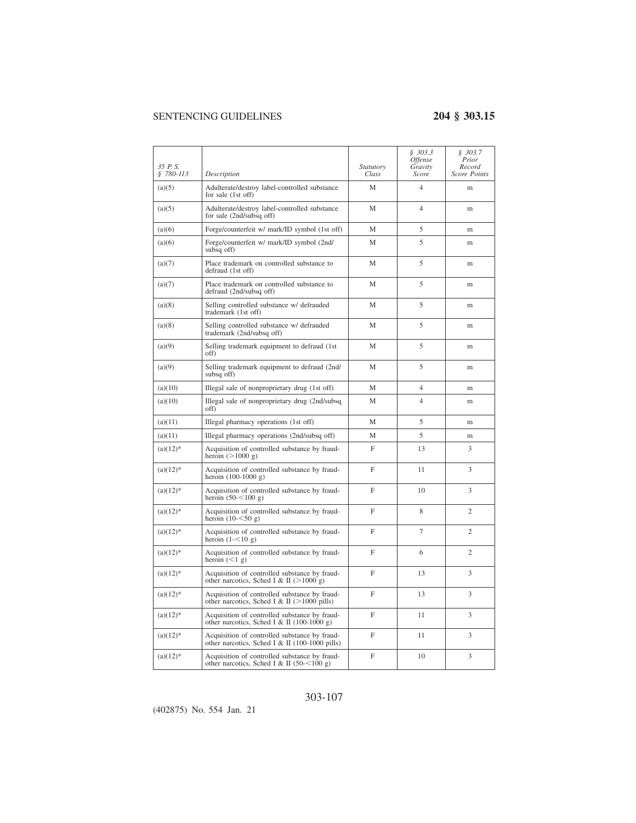| 35 P.S.<br>$$780-113$ | Description                                                                                       | Statutory<br>Class | \$303.3<br><i>Offense</i><br>Gravity<br>Score | \$303.7<br>Prior<br>Record<br><b>Score Points</b> |
|-----------------------|---------------------------------------------------------------------------------------------------|--------------------|-----------------------------------------------|---------------------------------------------------|
| (a)(5)                | Adulterate/destroy label-controlled substance<br>for sale (1st off)                               | M                  | $\overline{4}$                                | m                                                 |
| (a)(5)                | Adulterate/destroy label-controlled substance<br>for sale (2nd/subsq off)                         | M                  | $\overline{4}$                                | m                                                 |
| (a)(6)                | Forge/counterfeit w/ mark/ID symbol (1st off)                                                     | M                  | 5                                             | m                                                 |
| (a)(6)                | Forge/counterfeit w/ mark/ID symbol (2nd/<br>subsq off)                                           | М                  | 5                                             | m                                                 |
| (a)(7)                | Place trademark on controlled substance to<br>defraud (1st off)                                   | М                  | 5                                             | m                                                 |
| (a)(7)                | Place trademark on controlled substance to<br>defraud (2nd/subsq off)                             | М                  | 5                                             | m                                                 |
| (a)(8)                | Selling controlled substance w/ defrauded<br>trademark (1st off)                                  | M                  | 5                                             | m                                                 |
| (a)(8)                | Selling controlled substance w/ defrauded<br>trademark (2nd/subsq off)                            | M                  | 5                                             | <sub>m</sub>                                      |
| (a)(9)                | Selling trademark equipment to defraud (1st<br>off)                                               | М                  | 5                                             | m                                                 |
| (a)(9)                | Selling trademark equipment to defraud (2nd/<br>subsq off)                                        | M                  | 5                                             | m                                                 |
| (a)(10)               | Illegal sale of nonproprietary drug (1st off)                                                     | M                  | $\overline{4}$                                | m                                                 |
| (a)(10)               | Illegal sale of nonproprietary drug (2nd/subsq)<br>off)                                           | М                  | 4                                             | m                                                 |
| (a)(11)               | Illegal pharmacy operations (1st off)                                                             | M                  | 5                                             | m                                                 |
| (a)(11)               | Illegal pharmacy operations (2nd/subsq off)                                                       | М                  | 5                                             | m                                                 |
| $(a)(12)^*$           | Acquisition of controlled substance by fraud-<br>heroin $(>1000 g)$                               | F                  | 13                                            | 3                                                 |
| $(a)(12)^*$           | Acquisition of controlled substance by fraud-<br>heroin $(100-1000)$ g)                           | F                  | 11                                            | 3                                                 |
| $(a)(12)^*$           | Acquisition of controlled substance by fraud-<br>heroin $(50 - 100)$ g)                           | F                  | 10                                            | 3                                                 |
| $(a)(12)*$            | Acquisition of controlled substance by fraud-<br>heroin $(10 - 50 g)$                             | F                  | 8                                             | $\overline{c}$                                    |
| $(a)(12)^*$           | Acquisition of controlled substance by fraud-<br>heroin $(1 - 510 g)$                             | F                  | 7                                             | $\overline{c}$                                    |
| $(a)(12)^*$           | Acquisition of controlled substance by fraud-<br>heroin $(<1 g)$                                  | F                  | 6                                             | $\overline{c}$                                    |
| $(a)(12)^*$           | Acquisition of controlled substance by fraud-<br>other narcotics, Sched I & II ( $>1000$ g)       | F                  | 13                                            | 3                                                 |
| $(a)(12)^*$           | Acquisition of controlled substance by fraud-<br>other narcotics, Sched I & II ( $>1000$ pills)   | F                  | 13                                            | 3                                                 |
| $(a)(12)^*$           | Acquisition of controlled substance by fraud-<br>other narcotics, Sched I & II (100-1000 g)       | F                  | 11                                            | 3                                                 |
| $(a)(12)^*$           | Acquisition of controlled substance by fraud-<br>other narcotics, Sched I & II (100-1000 pills)   | F                  | 11                                            | 3                                                 |
| $(a)(12)^*$           | Acquisition of controlled substance by fraud-<br>other narcotics, Sched I & II (50- $\leq$ 100 g) | F                  | 10                                            | 3                                                 |

### 303-107

(402875) No. 554 Jan. 21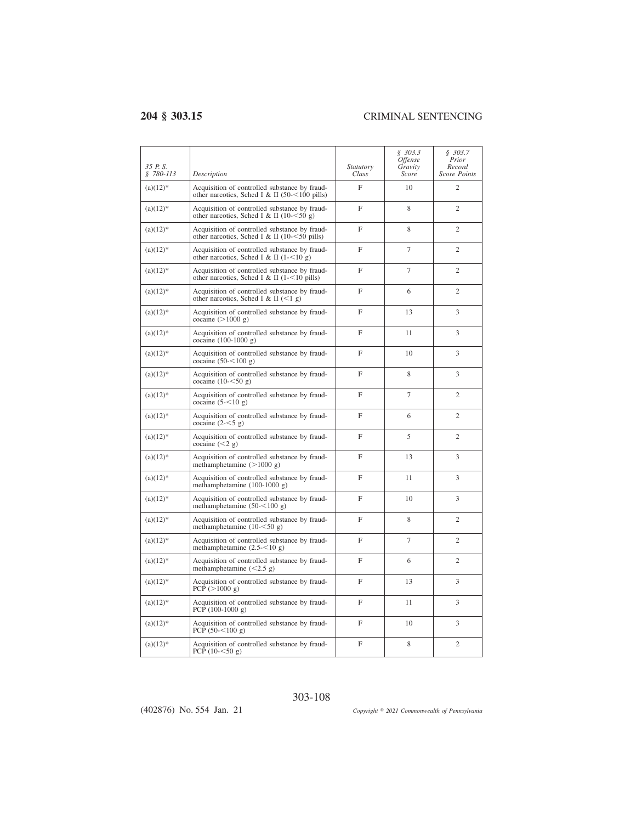| 35 P.S.<br>$$780-113$ | Description                                                                                        | Statutory<br>Class | \$303.3<br><i><b>Offense</b></i><br>Gravity<br>Score | \$303.7<br>Prior<br>Record<br><b>Score Points</b> |
|-----------------------|----------------------------------------------------------------------------------------------------|--------------------|------------------------------------------------------|---------------------------------------------------|
| $(a)(12)^*$           | Acquisition of controlled substance by fraud-<br>other narcotics, Sched I & II (50- $<$ 100 pills) | F                  | 10                                                   | $\overline{c}$                                    |
| $(a)(12)*$            | Acquisition of controlled substance by fraud-<br>other narcotics, Sched I & II (10- $\leq$ 50 g)   | F                  | 8                                                    | $\overline{2}$                                    |
| $(a)(12)*$            | Acquisition of controlled substance by fraud-<br>other narcotics, Sched I & II $(10-50)$ pills)    | F                  | 8                                                    | $\overline{2}$                                    |
| $(a)(12)^*$           | Acquisition of controlled substance by fraud-<br>other narcotics, Sched I & II $(1 - 10)$ g)       | F                  | $\overline{7}$                                       | $\overline{2}$                                    |
| $(a)(12)^*$           | Acquisition of controlled substance by fraud-<br>other narcotics, Sched I & II (1-<10 pills)       | $\mathbf{F}$       | $\overline{7}$                                       | $\overline{2}$                                    |
| $(a)(12)^*$           | Acquisition of controlled substance by fraud-<br>other narcotics, Sched I & II $(<1 g)$            | F                  | 6                                                    | $\overline{c}$                                    |
| $(a)(12)^*$           | Acquisition of controlled substance by fraud-<br>cocaine $(>1000 g)$                               | $\overline{F}$     | 13                                                   | 3                                                 |
| $(a)(12)^*$           | Acquisition of controlled substance by fraud-<br>cocaine $(100-1000)$ g)                           | F                  | 11                                                   | 3                                                 |
| $(a)(12)^*$           | Acquisition of controlled substance by fraud-<br>cocaine $(50 - 100 g)$                            | $\mathbf F$        | 10                                                   | 3                                                 |
| $(a)(12)^*$           | Acquisition of controlled substance by fraud-<br>cocaine $(10 - 50$ g)                             | F                  | 8                                                    | 3                                                 |
| $(a)(12)^*$           | Acquisition of controlled substance by fraud-<br>cocaine $(5 - 10 g)$                              | F                  | $\overline{7}$                                       | $\overline{2}$                                    |
| $(a)(12)^*$           | Acquisition of controlled substance by fraud-<br>cocaine $(2 - 5 g)$                               | F                  | 6                                                    | $\overline{c}$                                    |
| $(a)(12)^*$           | Acquisition of controlled substance by fraud-<br>cocaine $(< 2 g)$                                 | F                  | 5                                                    | $\overline{c}$                                    |
| $(a)(12)^*$           | Acquisition of controlled substance by fraud-<br>methamphetamine $(>1000 g)$                       | F                  | 13                                                   | 3                                                 |
| $(a)(12)^*$           | Acquisition of controlled substance by fraud-<br>methamphetamine $(100-1000 g)$                    | F                  | 11                                                   | 3                                                 |
| $(a)(12)*$            | Acquisition of controlled substance by fraud-<br>methamphetamine $(50 - 100)$ g)                   | $\mathbf{F}$       | 10                                                   | 3                                                 |
| $(a)(12)^*$           | Acquisition of controlled substance by fraud-<br>methamphetamine $(10 - 50g)$                      | $\mathbf{F}$       | 8                                                    | $\overline{c}$                                    |
| $(a)(12)^*$           | Acquisition of controlled substance by fraud-<br>methamphetamine $(2.5 - 10 g)$                    | F                  | $\overline{7}$                                       | $\overline{c}$                                    |
| $(a)(12)^*$           | Acquisition of controlled substance by fraud-<br>methamphetamine $(<2.5 g)$                        | F                  | 6                                                    | $\overline{2}$                                    |
| $(a)(12)*$            | Acquisition of controlled substance by fraud-<br>PCP $(>1000 g)$                                   | F                  | 13                                                   | 3                                                 |
| $(a)(12)^*$           | Acquisition of controlled substance by fraud-<br>PCP $(100-1000 g)$                                | F                  | 11                                                   | 3                                                 |
| $(a)(12)^*$           | Acquisition of controlled substance by fraud-<br>PCP $(50 - 100 g)$                                | F                  | 10                                                   | 3                                                 |
| $(a)(12)^*$           | Acquisition of controlled substance by fraud-<br>PCP $(10 - 50 g)$                                 | F                  | 8                                                    | $\overline{2}$                                    |

303-108

(402876) No. 554 Jan. 21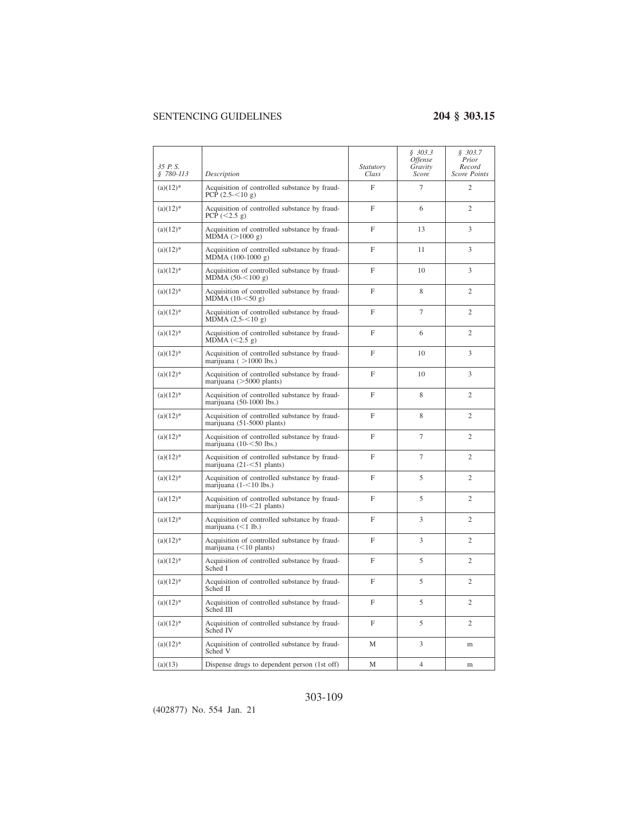| 35 P.S.<br>$$780-113$ | Description                                                                  | Statutory<br>Class | \$303.3<br><i><b>Offense</b></i><br>Gravity<br>Score | \$303.7<br>Prior<br>Record<br><b>Score Points</b> |
|-----------------------|------------------------------------------------------------------------------|--------------------|------------------------------------------------------|---------------------------------------------------|
| $(a)(12)^*$           | Acquisition of controlled substance by fraud-<br>PCP $(2.5 - 510)$ g)        | $\mathbf{F}$       | $\overline{7}$                                       | $\overline{c}$                                    |
| $(a)(12)*$            | Acquisition of controlled substance by fraud-<br>PCP $(<2.5 g)$              | $\mathbf{F}$       | 6                                                    | $\overline{c}$                                    |
| $(a)(12)^*$           | Acquisition of controlled substance by fraud-<br>MDMA (>1000 g)              | $\mathbf{F}$       | 13                                                   | 3                                                 |
| $(a)(12)*$            | Acquisition of controlled substance by fraud-<br>$MDMA (100-1000 g)$         | F                  | 11                                                   | 3                                                 |
| $(a)(12)^*$           | Acquisition of controlled substance by fraud-<br>MDMA $(50 - 100 g)$         | F                  | 10                                                   | 3                                                 |
| $(a)(12)^*$           | Acquisition of controlled substance by fraud-<br>MDMA $(10 - 50g)$           | $\mathbf{F}$       | 8                                                    | $\overline{2}$                                    |
| $(a)(12)^*$           | Acquisition of controlled substance by fraud-<br>MDMA $(2.5 - 10 g)$         | F                  | 7                                                    | $\overline{c}$                                    |
| $(a)(12)^*$           | Acquisition of controlled substance by fraud-<br>MDMA $(<2.5 g)$             | F                  | 6                                                    | $\overline{c}$                                    |
| $(a)(12)^*$           | Acquisition of controlled substance by fraud-<br>marijuana ( $>1000$ lbs.)   | F                  | 10                                                   | 3                                                 |
| $(a)(12)^*$           | Acquisition of controlled substance by fraud-<br>marijuana $($ >5000 plants) | $\mathbf{F}$       | 10                                                   | 3                                                 |
| $(a)(12)^*$           | Acquisition of controlled substance by fraud-<br>marijuana (50-1000 lbs.)    | $\mathbf{F}$       | 8                                                    | $\overline{2}$                                    |
| $(a)(12)^*$           | Acquisition of controlled substance by fraud-<br>marijuana (51-5000 plants)  | $\mathbf{F}$       | 8                                                    | $\overline{c}$                                    |
| $(a)(12)*$            | Acquisition of controlled substance by fraud-<br>marijuana $(10 - 50$ lbs.)  | F                  | 7                                                    | $\overline{c}$                                    |
| $(a)(12)^*$           | Acquisition of controlled substance by fraud-<br>marijuana (21-<51 plants)   | F                  | 7                                                    | $\mathfrak{2}$                                    |
| $(a)(12)^*$           | Acquisition of controlled substance by fraud-<br>marijuana $(1 - 10$ lbs.)   | $\mathbf{F}$       | 5                                                    | $\overline{2}$                                    |
| $(a)(12)^*$           | Acquisition of controlled substance by fraud-<br>marijuana (10-<21 plants)   | F                  | 5                                                    | $\overline{c}$                                    |
| $(a)(12)^*$           | Acquisition of controlled substance by fraud-<br>marijuana $(<1$ lb.)        | F                  | 3                                                    | $\overline{c}$                                    |
| $(a)(12)^*$           | Acquisition of controlled substance by fraud-<br>marijuana $(<10$ plants)    | $\mathbf{F}$       | 3                                                    | $\overline{c}$                                    |
| $(a)(12)^*$           | Acquisition of controlled substance by fraud-<br>Sched I                     | $\overline{F}$     | 5                                                    | $\overline{c}$                                    |
| $(a)(12)^*$           | Acquisition of controlled substance by fraud-<br>Sched II                    | $\mathbf{F}$       | 5                                                    | $\overline{2}$                                    |
| $(a)(12)^*$           | Acquisition of controlled substance by fraud-<br>Sched III                   | F                  | 5                                                    | $\overline{c}$                                    |
| $(a)(12)^*$           | Acquisition of controlled substance by fraud-<br>Sched IV                    | F                  | 5                                                    | 2                                                 |
| $(a)(12)^*$           | Acquisition of controlled substance by fraud-<br>Sched V                     | М                  | 3                                                    | m                                                 |
| (a)(13)               | Dispense drugs to dependent person (1st off)                                 | М                  | 4                                                    | m                                                 |

# 303-109

(402877) No. 554 Jan. 21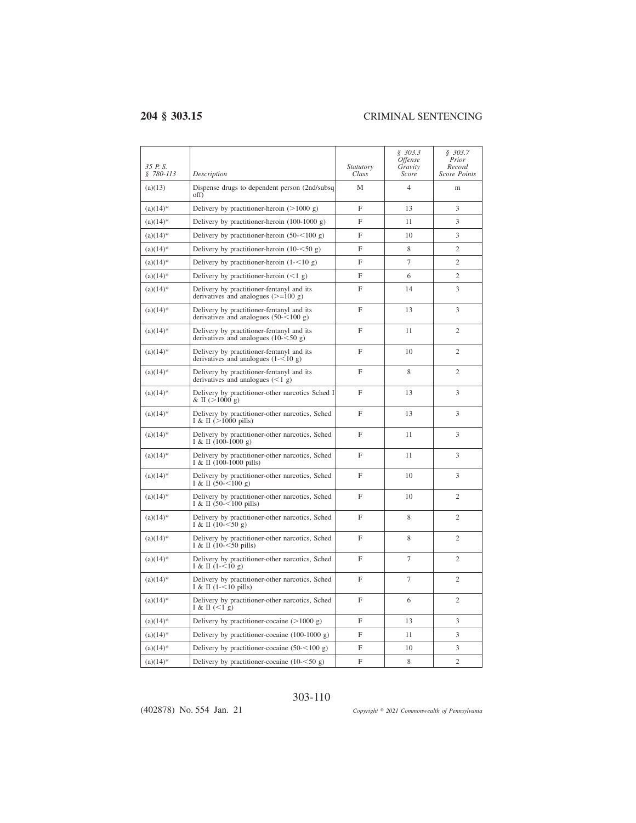$\overline{a}$ 

| 35 P.S.<br>$$780-113$ | Description                                                                            | <i>Statutory</i><br>Class | \$303.3<br><i>Offense</i><br>Gravity<br>Score | \$303.7<br>Prior<br>Record<br><b>Score Points</b> |
|-----------------------|----------------------------------------------------------------------------------------|---------------------------|-----------------------------------------------|---------------------------------------------------|
| (a)(13)               | Dispense drugs to dependent person (2nd/subsq<br>off)                                  | M                         | $\overline{4}$                                | m                                                 |
| $(a)(14)*$            | Delivery by practitioner-heroin $(>1000 g)$                                            | $\mathbf{F}$              | 13                                            | 3                                                 |
| $(a)(14)^*$           | Delivery by practitioner-heroin $(100-1000 g)$                                         | F                         | 11                                            | 3                                                 |
| $(a)(14)^*$           | Delivery by practitioner-heroin $(50 - 100)$ g)                                        | $\mathbf F$               | 10                                            | 3                                                 |
| $(a)(14)^*$           | Delivery by practitioner-heroin $(10 - 50 g)$                                          | F                         | 8                                             | $\overline{c}$                                    |
| $(a)(14)*$            | Delivery by practitioner-heroin $(1 - 10g)$                                            | F                         | $\overline{7}$                                | $\overline{c}$                                    |
| $(a)(14)^*$           | Delivery by practitioner-heroin $(< 1 g)$                                              | $\mathbf F$               | 6                                             | $\overline{c}$                                    |
| $(a)(14)^*$           | Delivery by practitioner-fentanyl and its<br>derivatives and analogues $(>=100 g)$     | $\mathbf{F}$              | 14                                            | 3                                                 |
| $(a)(14)^*$           | Delivery by practitioner-fentanyl and its<br>derivatives and analogues $(50 - 100)$ g) | $\mathbf{F}$              | 13                                            | 3                                                 |
| $(a)(14)^*$           | Delivery by practitioner-fentanyl and its<br>derivatives and analogues $(10 - 50$ g)   | F                         | 11                                            | $\mathfrak{2}$                                    |
| $(a)(14)^*$           | Delivery by practitioner-fentanyl and its<br>derivatives and analogues $(1 - 10 g)$    | $\mathbf{F}$              | 10                                            | $\overline{2}$                                    |
| $(a)(14)^*$           | Delivery by practitioner-fentanyl and its<br>derivatives and analogues $(<1$ g)        | $\mathbf{F}$              | 8                                             | $\overline{c}$                                    |
| $(a)(14)^*$           | Delivery by practitioner-other narcotics Sched I<br>& II $(>1000 \text{ g})$           | $\mathbf F$               | 13                                            | 3                                                 |
| $(a)(14)^*$           | Delivery by practitioner-other narcotics, Sched<br>I & II $(>1000 \text{ pills})$      | $\mathbf{F}$              | 13                                            | 3                                                 |
| $(a)(14)^*$           | Delivery by practitioner-other narcotics, Sched<br>$I & II$ (100-1000 g)               | F                         | 11                                            | 3                                                 |
| $(a)(14)^*$           | Delivery by practitioner-other narcotics, Sched<br>I & II $(100-1000 \text{ pills})$   | F                         | 11                                            | 3                                                 |
| $(a)(14)^*$           | Delivery by practitioner-other narcotics, Sched<br>I & II $(50 - 100)$ g)              | F                         | 10                                            | 3                                                 |
| $(a)(14)*$            | Delivery by practitioner-other narcotics, Sched<br>I & II $(50 - 100 \text{ pills})$   | $\mathbf{F}$              | 10                                            | $\overline{2}$                                    |
| $(a)(14)^*$           | Delivery by practitioner-other narcotics, Sched<br>I & II $(10 - 50g)$                 | $\overline{F}$            | 8                                             | $\overline{c}$                                    |
| $(a)(14)^*$           | Delivery by practitioner-other narcotics, Sched<br>I & II $(10 - 50$ pills)            | $\mathbf F$               | 8                                             | $\mathbf{2}$                                      |
| $(a)(14)^*$           | Delivery by practitioner-other narcotics, Sched<br>I & II $(1 - 510 g)$                | $\mathbf{F}$              | 7                                             | $\mathfrak{2}$                                    |
| $(a)(14)^*$           | Delivery by practitioner-other narcotics, Sched<br>I & II $(1 - 10$ pills)             | $\mathbf{F}$              | 7                                             | $\overline{c}$                                    |
| $(a)(14)^*$           | Delivery by practitioner-other narcotics, Sched<br>I & II $(1$ g)                      | F                         | 6                                             | $\mathfrak{2}$                                    |
| $(a)(14)*$            | Delivery by practitioner-cocaine $(>1000 g)$                                           | F                         | 13                                            | 3                                                 |
| $(a)(14)^*$           | Delivery by practitioner-cocaine $(100-1000 g)$                                        | $\mathbf F$               | 11                                            | 3                                                 |
| $(a)(14)*$            | Delivery by practitioner-cocaine $(50 - 100)$ g)                                       | F                         | 10                                            | 3                                                 |
| $(a)(14)^*$           | Delivery by practitioner-cocaine $(10 - 50 g)$                                         | F                         | 8                                             | $\overline{c}$                                    |

## 303-110

(402878) No. 554 Jan. 21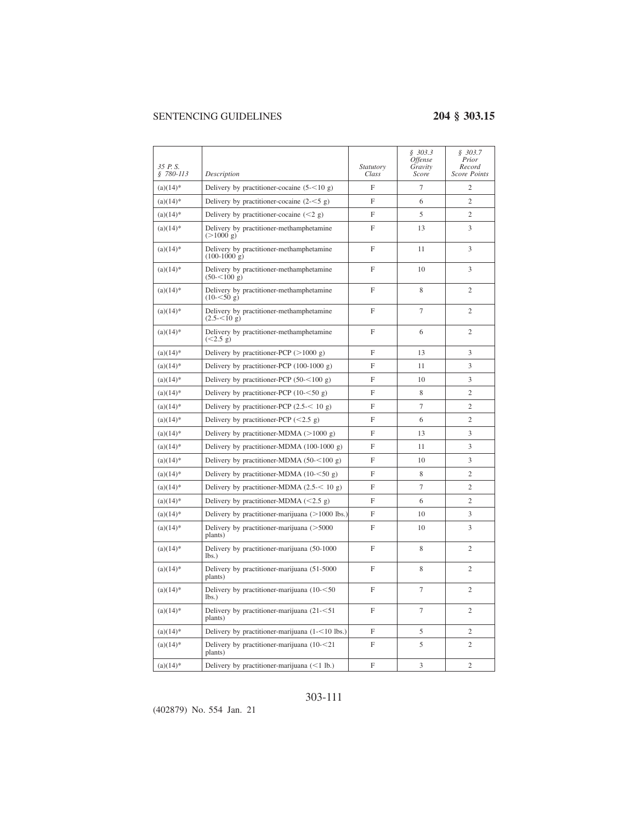$\overline{\phantom{a}}$ 

| 35 P.S.<br>$$780-113$ | Description                                                     | <i>Statutory</i><br>Class | \$303.3<br><i><b>Offense</b></i><br>Gravity<br>Score | \$303.7<br>Prior<br>Record<br>Score Points |
|-----------------------|-----------------------------------------------------------------|---------------------------|------------------------------------------------------|--------------------------------------------|
| $(a)(14)^*$           | Delivery by practitioner-cocaine $(5<10 \text{ g})$             | F                         | $\tau$                                               | 2                                          |
| $(a)(14)^*$           | Delivery by practitioner-cocaine $(2<5$ g)                      | F                         | 6                                                    | $\overline{c}$                             |
| $(a)(14)^*$           | Delivery by practitioner-cocaine $(< 2 g)$                      | F                         | 5                                                    | $\overline{2}$                             |
| $(a)(14)^*$           | Delivery by practitioner-methamphetamine<br>$(>1000 \text{ g})$ | F                         | 13                                                   | 3                                          |
| $(a)(14)^*$           | Delivery by practitioner-methamphetamine<br>$(100-1000 g)$      | $\overline{F}$            | 11                                                   | 3                                          |
| $(a)(14)^*$           | Delivery by practitioner-methamphetamine<br>$(50 - 5100 g)$     | $\mathbf{F}$              | 10                                                   | 3                                          |
| $(a)(14)^*$           | Delivery by practitioner-methamphetamine<br>$(10 - 50)$ g)      | $\mathbf{F}$              | 8                                                    | $\overline{2}$                             |
| $(a)(14)^*$           | Delivery by practitioner-methamphetamine<br>$(2.5 - 5.10)$ g)   | $\mathbf{F}$              | $\tau$                                               | $\overline{2}$                             |
| $(a)(14)^*$           | Delivery by practitioner-methamphetamine<br>(<2.5 g)            | F                         | 6                                                    | $\overline{2}$                             |
| $(a)(14)^*$           | Delivery by practitioner-PCP $(>1000 g)$                        | F                         | 13                                                   | 3                                          |
| $(a)(14)^*$           | Delivery by practitioner-PCP $(100-1000 g)$                     | F                         | 11                                                   | 3                                          |
| $(a)(14)^*$           | Delivery by practitioner-PCP $(50 - 100 g)$                     | F                         | 10                                                   | 3                                          |
| $(a)(14)^*$           | Delivery by practitioner-PCP $(10 - 50 g)$                      | $\overline{F}$            | 8                                                    | $\overline{2}$                             |
| $(a)(14)^*$           | Delivery by practitioner-PCP $(2.5 < 10 g)$                     | $\mathbf{F}$              | $\overline{7}$                                       | $\overline{2}$                             |
| $(a)(14)^*$           | Delivery by practitioner-PCP $(<2.5 g)$                         | F                         | 6                                                    | $\overline{2}$                             |
| $(a)(14)^*$           | Delivery by practitioner-MDMA $(>1000 g)$                       | F                         | 13                                                   | 3                                          |
| $(a)(14)^*$           | Delivery by practitioner-MDMA (100-1000 g)                      | F                         | 11                                                   | 3                                          |
| $(a)(14)^*$           | Delivery by practitioner-MDMA $(50 - 100)$ g)                   | F                         | 10                                                   | 3                                          |
| $(a)(14)^*$           | Delivery by practitioner-MDMA $(10 - 50 g)$                     | $\mathbf{F}$              | 8                                                    | $\mathfrak{2}$                             |
| $(a)(14)^*$           | Delivery by practitioner-MDMA $(2.5 < 10 g)$                    | F                         | $\overline{7}$                                       | $\overline{2}$                             |
| $(a)(14)^*$           | Delivery by practitioner-MDMA $(< 2.5 g)$                       | F                         | 6                                                    | $\overline{2}$                             |
| $(a)(14)^*$           | Delivery by practitioner-marijuana $(>1000$ lbs.)               | $\mathbf F$               | 10                                                   | 3                                          |
| $(a)(14)^*$           | Delivery by practitioner-marijuana (>5000<br>plants)            | F                         | 10                                                   | 3                                          |
| $(a)(14)^*$           | Delivery by practitioner-marijuana (50-1000<br>lbs.             | F                         | 8                                                    | $\mathfrak{2}$                             |
| $(a)(14)^*$           | Delivery by practitioner-marijuana (51-5000<br>plants)          | $\mathbf{F}$              | 8                                                    | $\overline{c}$                             |
| $(a)(14)^*$           | Delivery by practitioner-marijuana (10-<50<br>$lbs.$ )          | $\mathbf{F}$              | $\tau$                                               | $\mathfrak{2}$                             |
| $(a)(14)^*$           | Delivery by practitioner-marijuana (21-<51<br>plants)           | $\mathbf F$               | $7\phantom{.0}$                                      | $\mathfrak{2}$                             |
| $(a)(14)^*$           | Delivery by practitioner-marijuana $(1 - 10$ lbs.)              | F                         | 5                                                    | $\overline{2}$                             |
| $(a)(14)^*$           | Delivery by practitioner-marijuana $(10 - 21)$<br>plants)       | F                         | 5                                                    | $\overline{c}$                             |
| $(a)(14)^*$           | Delivery by practitioner-marijuana $(<1$ lb.)                   | F                         | 3                                                    | $\overline{c}$                             |

# 303-111

(402879) No. 554 Jan. 21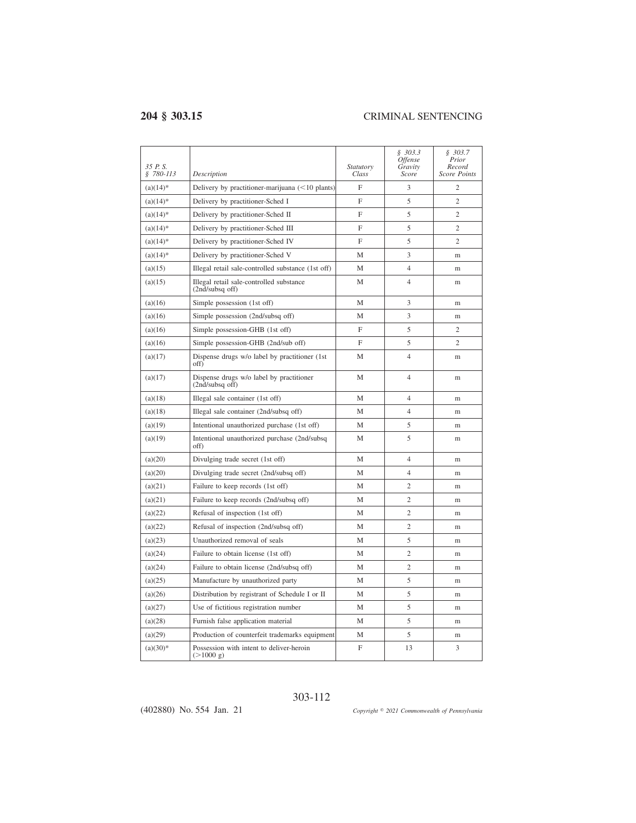| 35 P.S.<br>§ 780-113 | Description                                                     | <i>Statutory</i><br>Class | \$303.3\$<br><i>Offense</i><br>Gravity<br>Score | \$303.7<br>Prior<br>Record<br><b>Score Points</b> |
|----------------------|-----------------------------------------------------------------|---------------------------|-------------------------------------------------|---------------------------------------------------|
| $(a)(14)*$           | Delivery by practitioner-marijuana $(<10$ plants)               | F                         | 3                                               | $\overline{c}$                                    |
| $(a)(14)^*$          | Delivery by practitioner-Sched I                                | F                         | 5                                               | $\overline{c}$                                    |
| $(a)(14)^*$          | Delivery by practitioner-Sched II                               | F                         | 5                                               | $\overline{c}$                                    |
| $(a)(14)*$           | Delivery by practitioner-Sched III                              | F                         | 5                                               | $\overline{c}$                                    |
| $(a)(14)*$           | Delivery by practitioner-Sched IV                               | F                         | 5                                               | $\overline{2}$                                    |
| $(a)(14)^*$          | Delivery by practitioner-Sched V                                | М                         | 3                                               | m                                                 |
| (a)(15)              | Illegal retail sale-controlled substance (1st off)              | М                         | $\overline{4}$                                  | m                                                 |
| (a)(15)              | Illegal retail sale-controlled substance<br>(2nd/subsq off)     | M                         | $\overline{4}$                                  | m                                                 |
| (a)(16)              | Simple possession (1st off)                                     | М                         | 3                                               | m                                                 |
| (a)(16)              | Simple possession (2nd/subsq off)                               | M                         | 3                                               | m                                                 |
| (a)(16)              | Simple possession-GHB (1st off)                                 | $\mathbf F$               | 5                                               | $\overline{c}$                                    |
| (a)(16)              | Simple possession-GHB (2nd/sub off)                             | F                         | 5                                               | $\overline{c}$                                    |
| (a)(17)              | Dispense drugs w/o label by practitioner (1st<br>off)           | M                         | $\overline{4}$                                  | m                                                 |
| (a)(17)              | Dispense drugs w/o label by practitioner<br>$(2nd/subsq$ off)   | M                         | $\overline{4}$                                  | m                                                 |
| (a)(18)              | Illegal sale container (1st off)                                | M                         | $\overline{4}$                                  | m                                                 |
| (a)(18)              | Illegal sale container (2nd/subsq off)                          | M                         | $\overline{4}$                                  | m                                                 |
| (a)(19)              | Intentional unauthorized purchase (1st off)                     | M                         | 5                                               | m                                                 |
| (a)(19)              | Intentional unauthorized purchase (2nd/subsq)<br>off)           | М                         | 5                                               | m                                                 |
| (a)(20)              | Divulging trade secret (1st off)                                | М                         | $\overline{4}$                                  | m                                                 |
| (a)(20)              | Divulging trade secret (2nd/subsq off)                          | М                         | $\overline{4}$                                  | m                                                 |
| (a)(21)              | Failure to keep records (1st off)                               | M                         | $\overline{c}$                                  | m                                                 |
| (a)(21)              | Failure to keep records (2nd/subsq off)                         | M                         | $\overline{2}$                                  | m                                                 |
| (a)(22)              | Refusal of inspection (1st off)                                 | М                         | $\overline{2}$                                  | m                                                 |
| (a)(22)              | Refusal of inspection (2nd/subsq off)                           | М                         | $\overline{2}$                                  | m                                                 |
| (a)(23)              | Unauthorized removal of seals                                   | М                         | 5                                               | m                                                 |
| (a)(24)              | Failure to obtain license (1st off)                             | M                         | $\overline{2}$                                  | m                                                 |
| (a)(24)              | Failure to obtain license (2nd/subsq off)                       | M                         | $\overline{2}$                                  | m                                                 |
| (a)(25)              | Manufacture by unauthorized party                               | М                         | 5                                               | m                                                 |
| (a)(26)              | Distribution by registrant of Schedule I or II                  | М                         | 5                                               | m                                                 |
| (a)(27)              | Use of fictitious registration number                           | M                         | 5                                               | m                                                 |
| (a)(28)              | Furnish false application material                              | M                         | 5                                               | m                                                 |
| (a)(29)              | Production of counterfeit trademarks equipment                  | М                         | 5                                               | m                                                 |
| $(a)(30)*$           | Possession with intent to deliver-heroin<br>$(>1000 \text{ g})$ | $\mathbf F$               | 13                                              | 3                                                 |

303-112

(402880) No. 554 Jan. 21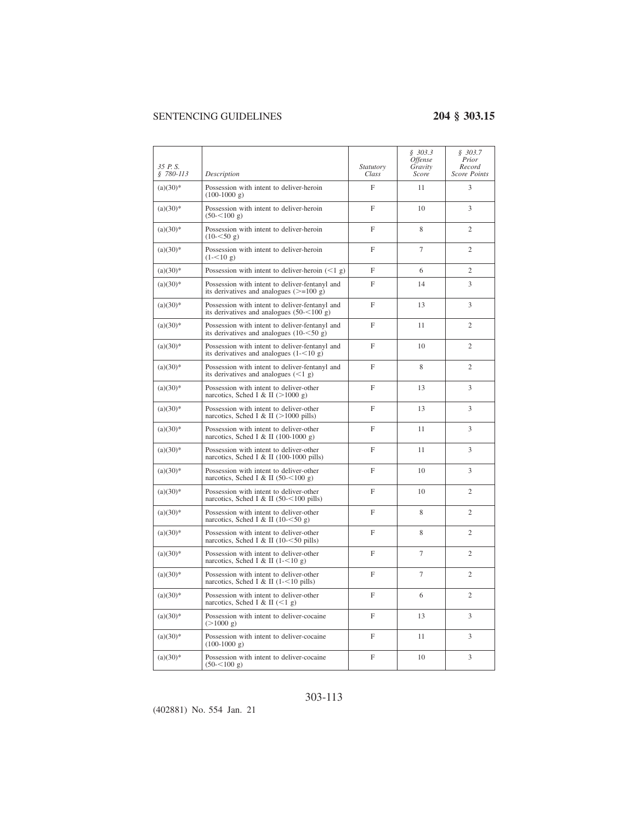| 35 P.S.<br>$$780-113$ | Description                                                                                         | <i>Statutory</i><br>Class | \$303.3<br><b>Offense</b><br>Gravity<br>Score | \$303.7<br>Prior<br>Record<br><b>Score Points</b> |
|-----------------------|-----------------------------------------------------------------------------------------------------|---------------------------|-----------------------------------------------|---------------------------------------------------|
| $(a)(30)*$            | Possession with intent to deliver-heroin<br>$(100-1000 g)$                                          | F                         | 11                                            | 3                                                 |
| $(a)(30)*$            | Possession with intent to deliver-heroin<br>$(50 - 100 g)$                                          | F                         | 10                                            | 3                                                 |
| $(a)(30)*$            | Possession with intent to deliver-heroin<br>$(10 - 50 g)$                                           | F                         | 8                                             | $\mathfrak{2}$                                    |
| $(a)(30)*$            | Possession with intent to deliver-heroin<br>$(1 - 510 \text{ g})$                                   | F                         | $\tau$                                        | $\overline{c}$                                    |
| $(a)(30)*$            | Possession with intent to deliver-heroin $(< 1 \text{ g})$                                          | F                         | 6                                             | 2                                                 |
| $(a)(30)$ *           | Possession with intent to deliver-fentanyl and<br>its derivatives and analogues $(>=100 \text{ g})$ | F                         | 14                                            | 3                                                 |
| $(a)(30)$ *           | Possession with intent to deliver-fentanyl and<br>its derivatives and analogues $(50 - 100)$ g)     | F                         | 13                                            | 3                                                 |
| $(a)(30)*$            | Possession with intent to deliver-fentanyl and<br>its derivatives and analogues $(10 - 50)$ g)      | F                         | 11                                            | $\overline{2}$                                    |
| $(a)(30)*$            | Possession with intent to deliver-fentanyl and<br>its derivatives and analogues $(1 - 10 g)$        | F                         | 10                                            | $\overline{c}$                                    |
| $(a)(30)*$            | Possession with intent to deliver-fentanyl and<br>its derivatives and analogues $(<1 g)$            | F                         | 8                                             | $\overline{c}$                                    |
| $(a)(30)$ *           | Possession with intent to deliver-other<br>narcotics, Sched I & II $(>1000 g)$                      | $\mathbf{F}$              | 13                                            | 3                                                 |
| $(a)(30)$ *           | Possession with intent to deliver-other<br>narcotics, Sched I & II (>1000 pills)                    | F                         | 13                                            | 3                                                 |
| $(a)(30)$ *           | Possession with intent to deliver-other<br>narcotics, Sched I & II (100-1000 g)                     | F                         | 11                                            | 3                                                 |
| $(a)(30)*$            | Possession with intent to deliver-other<br>narcotics, Sched I & II (100-1000 pills)                 | F                         | 11                                            | 3                                                 |
| $(a)(30)*$            | Possession with intent to deliver-other<br>narcotics, Sched I & II (50- $<$ 100 g)                  | $\mathbf F$               | 10                                            | 3                                                 |
| $(a)(30)*$            | Possession with intent to deliver-other<br>narcotics, Sched I & II (50- $\leq$ 100 pills)           | $\mathbf{F}$              | 10                                            | $\mathfrak{2}$                                    |
| $(a)(30)$ *           | Possession with intent to deliver-other<br>narcotics, Sched I & II (10-<50 g)                       | F                         | 8                                             | $\overline{c}$                                    |
| $(a)(30)$ *           | Possession with intent to deliver-other<br>narcotics, Sched I & II $(10-50)$ pills)                 | F                         | 8                                             | $\overline{c}$                                    |
| $(a)(30)$ *           | Possession with intent to deliver-other<br>narcotics, Sched I & II $(1 - 510)$ g)                   | F                         | $\overline{7}$                                | $\overline{c}$                                    |
| $(a)(30)*$            | Possession with intent to deliver-other<br>narcotics, Sched I & II (1-<10 pills)                    | F                         | $\overline{7}$                                | $\overline{2}$                                    |
| $(a)(30)*$            | Possession with intent to deliver-other<br>narcotics, Sched I & II $(<1 g)$                         | F                         | 6                                             | $\overline{c}$                                    |
| $(a)(30)*$            | Possession with intent to deliver-cocaine<br>(>1000 g)                                              | F                         | 13                                            | 3                                                 |
| $(a)(30)$ *           | Possession with intent to deliver-cocaine<br>$(100-1000 g)$                                         | F                         | 11                                            | 3                                                 |
| $(a)(30)$ *           | Possession with intent to deliver-cocaine<br>$(50 - 5100)$ g)                                       | F                         | 10                                            | 3                                                 |

# 303-113

(402881) No. 554 Jan. 21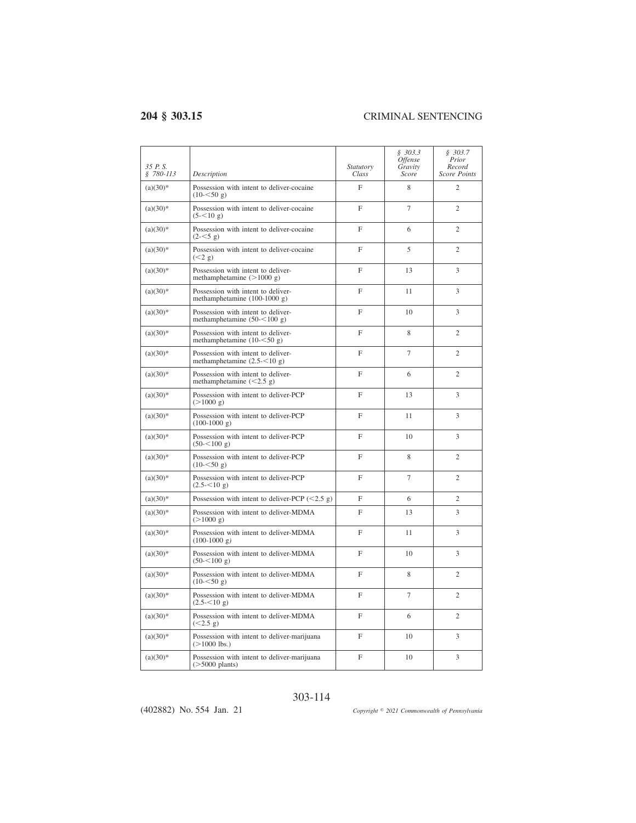| 35 P.S.<br>§ 780-113 | Description                                                           | Statutory<br>Class | \$303.3<br><i>Offense</i><br>Gravity<br>Score | \$303.7<br>Prior<br>Record<br><b>Score Points</b> |
|----------------------|-----------------------------------------------------------------------|--------------------|-----------------------------------------------|---------------------------------------------------|
| $(a)(30)$ *          | Possession with intent to deliver-cocaine<br>$(10 - 50 g)$            | F                  | 8                                             | $\overline{c}$                                    |
| $(a)(30)*$           | Possession with intent to deliver-cocaine<br>$(5 - 510 \text{ g})$    | F                  | 7                                             | $\overline{c}$                                    |
| $(a)(30)*$           | Possession with intent to deliver-cocaine<br>$(2 - 5g)$               | F                  | 6                                             | $\overline{c}$                                    |
| $(a)(30)*$           | Possession with intent to deliver-cocaine<br>(< 2 g)                  | F                  | 5                                             | $\overline{c}$                                    |
| $(a)(30)*$           | Possession with intent to deliver-<br>methamphetamine $(>1000 g)$     | F                  | 13                                            | 3                                                 |
| $(a)(30)*$           | Possession with intent to deliver-<br>methamphetamine (100-1000 g)    | F                  | 11                                            | 3                                                 |
| $(a)(30)*$           | Possession with intent to deliver-<br>methamphetamine $(50 - 100)$ g) | F                  | 10                                            | 3                                                 |
| $(a)(30)*$           | Possession with intent to deliver-<br>methamphetamine $(10 - 50 g)$   | F                  | 8                                             | $\overline{c}$                                    |
| $(a)(30)*$           | Possession with intent to deliver-<br>methamphetamine $(2.5 - 10 g)$  | F                  | $\overline{7}$                                | $\overline{2}$                                    |
| $(a)(30)$ *          | Possession with intent to deliver-<br>methamphetamine $(<2.5 g)$      | F                  | 6                                             | $\overline{c}$                                    |
| $(a)(30)*$           | Possession with intent to deliver-PCP<br>$(>1000 \text{ g})$          | F                  | 13                                            | 3                                                 |
| $(a)(30)*$           | Possession with intent to deliver-PCP<br>$(100-1000 g)$               | F                  | 11                                            | 3                                                 |
| $(a)(30)*$           | Possession with intent to deliver-PCP<br>$(50 - 100)$ g)              | F                  | 10                                            | 3                                                 |
| $(a)(30)$ *          | Possession with intent to deliver-PCP<br>$(10 - 50 g)$                | F                  | 8                                             | $\mathfrak{2}$                                    |
| $(a)(30)*$           | Possession with intent to deliver-PCP<br>$(2.5 - 510)$ g)             | F                  | 7                                             | $\overline{2}$                                    |
| $(a)(30)*$           | Possession with intent to deliver-PCP $(<2.5 g)$                      | F                  | 6                                             | $\mathfrak{2}$                                    |
| $(a)(30)*$           | Possession with intent to deliver-MDMA<br>(>1000 g)                   | F                  | 13                                            | 3                                                 |
| $(a)(30)*$           | Possession with intent to deliver-MDMA<br>$(100-1000 g)$              | F                  | 11                                            | 3                                                 |
| $(a)(30)*$           | Possession with intent to deliver-MDMA<br>$(50 - 5100)$ g)            | F                  | 10                                            | 3                                                 |
| $(a)(30)*$           | Possession with intent to deliver-MDMA<br>$(10 - 50 g)$               | F                  | 8                                             | $\overline{c}$                                    |
| $(a)(30)*$           | Possession with intent to deliver-MDMA<br>$(2.5 - 510)$ g)            | F                  | $\overline{7}$                                | $\overline{2}$                                    |
| $(a)(30)*$           | Possession with intent to deliver-MDMA<br>(<2.5 g)                    | F                  | 6                                             | $\overline{2}$                                    |
| $(a)(30)*$           | Possession with intent to deliver-marijuana<br>$(>1000$ lbs.)         | F                  | 10                                            | 3                                                 |
| $(a)(30)*$           | Possession with intent to deliver-marijuana<br>$($ >5000 plants)      | F                  | 10                                            | 3                                                 |

## 303-114

(402882) No. 554 Jan. 21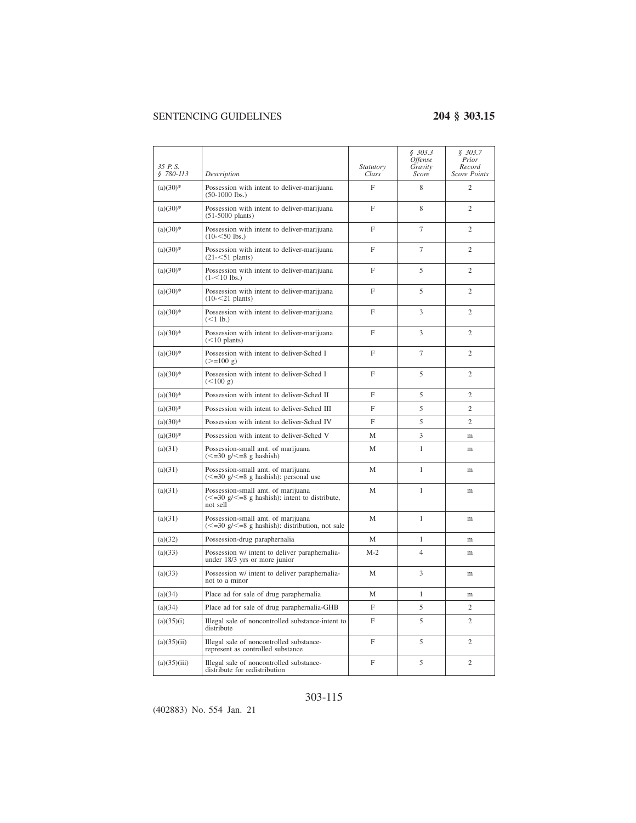| 35 P.S.<br>$$780-113$ | Description                                                                                                        | Statutory<br>Class | \$303.3<br><i>Offense</i><br>Gravity<br>Score | \$303.7<br>Prior<br>Record<br><b>Score Points</b> |
|-----------------------|--------------------------------------------------------------------------------------------------------------------|--------------------|-----------------------------------------------|---------------------------------------------------|
| $(a)(30)*$            | Possession with intent to deliver-marijuana<br>$(50-1000$ lbs.)                                                    | F                  | 8                                             | $\mathfrak{2}$                                    |
| $(a)(30)*$            | Possession with intent to deliver-marijuana<br>$(51-5000$ plants)                                                  | F                  | 8                                             | $\mathfrak{2}$                                    |
| $(a)(30)$ *           | Possession with intent to deliver-marijuana<br>$(10 - 50$ lbs.)                                                    | F                  | $\overline{7}$                                | $\overline{c}$                                    |
| $(a)(30)*$            | Possession with intent to deliver-marijuana<br>$(21 - 51$ plants)                                                  | F                  | $\overline{7}$                                | $\overline{2}$                                    |
| $(a)(30)*$            | Possession with intent to deliver-marijuana<br>$(1 - 510$ lbs.)                                                    | F                  | 5                                             | $\overline{c}$                                    |
| $(a)(30)*$            | Possession with intent to deliver-marijuana<br>$(10 - 21$ plants)                                                  | F                  | 5                                             | $\overline{c}$                                    |
| $(a)(30)*$            | Possession with intent to deliver-marijuana<br>$(<1$ lb.)                                                          | F                  | 3                                             | $\overline{2}$                                    |
| $(a)(30)*$            | Possession with intent to deliver-marijuana<br>$(<10$ plants)                                                      | F                  | 3                                             | $\mathfrak{2}$                                    |
| $(a)(30)*$            | Possession with intent to deliver-Sched I<br>$(>=100 \text{ g})$                                                   | F                  | $\overline{7}$                                | $\overline{2}$                                    |
| $(a)(30)*$            | Possession with intent to deliver-Sched I<br>(<100 g)                                                              | F                  | 5                                             | $\overline{c}$                                    |
| $(a)(30)*$            | Possession with intent to deliver-Sched II                                                                         | F                  | 5                                             | $\overline{2}$                                    |
| $(a)(30)$ *           | Possession with intent to deliver-Sched III                                                                        | F                  | 5                                             | $\overline{c}$                                    |
| $(a)(30)*$            | Possession with intent to deliver-Sched IV                                                                         | F                  | 5                                             | $\mathfrak{2}$                                    |
| $(a)(30)*$            | Possession with intent to deliver-Sched V                                                                          | M                  | 3                                             | m                                                 |
| (a)(31)               | Possession-small amt. of marijuana<br>$\left(<=30 \text{ g}/\leq=8 \text{ g} \text{ hashish}\right)$               | М                  | $\mathbf{1}$                                  | m                                                 |
| (a)(31)               | Possession-small amt. of marijuana<br>$\approx$ =30 g/ $\lt$ =8 g hashish): personal use                           | M                  | 1                                             | m                                                 |
| (a)(31)               | Possession-small amt. of marijuana<br>$\epsilon$ =30 g/ $\epsilon$ =8 g hashish: intent to distribute,<br>not sell | M                  | 1                                             | m                                                 |
| (a)(31)               | Possession-small amt. of marijuana<br>$\approx$ =30 g/ $\lt$ =8 g hashish): distribution, not sale                 | M                  | 1                                             | m                                                 |
| (a)(32)               | Possession-drug paraphernalia                                                                                      | M                  | 1                                             | m                                                 |
| (a)(33)               | Possession w/ intent to deliver paraphernalia-<br>under 18/3 yrs or more junior                                    | $M-2$              | $\overline{4}$                                | m                                                 |
| (a)(33)               | Possession w/ intent to deliver paraphernalia-<br>not to a minor                                                   | М                  | 3                                             | m                                                 |
| (a)(34)               | Place ad for sale of drug paraphernalia                                                                            | M                  | $\mathbf{1}$                                  | m                                                 |
| (a)(34)               | Place ad for sale of drug paraphernalia-GHB                                                                        | F                  | 5                                             | $\overline{2}$                                    |
| (a)(35)(i)            | Illegal sale of noncontrolled substance-intent to<br>distribute                                                    | F                  | 5                                             | $\overline{2}$                                    |
| (a)(35)(ii)           | Illegal sale of noncontrolled substance-<br>represent as controlled substance                                      | F                  | 5                                             | $\mathfrak{2}$                                    |
| (a)(35)(iii)          | Illegal sale of noncontrolled substance-<br>distribute for redistribution                                          | F                  | 5                                             | $\mathfrak{2}$                                    |

# 303-115

(402883) No. 554 Jan. 21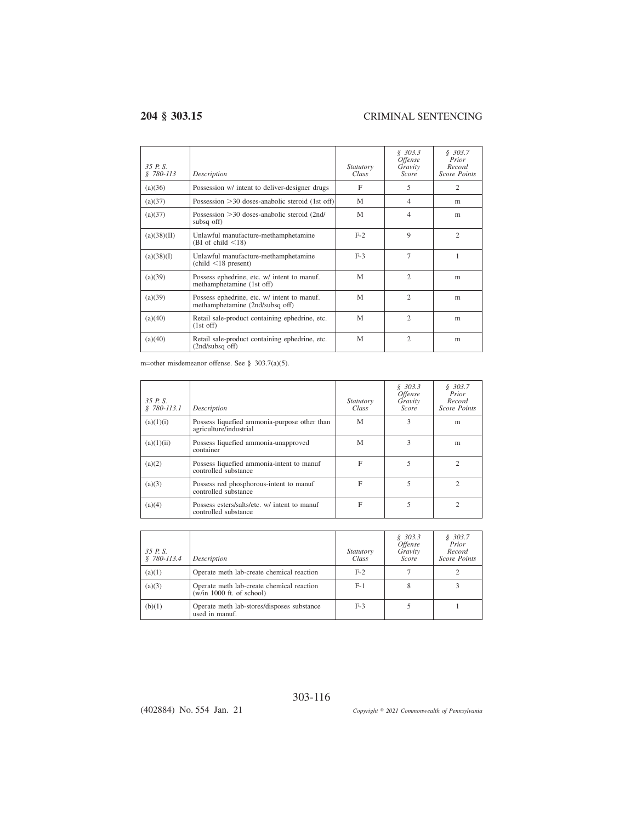| 35 P.S<br>\$780-113 | Description                                                                              | Statutory<br>Class | \$303.3<br><i><b>Offense</b></i><br>Gravity<br><b>Score</b> | \$303.7<br>Prior<br>Record<br><b>Score Points</b> |
|---------------------|------------------------------------------------------------------------------------------|--------------------|-------------------------------------------------------------|---------------------------------------------------|
| (a)(36)             | Possession w/ intent to deliver-designer drugs                                           | F                  | 5                                                           | 2                                                 |
| (a)(37)             | Possession $>30$ doses-anabolic steroid (1st off)                                        | M                  | 4                                                           | m                                                 |
| (a)(37)             | Possession > 30 doses-anabolic steroid (2nd/<br>subsq off)                               | M                  | 4                                                           | m                                                 |
| (a)(38)(II)         | Unlawful manufacture-methamphetamine<br>(BI of child $\leq$ 18)                          | $F-2$              | $\mathbf Q$                                                 | $\overline{c}$                                    |
| (a)(38)(I)          | Unlawful manufacture-methamphetamine<br>$\left(\text{child} < 18 \text{ present}\right)$ | $F-3$              | $\overline{7}$                                              | 1                                                 |
| (a)(39)             | Possess ephedrine, etc. w/ intent to manuf.<br>methamphetamine (1st off)                 | M                  | $\mathfrak{D}$                                              | m                                                 |
| (a)(39)             | Possess ephedrine, etc. w/ intent to manuf.<br>methamphetamine (2nd/subsq off)           | M                  | $\mathcal{D}_{\alpha}$                                      | m                                                 |
| (a)(40)             | Retail sale-product containing ephedrine, etc.<br>$(1st$ off)                            | M                  | $\mathfrak{2}$                                              | m                                                 |
| (a)(40)             | Retail sale-product containing ephedrine, etc.<br>$(2nd/subsq$ off)                      | M                  | $\overline{c}$                                              | m                                                 |

m=other misdemeanor offense. See § 303.7(a)(5).

| 35 P.S.<br>$$780-113.1$ | Description                                                            | Statutory<br>Class | \$303.3<br><i><b>Offense</b></i><br>Gravity<br><b>Score</b> | \$303.7<br>Prior<br>Record<br><b>Score Points</b> |
|-------------------------|------------------------------------------------------------------------|--------------------|-------------------------------------------------------------|---------------------------------------------------|
| (a)(1)(i)               | Possess liquefied ammonia-purpose other than<br>agriculture/industrial | M                  | 3                                                           | m                                                 |
| (a)(1)(ii)              | Possess liquefied ammonia-unapproved<br>container                      | M                  | 3                                                           | m                                                 |
| (a)(2)                  | Possess liquefied ammonia-intent to manuf<br>controlled substance      | F                  | 5                                                           |                                                   |
| (a)(3)                  | Possess red phosphorous-intent to manuf<br>controlled substance        | F                  | 5                                                           |                                                   |
| (a)(4)                  | Possess esters/salts/etc. w/ intent to manuf<br>controlled substance   | F                  | 5                                                           | C                                                 |

| 35 P.S.<br>$$780-113.4$ | Description                                                              | <i>Statutory</i><br>Class | \$303.3<br><i><b>Offense</b></i><br>Gravity<br><b>Score</b> | \$303.7<br>Prior<br>Record<br><b>Score Points</b> |
|-------------------------|--------------------------------------------------------------------------|---------------------------|-------------------------------------------------------------|---------------------------------------------------|
| (a)(1)                  | Operate meth lab-create chemical reaction                                | $F-2$                     |                                                             |                                                   |
| (a)(3)                  | Operate meth lab-create chemical reaction<br>$(w/in 1000$ ft. of school) | $F-1$                     | 8                                                           |                                                   |
| (b)(1)                  | Operate meth lab-stores/disposes substance<br>used in manuf.             | $F-3$                     |                                                             |                                                   |

303-116

(402884) No. 554 Jan. 21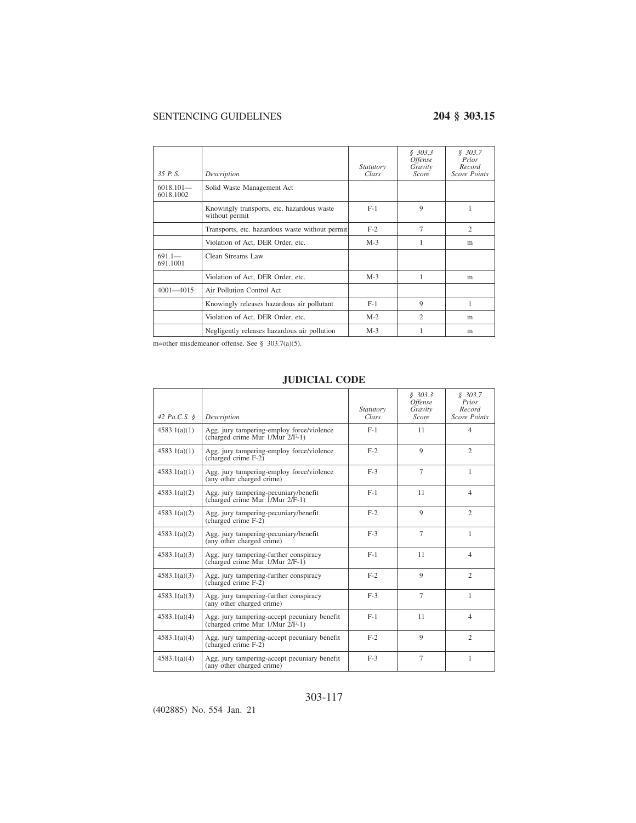| 35 P.S.                  | Description                                                  | <i>Statutory</i><br>Class | \$303.3<br><i><b>Offense</b></i><br>Gravity<br>Score | \$303.7<br>Prior<br>Record<br><b>Score Points</b> |
|--------------------------|--------------------------------------------------------------|---------------------------|------------------------------------------------------|---------------------------------------------------|
| $6018.101-$<br>6018.1002 | Solid Waste Management Act                                   |                           |                                                      |                                                   |
|                          | Knowingly transports, etc. hazardous waste<br>without permit | $F-1$                     | 9                                                    |                                                   |
|                          | Transports, etc. hazardous waste without permit              | $F-2$                     | $\overline{7}$                                       | $\overline{2}$                                    |
|                          | Violation of Act, DER Order, etc.                            | $M-3$                     |                                                      | m                                                 |
| $691.1 -$<br>691.1001    | Clean Streams Law                                            |                           |                                                      |                                                   |
|                          | Violation of Act, DER Order, etc.                            | $M-3$                     | 1                                                    | m                                                 |
| $4001 - 4015$            | Air Pollution Control Act                                    |                           |                                                      |                                                   |
|                          | Knowingly releases hazardous air pollutant                   | $F-1$                     | 9                                                    | 1                                                 |
|                          | Violation of Act, DER Order, etc.                            | $M-2$                     | $\overline{c}$                                       | m                                                 |
|                          | Negligently releases hazardous air pollution                 | $M-3$                     |                                                      | m                                                 |

m=other misdemeanor offense. See § 303.7(a)(5).

## **JUDICIAL CODE**

| 42 $Pa.C.S.$ $\delta$ | Description                                                                     | Statutory<br>Class | \$303.3<br><i><b>Offense</b></i><br>Gravity<br>Score | \$303.7<br>Prior<br>Record<br><b>Score Points</b> |
|-----------------------|---------------------------------------------------------------------------------|--------------------|------------------------------------------------------|---------------------------------------------------|
| 4583.1(a)(1)          | Agg. jury tampering-employ force/violence<br>(charged crime Mur 1/Mur 2/F-1)    | $F-1$              | 11                                                   | $\overline{4}$                                    |
| 4583.1(a)(1)          | Agg. jury tampering-employ force/violence<br>$(charged crime F-2)$              | $F-2$              | $\mathbf Q$                                          | $\overline{c}$                                    |
| 4583.1(a)(1)          | Agg. jury tampering-employ force/violence<br>(any other charged crime)          | $F-3$              | $\overline{7}$                                       | 1                                                 |
| 4583.1(a)(2)          | Agg. jury tampering-pecuniary/benefit<br>(charged crime Mur 1/Mur 2/F-1)        | $F-1$              | 11                                                   | $\overline{4}$                                    |
| 4583.1(a)(2)          | Agg. jury tampering-pecuniary/benefit<br>(charged crime F-2)                    | $F-2$              | $\mathbf Q$                                          | $\overline{c}$                                    |
| 4583.1(a)(2)          | Agg. jury tampering-pecuniary/benefit<br>(any other charged crime)              | $F-3$              | $\tau$                                               | 1                                                 |
| 4583.1(a)(3)          | Agg. jury tampering-further conspiracy<br>(charged crime Mur 1/Mur 2/F-1)       | $F-1$              | 11                                                   | $\overline{4}$                                    |
| 4583.1(a)(3)          | Agg. jury tampering-further conspiracy<br>(charged crime F-2)                   | $F-2$              | 9                                                    | $\mathcal{L}$                                     |
| 4583.1(a)(3)          | Agg. jury tampering-further conspiracy<br>(any other charged crime)             | $F-3$              | $\overline{7}$                                       | 1                                                 |
| 4583.1(a)(4)          | Agg. jury tampering-accept pecuniary benefit<br>(charged crime Mur 1/Mur 2/F-1) | $F-1$              | 11                                                   | $\overline{4}$                                    |
| 4583.1(a)(4)          | Agg. jury tampering-accept pecuniary benefit<br>(charged crime $F-2$ )          | $F-2$              | 9                                                    | $\overline{c}$                                    |
| 4583.1(a)(4)          | Agg. jury tampering-accept pecuniary benefit<br>(any other charged crime)       | $F-3$              | $\tau$                                               | 1                                                 |

## 303-117

(402885) No. 554 Jan. 21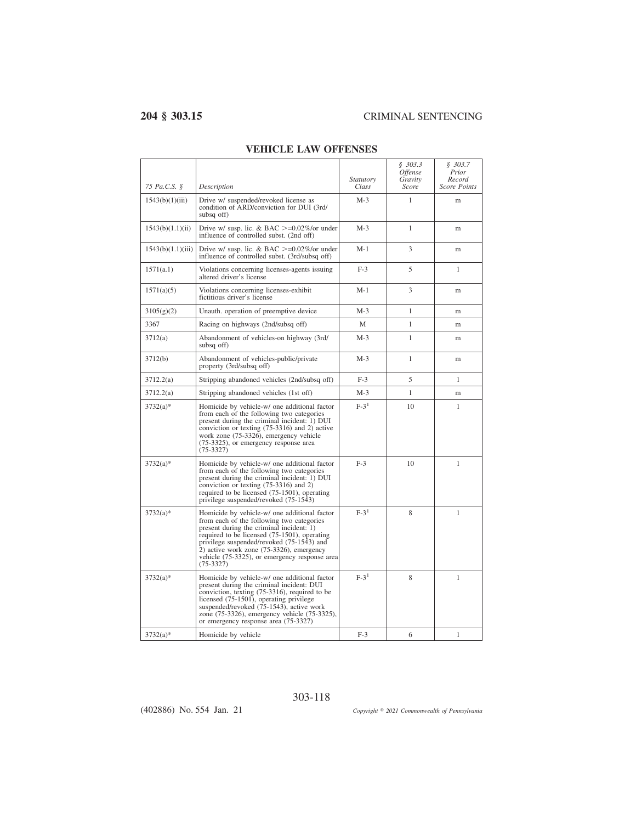$\overline{\phantom{0}}$ 

| 75 Pa.C.S. §      | Description                                                                                                                                                                                                                                                                                                                                    | <i>Statutory</i><br>Class | \$303.3<br><i><b>Offense</b></i><br>Gravity<br>Score | \$303.7<br>Prior<br>Record<br><b>Score Points</b> |
|-------------------|------------------------------------------------------------------------------------------------------------------------------------------------------------------------------------------------------------------------------------------------------------------------------------------------------------------------------------------------|---------------------------|------------------------------------------------------|---------------------------------------------------|
| 1543(b)(1)(iii)   | Drive w/ suspended/revoked license as<br>condition of ARD/conviction for DUI (3rd/<br>subsq off)                                                                                                                                                                                                                                               | $M-3$                     | 1                                                    | m                                                 |
| 1543(b)(1.1)(ii)  | Drive w/ susp. lic. & BAC $>=0.02\%$ /or under<br>influence of controlled subst. (2nd off)                                                                                                                                                                                                                                                     | $M-3$                     | 1                                                    | m                                                 |
| 1543(b)(1.1)(iii) | Drive w/ susp. lic. & BAC $\geq$ =0.02%/or under<br>influence of controlled subst. (3rd/subsq off)                                                                                                                                                                                                                                             | $M-1$                     | 3                                                    | m                                                 |
| 1571(a.1)         | Violations concerning licenses-agents issuing<br>altered driver's license                                                                                                                                                                                                                                                                      | $F-3$                     | 5                                                    | $\mathbf{1}$                                      |
| 1571(a)(5)        | Violations concerning licenses-exhibit<br>fictitious driver's license                                                                                                                                                                                                                                                                          | $M-1$                     | 3                                                    | m                                                 |
| 3105(g)(2)        | Unauth, operation of preemptive device                                                                                                                                                                                                                                                                                                         | $M-3$                     | 1                                                    | m                                                 |
| 3367              | Racing on highways (2nd/subsq off)                                                                                                                                                                                                                                                                                                             | М                         | 1                                                    | m                                                 |
| 3712(a)           | Abandonment of vehicles-on highway (3rd/<br>subsq off)                                                                                                                                                                                                                                                                                         | $M-3$                     | 1                                                    | m                                                 |
| 3712(b)           | Abandonment of vehicles-public/private<br>property (3rd/subsq off)                                                                                                                                                                                                                                                                             | $M-3$                     | 1                                                    | m                                                 |
| 3712.2(a)         | Stripping abandoned vehicles (2nd/subsq off)                                                                                                                                                                                                                                                                                                   | $F-3$                     | 5                                                    | 1                                                 |
| 3712.2(a)         | Stripping abandoned vehicles (1st off)                                                                                                                                                                                                                                                                                                         | $M-3$                     | 1                                                    | m                                                 |
| $3732(a)*$        | Homicide by vehicle-w/ one additional factor<br>from each of the following two categories<br>present during the criminal incident: 1) DUI<br>conviction or texting (75-3316) and 2) active<br>work zone (75-3326), emergency vehicle<br>(75-3325), or emergency response area<br>$(75-3327)$                                                   | $F-31$                    | 10                                                   | 1                                                 |
| $3732(a)*$        | Homicide by vehicle-w/ one additional factor<br>from each of the following two categories<br>present during the criminal incident: 1) DUI<br>conviction or texting (75-3316) and 2)<br>required to be licensed (75-1501), operating<br>privilege suspended/revoked (75-1543)                                                                   | $F-3$                     | 10                                                   | 1                                                 |
| $3732(a)*$        | Homicide by vehicle-w/ one additional factor<br>from each of the following two categories<br>present during the criminal incident: 1)<br>required to be licensed (75-1501), operating<br>privilege suspended/revoked (75-1543) and<br>2) active work zone (75-3326), emergency<br>vehicle (75-3325), or emergency response area<br>$(75-3327)$ | $F-31$                    | 8                                                    | 1                                                 |
| $3732(a)*$        | Homicide by vehicle-w/ one additional factor<br>present during the criminal incident: DUI<br>conviction, texting (75-3316), required to be<br>licensed (75-1501), operating privilege<br>suspended/revoked (75-1543), active work<br>zone (75-3326), emergency vehicle (75-3325),<br>or emergency response area (75-3327)                      | $F-31$                    | 8                                                    | 1                                                 |
| $3732(a)*$        | Homicide by vehicle                                                                                                                                                                                                                                                                                                                            | $F-3$                     | 6                                                    | 1                                                 |

303-118

## **VEHICLE LAW OFFENSES**

(402886) No. 554 Jan. 21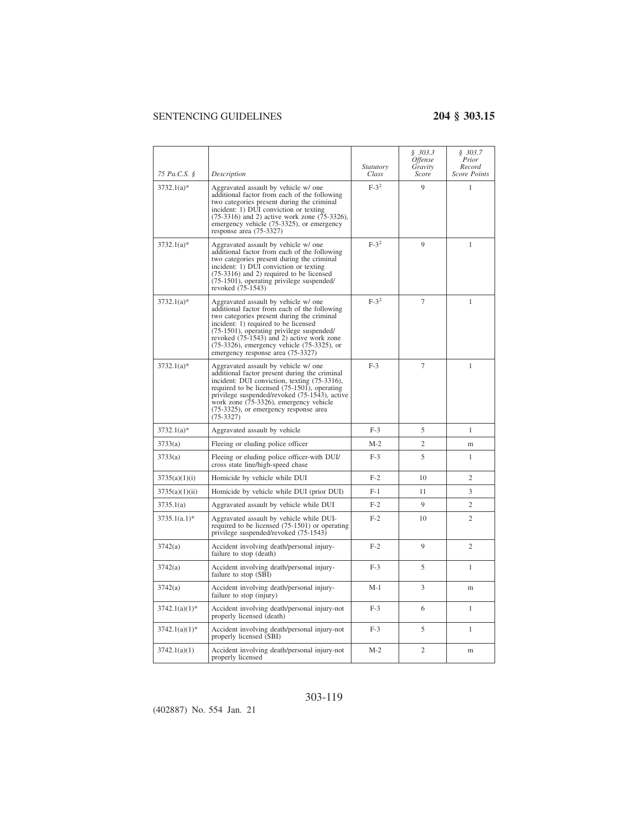| 75 Pa.C.S. §     | Description                                                                                                                                                                                                                                                                                                                                                   | <i>Statutory</i><br>Class | \$303.3\$<br><i>Offense</i><br>Gravity<br>Score | \$303.7<br>Prior<br>Record<br><b>Score Points</b> |
|------------------|---------------------------------------------------------------------------------------------------------------------------------------------------------------------------------------------------------------------------------------------------------------------------------------------------------------------------------------------------------------|---------------------------|-------------------------------------------------|---------------------------------------------------|
| $3732.1(a)*$     | Aggravated assault by vehicle w/ one<br>additional factor from each of the following<br>two categories present during the criminal<br>incident: 1) DUI conviction or texting<br>$(75-3316)$ and 2) active work zone $(75-3326)$ ,<br>emergency vehicle (75-3325), or emergency<br>response area (75-3327)                                                     | $F-3^2$                   | 9                                               | 1                                                 |
| $3732.1(a)*$     | Aggravated assault by vehicle w/ one<br>additional factor from each of the following<br>two categories present during the criminal<br>incident: 1) DUI conviction or texting<br>$(75-3316)$ and 2) required to be licensed<br>(75-1501), operating privilege suspended/<br>revoked (75-1543)                                                                  | $F-3^2$                   | 9                                               | 1                                                 |
| $3732.1(a)*$     | Aggravated assault by vehicle w/ one<br>additional factor from each of the following<br>two categories present during the criminal<br>incident: 1) required to be licensed<br>(75-1501), operating privilege suspended/<br>revoked (75-1543) and 2) active work zone<br>$(75-3326)$ , emergency vehicle $(75-3325)$ , or<br>emergency response area (75-3327) | $F-3^2$                   | $\overline{7}$                                  | 1                                                 |
| $3732.1(a)*$     | Aggravated assault by vehicle w/ one<br>additional factor present during the criminal<br>incident: DUI conviction, texting (75-3316),<br>required to be licensed (75-1501), operating<br>privilege suspended/revoked (75-1543), active<br>work zone (75-3326), emergency vehicle<br>(75-3325), or emergency response area<br>$(75-3327)$                      | $F-3$                     | $\overline{7}$                                  | 1                                                 |
| $3732.1(a)*$     | Aggravated assault by vehicle                                                                                                                                                                                                                                                                                                                                 | $F-3$                     | 5                                               | 1                                                 |
| 3733(a)          | Fleeing or eluding police officer                                                                                                                                                                                                                                                                                                                             | $M-2$                     | $\overline{c}$                                  | m                                                 |
| 3733(a)          | Fleeing or eluding police officer-with DUI/<br>cross state line/high-speed chase                                                                                                                                                                                                                                                                              | $F-3$                     | 5                                               | 1                                                 |
| 3735(a)(1)(i)    | Homicide by vehicle while DUI                                                                                                                                                                                                                                                                                                                                 | $F-2$                     | 10                                              | 2                                                 |
| 3735(a)(1)(ii)   | Homicide by vehicle while DUI (prior DUI)                                                                                                                                                                                                                                                                                                                     | $F-1$                     | 11                                              | 3                                                 |
| 3735.1(a)        | Aggravated assault by vehicle while DUI                                                                                                                                                                                                                                                                                                                       | $F-2$                     | 9                                               | $\overline{c}$                                    |
| $3735.1(a.1)$ *  | Aggravated assault by vehicle while DUI-<br>required to be licensed (75-1501) or operating<br>privilege suspended/revoked (75-1543)                                                                                                                                                                                                                           | $F-2$                     | 10                                              | 2                                                 |
| 3742(a)          | Accident involving death/personal injury-<br>failure to stop (death)                                                                                                                                                                                                                                                                                          | $F-2$                     | 9                                               | $\overline{c}$                                    |
| 3742(a)          | Accident involving death/personal injury-<br>failure to stop $(S\overline{BI})$                                                                                                                                                                                                                                                                               | $F-3$                     | 5                                               | 1                                                 |
| 3742(a)          | Accident involving death/personal injury-<br>failure to stop (injury)                                                                                                                                                                                                                                                                                         | M-1                       | 3                                               | m                                                 |
| $3742.1(a)(1)$ * | Accident involving death/personal injury-not<br>properly licensed (death)                                                                                                                                                                                                                                                                                     | $F-3$                     | 6                                               | 1                                                 |
| $3742.1(a)(1)$ * | Accident involving death/personal injury-not<br>properly licensed (SBI)                                                                                                                                                                                                                                                                                       | $F-3$                     | 5                                               | $\mathbf{1}$                                      |
| 3742.1(a)(1)     | Accident involving death/personal injury-not<br>properly licensed                                                                                                                                                                                                                                                                                             | M-2                       | 2                                               | m                                                 |

# 303-119

(402887) No. 554 Jan. 21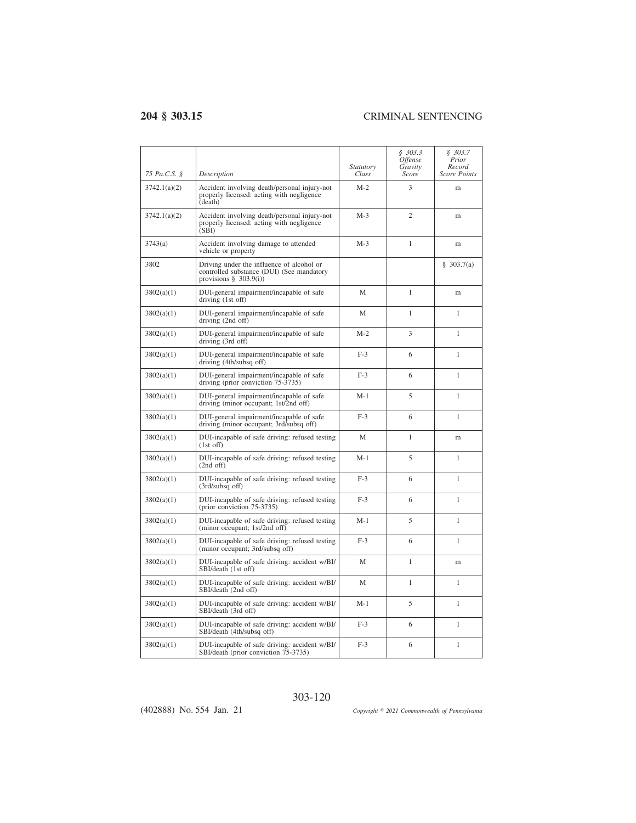$\overline{a}$ 

| 75 Pa.C.S. § | Description                                                                                                         | <i>Statutory</i><br>Class | \$303.3<br><i><b>Offense</b></i><br>Gravity<br>Score | \$303.7<br>Prior<br>Record<br><b>Score Points</b> |
|--------------|---------------------------------------------------------------------------------------------------------------------|---------------------------|------------------------------------------------------|---------------------------------------------------|
| 3742.1(a)(2) | Accident involving death/personal injury-not<br>properly licensed: acting with negligence<br>(death)                | $M-2$                     | 3                                                    | m                                                 |
| 3742.1(a)(2) | Accident involving death/personal injury-not<br>properly licensed: acting with negligence<br>(SBI)                  | $M-3$                     | $\overline{c}$                                       | m                                                 |
| 3743(a)      | Accident involving damage to attended<br>vehicle or property                                                        | $M-3$                     | 1                                                    | m                                                 |
| 3802         | Driving under the influence of alcohol or<br>controlled substance (DUI) (See mandatory<br>provisions $\S$ 303.9(i)) |                           |                                                      | \$303.7(a)                                        |
| 3802(a)(1)   | DUI-general impairment/incapable of safe<br>driving (1st off)                                                       | М                         | 1                                                    | m                                                 |
| 3802(a)(1)   | DUI-general impairment/incapable of safe<br>driving $(2nd$ off)                                                     | M                         | 1                                                    | $\mathbf{1}$                                      |
| 3802(a)(1)   | DUI-general impairment/incapable of safe<br>driving (3rd off)                                                       | $M-2$                     | 3                                                    | 1                                                 |
| 3802(a)(1)   | DUI-general impairment/incapable of safe<br>driving (4th/subsq off)                                                 | $F-3$                     | 6                                                    | $\mathbf{1}$                                      |
| 3802(a)(1)   | DUI-general impairment/incapable of safe<br>driving (prior conviction 75-3735)                                      | $F-3$                     | 6                                                    | 1                                                 |
| 3802(a)(1)   | DUI-general impairment/incapable of safe<br>driving (minor occupant; 1st/2nd off)                                   | $M-1$                     | 5                                                    | 1                                                 |
| 3802(a)(1)   | DUI-general impairment/incapable of safe<br>driving (minor occupant; 3rd/subsq off)                                 | $F-3$                     | 6                                                    | 1                                                 |
| 3802(a)(1)   | DUI-incapable of safe driving: refused testing<br>$(1st$ off)                                                       | М                         | 1                                                    | m                                                 |
| 3802(a)(1)   | DUI-incapable of safe driving: refused testing<br>$(2nd$ off)                                                       | $M-1$                     | 5                                                    | $\mathbf{1}$                                      |
| 3802(a)(1)   | DUI-incapable of safe driving: refused testing<br>(3rd/subsq off)                                                   | $F-3$                     | 6                                                    | $\mathbf{1}$                                      |
| 3802(a)(1)   | DUI-incapable of safe driving: refused testing<br>(prior conviction 75-3735)                                        | $F-3$                     | 6                                                    | $\mathbf{1}$                                      |
| 3802(a)(1)   | DUI-incapable of safe driving: refused testing<br>(minor occupant; 1st/2nd off)                                     | $M-1$                     | 5                                                    | 1                                                 |
| 3802(a)(1)   | DUI-incapable of safe driving: refused testing<br>(minor occupant; 3rd/subsq off)                                   | $F-3$                     | 6                                                    | 1                                                 |
| 3802(a)(1)   | DUI-incapable of safe driving: accident w/BI/<br>SBI/death (1st off)                                                | M                         | 1                                                    | m                                                 |
| 3802(a)(1)   | DUI-incapable of safe driving: accident w/BI/<br>SBI/death (2nd off)                                                | М                         | $\mathbf{1}$                                         | $\mathbf{1}$                                      |
| 3802(a)(1)   | DUI-incapable of safe driving: accident w/BI/<br>SBI/death (3rd off)                                                | $M-1$                     | 5                                                    | $\mathbf{1}$                                      |
| 3802(a)(1)   | DUI-incapable of safe driving: accident w/BI/<br>SBI/death (4th/subsq off)                                          | $F-3$                     | 6                                                    | $\mathbf{1}$                                      |
| 3802(a)(1)   | DUI-incapable of safe driving: accident w/BI/<br>SBI/death (prior conviction 75-3735)                               | $F-3$                     | 6                                                    | $\mathbf{1}$                                      |

(402888) No. 554 Jan. 21

*2021 Commonwealth of Pennsylvania*

## 303-120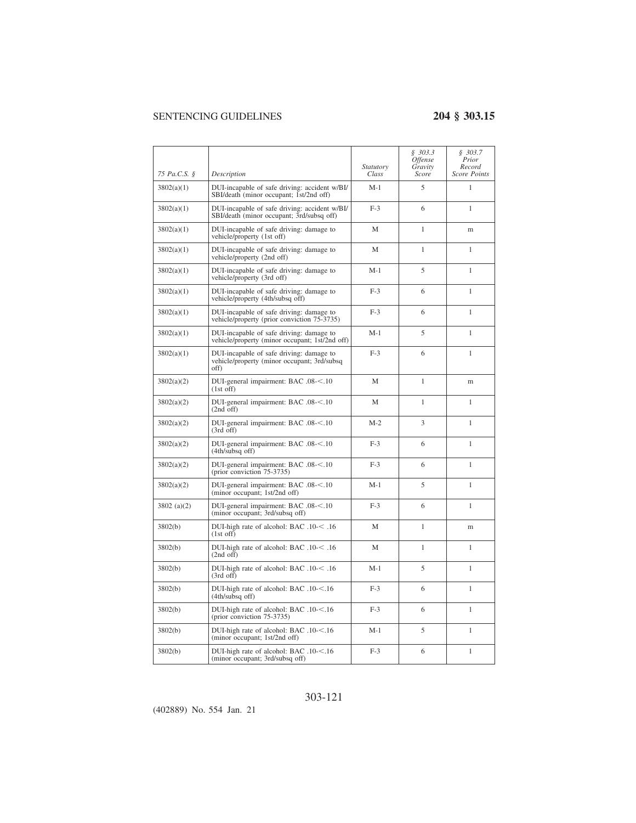|               |                                                                                                 | <i>Statutory</i> | \$303.3<br><i>Offense</i><br>Gravity | \$303.7<br>Prior<br>Record |
|---------------|-------------------------------------------------------------------------------------------------|------------------|--------------------------------------|----------------------------|
| 75 Pa.C.S. §  | Description                                                                                     | Class            | Score                                | <b>Score Points</b>        |
| 3802(a)(1)    | DUI-incapable of safe driving: accident w/BI/<br>SBI/death (minor occupant; 1st/2nd off)        | $M-1$            | 5                                    | 1                          |
| 3802(a)(1)    | DUI-incapable of safe driving: accident w/BI/<br>SBI/death (minor occupant; 3rd/subsq off)      | $F-3$            | 6                                    | 1                          |
| 3802(a)(1)    | DUI-incapable of safe driving: damage to<br>vehicle/property (1st off)                          | M                | 1                                    | m                          |
| 3802(a)(1)    | DUI-incapable of safe driving: damage to<br>vehicle/property (2nd off)                          | M                | 1                                    | 1                          |
| 3802(a)(1)    | DUI-incapable of safe driving: damage to<br>vehicle/property (3rd off)                          | M-1              | 5                                    | 1                          |
| 3802(a)(1)    | DUI-incapable of safe driving: damage to<br>vehicle/property (4th/subsq off)                    | $F-3$            | 6                                    | 1                          |
| 3802(a)(1)    | DUI-incapable of safe driving: damage to<br>vehicle/property (prior conviction 75-3735)         | $F-3$            | 6                                    | $\mathbf{1}$               |
| 3802(a)(1)    | DUI-incapable of safe driving: damage to<br>vehicle/property (minor occupant; 1st/2nd off)      | $M-1$            | 5                                    | $\mathbf{1}$               |
| 3802(a)(1)    | DUI-incapable of safe driving: damage to<br>vehicle/property (minor occupant; 3rd/subsq<br>off) | $F-3$            | 6                                    | 1                          |
| 3802(a)(2)    | DUI-general impairment: BAC .08-<.10<br>$(1st$ off)                                             | M                | 1                                    | m                          |
| 3802(a)(2)    | DUI-general impairment: BAC .08-<.10<br>$(2nd$ off)                                             | M                | $\mathbf{1}$                         | $\mathbf{1}$               |
| 3802(a)(2)    | DUI-general impairment: BAC .08-<.10<br>$(3rd \text{ off})$                                     | $M-2$            | 3                                    | 1                          |
| 3802(a)(2)    | DUI-general impairment: BAC .08-<.10<br>(4th/subsq off)                                         | $F-3$            | 6                                    | 1                          |
| 3802(a)(2)    | DUI-general impairment: BAC .08-<.10<br>(prior conviction 75-3735)                              | $F-3$            | 6                                    | 1                          |
| 3802(a)(2)    | DUI-general impairment: BAC .08-<.10<br>(minor occupant; 1st/2nd off)                           | $M-1$            | 5                                    | 1                          |
| $3802$ (a)(2) | DUI-general impairment: BAC .08-<.10<br>(minor occupant; 3rd/subsq off)                         | $F-3$            | 6                                    | 1                          |
| 3802(b)       | DUI-high rate of alcohol: BAC .10-< .16<br>$(1st$ off)                                          | М                | 1                                    | m                          |
| 3802(b)       | DUI-high rate of alcohol: BAC .10-< .16<br>$(2nd$ off)                                          | М                | 1                                    | 1                          |
| 3802(b)       | DUI-high rate of alcohol: BAC .10-< .16<br>$(3rd$ off)                                          | $M-1$            | 5                                    | 1                          |
| 3802(b)       | DUI-high rate of alcohol: BAC .10-<.16<br>$(4th/subsq$ off)                                     | $F-3$            | 6                                    | $\mathbf{1}$               |
| 3802(b)       | DUI-high rate of alcohol: BAC .10-<.16<br>(prior conviction 75-3735)                            | $F-3$            | 6                                    | 1                          |
| 3802(b)       | DUI-high rate of alcohol: BAC .10-<.16<br>(minor occupant; 1st/2nd off)                         | $M-1$            | 5                                    | 1                          |
| 3802(b)       | DUI-high rate of alcohol: BAC .10-<.16<br>(minor occupant; 3rd/subsq off)                       | $F-3$            | 6                                    | 1                          |

## 303-121

(402889) No. 554 Jan. 21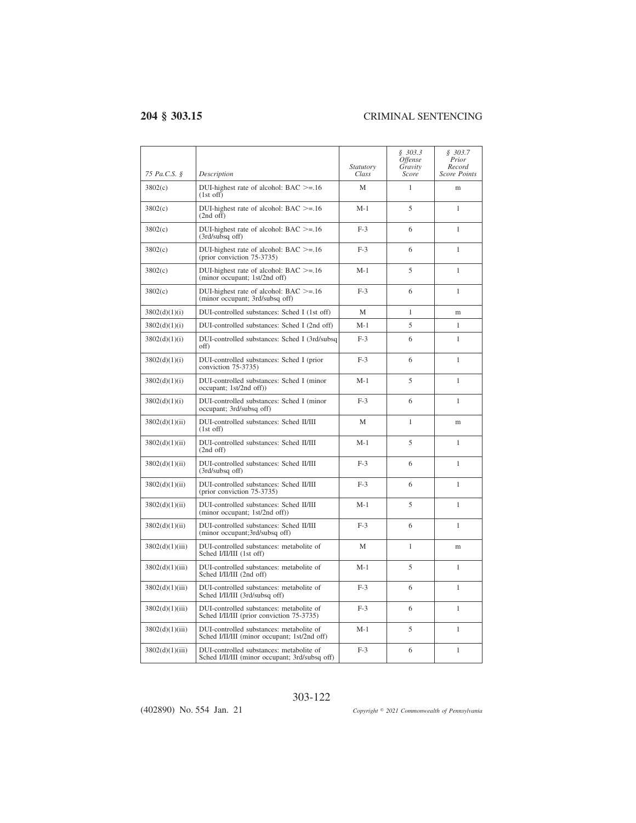$\overline{a}$ 

| 75 Pa.C.S. §    | Description                                                                                | Statutory<br>Class | \$303.3<br>Offense<br>Gravity<br>Score | \$303.7<br>Prior<br>Record<br><b>Score Points</b> |
|-----------------|--------------------------------------------------------------------------------------------|--------------------|----------------------------------------|---------------------------------------------------|
| 3802(c)         | DUI-highest rate of alcohol: $BAC \geq 16$<br>$(1st$ off)                                  | M                  | 1                                      | m                                                 |
| 3802(c)         | DUI-highest rate of alcohol: $BAC >= 16$<br>$(2nd$ off)                                    | $M-1$              | 5                                      | $\mathbf{1}$                                      |
| 3802(c)         | DUI-highest rate of alcohol: $BAC \geq 1.16$<br>(3rd/subsq off)                            | $F-3$              | 6                                      | 1                                                 |
| 3802(c)         | DUI-highest rate of alcohol: $BAC >= 16$<br>(prior conviction 75-3735)                     | $F-3$              | 6                                      | 1                                                 |
| 3802(c)         | DUI-highest rate of alcohol: $BAC \geq 1.16$<br>(minor occupant; 1st/2nd off)              | $M-1$              | 5                                      | 1                                                 |
| 3802(c)         | DUI-highest rate of alcohol: $BAC \geq 1.16$<br>(minor occupant; 3rd/subsq off)            | $F-3$              | 6                                      | 1                                                 |
| 3802(d)(1)(i)   | DUI-controlled substances: Sched I (1st off)                                               | М                  | 1                                      | m                                                 |
| 3802(d)(1)(i)   | DUI-controlled substances: Sched I (2nd off)                                               | $M-1$              | 5                                      | $\mathbf{1}$                                      |
| 3802(d)(1)(i)   | DUI-controlled substances: Sched I (3rd/subsq<br>off)                                      | $F-3$              | 6                                      | 1                                                 |
| 3802(d)(1)(i)   | DUI-controlled substances: Sched I (prior)<br>conviction 75-3735)                          | $F-3$              | 6                                      | $\mathbf{1}$                                      |
| 3802(d)(1)(i)   | DUI-controlled substances: Sched I (minor<br>occupant; 1st/2nd off))                       | $M-1$              | 5                                      | $\mathbf{1}$                                      |
| 3802(d)(1)(i)   | DUI-controlled substances: Sched I (minor<br>occupant; 3rd/subsq off)                      | $F-3$              | 6                                      | 1                                                 |
| 3802(d)(1)(ii)  | DUI-controlled substances: Sched II/III<br>$(1st$ off)                                     | M                  | 1                                      | m                                                 |
| 3802(d)(1)(ii)  | DUI-controlled substances: Sched II/III<br>$(2nd$ off)                                     | $M-1$              | 5                                      | 1                                                 |
| 3802(d)(1)(ii)  | DUI-controlled substances: Sched II/III<br>(3rd/subsa off)                                 | $F-3$              | 6                                      | $\mathbf{1}$                                      |
| 3802(d)(1)(ii)  | DUI-controlled substances: Sched II/III<br>(prior conviction 75-3735)                      | $F-3$              | 6                                      | $\mathbf{1}$                                      |
| 3802(d)(1)(ii)  | DUI-controlled substances: Sched II/III<br>(minor occupant; 1st/2nd off))                  | $M-1$              | 5                                      | $\mathbf{1}$                                      |
| 3802(d)(1)(ii)  | DUI-controlled substances: Sched II/III<br>(minor occupant;3rd/subsq off)                  | $F-3$              | 6                                      | $\mathbf{1}$                                      |
| 3802(d)(1)(iii) | DUI-controlled substances: metabolite of<br>Sched I/II/III (1st off)                       | M                  | $\mathbf{1}$                           | m                                                 |
| 3802(d)(1)(iii) | DUI-controlled substances: metabolite of<br>Sched I/II/III (2nd off)                       | $M-1$              | 5                                      | $\mathbf{1}$                                      |
| 3802(d)(1)(iii) | DUI-controlled substances: metabolite of<br>Sched I/II/III (3rd/subsq off)                 | $F-3$              | 6                                      | $\mathbf{1}$                                      |
| 3802(d)(1)(iii) | DUI-controlled substances: metabolite of<br>Sched I/II/III (prior conviction 75-3735)      | $F-3$              | 6                                      | 1                                                 |
| 3802(d)(1)(iii) | DUI-controlled substances: metabolite of<br>Sched I/II/III (minor occupant; 1st/2nd off)   | $M-1$              | 5                                      | $\mathbf{1}$                                      |
| 3802(d)(1)(iii) | DUI-controlled substances: metabolite of<br>Sched I/II/III (minor occupant; 3rd/subsq off) | $F-3$              | 6                                      | 1                                                 |

(402890) No. 554 Jan. 21

*2021 Commonwealth of Pennsylvania*

## 303-122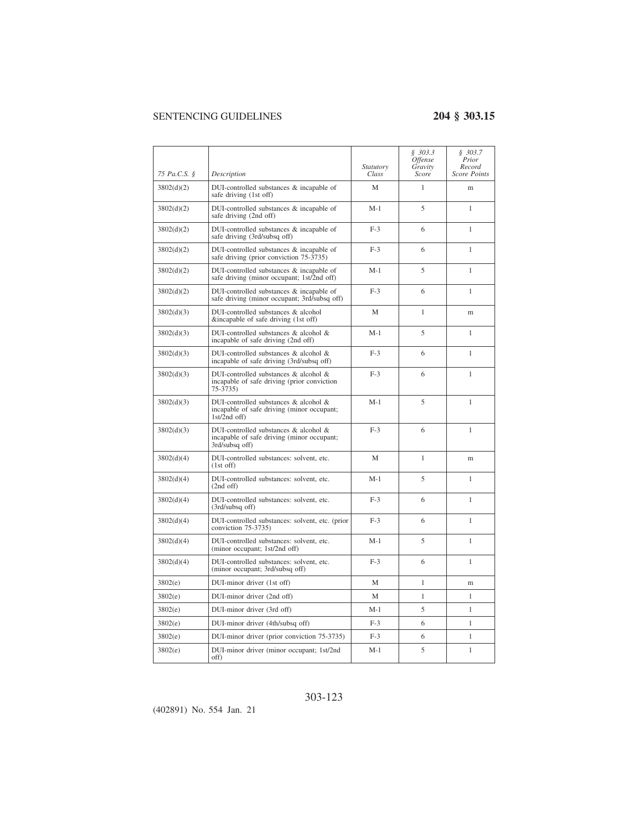|              |                                                                                                       | Statutory | \$303.3<br>Offense<br>Gravity | \$303.7<br>Prior<br>Record |
|--------------|-------------------------------------------------------------------------------------------------------|-----------|-------------------------------|----------------------------|
| 75 Pa.C.S. § | Description                                                                                           | Class     | Score                         | Score Points               |
| 3802(d)(2)   | DUI-controlled substances & incapable of<br>safe driving (1st off)                                    | M         | 1                             | m                          |
| 3802(d)(2)   | DUI-controlled substances & incapable of<br>safe driving (2nd off)                                    | $M-1$     | 5                             | 1                          |
| 3802(d)(2)   | DUI-controlled substances & incapable of<br>safe driving (3rd/subsq off)                              | $F-3$     | 6                             | $\mathbf{1}$               |
| 3802(d)(2)   | DUI-controlled substances & incapable of<br>safe driving (prior conviction 75-3735)                   | $F-3$     | 6                             | 1                          |
| 3802(d)(2)   | DUI-controlled substances & incapable of<br>safe driving (minor occupant; 1st/2nd off)                | $M-1$     | 5                             | 1                          |
| 3802(d)(2)   | DUI-controlled substances & incapable of<br>safe driving (minor occupant; 3rd/subsq off)              | $F-3$     | 6                             | 1                          |
| 3802(d)(3)   | DUI-controlled substances & alcohol<br>&incapable of safe driving (1st off)                           | М         | 1                             | m                          |
| 3802(d)(3)   | DUI-controlled substances & alcohol &<br>incapable of safe driving (2nd off)                          | $M-1$     | 5                             | 1                          |
| 3802(d)(3)   | DUI-controlled substances & alcohol &<br>incapable of safe driving (3rd/subsq off)                    | $F-3$     | 6                             | $\mathbf{1}$               |
| 3802(d)(3)   | DUI-controlled substances & alcohol &<br>incapable of safe driving (prior conviction<br>$75 - 3735$   | $F-3$     | 6                             | 1                          |
| 3802(d)(3)   | DUI-controlled substances & alcohol &<br>incapable of safe driving (minor occupant;<br>$1st/2nd$ off) | $M-1$     | 5                             | 1                          |
| 3802(d)(3)   | DUI-controlled substances & alcohol &<br>incapable of safe driving (minor occupant;<br>3rd/subsq off) | $F-3$     | 6                             | 1                          |
| 3802(d)(4)   | DUI-controlled substances: solvent, etc.<br>$(1st$ off)                                               | M         | $\mathbf{1}$                  | m                          |
| 3802(d)(4)   | DUI-controlled substances: solvent, etc.<br>$(2nd$ off)                                               | $M-1$     | 5                             | 1                          |
| 3802(d)(4)   | DUI-controlled substances: solvent, etc.<br>(3rd/subsq off)                                           | $F-3$     | 6                             | 1                          |
| 3802(d)(4)   | DUI-controlled substances: solvent, etc. (prior<br>conviction 75-3735)                                | $F-3$     | 6                             | $\mathbf{1}$               |
| 3802(d)(4)   | DUI-controlled substances: solvent, etc.<br>(minor occupant; 1st/2nd off)                             | $M-1$     | 5                             | 1                          |
| 3802(d)(4)   | DUI-controlled substances: solvent, etc.<br>(minor occupant; 3rd/subsq off)                           | $F-3$     | 6                             | 1                          |
| 3802(e)      | DUI-minor driver (1st off)                                                                            | М         | 1                             | m                          |
| 3802(e)      | DUI-minor driver (2nd off)                                                                            | М         | 1                             | 1                          |
| 3802(e)      | DUI-minor driver (3rd off)                                                                            | $M-1$     | 5                             | $\mathbf{1}$               |
| 3802(e)      | DUI-minor driver (4th/subsq off)                                                                      | $F-3$     | 6                             | $\mathbf{1}$               |
| 3802(e)      | DUI-minor driver (prior conviction 75-3735)                                                           | $F-3$     | 6                             | $\mathbf{1}$               |
| 3802(e)      | DUI-minor driver (minor occupant; 1st/2nd<br>off)                                                     | M-1       | 5                             | $\mathbf{1}$               |

## 303-123

(402891) No. 554 Jan. 21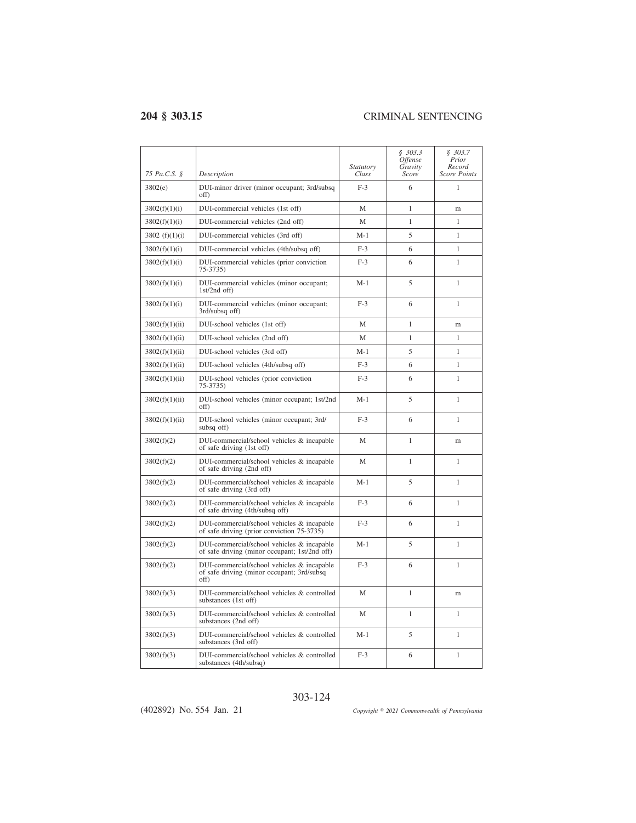| 75 Pa.C.S. §     | Description                                                                                      | <i>Statutory</i><br>Class | \$303.3<br><i><b>Offense</b></i><br>Gravity<br>Score | \$303.7<br>Prior<br>Record<br><b>Score Points</b> |
|------------------|--------------------------------------------------------------------------------------------------|---------------------------|------------------------------------------------------|---------------------------------------------------|
| 3802(e)          | DUI-minor driver (minor occupant; 3rd/subsq<br>off)                                              | $F-3$                     | 6                                                    | 1                                                 |
| 3802(f)(1)(i)    | DUI-commercial vehicles (1st off)                                                                | М                         | $\mathbf{1}$                                         | m                                                 |
| 3802(f)(1)(i)    | DUI-commercial vehicles (2nd off)                                                                | М                         | 1                                                    | 1                                                 |
| 3802 $(f)(1)(i)$ | DUI-commercial vehicles (3rd off)                                                                | $M-1$                     | 5                                                    | $\mathbf{1}$                                      |
| 3802(f)(1)(i)    | DUI-commercial vehicles (4th/subsq off)                                                          | $F-3$                     | 6                                                    | $\mathbf{1}$                                      |
| 3802(f)(1)(i)    | DUI-commercial vehicles (prior conviction<br>75-3735)                                            | $F-3$                     | 6                                                    | 1                                                 |
| 3802(f)(1)(i)    | DUI-commercial vehicles (minor occupant;<br>$1st/2nd$ off)                                       | $M-1$                     | 5                                                    | $\mathbf{1}$                                      |
| 3802(f)(1)(i)    | DUI-commercial vehicles (minor occupant;<br>3rd/subsq off)                                       | $F-3$                     | 6                                                    | 1                                                 |
| 3802(f)(1)(ii)   | DUI-school vehicles (1st off)                                                                    | М                         | 1                                                    | m                                                 |
| 3802(f)(1)(ii)   | DUI-school vehicles (2nd off)                                                                    | M                         | 1                                                    | 1                                                 |
| 3802(f)(1)(ii)   | DUI-school vehicles (3rd off)                                                                    | $M-1$                     | 5                                                    | 1                                                 |
| 3802(f)(1)(ii)   | DUI-school vehicles (4th/subsq off)                                                              | $F-3$                     | 6                                                    | $\mathbf{1}$                                      |
| 3802(f)(1)(ii)   | DUI-school vehicles (prior conviction<br>$75 - 3735$                                             | $F-3$                     | 6                                                    | 1                                                 |
| 3802(f)(1)(ii)   | DUI-school vehicles (minor occupant; 1st/2nd<br>off)                                             | $M-1$                     | 5                                                    | $\mathbf{1}$                                      |
| 3802(f)(1)(ii)   | DUI-school vehicles (minor occupant; 3rd/<br>subsq off)                                          | $F-3$                     | 6                                                    | $\mathbf{1}$                                      |
| 3802(f)(2)       | DUI-commercial/school vehicles & incapable<br>of safe driving (1st off)                          | М                         | $\mathbf{1}$                                         | m                                                 |
| 3802(f)(2)       | DUI-commercial/school vehicles & incapable<br>of safe driving (2nd off)                          | M                         | $\mathbf{1}$                                         | $\mathbf{1}$                                      |
| 3802(f)(2)       | DUI-commercial/school vehicles & incapable<br>of safe driving (3rd off)                          | $M-1$                     | 5                                                    | $\mathbf{1}$                                      |
| 3802(f)(2)       | DUI-commercial/school vehicles & incapable<br>of safe driving (4th/subsq off)                    | $F-3$                     | 6                                                    | 1                                                 |
| 3802(f)(2)       | DUI-commercial/school vehicles & incapable<br>of safe driving (prior conviction 75-3735)         | $F-3$                     | 6                                                    | 1                                                 |
| 3802(f)(2)       | DUI-commercial/school vehicles & incapable<br>of safe driving (minor occupant; 1st/2nd off)      | $M-1$                     | 5                                                    | 1                                                 |
| 3802(f)(2)       | DUI-commercial/school vehicles & incapable<br>of safe driving (minor occupant; 3rd/subsq<br>off) | $F-3$                     | 6                                                    | 1                                                 |
| 3802(f)(3)       | DUI-commercial/school vehicles & controlled<br>substances (1st off)                              | М                         | 1                                                    | m                                                 |
| 3802(f)(3)       | DUI-commercial/school vehicles & controlled<br>substances (2nd off)                              | M                         | 1                                                    | 1                                                 |
| 3802(f)(3)       | DUI-commercial/school vehicles & controlled<br>substances (3rd off)                              | $M-1$                     | 5                                                    | 1                                                 |
| 3802(f)(3)       | DUI-commercial/school vehicles & controlled<br>substances (4th/subsq)                            | $F-3$                     | 6                                                    | 1                                                 |

303-124

(402892) No. 554 Jan. 21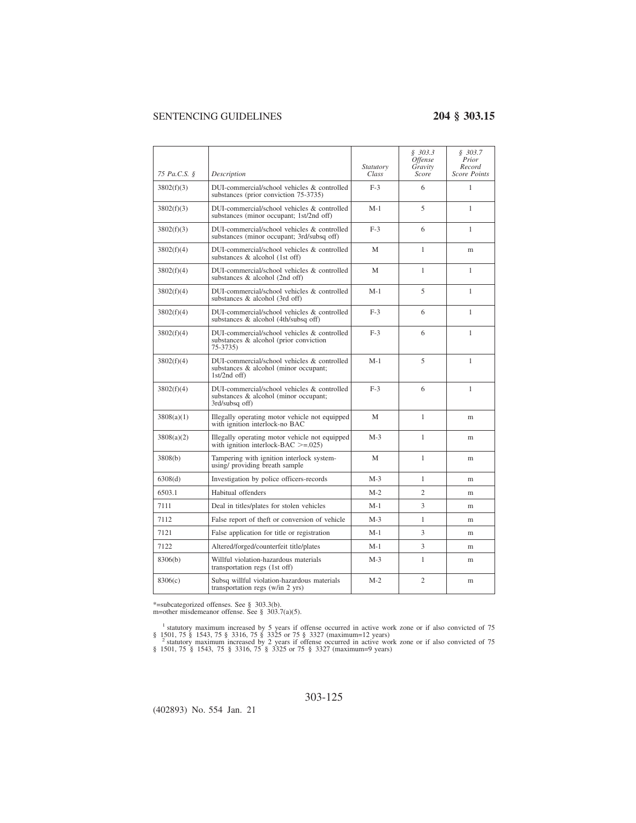| 75 Pa.C.S. § | Description                                                                                            | Statutory<br>Class | \$303.3<br>Offense<br>Gravity<br>Score | \$303.7<br>Prior<br>Record<br><b>Score Points</b> |
|--------------|--------------------------------------------------------------------------------------------------------|--------------------|----------------------------------------|---------------------------------------------------|
| 3802(f)(3)   | DUI-commercial/school vehicles & controlled<br>substances (prior conviction 75-3735)                   | $F-3$              | 6                                      | $\mathbf{1}$                                      |
| 3802(f)(3)   | DUI-commercial/school vehicles & controlled<br>substances (minor occupant; 1st/2nd off)                | $M-1$              | 5                                      | $\mathbf{1}$                                      |
| 3802(f)(3)   | DUI-commercial/school vehicles & controlled<br>substances (minor occupant; 3rd/subsq off)              | $F-3$              | 6                                      | $\mathbf{1}$                                      |
| 3802(f)(4)   | DUI-commercial/school vehicles & controlled<br>substances & alcohol (1st off)                          | M                  | 1                                      | m                                                 |
| 3802(f)(4)   | DUI-commercial/school vehicles & controlled<br>substances & alcohol (2nd off)                          | M                  | 1                                      | 1                                                 |
| 3802(f)(4)   | DUI-commercial/school vehicles & controlled<br>substances & alcohol (3rd off)                          | $M-1$              | 5                                      | $\mathbf{1}$                                      |
| 3802(f)(4)   | DUI-commercial/school vehicles & controlled<br>substances & alcohol (4th/subsq off)                    | $F-3$              | 6                                      | $\mathbf{1}$                                      |
| 3802(f)(4)   | DUI-commercial/school vehicles & controlled<br>substances & alcohol (prior conviction<br>75-3735)      | $F-3$              | 6                                      | 1                                                 |
| 3802(f)(4)   | DUI-commercial/school vehicles & controlled<br>substances & alcohol (minor occupant;<br>$1st/2nd$ off) | $M-1$              | 5                                      | $\mathbf{1}$                                      |
| 3802(f)(4)   | DUI-commercial/school vehicles & controlled<br>substances & alcohol (minor occupant;<br>3rd/subsq off) | $F-3$              | 6                                      | $\mathbf{1}$                                      |
| 3808(a)(1)   | Illegally operating motor vehicle not equipped<br>with ignition interlock-no BAC                       | M                  | $\mathbf{1}$                           | m                                                 |
| 3808(a)(2)   | Illegally operating motor vehicle not equipped<br>with ignition interlock-BAC $>=$ 025)                | $M-3$              | 1                                      | m                                                 |
| 3808(b)      | Tampering with ignition interlock system-<br>using/providing breath sample                             | M                  | 1                                      | m                                                 |
| 6308(d)      | Investigation by police officers-records                                                               | $M-3$              | 1                                      | m                                                 |
| 6503.1       | Habitual offenders                                                                                     | $M-2$              | $\overline{c}$                         | m                                                 |
| 7111         | Deal in titles/plates for stolen vehicles                                                              | M-1                | 3                                      | m                                                 |
| 7112         | False report of theft or conversion of vehicle                                                         | $M-3$              | $\mathbf{1}$                           | m                                                 |
| 7121         | False application for title or registration                                                            | $M-1$              | 3                                      | m                                                 |
| 7122         | Altered/forged/counterfeit title/plates                                                                | M-1                | 3                                      | m                                                 |
| 8306(b)      | Willful violation-hazardous materials<br>transportation regs (1st off)                                 | $M-3$              | 1                                      | m                                                 |
| 8306(c)      | Subsq willful violation-hazardous materials<br>transportation regs (w/in 2 yrs)                        | $M-2$              | $\overline{2}$                         | m                                                 |

\*=subcategorized offenses. See § 303.3(b). m=other misdemeanor offense. See § 303.7(a)(5).

<sup>1</sup> statutory maximum increased by 5 years if offense occurred in active work zone or if also convicted of 75

§ 1501, 75 § 1543, 75 § 3316, 75 § 3325 or 75 § 3327 (maximum=12 years)<br><sup>2</sup> statutory maximum increased by 2 years if offense occurred in active work zone or if also convicted of 75<br>§ 1501, 75 § 1543, 75 § 3316, 75 § 3325

(402893) No. 554 Jan. 21

303-125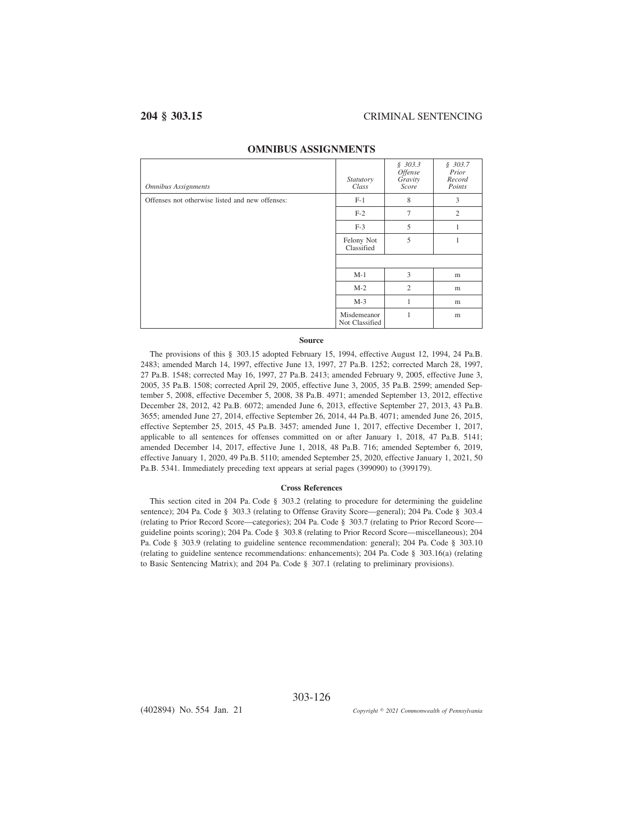| <b>Omnibus Assignments</b>                      | Statutory<br>Class            | \$303.3<br><i>Offense</i><br>Gravity<br>Score | \$303.7<br>Prior<br>Record<br>Points |
|-------------------------------------------------|-------------------------------|-----------------------------------------------|--------------------------------------|
| Offenses not otherwise listed and new offenses: | $F-1$                         | 8                                             | 3                                    |
|                                                 | $F-2$                         | $\overline{7}$                                | $\overline{2}$                       |
|                                                 | $F-3$                         | 5                                             | 1                                    |
|                                                 | Felony Not<br>Classified      | 5                                             |                                      |
|                                                 |                               |                                               |                                      |
|                                                 | $M-1$                         | 3                                             | m                                    |
|                                                 | $M-2$                         | $\overline{2}$                                | m                                    |
|                                                 | $M-3$                         | 1                                             | m                                    |
|                                                 | Misdemeanor<br>Not Classified | 1                                             | m                                    |

## **OMNIBUS ASSIGNMENTS**

## **Source**

The provisions of this § 303.15 adopted February 15, 1994, effective August 12, 1994, 24 Pa.B. 2483; amended March 14, 1997, effective June 13, 1997, 27 Pa.B. 1252; corrected March 28, 1997, 27 Pa.B. 1548; corrected May 16, 1997, 27 Pa.B. 2413; amended February 9, 2005, effective June 3, 2005, 35 Pa.B. 1508; corrected April 29, 2005, effective June 3, 2005, 35 Pa.B. 2599; amended September 5, 2008, effective December 5, 2008, 38 Pa.B. 4971; amended September 13, 2012, effective December 28, 2012, 42 Pa.B. 6072; amended June 6, 2013, effective September 27, 2013, 43 Pa.B. 3655; amended June 27, 2014, effective September 26, 2014, 44 Pa.B. 4071; amended June 26, 2015, effective September 25, 2015, 45 Pa.B. 3457; amended June 1, 2017, effective December 1, 2017, applicable to all sentences for offenses committed on or after January 1, 2018, 47 Pa.B. 5141; amended December 14, 2017, effective June 1, 2018, 48 Pa.B. 716; amended September 6, 2019, effective January 1, 2020, 49 Pa.B. 5110; amended September 25, 2020, effective January 1, 2021, 50 Pa.B. 5341. Immediately preceding text appears at serial pages (399090) to (399179).

### **Cross References**

This section cited in 204 Pa. Code § 303.2 (relating to procedure for determining the guideline sentence); 204 Pa. Code § 303.3 (relating to Offense Gravity Score—general); 204 Pa. Code § 303.4 (relating to Prior Record Score—categories); 204 Pa. Code § 303.7 (relating to Prior Record Score guideline points scoring); 204 Pa. Code § 303.8 (relating to Prior Record Score—miscellaneous); 204 Pa. Code § 303.9 (relating to guideline sentence recommendation: general); 204 Pa. Code § 303.10 (relating to guideline sentence recommendations: enhancements); 204 Pa. Code § 303.16(a) (relating to Basic Sentencing Matrix); and 204 Pa. Code § 307.1 (relating to preliminary provisions).

303-126

(402894) No. 554 Jan. 21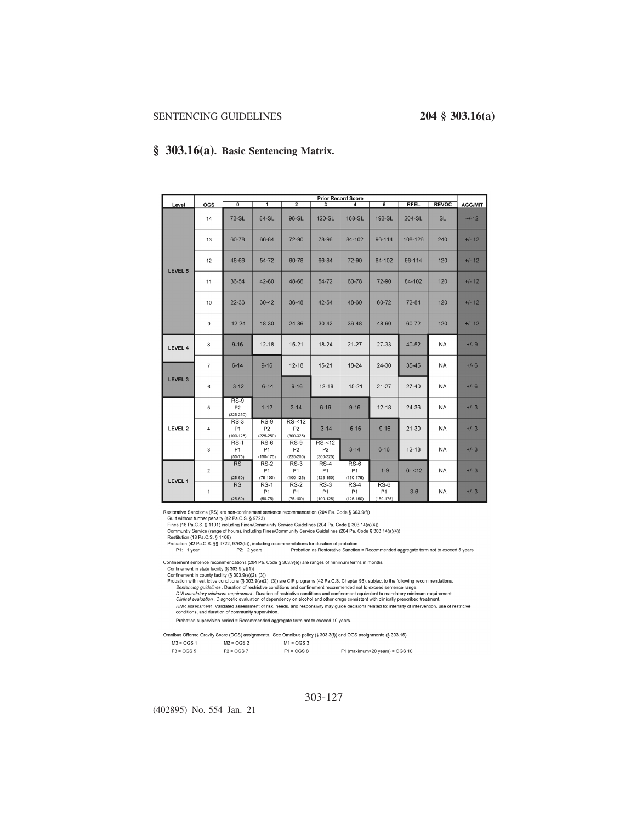## **§ 303.16(a). Basic Sentencing Matrix.**

|                |                |                                           |                                           |                                             |                                             | <b>Prior Record Score</b>            |                                         |             |              |                |
|----------------|----------------|-------------------------------------------|-------------------------------------------|---------------------------------------------|---------------------------------------------|--------------------------------------|-----------------------------------------|-------------|--------------|----------------|
| Level          | OGS            | $\overline{\mathfrak{o}}$                 | $\overline{\mathbf{1}}$                   | $\overline{2}$                              | 3                                           | 4                                    | $\overline{5}$                          | <b>RFEL</b> | <b>REVOC</b> | <b>AGG/MIT</b> |
|                | 14             | <b>72-SL</b>                              | 84-SL                                     | 96-SL                                       | 120-SL                                      | 168-SL                               | 192-SL                                  | 204-SL      | <b>SL</b>    | $-/-12$        |
|                | 13             | 60-78                                     | 66-84                                     | 72-90                                       | 78-96                                       | 84-102                               | 96-114                                  | 108-126     | 240          | $+/- 12$       |
| <b>LEVEL 5</b> | 12             | 48-66                                     | 54-72                                     | 60-78                                       | 66-84                                       | 72-90                                | 84-102                                  | 96-114      | 120          | $+/- 12$       |
|                | 11             | 36-54                                     | 42-60                                     | 48-66                                       | 54-72                                       | 60-78                                | 72-90                                   | 84-102      | 120          | $+/- 12$       |
|                | 10             | $22 - 36$                                 | $30 - 42$                                 | 36-48                                       | $42 - 54$                                   | 48-60                                | 60-72                                   | $72 - 84$   | 120          | $+/- 12$       |
|                | $\mathsf g$    | $12 - 24$                                 | 18-30                                     | 24-36                                       | $30 - 42$                                   | 36-48                                | 48-60                                   | 60-72       | 120          | $+/- 12$       |
| <b>LEVEL 4</b> | 8              | $9 - 16$                                  | $12 - 18$                                 | $15 - 21$                                   | $18 - 24$                                   | $21 - 27$                            | $27 - 33$                               | 40-52       | <b>NA</b>    | $+/-9$         |
|                | $\overline{7}$ | $6 - 14$                                  | $9 - 16$                                  | $12 - 18$                                   | $15 - 21$                                   | $18 - 24$                            | $24 - 30$                               | $35 - 45$   | <b>NA</b>    | $+/- 6$        |
| <b>LEVEL 3</b> | $\,6$          | $3 - 12$                                  | $6 - 14$                                  | $9 - 16$                                    | $12 - 18$                                   | $15 - 21$                            | $21 - 27$                               | $27 - 40$   | <b>NA</b>    | $+/- 6$        |
|                | 5              | $RS-9$<br>P <sub>2</sub><br>$(225 - 250)$ | $1 - 12$                                  | $3 - 14$                                    | $6 - 16$                                    | $9 - 16$                             | $12 - 18$                               | 24-36       | <b>NA</b>    | $+/-3$         |
| LEVEL 2        | $\overline{4}$ | $RS-3$<br>P1<br>$(100 - 125)$             | $RS-9$<br>P <sub>2</sub><br>$(225 - 250)$ | $RS-<12$<br>P <sub>2</sub><br>$(300 - 325)$ | $3 - 14$                                    | $6 - 16$                             | $9 - 16$                                | $21 - 30$   | <b>NA</b>    | $+/-3$         |
|                | 3              | $RS-1$<br><b>P1</b><br>$(50 - 75)$        | RS-6<br><b>P1</b><br>$(150 - 175)$        | RS-9<br>P <sub>2</sub><br>$(225 - 250)$     | $RS-<12$<br>P <sub>2</sub><br>$(300 - 325)$ | $3 - 14$                             | $6 - 16$                                | $12 - 18$   | <b>NA</b>    | $+/-3$         |
|                | $\overline{2}$ | RS<br>$(25-50)$                           | $RS-2$<br>P1<br>$(75-100)$                | $RS-3$<br>P <sub>1</sub><br>$(100 - 125)$   | $RS-4$<br>P <sub>1</sub><br>$(125 - 150)$   | $RS-6$<br><b>P1</b><br>$(150 - 175)$ | $1-9$                                   | $6 - 12$    | <b>NA</b>    | $+/-3$         |
| LEVEL 1        | $\mathbf{1}$   | <b>RS</b><br>$(25-50)$                    | $RS-1$<br>P <sub>1</sub><br>$(50-75)$     | $RS-2$<br>P <sub>1</sub><br>$(75-100)$      | $RS-3$<br>P <sub>1</sub><br>$(100 - 125)$   | $RS-4$<br>P1<br>$(125 - 150)$        | $RS-6$<br>P <sub>1</sub><br>$(150-175)$ | $3 - 6$     | <b>NA</b>    | $+/-3$         |

Restorative Sanctions (RS) are non-confinement sentence recommendation (204 Pa. Code § 303.9(f))

Could without further penalty (42 Pa.C.S. § 9723)<br>
Fines (18 Pa.C.S. § 1723)<br>
Fines (18 Pa.C.S. § 1101) including Fines/Community Service Guidelines (204 Pa. Code § 303.14(a)(4))

rines (16 Pa.C.S. <sub>S</sub> 1101) including rines/Community Service Guidelines (204 Pa. Code § 303.14(a)(4))<br>Community Service (range of hours), including Fines/Community Service Guidelines (204 Pa. Code § 303.14(a)(4))<br>Probatio

Confinement sentence recommendations (204 Pa. Code § 303.9(e)) are ranges of minimum terms in months<br>Confinement in state faciitly (§ 303.9(e)(1))

Confinement in state facility (§ 303.9(e)(1))<br>
Confinement in state facility (§ 303.9(e)(2), (3))<br>
Probation with restrictive conditions (§ 303.9(e)(2), (3))<br>
Probation with restrictive conditions (§ 303.9(e)(2), (3))<br>
Pro

PRIVATE SERVICE CONSULTER THE RELEASEMENT OF THE SERVICE CONSULTER THE SERVICE OF THE SERVICE OF THE SERVICE OF THE SERVICE CONSULTER THE SERVICE CONSULTER THE SERVICE CONSULTER SERVICE CONSULTER SERVICE CONSULTER CONSULTE

Probation supervision period = Recommended aggregate term not to exceed 10 years.

Omnibus Offense Gravity Score (OGS) assignments. See Omnibus policy (§ 303.3(f)) and OGS assignments (§ 303.15):  $M3 = OGS 1$  $M2 = OGS2$  $M1 = OGS3$ 

| $F3 = OGS5$ | $F2 = OGS$ 7 | $F1 = OGS 8$ | F1 (maximum>20 years) = OGS 10 |
|-------------|--------------|--------------|--------------------------------|
|             |              |              |                                |

303-127

(402895) No. 554 Jan. 21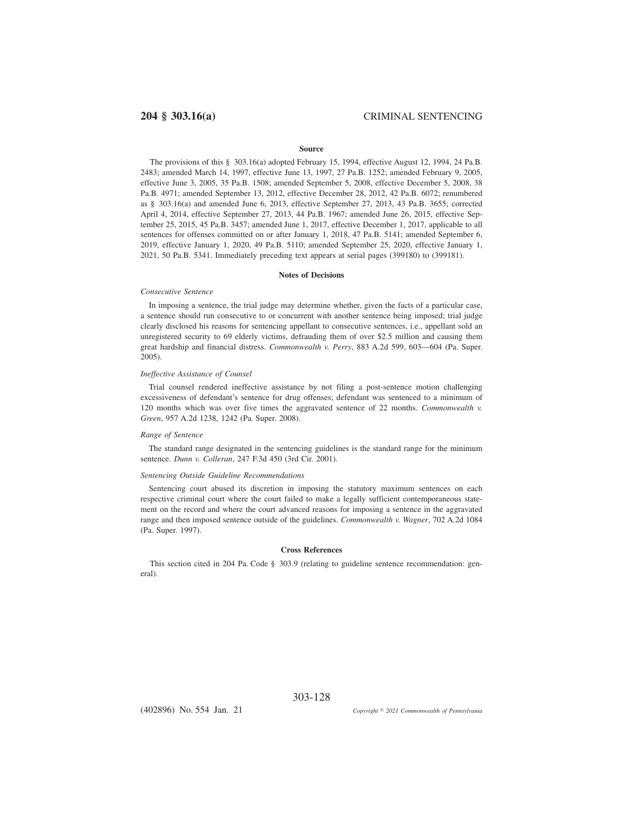### **Source**

The provisions of this § 303.16(a) adopted February 15, 1994, effective August 12, 1994, 24 Pa.B. 2483; amended March 14, 1997, effective June 13, 1997, 27 Pa.B. 1252; amended February 9, 2005, effective June 3, 2005, 35 Pa.B. 1508; amended September 5, 2008, effective December 5, 2008, 38 Pa.B. 4971; amended September 13, 2012, effective December 28, 2012, 42 Pa.B. 6072; renumbered as § 303.16(a) and amended June 6, 2013, effective September 27, 2013, 43 Pa.B. 3655; corrected April 4, 2014, effective September 27, 2013, 44 Pa.B. 1967; amended June 26, 2015, effective September 25, 2015, 45 Pa.B. 3457; amended June 1, 2017, effective December 1, 2017, applicable to all sentences for offenses committed on or after January 1, 2018, 47 Pa.B. 5141; amended September 6, 2019, effective January 1, 2020, 49 Pa.B. 5110; amended September 25, 2020, effective January 1, 2021, 50 Pa.B. 5341. Immediately preceding text appears at serial pages (399180) to (399181).

### **Notes of Decisions**

### *Consecutive Sentence*

In imposing a sentence, the trial judge may determine whether, given the facts of a particular case, a sentence should run consecutive to or concurrent with another sentence being imposed; trial judge clearly disclosed his reasons for sentencing appellant to consecutive sentences, i.e., appellant sold an unregistered security to 69 elderly victims, defrauding them of over \$2.5 million and causing them great hardship and financial distress. *Commonwealth v. Perry*, 883 A.2d 599, 603—604 (Pa. Super. 2005).

### *Ineffective Assistance of Counsel*

Trial counsel rendered ineffective assistance by not filing a post-sentence motion challenging excessiveness of defendant's sentence for drug offenses; defendant was sentenced to a minimum of 120 months which was over five times the aggravated sentence of 22 months. *Commonwealth v. Green*, 957 A.2d 1238, 1242 (Pa. Super. 2008).

### *Range of Sentence*

The standard range designated in the sentencing guidelines is the standard range for the minimum sentence. *Dunn v. Colleran*, 247 F.3d 450 (3rd Cir. 2001).

### *Sentencing Outside Guideline Recommendations*

Sentencing court abused its discretion in imposing the statutory maximum sentences on each respective criminal court where the court failed to make a legally sufficient contemporaneous statement on the record and where the court advanced reasons for imposing a sentence in the aggravated range and then imposed sentence outside of the guidelines. *Commonwealth v. Wagner*, 702 A.2d 1084 (Pa. Super. 1997).

### **Cross References**

This section cited in 204 Pa. Code § 303.9 (relating to guideline sentence recommendation: general).

303-128

(402896) No. 554 Jan. 21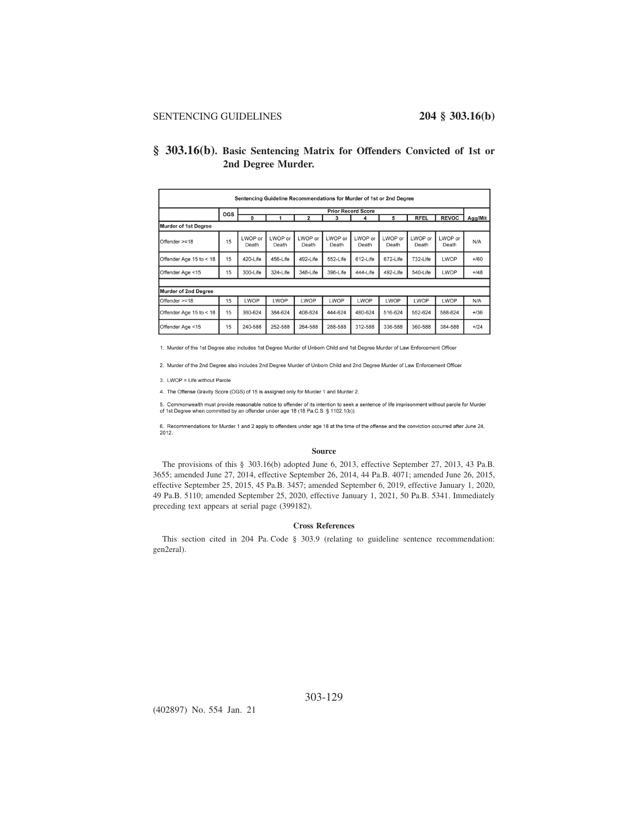## **§ 303.16(b). Basic Sentencing Matrix for Offenders Convicted of 1st or 2nd Degree Murder.**

| Sentencing Guideline Recommendations for Murder of 1st or 2nd Degree |     |                           |                  |                  |                  |                  |                  |                  |                  |         |
|----------------------------------------------------------------------|-----|---------------------------|------------------|------------------|------------------|------------------|------------------|------------------|------------------|---------|
|                                                                      | OGS | <b>Prior Record Score</b> |                  |                  |                  |                  |                  |                  |                  |         |
|                                                                      |     | 0                         |                  | $\overline{2}$   | 3                | 4                | 5                | <b>RFEL</b>      | <b>REVOC</b>     | Agg/Mit |
| Murder of 1st Degree                                                 |     |                           |                  |                  |                  |                  |                  |                  |                  |         |
| Offender >=18                                                        | 15  | LWOP or<br>Death          | LWOP or<br>Death | LWOP or<br>Death | LWOP or<br>Death | LWOP or<br>Death | LWOP or<br>Death | LWOP or<br>Death | LWOP or<br>Death | N/A     |
| Offender Age 15 to < 18                                              | 15  | 420-Life                  | 456-Life         | 492-Life         | 552-Life         | 612-Life         | 672-Life         | 732-Life         | LWOP             | $+/60$  |
| Offender Age <15                                                     | 15  | 300-Life                  | 324-Life         | 348-Life         | 396-Life         | 444-Life         | 492-Life         | 540-Life         | LWOP             | $+148$  |
|                                                                      |     |                           |                  |                  |                  |                  |                  |                  |                  |         |
| Murder of 2nd Degree                                                 |     |                           |                  |                  |                  |                  |                  |                  |                  |         |
| Offender >=18                                                        | 15  | LWOP                      | LWOP             | LWOP             | LWOP             | LWOP             | LWOP             | LWOP             | LWOP             | N/A     |
| Offender Age 15 to < 18                                              | 15  | 360-624                   | 384-624          | 408-624          | 444-624          | 480-624          | 516-624          | 552-624          | 588-624          | $+/36$  |
| Offender Age <15                                                     | 15  | 240-588                   | 252-588          | 264-588          | 288-588          | 312-588          | 336-588          | 360-588          | 384-588          | $+124$  |

1. Murder of the 1st Degree also includes 1st Degree Murder of Unborn Child and 1st Degree Murder of Law Enforcement Officer

2. Murder of the 2nd Degree also includes 2nd Degree Murder of Unborn Child and 2nd Degree Murder of Law Enforcement Officer

3. LWOP = Life without Parole

4. The Offense Gravity Score (OGS) of 15 is assigned only for Murder 1 and Murder 2.

5. Commonwealth must provide reasonable notice to offender of its intention to seek a sentence of life imprisonment without parole for Murder of 1st Degree when committed by an offender under age 18 (18 Pa.C.S. § 1102.1(b)).

6. Recommendations for Murder 1 and 2 apply to offenders under age 18 at the time of the offense and the conviction occurred after June 24, 2012.

### **Source**

The provisions of this § 303.16(b) adopted June 6, 2013, effective September 27, 2013, 43 Pa.B. 3655; amended June 27, 2014, effective September 26, 2014, 44 Pa.B. 4071; amended June 26, 2015, effective September 25, 2015, 45 Pa.B. 3457; amended September 6, 2019, effective January 1, 2020, 49 Pa.B. 5110; amended September 25, 2020, effective January 1, 2021, 50 Pa.B. 5341. Immediately preceding text appears at serial page (399182).

## **Cross References**

This section cited in 204 Pa. Code § 303.9 (relating to guideline sentence recommendation: gen2eral).

(402897) No. 554 Jan. 21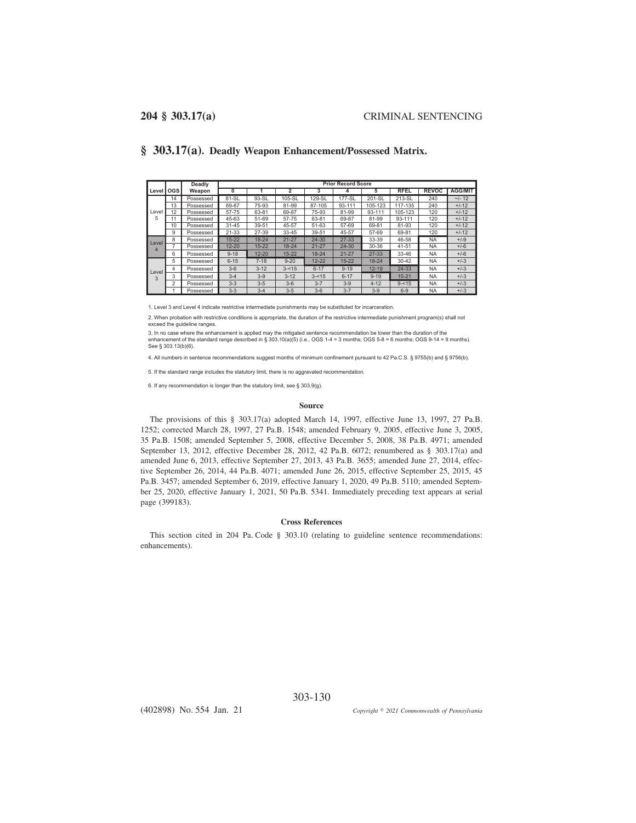|            |                | Deadly    |           | <b>Prior Record Score</b> |                |           |           |           |             |              |                |  |
|------------|----------------|-----------|-----------|---------------------------|----------------|-----------|-----------|-----------|-------------|--------------|----------------|--|
| Level      | <b>OGS</b>     | Weapon    | 0         |                           | $\overline{2}$ | 3         | 4         | 5         | <b>RFEL</b> | <b>REVOC</b> | <b>AGG/MIT</b> |  |
|            | 14             | Possessed | 81-SL     | 93-SL                     | 105-SL         | 129-SL    | 177-SL    | 201-SL    | 213-SL      | 240          | $-/- 12$       |  |
|            | 13             | Possessed | 69-87     | 75-93                     | 81-99          | 87-105    | 93-111    | 105-123   | 117-135     | 240          | $+/-12$        |  |
| Level      | 12             | Possessed | 57-75     | 63-81                     | 69-87          | 75-93     | 81-99     | 93-111    | 105-123     | 120          | $+/-12$        |  |
| 5          |                | Possessed | 45-63     | 51-69                     | 57-75          | 63-81     | 69-87     | 81-99     | 93-111      | 120          | $+/-12$        |  |
|            | 10             | Possessed | $31 - 45$ | 39-51                     | 45-57          | 51-63     | 57-69     | 69-81     | 81-93       | 120          | $+/-12$        |  |
|            | 9              | Possessed | $21 - 33$ | 27-39                     | 33-45          | 39-51     | 45-57     | 57-69     | 69-81       | 120          | $+/-12$        |  |
| Level      | 8              | Possessed | $15 - 22$ | $18 - 24$                 | $21 - 27$      | 24-30     | $27 - 33$ | 33-39     | 46-58       | <b>NA</b>    | $+/-9$         |  |
| 4          | 7              | Possessed | $12 - 20$ | $15 - 22$                 | $18 - 24$      | $21 - 27$ | $24 - 30$ | 30-36     | $41 - 51$   | <b>NA</b>    | $+/-6$         |  |
|            | 6              | Possessed | $9 - 18$  | $12 - 20$                 | $15 - 22$      | $18 - 24$ | $21 - 27$ | $27 - 33$ | 33-46       | <b>NA</b>    | $+/-6$         |  |
|            | 5              | Possessed | $6 - 15$  | $7 - 18$                  | $9 - 20$       | $12 - 22$ | $15 - 22$ | $18 - 24$ | $30 - 42$   | <b>NA</b>    | $+/-3$         |  |
|            | 4              | Possessed | $3-6$     | $3 - 12$                  | $3 - 15$       | $6 - 17$  | $9 - 19$  | $12 - 19$ | 24-33       | <b>NA</b>    | $+/-3$         |  |
| Level<br>3 | 3              | Possessed | $3 - 4$   | $3-9$                     | $3 - 12$       | $3 - 15$  | $6 - 17$  | $9 - 19$  | $15 - 21$   | <b>NA</b>    | $+/-3$         |  |
|            | $\overline{2}$ | Possessed | $3 - 3$   | $3-5$                     | $3-6$          | $3 - 7$   | $3 - 9$   | $4 - 12$  | $9 - 15$    | <b>NA</b>    | $+/-3$         |  |
|            |                | Possessed | $3 - 3$   | $3 - 4$                   | $3 - 5$        | $3-6$     | $3 - 7$   | $3-9$     | $6 - 9$     | <b>NA</b>    | $+/-3$         |  |

**§ 303.17(a). Deadly Weapon Enhancement/Possessed Matrix.**

1. Level 3 and Level 4 indicate restrictive intermediate punishments may be substituted for incarceration.

2. When probation with restrictive conditions is appropriate, the duration of the restrictive intermediate punishment program(s) shall not exceed the quideline ranges.

3. In no case where the enhancement is applied may the mitigated sentence recommendation be lower than the duration of the enhancement of the standard range described in § 303.10(a)(5) (i.e., OGS 1-4 = 3 months; OGS 5-8 = 6 months; OGS 9-14 = 9 months). See § 303.13(b)(6).

4. All numbers in sentence recommendations suggest months of minimum confinement pursuant to 42 Pa.C.S. § 9755(b) and § 9756(b).

5. If the standard range includes the statutory limit, there is no aggravated recommendation.

6. If any recommendation is longer than the statutory limit, see § 303.9(q).

### **Source**

The provisions of this § 303.17(a) adopted March 14, 1997, effective June 13, 1997, 27 Pa.B. 1252; corrected March 28, 1997, 27 Pa.B. 1548; amended February 9, 2005, effective June 3, 2005, 35 Pa.B. 1508; amended September 5, 2008, effective December 5, 2008, 38 Pa.B. 4971; amended September 13, 2012, effective December 28, 2012, 42 Pa.B. 6072; renumbered as § 303.17(a) and amended June 6, 2013, effective September 27, 2013, 43 Pa.B. 3655; amended June 27, 2014, effective September 26, 2014, 44 Pa.B. 4071; amended June 26, 2015, effective September 25, 2015, 45 Pa.B. 3457; amended September 6, 2019, effective January 1, 2020, 49 Pa.B. 5110; amended September 25, 2020, effective January 1, 2021, 50 Pa.B. 5341. Immediately preceding text appears at serial page (399183).

## **Cross References**

This section cited in 204 Pa. Code § 303.10 (relating to guideline sentence recommendations: enhancements).

303-130

(402898) No. 554 Jan. 21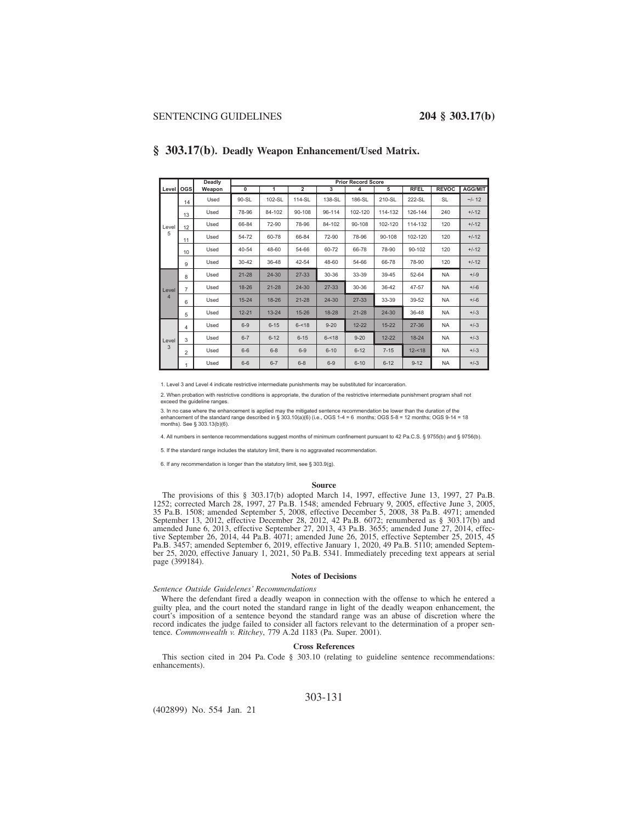|                |                 | Deadly | <b>Prior Record Score</b> |           |                |           |           |           |             |              |                |  |  |
|----------------|-----------------|--------|---------------------------|-----------|----------------|-----------|-----------|-----------|-------------|--------------|----------------|--|--|
| Level OGS      |                 | Weapon | $\overline{0}$            | 1         | $\overline{2}$ | 3         | 4         | 5         | <b>RFEL</b> | <b>REVOC</b> | <b>AGG/MIT</b> |  |  |
|                | 14              | Used   | 90-SL                     | 102-SL    | 114-SL         | 138-SL    | 186-SL    | 210-SL    | 222-SL      | <b>SL</b>    | $-/- 12$       |  |  |
|                | 13              | Used   | 78-96                     | 84-102    | 90-108         | 96-114    | 102-120   | 114-132   | 126-144     | 240          | $+/-12$        |  |  |
| Level          | 12              | Used   | 66-84                     | 72-90     | 78-96          | 84-102    | 90-108    | 102-120   | 114-132     | 120          | $+/-12$        |  |  |
| 5              | 11              | Used   | 54-72                     | 60-78     | 66-84          | 72-90     | 78-96     | 90-108    | 102-120     | 120          | $+/-12$        |  |  |
|                | 10 <sup>1</sup> | Used   | 40-54                     | 48-60     | 54-66          | 60-72     | 66-78     | 78-90     | 90-102      | 120          | $+/-12$        |  |  |
|                | 9               | Used   | $30 - 42$                 | 36-48     | 42-54          | 48-60     | 54-66     | 66-78     | 78-90       | 120          | $+/-12$        |  |  |
|                | 8               | Used   | $21 - 28$                 | 24-30     | 27-33          | 30-36     | 33-39     | 39-45     | 52-64       | NA           | $+/-9$         |  |  |
| Level          | $\overline{7}$  | Used   | 18-26                     | $21 - 28$ | $24 - 30$      | $27 - 33$ | 30-36     | 36-42     | 47-57       | <b>NA</b>    | $+/-6$         |  |  |
| $\overline{4}$ | 6               | Used   | $15 - 24$                 | 18-26     | $21 - 28$      | $24 - 30$ | $27 - 33$ | 33-39     | 39-52       | <b>NA</b>    | $+/-6$         |  |  |
|                | 5               | Used   | $12 - 21$                 | $13 - 24$ | $15 - 26$      | $18 - 28$ | $21 - 28$ | $24 - 30$ | 36-48       | <b>NA</b>    | $+/-3$         |  |  |
|                | 4               | Used   | $6 - 9$                   | $6 - 15$  | $6 - 18$       | $9 - 20$  | $12 - 22$ | $15 - 22$ | $27 - 36$   | <b>NA</b>    | $+/-3$         |  |  |
| Level          | 3               | Used   | $6 - 7$                   | $6 - 12$  | $6 - 15$       | $6 - 18$  | $9 - 20$  | $12 - 22$ | $18 - 24$   | <b>NA</b>    | $+/-3$         |  |  |
| 3              | $\overline{2}$  | Used   | $6 - 6$                   | $6 - 8$   | $6-9$          | $6 - 10$  | $6 - 12$  | $7 - 15$  | $12 - 18$   | <b>NA</b>    | $+/-3$         |  |  |
|                | 1               | Used   | $6-6$                     | $6 - 7$   | $6 - 8$        | $6 - 9$   | $6 - 10$  | $6 - 12$  | $9 - 12$    | <b>NA</b>    | $+/-3$         |  |  |

## **§ 303.17(b). Deadly Weapon Enhancement/Used Matrix.**

1. Level 3 and Level 4 indicate restrictive intermediate punishments may be substituted for incarceration

2. When probation with restrictive conditions is appropriate, the duration of the restrictive intermediate punishment program shall not exceed the guideline ranges.

3. In no case where the enhancement is applied may the mitigated sentence recommendation be lower than the duration of the<br>enhancement of the standard range described in § 303.10(a)(6) (i.e., OGS 1-4 = 6 months; OGS 5-8 = months). See § 303.13(b)(6).

4. All numbers in sentence recommendations suggest months of minimum confinement pursuant to 42 Pa.C.S. § 9755(b) and § 9756(b).

5. If the standard range includes the statutory limit, there is no aggravated recommendation.

6. If any recommendation is longer than the statutory limit, see § 303.9(g).

### **Source**

The provisions of this § 303.17(b) adopted March 14, 1997, effective June 13, 1997, 27 Pa.B. 1252; corrected March 28, 1997, 27 Pa.B. 1548; amended February 9, 2005, effective June 3, 2005, 35 Pa.B. 1508; amended September 5, 2008, effective December 5, 2008, 38 Pa.B. 4971; amended September 13, 2012, effective December 28, 2012, 42 Pa.B. 6072; renumbered as § 303.17(b) and amended June 6, 2013, effective September 27, 2013, 43 Pa.B. 3655; amended June 27, 2014, effec-tive September 26, 2014, 44 Pa.B. 4071; amended June 26, 2015, effective September 25, 2015, 45 Pa.B. 3457; amended September 6, 2019, effective January 1, 2020, 49 Pa.B. 5110; amended September 25, 2020, effective January 1, 2021, 50 Pa.B. 5341. Immediately preceding text appears at serial page (399184).

### **Notes of Decisions**

### *Sentence Outside Guidelenes' Recommendations*

Where the defendant fired a deadly weapon in connection with the offense to which he entered a guilty plea, and the court noted the standard range in light of the deadly weapon enhancement, the court's imposition of a sentence beyond the standard range was an abuse of discretion where the record indicates the judge failed to consider all factors relevant to the determination of a proper sentence. *Commonwealth v. Ritchey*, 779 A.2d 1183 (Pa. Super. 2001).

### **Cross References**

This section cited in 204 Pa. Code § 303.10 (relating to guideline sentence recommendations: enhancements).

303-131

(402899) No. 554 Jan. 21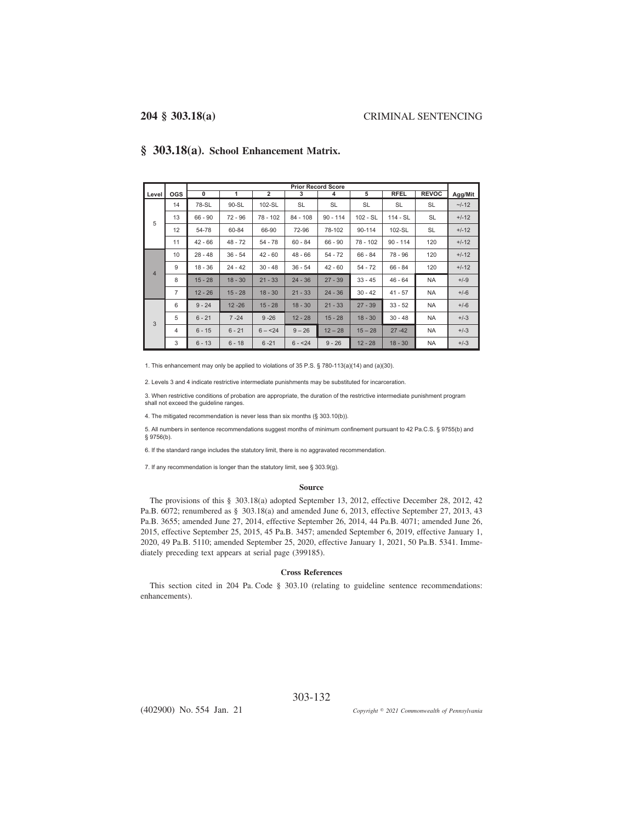|                |                |           | <b>Prior Record Score</b> |                |            |            |            |             |              |         |  |  |
|----------------|----------------|-----------|---------------------------|----------------|------------|------------|------------|-------------|--------------|---------|--|--|
| Level I        | <b>OGS</b>     | 0         | 1                         | $\overline{2}$ | 3          | 4          | 5          | <b>RFEL</b> | <b>REVOC</b> | Agg/Mit |  |  |
|                | 14             | 78-SL     | 90-SL                     | 102-SL         | SL         | SL         | <b>SL</b>  | SL          | <b>SL</b>    | $-1-12$ |  |  |
| 5              | 13             | $66 - 90$ | $72 - 96$                 | 78 - 102       | $84 - 108$ | $90 - 114$ | $102 - SL$ | $114 - SL$  | SL           | $+/-12$ |  |  |
|                | 12             | 54-78     | 60-84                     | 66-90          | 72-96      | 78-102     | 90-114     | 102-SL      | <b>SL</b>    | $+/-12$ |  |  |
|                | 11             | $42 - 66$ | $48 - 72$                 | $54 - 78$      | $60 - 84$  | $66 - 90$  | $78 - 102$ | $90 - 114$  | 120          | $+/-12$ |  |  |
|                | 10             | $28 - 48$ | $36 - 54$                 | $42 - 60$      | $48 - 66$  | $54 - 72$  | $66 - 84$  | $78 - 96$   | 120          | $+/-12$ |  |  |
| $\overline{4}$ | 9              | $18 - 36$ | $24 - 42$                 | $30 - 48$      | $36 - 54$  | $42 - 60$  | $54 - 72$  | $66 - 84$   | 120          | $+/-12$ |  |  |
|                | 8              | $15 - 28$ | $18 - 30$                 | $21 - 33$      | $24 - 36$  | $27 - 39$  | $33 - 45$  | $46 - 64$   | <b>NA</b>    | $+/-9$  |  |  |
|                | $\overline{7}$ | $12 - 26$ | $15 - 28$                 | $18 - 30$      | $21 - 33$  | $24 - 36$  | $30 - 42$  | $41 - 57$   | NA           | $+/-6$  |  |  |
|                | 6              | $9 - 24$  | $12 - 26$                 | $15 - 28$      | $18 - 30$  | $21 - 33$  | $27 - 39$  | $33 - 52$   | <b>NA</b>    | $+/-6$  |  |  |
| 3              | 5              | $6 - 21$  | $7 - 24$                  | $9 - 26$       | $12 - 28$  | $15 - 28$  | $18 - 30$  | $30 - 48$   | <b>NA</b>    | $+/-3$  |  |  |
|                | 4              | $6 - 15$  | $6 - 21$                  | $6 - 24$       | $9 - 26$   | $12 - 28$  | $15 - 28$  | $27 - 42$   | NA           | $+/-3$  |  |  |
|                | 3              | $6 - 13$  | $6 - 18$                  | $6 - 21$       | $6 - 24$   | $9 - 26$   | $12 - 28$  | $18 - 30$   | NA           | $+/-3$  |  |  |

## **§ 303.18(a). School Enhancement Matrix.**

1. This enhancement may only be applied to violations of  $35$  P.S. § 780-113(a)(14) and (a)(30).

2. Levels 3 and 4 indicate restrictive intermediate punishments may be substituted for incarceration.

3. When restrictive conditions of probation are appropriate, the duration of the restrictive intermediate punishment program shall not exceed the guideline ranges.

4. The mitigated recommendation is never less than six months (§ 303.10(b)).

5. All numbers in sentence recommendations suggest months of minimum confinement pursuant to 42 Pa.C.S. § 9755(b) and  $$9756(b).$ 

6. If the standard range includes the statutory limit, there is no aggravated recommendation.

7. If any recommendation is longer than the statutory limit, see  $\S$  303.9(g).

### **Source**

The provisions of this § 303.18(a) adopted September 13, 2012, effective December 28, 2012, 42 Pa.B. 6072; renumbered as § 303.18(a) and amended June 6, 2013, effective September 27, 2013, 43 Pa.B. 3655; amended June 27, 2014, effective September 26, 2014, 44 Pa.B. 4071; amended June 26, 2015, effective September 25, 2015, 45 Pa.B. 3457; amended September 6, 2019, effective January 1, 2020, 49 Pa.B. 5110; amended September 25, 2020, effective January 1, 2021, 50 Pa.B. 5341. Immediately preceding text appears at serial page (399185).

### **Cross References**

This section cited in 204 Pa. Code § 303.10 (relating to guideline sentence recommendations: enhancements).

303-132

(402900) No. 554 Jan. 21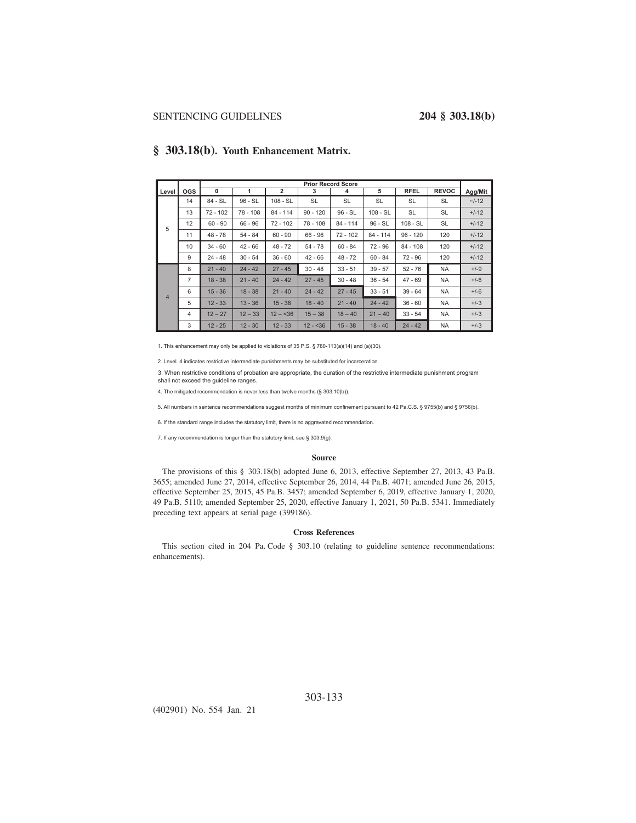|                |                | <b>Prior Record Score</b> |           |                |            |            |            |             |              |         |
|----------------|----------------|---------------------------|-----------|----------------|------------|------------|------------|-------------|--------------|---------|
| Level          | <b>OGS</b>     | 0                         | 1         | $\overline{2}$ | 3          | 4          | 5          | <b>RFEL</b> | <b>REVOC</b> | Agg/Mit |
|                | 14             | 84 - SL                   | $96 - SL$ | $108 - SL$     | SL         | <b>SL</b>  | SL         | <b>SL</b>   | SL           | $-1-12$ |
|                | 13             | $72 - 102$                | 78 - 108  | $84 - 114$     | $90 - 120$ | $96 - SL$  | 108 - SL   | <b>SL</b>   | <b>SL</b>    | $+/-12$ |
| 5              | 12             | $60 - 90$                 | $66 - 96$ | $72 - 102$     | 78 - 108   | $84 - 114$ | $96 - SL$  | $108 - SL$  | <b>SL</b>    | $+/-12$ |
|                | 11             | $48 - 78$                 | $54 - 84$ | $60 - 90$      | $66 - 96$  | $72 - 102$ | $84 - 114$ | $96 - 120$  | 120          | $+/-12$ |
|                | 10             | $34 - 60$                 | $42 - 66$ | $48 - 72$      | $54 - 78$  | $60 - 84$  | $72 - 96$  | $84 - 108$  | 120          | $+/-12$ |
|                | 9              | $24 - 48$                 | $30 - 54$ | $36 - 60$      | $42 - 66$  | $48 - 72$  | $60 - 84$  | 72 - 96     | 120          | $+/-12$ |
|                | 8              | $21 - 40$                 | $24 - 42$ | $27 - 45$      | $30 - 48$  | $33 - 51$  | $39 - 57$  | $52 - 76$   | <b>NA</b>    | $+/-9$  |
|                | $\overline{7}$ | $18 - 38$                 | $21 - 40$ | $24 - 42$      | $27 - 45$  | $30 - 48$  | $36 - 54$  | $47 - 69$   | NA           | $+/-6$  |
| $\overline{4}$ | 6              | $15 - 36$                 | $18 - 38$ | $21 - 40$      | $24 - 42$  | $27 - 45$  | $33 - 51$  | $39 - 64$   | <b>NA</b>    | $+/-6$  |
|                | 5              | $12 - 33$                 | $13 - 36$ | $15 - 38$      | $18 - 40$  | $21 - 40$  | $24 - 42$  | $36 - 60$   | <b>NA</b>    | $+/-3$  |
|                | 4              | $12 - 27$                 | $12 - 33$ | $12 - 36$      | $15 - 38$  | $18 - 40$  | $21 - 40$  | $33 - 54$   | <b>NA</b>    | $+/-3$  |
|                | 3              | $12 - 25$                 | $12 - 30$ | $12 - 33$      | $12 - 36$  | $15 - 38$  | $18 - 40$  | $24 - 42$   | NA           | $+/-3$  |

## **§ 303.18(b). Youth Enhancement Matrix.**

1. This enhancement may only be applied to violations of  $35$  P.S. § 780-113(a)(14) and (a)(30).

2. Level 4 indicates restrictive intermediate punishments may be substituted for incarceration.

3. When restrictive conditions of probation are appropriate, the duration of the restrictive intermediate punishment program shall not exceed the guideline ranges.

4. The mitigated recommendation is never less than twelve months (§ 303.10(b)).

5. All numbers in sentence recommendations suggest months of minimum confinement pursuant to 42 Pa.C.S. § 9755(b) and § 9756(b).

6. If the standard range includes the statutory limit, there is no aggravated recommendation.

7. If any recommendation is longer than the statutory limit, see § 303.9(g).

### **Source**

The provisions of this § 303.18(b) adopted June 6, 2013, effective September 27, 2013, 43 Pa.B. 3655; amended June 27, 2014, effective September 26, 2014, 44 Pa.B. 4071; amended June 26, 2015, effective September 25, 2015, 45 Pa.B. 3457; amended September 6, 2019, effective January 1, 2020, 49 Pa.B. 5110; amended September 25, 2020, effective January 1, 2021, 50 Pa.B. 5341. Immediately preceding text appears at serial page (399186).

## **Cross References**

This section cited in 204 Pa. Code § 303.10 (relating to guideline sentence recommendations: enhancements).

(402901) No. 554 Jan. 21

303-133